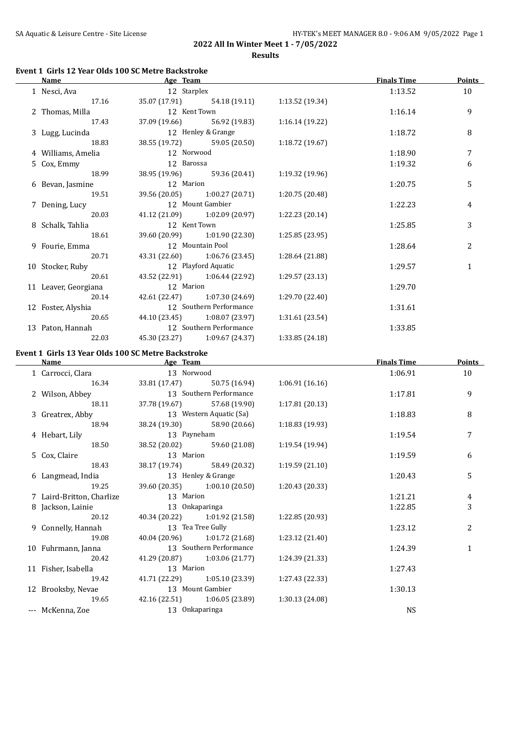#### **Event 1 Girls 12 Year Olds 100 SC Metre Backstroke**

| <b>Name</b>          | Age Team      |                               |                 | <b>Finals Time</b> | <b>Points</b> |
|----------------------|---------------|-------------------------------|-----------------|--------------------|---------------|
| 1 Nesci, Ava         | 12 Starplex   |                               |                 | 1:13.52            | 10            |
| 17.16                |               | 35.07 (17.91) 54.18 (19.11)   | 1:13.52 (19.34) |                    |               |
| 2 Thomas, Milla      | 12 Kent Town  |                               |                 | 1:16.14            | 9             |
| 17.43                |               | 37.09 (19.66) 56.92 (19.83)   | 1:16.14 (19.22) |                    |               |
| 3 Lugg, Lucinda      |               | 12 Henley & Grange            |                 | 1:18.72            | 8             |
| 18.83                |               | 38.55 (19.72) 59.05 (20.50)   | 1:18.72(19.67)  |                    |               |
| 4 Williams, Amelia   | 12 Norwood    |                               |                 | 1:18.90            | 7             |
| 5 Cox, Emmy          | 12 Barossa    |                               |                 | 1:19.32            | 6             |
| 18.99                | 38.95 (19.96) | 59.36 (20.41)                 | 1:19.32 (19.96) |                    |               |
| 6 Bevan, Jasmine     | 12 Marion     |                               |                 | 1:20.75            | 5             |
| 19.51                | 39.56 (20.05) | 1:00.27 (20.71)               | 1:20.75 (20.48) |                    |               |
| 7 Dening, Lucy       |               | 12 Mount Gambier              |                 | 1:22.23            | 4             |
| 20.03                |               | 41.12 (21.09) 1:02.09 (20.97) | 1:22.23 (20.14) |                    |               |
| 8 Schalk, Tahlia     | 12 Kent Town  |                               |                 | 1:25.85            | 3             |
| 18.61                |               | 39.60 (20.99) 1:01.90 (22.30) | 1:25.85(23.95)  |                    |               |
| 9 Fourie, Emma       |               | 12 Mountain Pool              |                 | 1:28.64            | 2             |
| 20.71                |               | 43.31 (22.60) 1:06.76 (23.45) | 1:28.64 (21.88) |                    |               |
| 10 Stocker, Ruby     |               | 12 Playford Aquatic           |                 | 1:29.57            | $\mathbf{1}$  |
| 20.61                |               | 43.52 (22.91) 1:06.44 (22.92) | 1:29.57 (23.13) |                    |               |
| 11 Leaver, Georgiana | 12 Marion     |                               |                 | 1:29.70            |               |
| 20.14                |               | 42.61 (22.47) 1:07.30 (24.69) | 1:29.70(22.40)  |                    |               |
| 12 Foster, Alyshia   |               | 12 Southern Performance       |                 | 1:31.61            |               |
| 20.65                |               | 44.10 (23.45) 1:08.07 (23.97) | 1:31.61 (23.54) |                    |               |
| 13 Paton, Hannah     |               | 12 Southern Performance       |                 | 1:33.85            |               |
| 22.03                |               | 45.30 (23.27) 1:09.67 (24.37) | 1:33.85 (24.18) |                    |               |

#### **Event 1 Girls 13 Year Olds 100 SC Metre Backstroke**

 $\overline{\phantom{a}}$ 

| <b>Name</b>               | Age Team           |                               |                 | <b>Finals Time</b> | <b>Points</b> |
|---------------------------|--------------------|-------------------------------|-----------------|--------------------|---------------|
| 1 Carrocci, Clara         | 13 Norwood         |                               |                 | 1:06.91            | 10            |
| 16.34                     |                    | 33.81 (17.47) 50.75 (16.94)   | 1:06.91(16.16)  |                    |               |
| 2 Wilson, Abbey           |                    | 13 Southern Performance       |                 | 1:17.81            | 9             |
| 18.11                     |                    | 37.78 (19.67) 57.68 (19.90)   | 1:17.81(20.13)  |                    |               |
| 3 Greatrex, Abby          |                    | 13 Western Aquatic (Sa)       |                 | 1:18.83            | 8             |
| 18.94                     |                    | 38.24 (19.30) 58.90 (20.66)   | 1:18.83 (19.93) |                    |               |
| 4 Hebart, Lily            | 13 Payneham        |                               |                 | 1:19.54            | 7             |
| 18.50                     |                    | 38.52 (20.02) 59.60 (21.08)   | 1:19.54(19.94)  |                    |               |
| 5 Cox, Claire             | 13 Marion          |                               |                 | 1:19.59            | 6             |
| 18.43                     |                    | 38.17 (19.74) 58.49 (20.32)   | 1:19.59(21.10)  |                    |               |
| 6 Langmead, India         | 13 Henley & Grange |                               |                 | 1:20.43            | 5             |
| 19.25                     |                    | 39.60 (20.35) 1:00.10 (20.50) | 1:20.43 (20.33) |                    |               |
| 7 Laird-Britton, Charlize | 13 Marion          |                               |                 | 1:21.21            | 4             |
| 8 Jackson, Lainie         |                    | 13 Onkaparinga                |                 | 1:22.85            | 3             |
| 20.12                     |                    | 40.34 (20.22) 1:01.92 (21.58) | 1:22.85 (20.93) |                    |               |
| 9 Connelly, Hannah        |                    | 13 Tea Tree Gully             |                 | 1:23.12            | 2             |
| 19.08                     |                    | 40.04 (20.96) 1:01.72 (21.68) | 1:23.12 (21.40) |                    |               |
| 10 Fuhrmann, Janna        |                    | 13 Southern Performance       |                 | 1:24.39            | $\mathbf{1}$  |
| 20.42                     |                    | 41.29 (20.87) 1:03.06 (21.77) | 1:24.39 (21.33) |                    |               |
| 11 Fisher, Isabella       | 13 Marion          |                               |                 | 1:27.43            |               |
| 19.42                     |                    | 41.71 (22.29) 1:05.10 (23.39) | 1:27.43 (22.33) |                    |               |
| 12 Brooksby, Nevae        |                    | 13 Mount Gambier              |                 | 1:30.13            |               |
| 19.65                     |                    | 42.16 (22.51) 1:06.05 (23.89) | 1:30.13 (24.08) |                    |               |
| --- McKenna, Zoe          |                    | 13 Onkaparinga                |                 | <b>NS</b>          |               |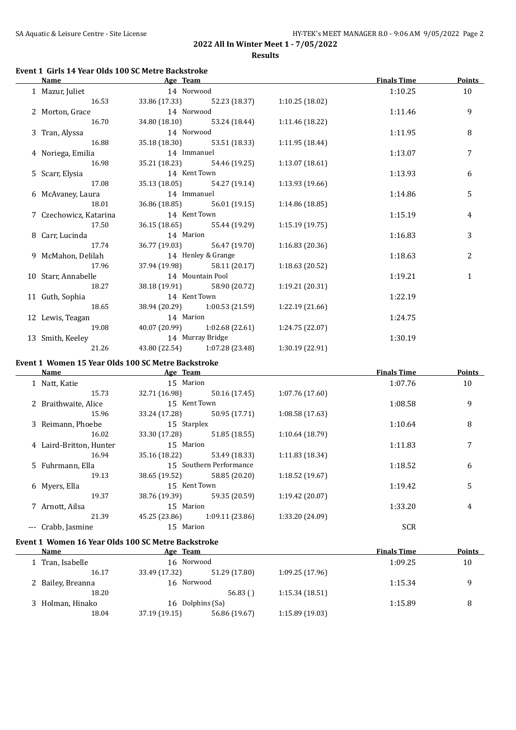#### **Event 1 Girls 14 Year Olds 100 SC Metre Backstroke**

| <b>Name</b>            | Age Team           |                               |                 | <b>Finals Time</b> | <b>Points</b> |
|------------------------|--------------------|-------------------------------|-----------------|--------------------|---------------|
| 1 Mazur, Juliet        | 14 Norwood         |                               |                 | 1:10.25            | 10            |
| 16.53                  |                    | 33.86 (17.33) 52.23 (18.37)   | 1:10.25(18.02)  |                    |               |
| 2 Morton, Grace        | 14 Norwood         |                               |                 | 1:11.46            | 9             |
| 16.70                  |                    | 34.80 (18.10) 53.24 (18.44)   | 1:11.46 (18.22) |                    |               |
| 3 Tran, Alyssa         | 14 Norwood         |                               |                 | 1:11.95            | 8             |
| 16.88                  |                    | 35.18 (18.30) 53.51 (18.33)   | 1:11.95 (18.44) |                    |               |
| 4 Noriega, Emilia      | 14 Immanuel        |                               |                 | 1:13.07            | 7             |
| 16.98                  |                    | 35.21 (18.23) 54.46 (19.25)   | 1:13.07(18.61)  |                    |               |
| 5 Scarr, Elysia        | 14 Kent Town       |                               |                 | 1:13.93            | 6             |
| 17.08                  |                    | 35.13 (18.05) 54.27 (19.14)   | 1:13.93 (19.66) |                    |               |
| 6 McAvaney, Laura      | 14 Immanuel        |                               |                 | 1:14.86            | 5             |
| 18.01                  |                    | 36.86 (18.85) 56.01 (19.15)   | 1:14.86 (18.85) |                    |               |
| 7 Czechowicz, Katarina | 14 Kent Town       |                               |                 | 1:15.19            | 4             |
| 17.50                  |                    | 36.15 (18.65) 55.44 (19.29)   | 1:15.19(19.75)  |                    |               |
| 8 Carr, Lucinda        | 14 Marion          |                               |                 | 1:16.83            | 3             |
| 17.74                  |                    | 36.77 (19.03) 56.47 (19.70)   | 1:16.83(20.36)  |                    |               |
| 9 McMahon, Delilah     | 14 Henley & Grange |                               |                 | 1:18.63            | 2             |
| 17.96                  |                    | 37.94 (19.98) 58.11 (20.17)   | 1:18.63(20.52)  |                    |               |
| 10 Starr, Annabelle    | 14 Mountain Pool   |                               |                 | 1:19.21            | 1             |
| 18.27                  |                    | 38.18 (19.91) 58.90 (20.72)   | 1:19.21 (20.31) |                    |               |
| 11 Guth, Sophia        | 14 Kent Town       |                               |                 | 1:22.19            |               |
| 18.65                  |                    | 38.94 (20.29) 1:00.53 (21.59) | 1:22.19(21.66)  |                    |               |
| 12 Lewis, Teagan       | 14 Marion          |                               |                 | 1:24.75            |               |
| 19.08                  |                    | 40.07 (20.99) 1:02.68 (22.61) | 1:24.75 (22.07) |                    |               |
| 13 Smith, Keeley       | 14 Murray Bridge   |                               |                 | 1:30.19            |               |
| 21.26                  |                    | 43.80 (22.54) 1:07.28 (23.48) | 1:30.19(22.91)  |                    |               |

## **Event 1 Women 15 Year Olds 100 SC Metre Backstroke**

| Name                    | Age Team      |                         |                 | <b>Finals Time</b> | <b>Points</b> |
|-------------------------|---------------|-------------------------|-----------------|--------------------|---------------|
| 1 Natt, Katie           | 15 Marion     |                         |                 | 1:07.76            | 10            |
| 15.73                   | 32.71 (16.98) | 50.16 (17.45)           | 1:07.76(17.60)  |                    |               |
| 2 Braithwaite, Alice    | 15 Kent Town  |                         |                 | 1:08.58            | 9             |
| 15.96                   | 33.24 (17.28) | 50.95 (17.71)           | 1:08.58(17.63)  |                    |               |
| 3 Reimann, Phoebe       | 15 Starplex   |                         |                 | 1:10.64            | 8             |
| 16.02                   | 33.30 (17.28) | 51.85 (18.55)           | 1:10.64(18.79)  |                    |               |
| 4 Laird-Britton, Hunter | 15 Marion     |                         |                 | 1:11.83            | 7             |
| 16.94                   | 35.16 (18.22) | 53.49 (18.33)           | 1:11.83(18.34)  |                    |               |
| 5 Fuhrmann, Ella        |               | 15 Southern Performance |                 | 1:18.52            | 6             |
| 19.13                   | 38.65 (19.52) | 58.85 (20.20)           | 1:18.52(19.67)  |                    |               |
| 6 Myers, Ella           | 15 Kent Town  |                         |                 | 1:19.42            | 5             |
| 19.37                   | 38.76 (19.39) | 59.35 (20.59)           | 1:19.42 (20.07) |                    |               |
| 7 Arnott, Ailsa         | 15 Marion     |                         |                 | 1:33.20            | 4             |
| 21.39                   | 45.25 (23.86) | 1:09.11(23.86)          | 1:33.20 (24.09) |                    |               |
| --- Crabb, Jasmine      | 15 Marion     |                         |                 | <b>SCR</b>         |               |

## **Event 1 Women 16 Year Olds 100 SC Metre Backstroke**

| Name              |               |               |                                                       | <b>Finals Time</b> | <b>Points</b> |
|-------------------|---------------|---------------|-------------------------------------------------------|--------------------|---------------|
| 1 Tran, Isabelle  |               |               |                                                       | 1:09.25            | 10            |
| 16.17             | 33.49 (17.32) | 51.29 (17.80) | 1:09.25(17.96)                                        |                    |               |
| 2 Bailey, Breanna |               |               |                                                       | 1:15.34            | q             |
| 18.20             |               | 56.83()       | 1:15.34(18.51)                                        |                    |               |
| 3 Holman, Hinako  | 16.           |               |                                                       | 1:15.89            | 8             |
| 18.04             | 37.19 (19.15) | 56.86 (19.67) | 1:15.89(19.03)                                        |                    |               |
|                   |               |               | Age Team<br>16 Norwood<br>16 Norwood<br>Dolphins (Sa) |                    |               |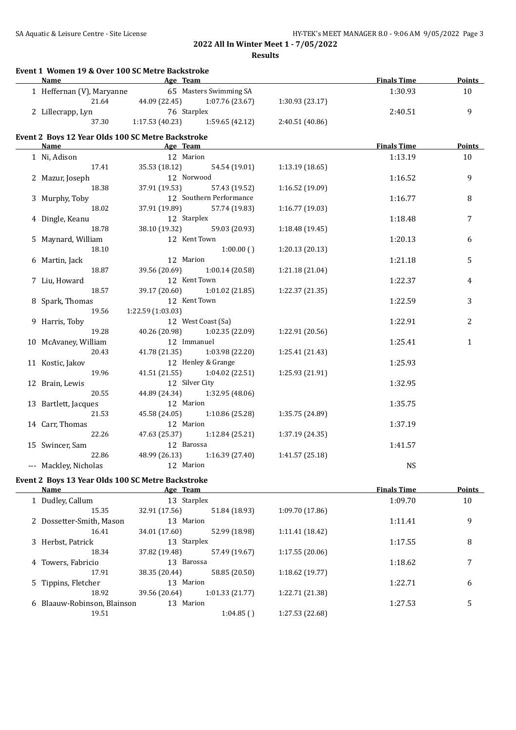| Event 1 Women 19 & Over 100 SC Metre Backstroke           |                           |                               |                 |                    |               |
|-----------------------------------------------------------|---------------------------|-------------------------------|-----------------|--------------------|---------------|
| <b>Name</b>                                               | <b>Example 2</b> Age Team |                               |                 | <b>Finals Time</b> | <b>Points</b> |
| 1 Heffernan (V), Maryanne                                 |                           | 65 Masters Swimming SA        |                 | 1:30.93            | 10            |
| 21.64                                                     |                           | 44.09 (22.45) 1:07.76 (23.67) | 1:30.93 (23.17) |                    |               |
| 2 Lillecrapp, Lyn                                         | 76 Starplex               |                               |                 | 2:40.51            | 9             |
| 37.30                                                     | 1:17.53(40.23)            | 1:59.65(42.12)                | 2:40.51 (40.86) |                    |               |
| Event 2 Boys 12 Year Olds 100 SC Metre Backstroke         |                           |                               |                 |                    |               |
| Name                                                      | Age Team                  |                               |                 | <b>Finals Time</b> | <b>Points</b> |
| 1 Ni, Adison                                              | 12 Marion                 |                               |                 | 1:13.19            | 10            |
| 17.41                                                     | 35.53 (18.12)             | 54.54 (19.01)                 | 1:13.19 (18.65) |                    |               |
| 2 Mazur, Joseph                                           | 12 Norwood                |                               |                 | 1:16.52            | 9             |
| 18.38                                                     | 37.91 (19.53)             | 57.43 (19.52)                 | 1:16.52 (19.09) |                    |               |
| 3 Murphy, Toby                                            |                           | 12 Southern Performance       |                 | 1:16.77            | 8             |
| 18.02                                                     | 37.91 (19.89)             | 57.74 (19.83)                 | 1:16.77 (19.03) |                    |               |
| 4 Dingle, Keanu                                           | 12 Starplex               |                               |                 | 1:18.48            | 7             |
| 18.78                                                     | 38.10 (19.32)             | 59.03 (20.93)                 | 1:18.48 (19.45) |                    |               |
| 5 Maynard, William                                        | 12 Kent Town              |                               |                 | 1:20.13            | 6             |
| 18.10                                                     |                           | 1:00.00()                     | 1:20.13 (20.13) |                    |               |
| 6 Martin, Jack                                            | 12 Marion                 |                               |                 | 1:21.18            | 5             |
| 18.87                                                     | 39.56 (20.69)             | 1:00.14 (20.58)               | 1:21.18 (21.04) |                    |               |
| 7 Liu, Howard                                             | 12 Kent Town              |                               |                 | 1:22.37            | 4             |
| 18.57                                                     | 39.17 (20.60)             | 1:01.02 (21.85)               | 1:22.37 (21.35) |                    |               |
|                                                           | 12 Kent Town              |                               |                 | 1:22.59            |               |
| 8 Spark, Thomas<br>19.56                                  | 1:22.59(1:03.03)          |                               |                 |                    | 3             |
|                                                           |                           | 12 West Coast (Sa)            |                 |                    |               |
| 9 Harris, Toby                                            |                           |                               |                 | 1:22.91            | 2             |
| 19.28                                                     | 40.26 (20.98)             | 1:02.35 (22.09)               | 1:22.91 (20.56) |                    |               |
| 10 McAvaney, William                                      | 12 Immanuel               |                               |                 | 1:25.41            | $\mathbf{1}$  |
| 20.43                                                     | 41.78 (21.35)             | 1:03.98 (22.20)               | 1:25.41 (21.43) |                    |               |
| 11 Kostic, Jakov                                          |                           | 12 Henley & Grange            |                 | 1:25.93            |               |
| 19.96                                                     | 41.51 (21.55)             | 1:04.02 (22.51)               | 1:25.93 (21.91) |                    |               |
| 12 Brain, Lewis                                           | 12 Silver City            |                               |                 | 1:32.95            |               |
| 20.55                                                     | 44.89 (24.34)             | 1:32.95 (48.06)               |                 |                    |               |
| 13 Bartlett, Jacques                                      | 12 Marion                 |                               |                 | 1:35.75            |               |
| 21.53                                                     | 45.58 (24.05)             | 1:10.86 (25.28)               | 1:35.75 (24.89) |                    |               |
| 14 Carr, Thomas                                           | 12 Marion                 |                               |                 | 1:37.19            |               |
| 22.26                                                     | 47.63 (25.37)             | 1:12.84 (25.21)               | 1:37.19 (24.35) |                    |               |
| 15 Swincer, Sam                                           | 12 Barossa                |                               |                 | 1:41.57            |               |
| 22.86                                                     |                           | 48.99 (26.13) 1:16.39 (27.40) | 1:41.57 (25.18) |                    |               |
| --- Mackley, Nicholas                                     | 12 Marion                 |                               |                 | <b>NS</b>          |               |
|                                                           |                           |                               |                 |                    |               |
| Event 2 Boys 13 Year Olds 100 SC Metre Backstroke<br>Name | Age Team                  |                               |                 | <b>Finals Time</b> | <b>Points</b> |
| 1 Dudley, Callum                                          | 13 Starplex               |                               |                 | 1:09.70            | 10            |
| 15.35                                                     | 32.91 (17.56)             | 51.84 (18.93)                 | 1:09.70 (17.86) |                    |               |
|                                                           | 13 Marion                 |                               |                 |                    |               |
| 2 Dossetter-Smith, Mason                                  |                           |                               |                 | 1:11.41            | 9             |
| 16.41                                                     | 34.01 (17.60)             | 52.99 (18.98)                 | 1:11.41 (18.42) |                    |               |

3 Herbst, Patrick 13 Starplex 1:17.55 8

4 Towers, Fabricio 13 Barossa 1:18.62 7

5 Tippins, Fletcher 13 Marion 1:01.33 (21.77) 1:22.71 (21.38) 1:22.71 18.92 39.56 (20.64) 1:01.33 (21.77) 1:22.71 (21.38)

6 Blaauw-Robinson, Blainson 13 Marion 1:27.53 5

18.34 37.82 (19.48) 57.49 (19.67) 1:17.55 (20.06)

17.91 38.35 (20.44) 58.85 (20.50) 1:18.62 (19.77)

19.51 1:04.85 ( ) 1:27.53 (22.68)

18.92 39.56 (20.64) 1:01.33 (21.77)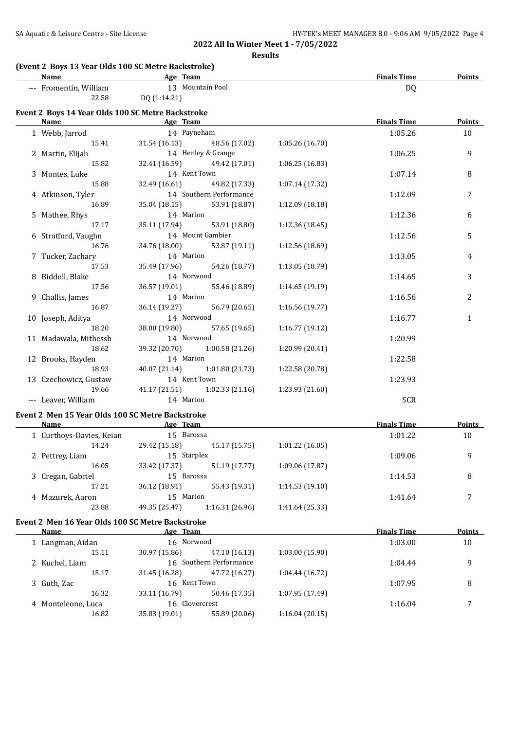| SA Aquatic & Leisure Centre - Site License | HY-TEK's MEET MANAGER 8.0 - 9:06 AM 9/05/2022 Page 4 |
|--------------------------------------------|------------------------------------------------------|

**Results**

## **(Event 2 Boys 13 Year Olds 100 SC Metre Backstroke)**

| Name                                              | Age Team      |                    |                | <b>Finals Time</b> | Points |
|---------------------------------------------------|---------------|--------------------|----------------|--------------------|--------|
| --- Fromentin, William                            | 13.           | Mountain Pool      |                | DQ                 |        |
| 22.58                                             | DQ (1:14.21)  |                    |                |                    |        |
| Event 2 Boys 14 Year Olds 100 SC Metre Backstroke |               |                    |                |                    |        |
| Name                                              | Age Team      |                    |                | <b>Finals Time</b> | Points |
| 1 Webb, Jarrod                                    | 14 Payneham   |                    |                | 1:05.26            | 10     |
| 15.41                                             | 31.54 (16.13) | 48.56 (17.02)      | 1:05.26(16.70) |                    |        |
| Martin Elijah                                     |               | 14 Henley & Grange |                | 1.0625             |        |

| 2 Martin, Elijah      |                         | 14 Henley & Grange                            |                 | 1:06.25    | 9              |
|-----------------------|-------------------------|-----------------------------------------------|-----------------|------------|----------------|
| 15.82                 |                         | 32.41 (16.59) 49.42 (17.01)                   | 1:06.25(16.83)  |            |                |
| 3 Montes, Luke        | 14 Kent Town            |                                               |                 | 1:07.14    | 8              |
| 15.88                 |                         | 32.49 (16.61) 49.82 (17.33)                   | 1:07.14 (17.32) |            |                |
| 4 Atkinson, Tyler     | 14 Southern Performance |                                               |                 | 1:12.09    | 7              |
| 16.89                 |                         | 35.04 (18.15) 53.91 (18.87)                   | 1:12.09(18.18)  |            |                |
| 5 Mathee, Rhys        | 14 Marion               |                                               |                 | 1:12.36    | 6              |
| 17.17                 |                         | 35.11 (17.94) 53.91 (18.80)                   | 1:12.36 (18.45) |            |                |
| 6 Stratford, Vaughn   | 14 Mount Gambier        |                                               |                 | 1:12.56    | 5              |
| 16.76                 |                         | 34.76 (18.00) 53.87 (19.11)                   | 1:12.56 (18.69) |            |                |
| 7 Tucker, Zachary     | 14 Marion               |                                               |                 | 1:13.05    | $\overline{4}$ |
| 17.53                 |                         | 35.49 (17.96) 54.26 (18.77)                   | 1:13.05 (18.79) |            |                |
| 8 Biddell, Blake      | 14 Norwood              |                                               |                 | 1:14.65    | 3              |
| 17.56                 |                         | 36.57 (19.01) 55.46 (18.89)                   | 1:14.65(19.19)  |            |                |
| 9 Challis, James      | 14 Marion               |                                               |                 | 1:16.56    | 2              |
| 16.87                 |                         | 36.14 (19.27) 56.79 (20.65)                   | 1:16.56(19.77)  |            |                |
| 10 Joseph, Aditya     | 14 Norwood              |                                               |                 | 1:16.77    | $\mathbf{1}$   |
| 18.20                 |                         | 38.00 (19.80) 57.65 (19.65)                   | 1:16.77(19.12)  |            |                |
| 11 Madawala, Mithessh | 14 Norwood              |                                               |                 | 1:20.99    |                |
| 18.62                 |                         | 39.32 (20.70) 1:00.58 (21.26)                 | 1:20.99 (20.41) |            |                |
| 12 Brooks, Hayden     | 14 Marion               |                                               |                 | 1:22.58    |                |
| 18.93                 |                         | 40.07 (21.14) 1:01.80 (21.73)                 | 1:22.58 (20.78) |            |                |
| 13 Czechowicz, Gustaw | 14 Kent Town            |                                               |                 | 1:23.93    |                |
| 19.66                 |                         | 41.17 (21.51) 1:02.33 (21.16) 1:23.93 (21.60) |                 |            |                |
| --- Leaver, William   | 14 Marion               |                                               |                 | <b>SCR</b> |                |
|                       |                         |                                               |                 |            |                |

## **Event 2 Men 15 Year Olds 100 SC Metre Backstroke**

l.

| Name  |                                                                                      |                 |                                                                  | <b>Finals Time</b> | <b>Points</b> |
|-------|--------------------------------------------------------------------------------------|-----------------|------------------------------------------------------------------|--------------------|---------------|
|       |                                                                                      |                 |                                                                  | 1:01.22            | 10            |
| 14.24 | 29.42 (15.18)                                                                        | 45.17 (15.75)   | 1:01.22(16.05)                                                   |                    |               |
|       |                                                                                      |                 |                                                                  | 1:09.06            | 9             |
| 16.05 | 33.42 (17.37)                                                                        | 51.19 (17.77)   | 1:09.06 (17.87)                                                  |                    |               |
|       |                                                                                      |                 |                                                                  | 1:14.53            | 8             |
| 17.21 | 36.12 (18.91)                                                                        | 55.43 (19.31)   | 1:14.53(19.10)                                                   |                    |               |
|       |                                                                                      |                 |                                                                  | 1:41.64            |               |
| 23.88 | 49.35 (25.47)                                                                        | 1:16.31 (26.96) | 1:41.64 (25.33)                                                  |                    |               |
|       | 1 Curthoys-Davies, Keian<br>2 Pettrey, Liam<br>3 Cregan, Gabriel<br>4 Mazurek, Aaron |                 | Age Team<br>15 Barossa<br>15 Starplex<br>15 Barossa<br>15 Marion |                    |               |

#### **Event 2 Men 16 Year Olds 100 SC Metre Backstroke**

| Name               | Age Team       |                         |                | <b>Finals Time</b> | <b>Points</b> |
|--------------------|----------------|-------------------------|----------------|--------------------|---------------|
| 1 Langman, Aidan   | 16 Norwood     |                         |                | 1:03.00            | 10            |
| 15.11              | 30.97 (15.86)  | 47.10 (16.13)           | 1:03.00(15.90) |                    |               |
| 2 Kuchel, Liam     |                | 16 Southern Performance |                | 1:04.44            | 9             |
| 15.17              | 31.45 (16.28)  | 47.72 (16.27)           | 1:04.44(16.72) |                    |               |
| 3 Guth, Zac        | 16 Kent Town   |                         |                | 1:07.95            | 8             |
| 16.32              | 33.11 (16.79)  | 50.46 (17.35)           | 1:07.95(17.49) |                    |               |
| 4 Monteleone, Luca | 16 Clovercrest |                         |                | 1:16.04            | 7             |
| 16.82              | 35.83 (19.01)  | 55.89 (20.06)           | 1:16.04(20.15) |                    |               |
|                    |                |                         |                |                    |               |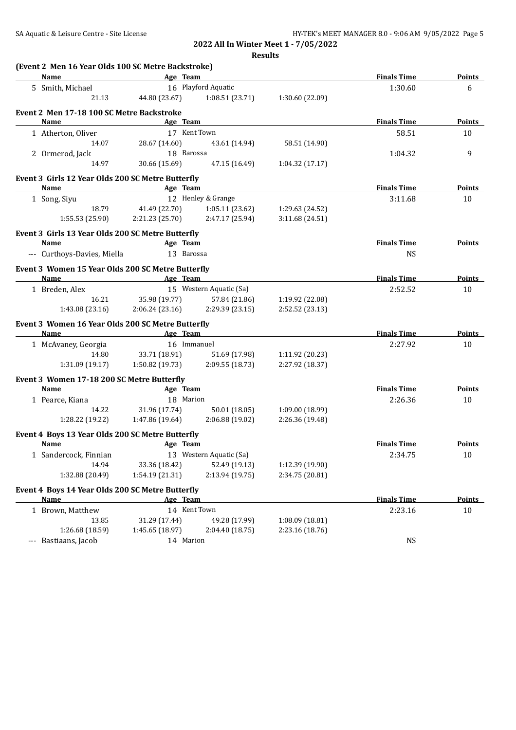**Results**

| Name<br>all a subset of the set of the set of the set of the set of the set of the set of the set of the set of the set of the set of the set of the set of the set of the set of the set of the set of the set of the set of the set<br>16 Playford Aquatic<br>5 Smith, Michael<br>44.80 (23.67)<br>21.13<br>1:08.51 (23.71)<br>1:30.60 (22.09)<br>Event 2 Men 17-18 100 SC Metre Backstroke<br><b>Example 2</b> Age Team<br>Name<br>17 Kent Town<br>1 Atherton, Oliver<br>28.67 (14.60)<br>43.61 (14.94)<br>58.51 (14.90)<br>14.07<br>18 Barossa<br>2 Ormerod, Jack<br>14.97<br>30.66 (15.69)<br>47.15 (16.49)<br>1:04.32 (17.17)<br>Event 3 Girls 12 Year Olds 200 SC Metre Butterfly<br>Name<br>Age Team<br>12 Henley & Grange<br>1 Song, Siyu<br>18.79<br>41.49 (22.70)<br>1:05.11 (23.62)<br>1:29.63 (24.52)<br>2:21.23 (25.70)<br>1:55.53 (25.90)<br>2:47.17 (25.94)<br>3:11.68(24.51) | <b>Finals Time</b><br>1:30.60<br><b>Finals Time</b><br>58.51<br>1:04.32<br><b>Finals Time</b><br>3:11.68 | Points<br>6<br>Points<br>10<br>9<br><b>Points</b><br>10 |
|-----------------------------------------------------------------------------------------------------------------------------------------------------------------------------------------------------------------------------------------------------------------------------------------------------------------------------------------------------------------------------------------------------------------------------------------------------------------------------------------------------------------------------------------------------------------------------------------------------------------------------------------------------------------------------------------------------------------------------------------------------------------------------------------------------------------------------------------------------------------------------------------------|----------------------------------------------------------------------------------------------------------|---------------------------------------------------------|
|                                                                                                                                                                                                                                                                                                                                                                                                                                                                                                                                                                                                                                                                                                                                                                                                                                                                                               |                                                                                                          |                                                         |
|                                                                                                                                                                                                                                                                                                                                                                                                                                                                                                                                                                                                                                                                                                                                                                                                                                                                                               |                                                                                                          |                                                         |
|                                                                                                                                                                                                                                                                                                                                                                                                                                                                                                                                                                                                                                                                                                                                                                                                                                                                                               |                                                                                                          |                                                         |
|                                                                                                                                                                                                                                                                                                                                                                                                                                                                                                                                                                                                                                                                                                                                                                                                                                                                                               |                                                                                                          |                                                         |
|                                                                                                                                                                                                                                                                                                                                                                                                                                                                                                                                                                                                                                                                                                                                                                                                                                                                                               |                                                                                                          |                                                         |
|                                                                                                                                                                                                                                                                                                                                                                                                                                                                                                                                                                                                                                                                                                                                                                                                                                                                                               |                                                                                                          |                                                         |
|                                                                                                                                                                                                                                                                                                                                                                                                                                                                                                                                                                                                                                                                                                                                                                                                                                                                                               |                                                                                                          |                                                         |
|                                                                                                                                                                                                                                                                                                                                                                                                                                                                                                                                                                                                                                                                                                                                                                                                                                                                                               |                                                                                                          |                                                         |
|                                                                                                                                                                                                                                                                                                                                                                                                                                                                                                                                                                                                                                                                                                                                                                                                                                                                                               |                                                                                                          |                                                         |
|                                                                                                                                                                                                                                                                                                                                                                                                                                                                                                                                                                                                                                                                                                                                                                                                                                                                                               |                                                                                                          |                                                         |
|                                                                                                                                                                                                                                                                                                                                                                                                                                                                                                                                                                                                                                                                                                                                                                                                                                                                                               |                                                                                                          |                                                         |
|                                                                                                                                                                                                                                                                                                                                                                                                                                                                                                                                                                                                                                                                                                                                                                                                                                                                                               |                                                                                                          |                                                         |
|                                                                                                                                                                                                                                                                                                                                                                                                                                                                                                                                                                                                                                                                                                                                                                                                                                                                                               |                                                                                                          |                                                         |
|                                                                                                                                                                                                                                                                                                                                                                                                                                                                                                                                                                                                                                                                                                                                                                                                                                                                                               |                                                                                                          |                                                         |
| Event 3 Girls 13 Year Olds 200 SC Metre Butterfly                                                                                                                                                                                                                                                                                                                                                                                                                                                                                                                                                                                                                                                                                                                                                                                                                                             |                                                                                                          |                                                         |
| <b>Example 2018</b> Age Team<br><b>Name</b>                                                                                                                                                                                                                                                                                                                                                                                                                                                                                                                                                                                                                                                                                                                                                                                                                                                   | <b>Finals Time</b>                                                                                       | <b>Points</b>                                           |
| --- Curthoys-Davies, Miella<br>13 Barossa                                                                                                                                                                                                                                                                                                                                                                                                                                                                                                                                                                                                                                                                                                                                                                                                                                                     | <b>NS</b>                                                                                                |                                                         |
| Event 3 Women 15 Year Olds 200 SC Metre Butterfly                                                                                                                                                                                                                                                                                                                                                                                                                                                                                                                                                                                                                                                                                                                                                                                                                                             |                                                                                                          |                                                         |
| and the same state of the same state of the same state of the same state of the same state of the same state o<br>Name                                                                                                                                                                                                                                                                                                                                                                                                                                                                                                                                                                                                                                                                                                                                                                        | <b>Finals Time</b>                                                                                       | Points                                                  |
| 15 Western Aquatic (Sa)<br>1 Breden, Alex                                                                                                                                                                                                                                                                                                                                                                                                                                                                                                                                                                                                                                                                                                                                                                                                                                                     | 2:52.52                                                                                                  | 10                                                      |
| 16.21<br>35.98 (19.77)<br>57.84 (21.86)<br>1:19.92 (22.08)                                                                                                                                                                                                                                                                                                                                                                                                                                                                                                                                                                                                                                                                                                                                                                                                                                    |                                                                                                          |                                                         |
| 1:43.08 (23.16)<br>2:06.24 (23.16)<br>2:29.39 (23.15)<br>2:52.52 (23.13)                                                                                                                                                                                                                                                                                                                                                                                                                                                                                                                                                                                                                                                                                                                                                                                                                      |                                                                                                          |                                                         |
| Event 3 Women 16 Year Olds 200 SC Metre Butterfly                                                                                                                                                                                                                                                                                                                                                                                                                                                                                                                                                                                                                                                                                                                                                                                                                                             |                                                                                                          |                                                         |
| Name<br>Age Team                                                                                                                                                                                                                                                                                                                                                                                                                                                                                                                                                                                                                                                                                                                                                                                                                                                                              | <b>Finals Time</b>                                                                                       | Points                                                  |
| 16 Immanuel<br>1 McAvaney, Georgia                                                                                                                                                                                                                                                                                                                                                                                                                                                                                                                                                                                                                                                                                                                                                                                                                                                            | 2:27.92                                                                                                  | 10                                                      |
| 33.71 (18.91)<br>51.69 (17.98)<br>1:11.92 (20.23)<br>14.80                                                                                                                                                                                                                                                                                                                                                                                                                                                                                                                                                                                                                                                                                                                                                                                                                                    |                                                                                                          |                                                         |
| 1:50.82 (19.73)<br>2:09.55 (18.73)<br>2:27.92 (18.37)<br>1:31.09 (19.17)                                                                                                                                                                                                                                                                                                                                                                                                                                                                                                                                                                                                                                                                                                                                                                                                                      |                                                                                                          |                                                         |
| Event 3 Women 17-18 200 SC Metre Butterfly                                                                                                                                                                                                                                                                                                                                                                                                                                                                                                                                                                                                                                                                                                                                                                                                                                                    |                                                                                                          |                                                         |
| Name<br><b>Example 2</b> Age Team                                                                                                                                                                                                                                                                                                                                                                                                                                                                                                                                                                                                                                                                                                                                                                                                                                                             | <b>Finals Time</b>                                                                                       | Points                                                  |
| 18 Marion<br>1 Pearce, Kiana                                                                                                                                                                                                                                                                                                                                                                                                                                                                                                                                                                                                                                                                                                                                                                                                                                                                  | 2:26.36                                                                                                  | 10                                                      |
| 14.22<br>31.96 (17.74)<br>1:09.00 (18.99)<br>50.01 (18.05)                                                                                                                                                                                                                                                                                                                                                                                                                                                                                                                                                                                                                                                                                                                                                                                                                                    |                                                                                                          |                                                         |
| 1:28.22 (19.22)<br>1:47.86 (19.64)<br>2:06.88 (19.02)<br>2:26.36 (19.48)                                                                                                                                                                                                                                                                                                                                                                                                                                                                                                                                                                                                                                                                                                                                                                                                                      |                                                                                                          |                                                         |
| Event 4 Boys 13 Year Olds 200 SC Metre Butterfly                                                                                                                                                                                                                                                                                                                                                                                                                                                                                                                                                                                                                                                                                                                                                                                                                                              |                                                                                                          |                                                         |
| <u>Age Team</u><br><u>Name</u>                                                                                                                                                                                                                                                                                                                                                                                                                                                                                                                                                                                                                                                                                                                                                                                                                                                                | <b>Finals Time</b>                                                                                       | <b>Points</b>                                           |
| 13 Western Aquatic (Sa)<br>1 Sandercock, Finnian                                                                                                                                                                                                                                                                                                                                                                                                                                                                                                                                                                                                                                                                                                                                                                                                                                              | 2:34.75                                                                                                  | 10                                                      |
| 14.94<br>33.36 (18.42)<br>52.49 (19.13)<br>1:12.39 (19.90)                                                                                                                                                                                                                                                                                                                                                                                                                                                                                                                                                                                                                                                                                                                                                                                                                                    |                                                                                                          |                                                         |
| 1:54.19 (21.31)<br>2:13.94 (19.75)<br>2:34.75 (20.81)<br>1:32.88 (20.49)                                                                                                                                                                                                                                                                                                                                                                                                                                                                                                                                                                                                                                                                                                                                                                                                                      |                                                                                                          |                                                         |
| Event 4 Boys 14 Year Olds 200 SC Metre Butterfly                                                                                                                                                                                                                                                                                                                                                                                                                                                                                                                                                                                                                                                                                                                                                                                                                                              |                                                                                                          |                                                         |
| Age Team<br><b>Name</b>                                                                                                                                                                                                                                                                                                                                                                                                                                                                                                                                                                                                                                                                                                                                                                                                                                                                       | <b>Finals Time</b>                                                                                       | <b>Points</b>                                           |
| 14 Kent Town<br>1 Brown, Matthew                                                                                                                                                                                                                                                                                                                                                                                                                                                                                                                                                                                                                                                                                                                                                                                                                                                              | 2:23.16                                                                                                  | 10                                                      |
| 13.85<br>31.29 (17.44)<br>49.28 (17.99)<br>1:08.09 (18.81)                                                                                                                                                                                                                                                                                                                                                                                                                                                                                                                                                                                                                                                                                                                                                                                                                                    |                                                                                                          |                                                         |
| 1:26.68 (18.59)<br>1:45.65 (18.97)<br>2:23.16 (18.76)<br>2:04.40 (18.75)                                                                                                                                                                                                                                                                                                                                                                                                                                                                                                                                                                                                                                                                                                                                                                                                                      |                                                                                                          |                                                         |
| --- Bastiaans, Jacob<br>14 Marion                                                                                                                                                                                                                                                                                                                                                                                                                                                                                                                                                                                                                                                                                                                                                                                                                                                             | <b>NS</b>                                                                                                |                                                         |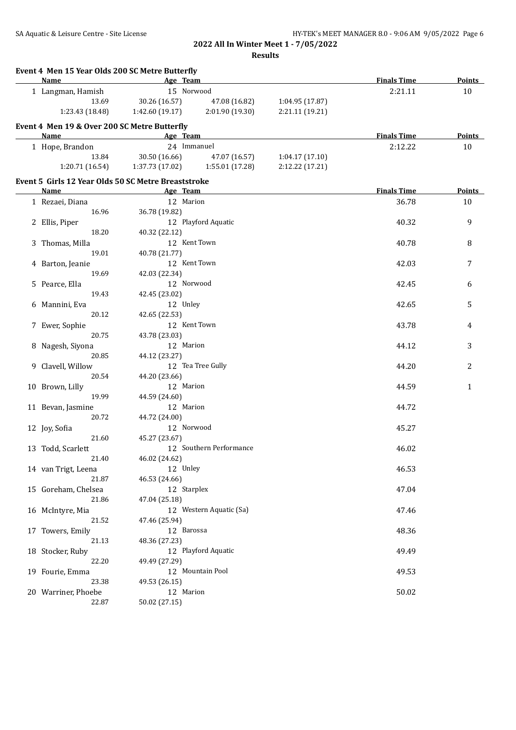| Event 4 Men 15 Year Olds 200 SC Metre Butterfly<br>Name | Age Team        |                         |                 | <b>Finals Time</b> | <b>Points</b> |
|---------------------------------------------------------|-----------------|-------------------------|-----------------|--------------------|---------------|
| 1 Langman, Hamish                                       | 15 Norwood      |                         |                 | 2:21.11            |               |
| 13.69                                                   | 30.26 (16.57)   | 47.08 (16.82)           | 1:04.95 (17.87) |                    | 10            |
| 1:23.43 (18.48)                                         | 1:42.60 (19.17) | 2:01.90 (19.30)         | 2:21.11 (19.21) |                    |               |
|                                                         |                 |                         |                 |                    |               |
| Event 4 Men 19 & Over 200 SC Metre Butterfly            |                 |                         |                 |                    |               |
| Name                                                    | Age Team        |                         |                 | <b>Finals Time</b> | <b>Points</b> |
| 1 Hope, Brandon                                         | 24 Immanuel     |                         |                 | 2:12.22            | 10            |
| 13.84                                                   | 30.50 (16.66)   | 47.07 (16.57)           | 1:04.17(17.10)  |                    |               |
| 1:20.71 (16.54)                                         | 1:37.73 (17.02) | 1:55.01 (17.28)         | 2:12.22 (17.21) |                    |               |
| Event 5 Girls 12 Year Olds 50 SC Metre Breaststroke     |                 |                         |                 |                    |               |
| Name                                                    | Age Team        |                         |                 | <b>Finals Time</b> | Points        |
| 1 Rezaei, Diana                                         | 12 Marion       |                         |                 | 36.78              | 10            |
| 16.96                                                   | 36.78 (19.82)   |                         |                 |                    |               |
| 2 Ellis, Piper                                          |                 | 12 Playford Aquatic     |                 | 40.32              | 9             |
| 18.20                                                   | 40.32 (22.12)   |                         |                 |                    |               |
| 3 Thomas, Milla                                         | 12 Kent Town    |                         |                 | 40.78              | 8             |
| 19.01                                                   | 40.78 (21.77)   |                         |                 |                    |               |
| 4 Barton, Jeanie                                        | 12 Kent Town    |                         |                 | 42.03              | 7             |
| 19.69                                                   | 42.03 (22.34)   |                         |                 |                    |               |
| 5 Pearce, Ella                                          | 12 Norwood      |                         |                 | 42.45              | 6             |
| 19.43                                                   | 42.45 (23.02)   |                         |                 |                    |               |
| 6 Mannini, Eva                                          | 12 Unley        |                         |                 | 42.65              | 5             |
| 20.12                                                   | 42.65 (22.53)   |                         |                 |                    |               |
| 7 Ewer, Sophie                                          | 12 Kent Town    |                         |                 | 43.78              | 4             |
| 20.75                                                   | 43.78 (23.03)   |                         |                 |                    |               |
| 8 Nagesh, Siyona                                        | 12 Marion       |                         |                 | 44.12              | 3             |
| 20.85                                                   | 44.12 (23.27)   |                         |                 |                    |               |
| 9 Clavell, Willow                                       |                 | 12 Tea Tree Gully       |                 | 44.20              | 2             |
| 20.54                                                   | 44.20 (23.66)   |                         |                 |                    |               |
| 10 Brown, Lilly                                         | 12 Marion       |                         |                 | 44.59              | 1             |
| 19.99                                                   | 44.59 (24.60)   |                         |                 |                    |               |
| 11 Bevan, Jasmine                                       | 12 Marion       |                         |                 | 44.72              |               |
| 20.72                                                   | 44.72 (24.00)   |                         |                 |                    |               |
| 12 Joy, Sofia                                           | 12 Norwood      |                         |                 | 45.27              |               |
| 21.60                                                   | 45.27 (23.67)   |                         |                 |                    |               |
|                                                         |                 | 12 Southern Performance |                 |                    |               |
| 13 Todd, Scarlett                                       |                 |                         |                 | 46.02              |               |
| 21.40                                                   | 46.02 (24.62)   |                         |                 |                    |               |
| 14 van Trigt, Leena                                     | 12 Unley        |                         |                 | 46.53              |               |
| 21.87                                                   | 46.53 (24.66)   |                         |                 |                    |               |
| 15 Goreham, Chelsea                                     | 12 Starplex     |                         |                 | 47.04              |               |
| 21.86                                                   | 47.04 (25.18)   |                         |                 |                    |               |
| 16 McIntyre, Mia                                        |                 | 12 Western Aquatic (Sa) |                 | 47.46              |               |
| 21.52                                                   | 47.46 (25.94)   |                         |                 |                    |               |
| 17 Towers, Emily                                        | 12 Barossa      |                         |                 | 48.36              |               |
| 21.13                                                   | 48.36 (27.23)   |                         |                 |                    |               |
| 18 Stocker, Ruby                                        |                 | 12 Playford Aquatic     |                 | 49.49              |               |
| 22.20                                                   | 49.49 (27.29)   |                         |                 |                    |               |
| 19 Fourie, Emma                                         |                 | 12 Mountain Pool        |                 | 49.53              |               |
| 23.38                                                   | 49.53 (26.15)   |                         |                 |                    |               |
| 20 Warriner, Phoebe                                     | 12 Marion       |                         |                 | 50.02              |               |
| 22.87                                                   | 50.02 (27.15)   |                         |                 |                    |               |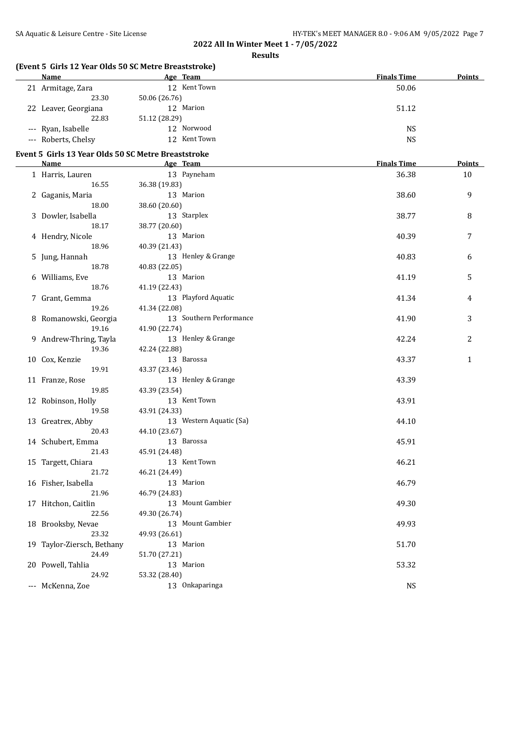**Results**

| (Event 5 Girls 12 Year Olds 50 SC Metre Breaststroke) |               |                         | <b>Finals Time</b> |               |
|-------------------------------------------------------|---------------|-------------------------|--------------------|---------------|
| Name                                                  |               | Age Team                |                    | Points        |
| 21 Armitage, Zara                                     |               | 12 Kent Town            | 50.06              |               |
| 23.30                                                 | 50.06 (26.76) |                         |                    |               |
| 22 Leaver, Georgiana                                  |               | 12 Marion               | 51.12              |               |
| 22.83                                                 | 51.12 (28.29) |                         |                    |               |
| --- Ryan, Isabelle                                    |               | 12 Norwood              | <b>NS</b>          |               |
| --- Roberts, Chelsy                                   |               | 12 Kent Town            | <b>NS</b>          |               |
| Event 5 Girls 13 Year Olds 50 SC Metre Breaststroke   |               |                         |                    |               |
| Name                                                  |               | Age Team                | <b>Finals Time</b> | <b>Points</b> |
| 1 Harris, Lauren                                      |               | 13 Payneham             | 36.38              | 10            |
| 16.55                                                 | 36.38 (19.83) |                         |                    |               |
| 2 Gaganis, Maria                                      |               | 13 Marion               | 38.60              | 9             |
| 18.00                                                 | 38.60 (20.60) |                         |                    |               |
| 3 Dowler, Isabella                                    |               | 13 Starplex             | 38.77              | 8             |
| 18.17                                                 | 38.77 (20.60) |                         |                    |               |
| 4 Hendry, Nicole                                      |               | 13 Marion               | 40.39              | 7             |
| 18.96                                                 | 40.39 (21.43) |                         |                    |               |
| 5 Jung, Hannah                                        |               | 13 Henley & Grange      | 40.83              | 6             |
| 18.78                                                 | 40.83 (22.05) |                         |                    |               |
| 6 Williams, Eve                                       |               | 13 Marion               | 41.19              | 5             |
| 18.76                                                 | 41.19 (22.43) |                         |                    |               |
| 7 Grant, Gemma                                        |               | 13 Playford Aquatic     | 41.34              | 4             |
| 19.26                                                 | 41.34 (22.08) |                         |                    |               |
| 8 Romanowski, Georgia                                 |               | 13 Southern Performance | 41.90              | 3             |
| 19.16                                                 | 41.90 (22.74) |                         |                    |               |
| 9 Andrew-Thring, Tayla                                |               | 13 Henley & Grange      | 42.24              | 2             |
| 19.36                                                 | 42.24 (22.88) |                         |                    |               |
| 10 Cox, Kenzie                                        |               | 13 Barossa              | 43.37              | 1             |
| 19.91                                                 | 43.37 (23.46) |                         |                    |               |
| 11 Franze, Rose                                       |               | 13 Henley & Grange      | 43.39              |               |
| 19.85                                                 | 43.39 (23.54) |                         |                    |               |
| 12 Robinson, Holly                                    |               | 13 Kent Town            | 43.91              |               |
| 19.58                                                 | 43.91 (24.33) |                         |                    |               |
| 13 Greatrex, Abby                                     |               | 13 Western Aquatic (Sa) | 44.10              |               |
| 20.43                                                 | 44.10 (23.67) |                         |                    |               |
| 14 Schubert, Emma                                     |               | 13 Barossa              | 45.91              |               |
| 21.43                                                 | 45.91 (24.48) |                         |                    |               |
| 15 Targett, Chiara                                    |               | 13 Kent Town            | 46.21              |               |
| 21.72                                                 | 46.21 (24.49) |                         |                    |               |
| 16 Fisher, Isabella                                   |               | 13 Marion               | 46.79              |               |
| 21.96                                                 | 46.79 (24.83) |                         |                    |               |
| 17 Hitchon, Caitlin                                   |               | 13 Mount Gambier        | 49.30              |               |
| 22.56                                                 | 49.30 (26.74) |                         |                    |               |
| 18 Brooksby, Nevae                                    |               | 13 Mount Gambier        | 49.93              |               |
| 23.32                                                 | 49.93 (26.61) |                         |                    |               |
| 19 Taylor-Ziersch, Bethany                            |               | 13 Marion               | 51.70              |               |
| 24.49                                                 | 51.70 (27.21) |                         |                    |               |
| 20 Powell, Tahlia                                     |               | 13 Marion               | 53.32              |               |
| 24.92                                                 | 53.32 (28.40) |                         |                    |               |
| --- McKenna, Zoe                                      |               | 13 Onkaparinga          | <b>NS</b>          |               |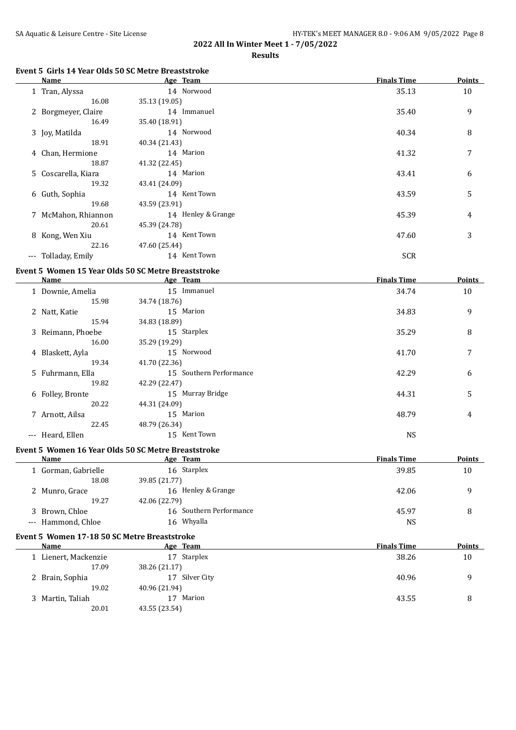**Results**

## **Event 5 Girls 14 Year Olds 50 SC Metre Breaststroke**

|          | Name                |               | Age Team           | <b>Finals Time</b> | <b>Points</b> |
|----------|---------------------|---------------|--------------------|--------------------|---------------|
|          | 1 Tran, Alyssa      |               | 14 Norwood         | 35.13              | 10            |
|          | 16.08               | 35.13 (19.05) |                    |                    |               |
|          | 2 Borgmeyer, Claire |               | 14 Immanuel        | 35.40              | 9             |
|          | 16.49               | 35.40 (18.91) |                    |                    |               |
|          | 3 Joy, Matilda      |               | 14 Norwood         | 40.34              | 8             |
|          | 18.91               | 40.34 (21.43) |                    |                    |               |
|          | 4 Chan, Hermione    |               | 14 Marion          | 41.32              | 7             |
|          | 18.87               | 41.32 (22.45) |                    |                    |               |
|          | 5 Coscarella, Kiara |               | 14 Marion          | 43.41              | 6             |
|          | 19.32               | 43.41 (24.09) |                    |                    |               |
|          | 6 Guth, Sophia      |               | 14 Kent Town       | 43.59              | 5             |
|          | 19.68               | 43.59 (23.91) |                    |                    |               |
|          | 7 McMahon, Rhiannon |               | 14 Henley & Grange | 45.39              | 4             |
|          | 20.61               | 45.39 (24.78) |                    |                    |               |
|          | 8 Kong, Wen Xiu     |               | 14 Kent Town       | 47.60              | 3             |
|          | 22.16               | 47.60 (25.44) |                    |                    |               |
| $\cdots$ | Tolladay, Emily     |               | 14 Kent Town       | <b>SCR</b>         |               |

## **Event 5 Women 15 Year Olds 50 SC Metre Breaststroke**

|                     | Name              | Age Team                   | <b>Finals Time</b> | <b>Points</b> |
|---------------------|-------------------|----------------------------|--------------------|---------------|
|                     | 1 Downie, Amelia  | Immanuel<br>15             | 34.74              | 10            |
|                     | 15.98             | 34.74 (18.76)              |                    |               |
|                     | 2 Natt, Katie     | 15 Marion                  | 34.83              | 9             |
|                     | 15.94             | 34.83 (18.89)              |                    |               |
|                     | 3 Reimann, Phoebe | 15 Starplex                | 35.29              | 8             |
|                     | 16.00             | 35.29 (19.29)              |                    |               |
|                     | 4 Blaskett, Ayla  | 15 Norwood                 | 41.70              | 7             |
|                     | 19.34             | 41.70 (22.36)              |                    |               |
|                     | 5 Fuhrmann, Ella  | Southern Performance<br>15 | 42.29              | 6             |
|                     | 19.82             | 42.29 (22.47)              |                    |               |
|                     | 6 Folley, Bronte  | 15 Murray Bridge           | 44.31              | 5             |
|                     | 20.22             | 44.31 (24.09)              |                    |               |
|                     | 7 Arnott, Ailsa   | 15 Marion                  | 48.79              | 4             |
|                     | 22.45             | 48.79 (26.34)              |                    |               |
| $\qquad \qquad - -$ | Heard, Ellen      | Kent Town<br>15            | <b>NS</b>          |               |

#### **Event 5 Women 16 Year Olds 50 SC Metre Breaststroke**

| Name                | Age Team                   | <b>Finals Time</b> | <b>Points</b> |
|---------------------|----------------------------|--------------------|---------------|
| 1 Gorman, Gabrielle | 16 Starplex                | 39.85              | 10            |
| 18.08               | 39.85 (21.77)              |                    |               |
| 2 Munro, Grace      | 16 Henley & Grange         | 42.06              |               |
| 19.27               | 42.06 (22.79)              |                    |               |
| 3 Brown, Chloe      | Southern Performance<br>16 | 45.97              | 8             |
| --- Hammond, Chloe  | Whyalla<br>16.             | NS                 |               |
|                     |                            |                    |               |

## **Event 5 Women 17-18 50 SC Metre Breaststroke**

| Name               | Age Team          | <b>Finals Time</b> | <b>Points</b> |
|--------------------|-------------------|--------------------|---------------|
| Lienert, Mackenzie | Starplex<br>17    | 38.26              | 10            |
| 17.09              | 38.26 (21.17)     |                    |               |
| 2 Brain, Sophia    | Silver City<br>17 | 40.96              | q             |
| 19.02              | 40.96 (21.94)     |                    |               |
| 3 Martin, Taliah   | Marion<br>17      | 43.55              | 8             |
| 20.01              | 43.55 (23.54)     |                    |               |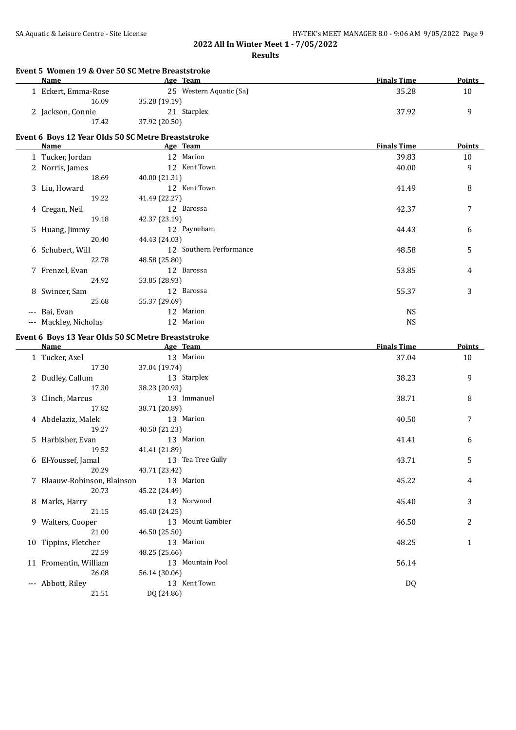## SA Aquatic & Leisure Centre - Site License **HY-TEK's MEET MANAGER 8.0 - 9:06 AM 9/05/2022** Page 9

| <b>Name</b>                 | Event 5 Women 19 & Over 50 SC Metre Breaststroke<br>Age Team | <b>Finals Time</b> | Points |
|-----------------------------|--------------------------------------------------------------|--------------------|--------|
| 1 Eckert, Emma-Rose         | 25 Western Aquatic (Sa)                                      | 35.28              | 10     |
| 16.09                       | 35.28 (19.19)                                                |                    |        |
| 2 Jackson, Connie           | 21 Starplex                                                  | 37.92              | 9      |
| 17.42                       | 37.92 (20.50)                                                |                    |        |
|                             | Event 6 Boys 12 Year Olds 50 SC Metre Breaststroke           |                    |        |
| Name                        | Age Team                                                     | <b>Finals Time</b> | Points |
| 1 Tucker, Jordan            | 12 Marion                                                    | 39.83              | 10     |
| 2 Norris, James             | 12 Kent Town                                                 | 40.00              | 9      |
| 18.69                       | 40.00 (21.31)                                                |                    |        |
| 3 Liu, Howard               | 12 Kent Town                                                 | 41.49              | 8      |
| 19.22                       | 41.49 (22.27)                                                |                    |        |
| 4 Cregan, Neil              | 12 Barossa                                                   | 42.37              | 7      |
| 19.18                       | 42.37 (23.19)                                                |                    |        |
| 5 Huang, Jimmy              | 12 Payneham                                                  | 44.43              | 6      |
| 20.40                       | 44.43 (24.03)                                                |                    |        |
| 6 Schubert, Will            | 12 Southern Performance                                      | 48.58              | 5      |
| 22.78                       | 48.58 (25.80)                                                |                    |        |
| 7 Frenzel, Evan             | 12 Barossa                                                   | 53.85              | 4      |
| 24.92                       | 53.85 (28.93)                                                |                    |        |
| 8 Swincer, Sam              | 12 Barossa                                                   | 55.37              | 3      |
| 25.68                       | 55.37 (29.69)                                                |                    |        |
| --- Bai, Evan               | 12 Marion                                                    | <b>NS</b>          |        |
| --- Mackley, Nicholas       | 12 Marion                                                    | <b>NS</b>          |        |
|                             |                                                              |                    |        |
|                             | Event 6 Boys 13 Year Olds 50 SC Metre Breaststroke           |                    |        |
| <b>Name</b>                 | Age Team                                                     | <b>Finals Time</b> | Points |
| 1 Tucker, Axel              | 13 Marion                                                    | 37.04              | 10     |
| 17.30                       | 37.04 (19.74)                                                |                    |        |
| 2 Dudley, Callum            | 13 Starplex                                                  | 38.23              | 9      |
| 17.30                       | 38.23 (20.93)                                                |                    |        |
| 3 Clinch, Marcus            | 13 Immanuel                                                  | 38.71              | 8      |
| 17.82                       | 38.71 (20.89)                                                |                    |        |
| 4 Abdelaziz, Malek          | 13 Marion                                                    | 40.50              | 7      |
| 19.27                       | 40.50 (21.23)                                                |                    |        |
| 5 Harbisher, Evan           | 13 Marion                                                    | 41.41              | 6      |
| 19.52                       | 41.41 (21.89)                                                |                    |        |
| 6 El-Youssef, Jamal         | 13 Tea Tree Gully                                            | 43.71              | 5      |
| 20.29                       | 43.71 (23.42)                                                |                    |        |
| 7 Blaauw-Robinson, Blainson | 13 Marion                                                    | 45.22              | 4      |
| 20.73                       | 45.22 (24.49)                                                |                    |        |
| 8 Marks, Harry              | 13 Norwood                                                   | 45.40              | 3      |
| 21.15                       | 45.40 (24.25)                                                |                    |        |
| 9 Walters, Cooper           | 13 Mount Gambier                                             | 46.50              | 2      |
| 21.00                       | 46.50 (25.50)                                                |                    |        |
| 10 Tippins, Fletcher        | 13 Marion                                                    | 48.25              | 1      |
| 22.59                       | 48.25 (25.66)                                                |                    |        |
|                             |                                                              |                    |        |
| 11 Fromentin, William       | 13 Mountain Pool                                             | 56.14              |        |
| 26.08                       | 56.14 (30.06)                                                |                    |        |
| --- Abbott, Riley           | 13 Kent Town                                                 | DQ                 |        |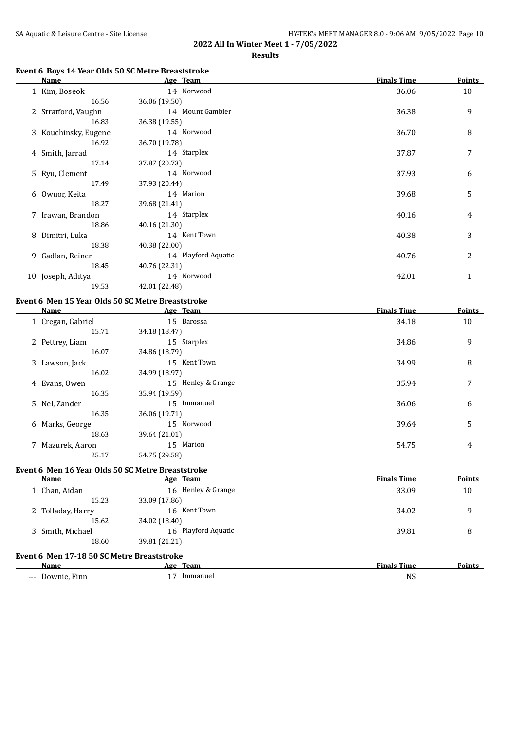### **Results**

## **Event 6 Boys 14 Year Olds 50 SC Metre Breaststroke**

|    | Name                 | Age Team            | <b>Finals Time</b> | <b>Points</b> |
|----|----------------------|---------------------|--------------------|---------------|
|    | 1 Kim, Boseok        | 14 Norwood          | 36.06              | 10            |
|    | 16.56                | 36.06 (19.50)       |                    |               |
|    | 2 Stratford, Vaughn  | 14 Mount Gambier    | 36.38              | 9             |
|    | 16.83                | 36.38 (19.55)       |                    |               |
|    | 3 Kouchinsky, Eugene | 14 Norwood          | 36.70              | 8             |
|    | 16.92                | 36.70 (19.78)       |                    |               |
|    | 4 Smith, Jarrad      | 14 Starplex         | 37.87              | 7             |
|    | 17.14                | 37.87 (20.73)       |                    |               |
|    | 5 Ryu, Clement       | 14 Norwood          | 37.93              | 6             |
|    | 17.49                | 37.93 (20.44)       |                    |               |
|    | 6 Owuor, Keita       | 14 Marion           | 39.68              | 5             |
|    | 18.27                | 39.68 (21.41)       |                    |               |
|    | 7 Irawan, Brandon    | 14 Starplex         | 40.16              | 4             |
|    | 18.86                | 40.16 (21.30)       |                    |               |
|    | 8 Dimitri, Luka      | 14 Kent Town        | 40.38              | 3             |
|    | 18.38                | 40.38 (22.00)       |                    |               |
| 9. | Gadlan, Reiner       | 14 Playford Aquatic | 40.76              | 2             |
|    | 18.45                | 40.76 (22.31)       |                    |               |
|    | 10 Joseph, Aditya    | 14 Norwood          | 42.01              | 1             |
|    | 19.53                | 42.01 (22.48)       |                    |               |

#### **Event 6 Men 15 Year Olds 50 SC Metre Breaststroke**

| Name              | Age Team           | <b>Finals Time</b> | <b>Points</b> |
|-------------------|--------------------|--------------------|---------------|
| 1 Cregan, Gabriel | 15 Barossa         | 34.18              | 10            |
| 15.71             | 34.18 (18.47)      |                    |               |
| 2 Pettrey, Liam   | 15 Starplex        | 34.86              | 9             |
| 16.07             | 34.86 (18.79)      |                    |               |
| 3 Lawson, Jack    | 15 Kent Town       | 34.99              | 8             |
| 16.02             | 34.99 (18.97)      |                    |               |
| 4 Evans, Owen     | 15 Henley & Grange | 35.94              | 7             |
| 16.35             | 35.94 (19.59)      |                    |               |
| 5 Nel, Zander     | 15 Immanuel        | 36.06              | 6             |
| 16.35             | 36.06 (19.71)      |                    |               |
| 6 Marks, George   | 15 Norwood         | 39.64              | 5             |
| 18.63             | 39.64 (21.01)      |                    |               |
| 7 Mazurek, Aaron  | 15 Marion          | 54.75              | 4             |
| 25.17             | 54.75 (29.58)      |                    |               |

#### **Event 6 Men 16 Year Olds 50 SC Metre Breaststroke**

| Name                                       | Age Team            | <b>Finals Time</b> | Points |
|--------------------------------------------|---------------------|--------------------|--------|
| 1 Chan, Aidan                              | 16 Henley & Grange  | 33.09              | 10     |
| 15.23                                      | 33.09 (17.86)       |                    |        |
| 2 Tolladay, Harry                          | 16 Kent Town        | 34.02              | 9      |
| 15.62                                      | 34.02 (18.40)       |                    |        |
| 3 Smith, Michael                           | 16 Playford Aquatic | 39.81              | 8      |
| 18.60                                      | 39.81 (21.21)       |                    |        |
| Event 6 Men 17-18 50 SC Metre Breaststroke |                     |                    |        |
| $-$                                        |                     | ----               | - - -  |

| Nam                               | Team<br>Age | --<br>---<br>Time<br>Finals | Points |
|-----------------------------------|-------------|-----------------------------|--------|
| ∩מאז∩<br>$\frac{1}{2}$<br>$- - -$ | Immanuel    | <b>NS</b>                   |        |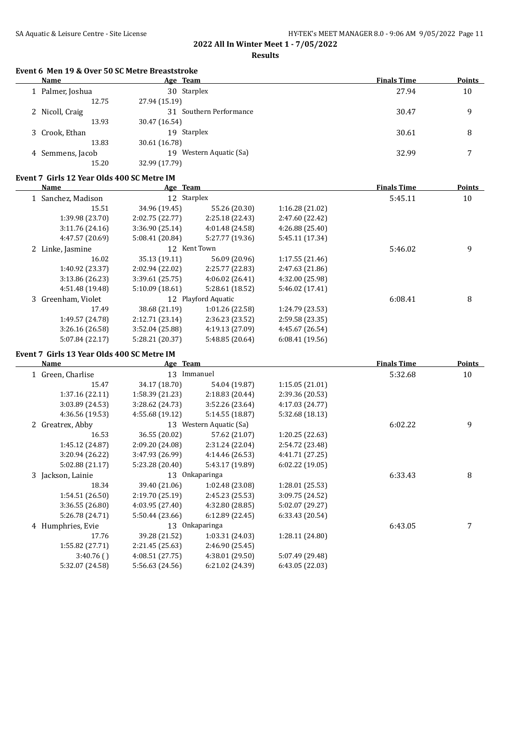**Results**

## **Event 6 Men 19 & Over 50 SC Metre Breaststroke**

| Name             | Age Team                   | <b>Finals Time</b> | <b>Points</b> |
|------------------|----------------------------|--------------------|---------------|
| 1 Palmer, Joshua | 30 Starplex                | 27.94              | 10            |
| 12.75            | 27.94 (15.19)              |                    |               |
| 2 Nicoll, Craig  | 31 Southern Performance    | 30.47              | 9             |
| 13.93            | 30.47 (16.54)              |                    |               |
| 3 Crook, Ethan   | Starplex<br>19             | 30.61              | 8             |
| 13.83            | 30.61 (16.78)              |                    |               |
| 4 Semmens, Jacob | Western Aquatic (Sa)<br>19 | 32.99              |               |
| 15.20            | 32.99 (17.79)              |                    |               |

#### **Event 7 Girls 12 Year Olds 400 SC Metre IM**

| Name |                    | Age Team        |                     |                 | <b>Finals Time</b> | <b>Points</b> |
|------|--------------------|-----------------|---------------------|-----------------|--------------------|---------------|
|      | 1 Sanchez, Madison | 12 Starplex     |                     |                 | 5:45.11            | 10            |
|      | 15.51              | 34.96 (19.45)   | 55.26 (20.30)       | 1:16.28(21.02)  |                    |               |
|      | 1:39.98 (23.70)    | 2:02.75(22.77)  | 2:25.18(22.43)      | 2:47.60 (22.42) |                    |               |
|      | 3:11.76(24.16)     | 3:36.90(25.14)  | 4:01.48 (24.58)     | 4:26.88(25.40)  |                    |               |
|      | 4:47.57 (20.69)    | 5:08.41 (20.84) | 5:27.77 (19.36)     | 5:45.11 (17.34) |                    |               |
|      | 2 Linke, Jasmine   |                 | 12 Kent Town        |                 | 5:46.02            | 9             |
|      | 16.02              | 35.13 (19.11)   | 56.09 (20.96)       | 1:17.55(21.46)  |                    |               |
|      | 1:40.92 (23.37)    | 2:02.94 (22.02) | 2:25.77 (22.83)     | 2:47.63 (21.86) |                    |               |
|      | 3:13.86 (26.23)    | 3:39.61(25.75)  | 4:06.02(26.41)      | 4:32.00 (25.98) |                    |               |
|      | 4:51.48 (19.48)    | 5:10.09(18.61)  | 5:28.61 (18.52)     | 5:46.02 (17.41) |                    |               |
|      | 3 Greenham, Violet |                 | 12 Playford Aquatic |                 | 6:08.41            | 8             |
|      | 17.49              | 38.68 (21.19)   | 1:01.26(22.58)      | 1:24.79 (23.53) |                    |               |
|      | 1:49.57 (24.78)    | 2:12.71(23.14)  | 2:36.23 (23.52)     | 2:59.58 (23.35) |                    |               |
|      | 3:26.16(26.58)     | 3:52.04(25.88)  | 4:19.13 (27.09)     | 4:45.67 (26.54) |                    |               |
|      | 5:07.84 (22.17)    | 5:28.21 (20.37) | 5:48.85 (20.64)     | 6:08.41(19.56)  |                    |               |
|      |                    |                 |                     |                 |                    |               |

### **Event 7 Girls 13 Year Olds 400 SC Metre IM**

| Name              | Age Team        |                         |                 | <b>Finals Time</b> | <b>Points</b> |
|-------------------|-----------------|-------------------------|-----------------|--------------------|---------------|
| 1 Green, Charlise | 13              | Immanuel                |                 | 5:32.68            | 10            |
| 15.47             | 34.17 (18.70)   | 54.04 (19.87)           | 1:15.05(21.01)  |                    |               |
| 1:37.16(22.11)    | 1:58.39(21.23)  | 2:18.83 (20.44)         | 2:39.36 (20.53) |                    |               |
| 3:03.89 (24.53)   | 3:28.62 (24.73) | 3:52.26 (23.64)         | 4:17.03 (24.77) |                    |               |
| 4:36.56 (19.53)   | 4:55.68 (19.12) | 5:14.55 (18.87)         | 5:32.68 (18.13) |                    |               |
| 2 Greatrex, Abby  |                 | 13 Western Aquatic (Sa) |                 | 6:02.22            | 9             |
| 16.53             | 36.55 (20.02)   | 57.62 (21.07)           | 1:20.25(22.63)  |                    |               |
| 1:45.12 (24.87)   | 2:09.20 (24.08) | 2:31.24 (22.04)         | 2:54.72 (23.48) |                    |               |
| 3:20.94 (26.22)   | 3:47.93 (26.99) | 4:14.46 (26.53)         | 4:41.71 (27.25) |                    |               |
| 5:02.88 (21.17)   | 5:23.28 (20.40) | 5:43.17 (19.89)         | 6:02.22(19.05)  |                    |               |
| 3 Jackson, Lainie |                 | 13 Onkaparinga          |                 | 6:33.43            | 8             |
| 18.34             | 39.40 (21.06)   | 1:02.48 (23.08)         | 1:28.01 (25.53) |                    |               |
| 1:54.51 (26.50)   | 2:19.70(25.19)  | 2:45.23 (25.53)         | 3:09.75 (24.52) |                    |               |
| 3:36.55 (26.80)   | 4:03.95(27.40)  | 4:32.80 (28.85)         | 5:02.07 (29.27) |                    |               |
| 5:26.78 (24.71)   | 5:50.44 (23.66) | 6:12.89(22.45)          | 6:33.43(20.54)  |                    |               |
| 4 Humphries, Evie |                 | 13 Onkaparinga          |                 | 6:43.05            |               |
| 17.76             | 39.28 (21.52)   | 1:03.31 (24.03)         | 1:28.11 (24.80) |                    |               |
| 1:55.82 (27.71)   | 2:21.45 (25.63) | 2:46.90 (25.45)         |                 |                    |               |
| 3:40.76()         | 4:08.51(27.75)  | 4:38.01 (29.50)         | 5:07.49 (29.48) |                    |               |
| 5:32.07 (24.58)   | 5:56.63 (24.56) | 6:21.02 (24.39)         | 6:43.05 (22.03) |                    |               |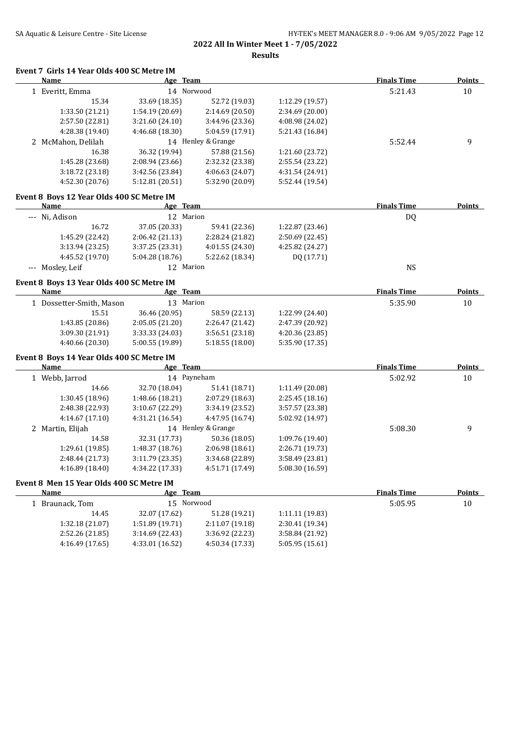## SA Aquatic & Leisure Centre - Site License HY-TEK's MEET MANAGER 8.0 - 9:06 AM 9/05/2022 Page 12 **2022 All In Winter Meet 1 - 7/05/2022**

**Results**

## **Event 7 Girls 14 Year Olds 400 SC Metre IM**

| Name                                      | Age Team        |                    |                 | <b>Finals Time</b> | <b>Points</b> |
|-------------------------------------------|-----------------|--------------------|-----------------|--------------------|---------------|
| 1 Everitt, Emma                           | 14 Norwood      |                    |                 | 5:21.43            | 10            |
| 15.34                                     | 33.69 (18.35)   | 52.72 (19.03)      | 1:12.29 (19.57) |                    |               |
| 1:33.50 (21.21)                           | 1:54.19 (20.69) | 2:14.69 (20.50)    | 2:34.69 (20.00) |                    |               |
| 2:57.50 (22.81)                           | 3:21.60 (24.10) | 3:44.96 (23.36)    | 4:08.98 (24.02) |                    |               |
| 4:28.38 (19.40)                           | 4:46.68 (18.30) | 5:04.59 (17.91)    | 5:21.43 (16.84) |                    |               |
| 2 McMahon, Delilah                        |                 | 14 Henley & Grange |                 | 5:52.44            | 9             |
| 16.38                                     | 36.32 (19.94)   | 57.88 (21.56)      | 1:21.60 (23.72) |                    |               |
| 1:45.28 (23.68)                           | 2:08.94 (23.66) | 2:32.32 (23.38)    | 2:55.54 (23.22) |                    |               |
| 3:18.72 (23.18)                           | 3:42.56 (23.84) | 4:06.63 (24.07)    | 4:31.54 (24.91) |                    |               |
| 4:52.30 (20.76)                           | 5:12.81 (20.51) | 5:32.90 (20.09)    | 5:52.44 (19.54) |                    |               |
| Event 8 Boys 12 Year Olds 400 SC Metre IM |                 |                    |                 |                    |               |
| Name                                      | Age Team        |                    |                 | <b>Finals Time</b> | <b>Points</b> |
| --- Ni, Adison                            | 12 Marion       |                    |                 | DQ                 |               |
| 16.72                                     | 37.05 (20.33)   | 59.41 (22.36)      | 1:22.87 (23.46) |                    |               |
| 1:45.29 (22.42)                           | 2:06.42 (21.13) | 2:28.24 (21.82)    | 2:50.69 (22.45) |                    |               |
| 3:13.94(23.25)                            | 3:37.25 (23.31) | 4:01.55 (24.30)    | 4:25.82 (24.27) |                    |               |
| 4:45.52 (19.70)                           | 5:04.28 (18.76) | 5:22.62 (18.34)    | DQ (17.71)      |                    |               |
| --- Mosley, Leif                          | 12 Marion       |                    |                 | $_{\rm NS}$        |               |
| Event 8 Boys 13 Year Olds 400 SC Metre IM |                 |                    |                 |                    |               |
| <b>Name</b>                               | Age Team        |                    |                 | <b>Finals Time</b> | <b>Points</b> |
| 1 Dossetter-Smith, Mason                  | 13 Marion       |                    |                 | 5:35.90            | 10            |
| 15.51                                     | 36.46 (20.95)   | 58.59 (22.13)      | 1:22.99 (24.40) |                    |               |
| 1:43.85 (20.86)                           | 2:05.05 (21.20) | 2:26.47 (21.42)    | 2:47.39 (20.92) |                    |               |
| 3:09.30 (21.91)                           | 3:33.33 (24.03) | 3:56.51 (23.18)    | 4:20.36 (23.85) |                    |               |
| 4:40.66 (20.30)                           | 5:00.55 (19.89) | 5:18.55 (18.00)    | 5:35.90 (17.35) |                    |               |
| Event 8 Boys 14 Year Olds 400 SC Metre IM |                 |                    |                 |                    |               |
| <b>Name</b>                               | Age Team        |                    |                 | <b>Finals Time</b> | <b>Points</b> |
| 1 Webb, Jarrod                            | 14 Payneham     |                    |                 | 5:02.92            | 10            |
| 14.66                                     | 32.70 (18.04)   | 51.41 (18.71)      | 1:11.49 (20.08) |                    |               |
| 1:30.45 (18.96)                           | 1:48.66 (18.21) | 2:07.29 (18.63)    | 2:25.45 (18.16) |                    |               |
| 2:48.38 (22.93)                           | 3:10.67 (22.29) | 3:34.19 (23.52)    | 3:57.57 (23.38) |                    |               |
| 4:14.67 (17.10)                           | 4:31.21 (16.54) | 4:47.95 (16.74)    | 5:02.92 (14.97) |                    |               |
| 2 Martin, Elijah                          |                 | 14 Henley & Grange |                 | 5:08.30            | 9             |
| 14.58                                     | 32.31 (17.73)   | 50.36 (18.05)      | 1:09.76 (19.40) |                    |               |
| 1:29.61 (19.85)                           | 1:48.37 (18.76) | 2:06.98 (18.61)    | 2:26.71 (19.73) |                    |               |
| 2:48.44 (21.73)                           | 3:11.79 (23.35) | 3:34.68 (22.89)    | 3:58.49 (23.81) |                    |               |
| 4:16.89 (18.40)                           | 4:34.22 (17.33) | 4:51.71 (17.49)    | 5:08.30 (16.59) |                    |               |
| Event 8 Men 15 Year Olds 400 SC Metre IM  |                 |                    |                 |                    |               |
| <b>Name</b>                               | Age Team        |                    |                 | <b>Finals Time</b> | <b>Points</b> |
| 1 Braunack, Tom                           | 15 Norwood      |                    |                 | 5:05.95            | 10            |
| 14.45                                     | 32.07 (17.62)   | 51.28 (19.21)      | 1:11.11 (19.83) |                    |               |
| 1:32.18 (21.07)                           | 1:51.89 (19.71) | 2:11.07 (19.18)    | 2:30.41 (19.34) |                    |               |

2:52.26 (21.85) 3:14.69 (22.43) 3:36.92 (22.23) 3:58.84 (21.92) 4:16.49 (17.65) 4:33.01 (16.52) 4:50.34 (17.33) 5:05.95 (15.61)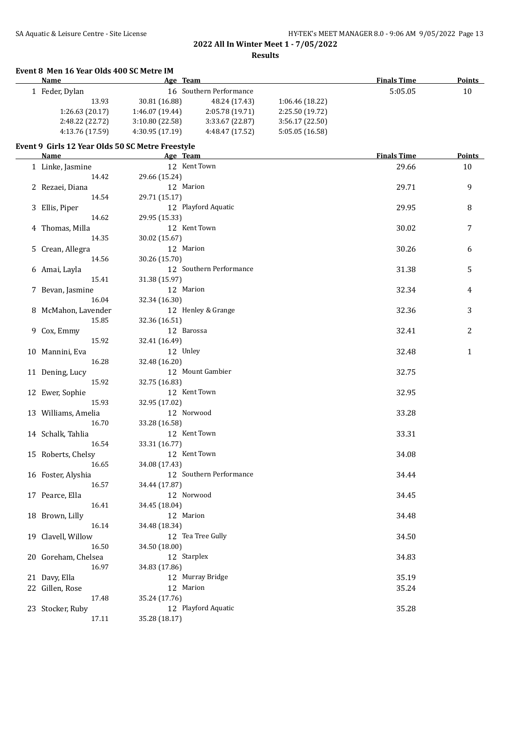#### **Event 8 Men 16 Year Olds 400 SC Metre IM**

| <b>Name</b>                                      | Age Team        |                         |                 | <b>Finals Time</b> | Points |
|--------------------------------------------------|-----------------|-------------------------|-----------------|--------------------|--------|
| 1 Feder, Dylan                                   |                 | 16 Southern Performance |                 | 5:05.05            | 10     |
| 13.93                                            | 30.81 (16.88)   | 48.24 (17.43)           | 1:06.46 (18.22) |                    |        |
| 1:26.63(20.17)                                   | 1:46.07 (19.44) | 2:05.78 (19.71)         | 2:25.50 (19.72) |                    |        |
| 2:48.22 (22.72)                                  | 3:10.80(22.58)  | 3:33.67 (22.87)         | 3:56.17 (22.50) |                    |        |
| 4:13.76 (17.59)                                  | 4:30.95 (17.19) | 4:48.47 (17.52)         | 5:05.05 (16.58) |                    |        |
| Event 9 Girls 12 Year Olds 50 SC Metre Freestyle |                 |                         |                 |                    |        |
| <b>Name</b>                                      | Age Team        |                         |                 | <b>Finals Time</b> | Points |
| 1 Linke, Jasmine                                 | 12 Kent Town    |                         |                 | 29.66              | 10     |
| 14.42                                            | 29.66 (15.24)   |                         |                 |                    |        |
| 2 Rezaei, Diana                                  | 12 Marion       |                         |                 | 29.71              | 9      |
| 14.54                                            | 29.71 (15.17)   |                         |                 |                    |        |
| 3 Ellis, Piper                                   |                 | 12 Playford Aquatic     |                 | 29.95              | 8      |
| 14.62                                            | 29.95 (15.33)   |                         |                 |                    |        |
| 4 Thomas, Milla                                  | 12 Kent Town    |                         |                 | 30.02              | 7      |
| 14.35                                            | 30.02 (15.67)   |                         |                 |                    |        |
| 5 Crean, Allegra                                 | 12 Marion       |                         |                 | 30.26              | 6      |
| 14.56                                            | 30.26 (15.70)   |                         |                 |                    |        |
| 6 Amai, Layla                                    |                 | 12 Southern Performance |                 | 31.38              | 5      |
| 15.41                                            | 31.38 (15.97)   |                         |                 |                    |        |
| 7 Bevan, Jasmine                                 | 12 Marion       |                         |                 | 32.34              | 4      |
| 16.04                                            | 32.34 (16.30)   |                         |                 |                    |        |
|                                                  |                 | 12 Henley & Grange      |                 |                    |        |
| 8 McMahon, Lavender                              |                 |                         |                 | 32.36              | 3      |
| 15.85                                            | 32.36 (16.51)   |                         |                 |                    |        |
| 9 Cox, Emmy                                      | 12 Barossa      |                         |                 | 32.41              | 2      |
| 15.92                                            | 32.41 (16.49)   |                         |                 |                    |        |
| 10 Mannini, Eva                                  | 12 Unley        |                         |                 | 32.48              | 1      |
| 16.28                                            | 32.48 (16.20)   |                         |                 |                    |        |
| 11 Dening, Lucy                                  |                 | 12 Mount Gambier        |                 | 32.75              |        |
| 15.92                                            | 32.75 (16.83)   |                         |                 |                    |        |
| 12 Ewer, Sophie                                  | 12 Kent Town    |                         |                 | 32.95              |        |
| 15.93                                            | 32.95 (17.02)   |                         |                 |                    |        |
| 13 Williams, Amelia                              | 12 Norwood      |                         |                 | 33.28              |        |
| 16.70                                            | 33.28 (16.58)   |                         |                 |                    |        |
| 14 Schalk, Tahlia                                | 12 Kent Town    |                         |                 | 33.31              |        |
| 16.54                                            | 33.31 (16.77)   |                         |                 |                    |        |
| 15 Roberts, Chelsy                               | 12 Kent Town    |                         |                 | 34.08              |        |
| 16.65                                            | 34.08 (17.43)   |                         |                 |                    |        |
| 16 Foster, Alyshia                               |                 | 12 Southern Performance |                 | 34.44              |        |
| 16.57                                            | 34.44 (17.87)   |                         |                 |                    |        |
| 17 Pearce, Ella                                  | 12 Norwood      |                         |                 | 34.45              |        |
| 16.41                                            | 34.45 (18.04)   |                         |                 |                    |        |
| 18 Brown, Lilly                                  | 12 Marion       |                         |                 | 34.48              |        |
| 16.14                                            | 34.48 (18.34)   |                         |                 |                    |        |
| 19 Clavell, Willow                               |                 | 12 Tea Tree Gully       |                 | 34.50              |        |
| 16.50                                            | 34.50 (18.00)   |                         |                 |                    |        |
| 20 Goreham, Chelsea                              | 12 Starplex     |                         |                 | 34.83              |        |
| 16.97                                            | 34.83 (17.86)   |                         |                 |                    |        |
| 21 Davy, Ella                                    |                 | 12 Murray Bridge        |                 | 35.19              |        |
| 22 Gillen, Rose                                  | 12 Marion       |                         |                 | 35.24              |        |
| 17.48                                            | 35.24 (17.76)   |                         |                 |                    |        |
| 23 Stocker, Ruby                                 |                 | 12 Playford Aquatic     |                 | 35.28              |        |
| 17.11                                            | 35.28 (18.17)   |                         |                 |                    |        |
|                                                  |                 |                         |                 |                    |        |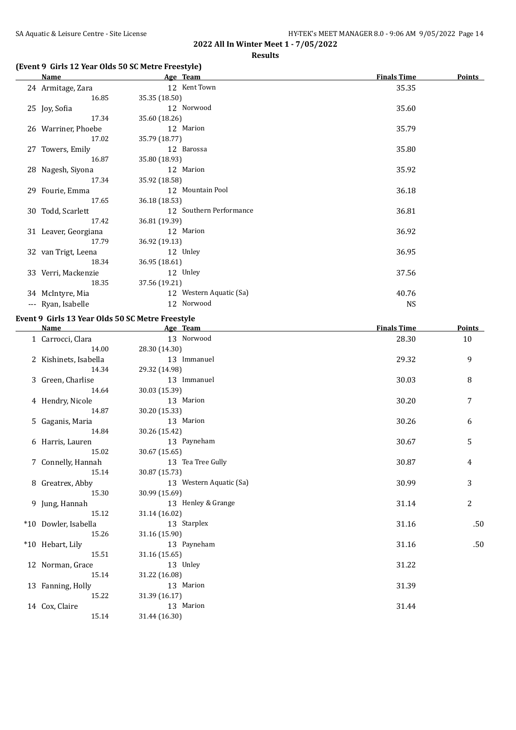#### **Results**

## **(Event 9 Girls 12 Year Olds 50 SC Metre Freestyle)**

| Name                 | Age Team                | <b>Finals Time</b> | <b>Points</b> |
|----------------------|-------------------------|--------------------|---------------|
| 24 Armitage, Zara    | 12 Kent Town            | 35.35              |               |
| 16.85                | 35.35 (18.50)           |                    |               |
| 25 Joy, Sofia        | 12 Norwood              | 35.60              |               |
| 17.34                | 35.60 (18.26)           |                    |               |
| 26 Warriner, Phoebe  | 12 Marion               | 35.79              |               |
| 17.02                | 35.79 (18.77)           |                    |               |
| 27 Towers, Emily     | 12 Barossa              | 35.80              |               |
| 16.87                | 35.80 (18.93)           |                    |               |
| 28 Nagesh, Siyona    | 12 Marion               | 35.92              |               |
| 17.34                | 35.92 (18.58)           |                    |               |
| 29 Fourie, Emma      | 12 Mountain Pool        | 36.18              |               |
| 17.65                | 36.18 (18.53)           |                    |               |
| 30 Todd, Scarlett    | 12 Southern Performance | 36.81              |               |
| 17.42                | 36.81 (19.39)           |                    |               |
| 31 Leaver, Georgiana | 12 Marion               | 36.92              |               |
| 17.79                | 36.92 (19.13)           |                    |               |
| 32 van Trigt, Leena  | 12 Unley                | 36.95              |               |
| 18.34                | 36.95 (18.61)           |                    |               |
| 33 Verri, Mackenzie  | 12 Unley                | 37.56              |               |
| 18.35                | 37.56 (19.21)           |                    |               |
| 34 McIntyre, Mia     | 12 Western Aquatic (Sa) | 40.76              |               |
| --- Ryan, Isabelle   | 12 Norwood              | <b>NS</b>          |               |

## **Event 9 Girls 13 Year Olds 50 SC Metre Freestyle**

| Name                  | Age Team                | <b>Finals Time</b> | <b>Points</b> |
|-----------------------|-------------------------|--------------------|---------------|
| 1 Carrocci, Clara     | 13 Norwood              | 28.30              | 10            |
| 14.00                 | 28.30 (14.30)           |                    |               |
| 2 Kishinets, Isabella | 13 Immanuel             | 29.32              | 9             |
| 14.34                 | 29.32 (14.98)           |                    |               |
| 3 Green, Charlise     | 13 Immanuel             | 30.03              | 8             |
| 14.64                 | 30.03 (15.39)           |                    |               |
| 4 Hendry, Nicole      | 13 Marion               | 30.20              | 7             |
| 14.87                 | 30.20 (15.33)           |                    |               |
| 5 Gaganis, Maria      | 13 Marion               | 30.26              | 6             |
| 14.84                 | 30.26 (15.42)           |                    |               |
| 6 Harris, Lauren      | 13 Payneham             | 30.67              | 5             |
| 15.02                 | 30.67 (15.65)           |                    |               |
| 7 Connelly, Hannah    | 13 Tea Tree Gully       | 30.87              | 4             |
| 15.14                 | 30.87 (15.73)           |                    |               |
| 8 Greatrex, Abby      | 13 Western Aquatic (Sa) | 30.99              | 3             |
| 15.30                 | 30.99 (15.69)           |                    |               |
| 9 Jung, Hannah        | 13 Henley & Grange      | 31.14              | 2             |
| 15.12                 | 31.14 (16.02)           |                    |               |
| *10 Dowler, Isabella  | 13 Starplex             | 31.16              | .50           |
| 15.26                 | 31.16 (15.90)           |                    |               |
| *10 Hebart, Lily      | 13 Payneham             | 31.16              | .50           |
| 15.51                 | 31.16 (15.65)           |                    |               |
| 12 Norman, Grace      | 13 Unley                | 31.22              |               |
| 15.14                 | 31.22 (16.08)           |                    |               |
| 13 Fanning, Holly     | 13 Marion               | 31.39              |               |
| 15.22                 | 31.39 (16.17)           |                    |               |
| 14 Cox, Claire        | 13 Marion               | 31.44              |               |
| 15.14                 | 31.44 (16.30)           |                    |               |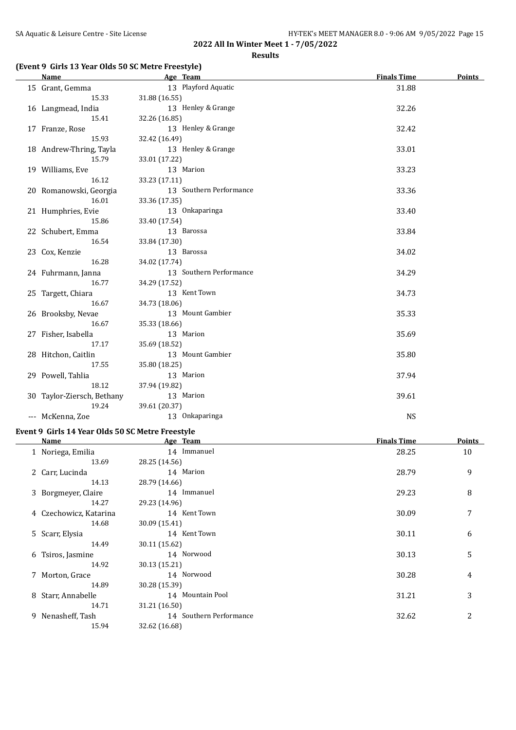#### **Results**

## **(Event 9 Girls 13 Year Olds 50 SC Metre Freestyle)**

| Name                       | Age Team                | <b>Finals Time</b> | Points |
|----------------------------|-------------------------|--------------------|--------|
| 15 Grant, Gemma            | 13 Playford Aquatic     | 31.88              |        |
| 15.33                      | 31.88 (16.55)           |                    |        |
| 16 Langmead, India         | 13 Henley & Grange      | 32.26              |        |
| 15.41                      | 32.26 (16.85)           |                    |        |
| 17 Franze, Rose            | 13 Henley & Grange      | 32.42              |        |
| 15.93                      | 32.42 (16.49)           |                    |        |
| 18 Andrew-Thring, Tayla    | 13 Henley & Grange      | 33.01              |        |
| 15.79                      | 33.01 (17.22)           |                    |        |
| 19 Williams, Eve           | 13 Marion               | 33.23              |        |
| 16.12                      | 33.23 (17.11)           |                    |        |
| 20 Romanowski, Georgia     | 13 Southern Performance | 33.36              |        |
| 16.01                      | 33.36 (17.35)           |                    |        |
| 21 Humphries, Evie         | 13 Onkaparinga          | 33.40              |        |
| 15.86                      | 33.40 (17.54)           |                    |        |
| 22 Schubert, Emma          | 13 Barossa              | 33.84              |        |
| 16.54                      | 33.84 (17.30)           |                    |        |
| 23 Cox, Kenzie             | 13 Barossa              | 34.02              |        |
| 16.28                      | 34.02 (17.74)           |                    |        |
| 24 Fuhrmann, Janna         | 13 Southern Performance | 34.29              |        |
| 16.77                      | 34.29 (17.52)           |                    |        |
| 25 Targett, Chiara         | 13 Kent Town            | 34.73              |        |
| 16.67                      | 34.73 (18.06)           |                    |        |
| 26 Brooksby, Nevae         | 13 Mount Gambier        | 35.33              |        |
| 16.67                      | 35.33 (18.66)           |                    |        |
| 27 Fisher, Isabella        | 13 Marion               | 35.69              |        |
| 17.17                      | 35.69 (18.52)           |                    |        |
| 28 Hitchon, Caitlin        | 13 Mount Gambier        | 35.80              |        |
| 17.55                      | 35.80 (18.25)           |                    |        |
| 29 Powell, Tahlia          | 13 Marion               | 37.94              |        |
| 18.12                      | 37.94 (19.82)           |                    |        |
| 30 Taylor-Ziersch, Bethany | 13 Marion               | 39.61              |        |
| 19.24                      | 39.61 (20.37)           |                    |        |
| --- McKenna, Zoe           | 13 Onkaparinga          | <b>NS</b>          |        |

## **Event 9 Girls 14 Year Olds 50 SC Metre Freestyle**

|   | Name                   | Age Team                | <b>Finals Time</b> | Points |
|---|------------------------|-------------------------|--------------------|--------|
|   | 1 Noriega, Emilia      | 14 Immanuel             | 28.25              | 10     |
|   | 13.69                  | 28.25 (14.56)           |                    |        |
|   | 2 Carr, Lucinda        | 14 Marion               | 28.79              | 9      |
|   | 14.13                  | 28.79 (14.66)           |                    |        |
|   | 3 Borgmeyer, Claire    | 14 Immanuel             | 29.23              | 8      |
|   | 14.27                  | 29.23 (14.96)           |                    |        |
|   | 4 Czechowicz, Katarina | 14 Kent Town            | 30.09              | 7      |
|   | 14.68                  | 30.09 (15.41)           |                    |        |
|   | 5 Scarr, Elysia        | 14 Kent Town            | 30.11              | 6      |
|   | 14.49                  | 30.11 (15.62)           |                    |        |
| 6 | Tsiros, Jasmine        | 14 Norwood              | 30.13              | 5      |
|   | 14.92                  | 30.13 (15.21)           |                    |        |
| 7 | Morton, Grace          | 14 Norwood              | 30.28              | 4      |
|   | 14.89                  | 30.28 (15.39)           |                    |        |
|   | 8 Starr, Annabelle     | 14 Mountain Pool        | 31.21              | 3      |
|   | 14.71                  | 31.21 (16.50)           |                    |        |
| 9 | Nenasheff, Tash        | 14 Southern Performance | 32.62              | 2      |
|   | 15.94                  | 32.62 (16.68)           |                    |        |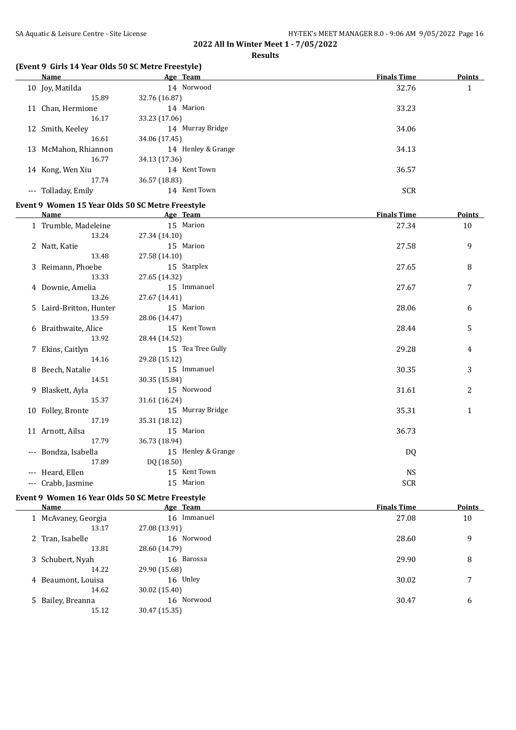#### **Results**

## **(Event 9 Girls 14 Year Olds 50 SC Metre Freestyle)**

| Name                 | Age Team           | <b>Finals Time</b> | Points |
|----------------------|--------------------|--------------------|--------|
| 10 Joy, Matilda      | 14 Norwood         | 32.76              | 1      |
| 15.89                | 32.76 (16.87)      |                    |        |
| 11 Chan, Hermione    | 14 Marion          | 33.23              |        |
| 16.17                | 33.23 (17.06)      |                    |        |
| 12 Smith, Keeley     | 14 Murray Bridge   | 34.06              |        |
| 16.61                | 34.06 (17.45)      |                    |        |
| 13 McMahon, Rhiannon | 14 Henley & Grange | 34.13              |        |
| 16.77                | 34.13 (17.36)      |                    |        |
| 14 Kong, Wen Xiu     | 14 Kent Town       | 36.57              |        |
| 17.74                | 36.57 (18.83)      |                    |        |
| --- Tolladay, Emily  | 14 Kent Town       | <b>SCR</b>         |        |

## **Event 9 Women 15 Year Olds 50 SC Metre Freestyle**

| <b>Name</b>             | Age Team           | <b>Finals Time</b> | Points |
|-------------------------|--------------------|--------------------|--------|
| 1 Trumble, Madeleine    | 15 Marion          | 27.34              | 10     |
| 13.24                   | 27.34 (14.10)      |                    |        |
| 2 Natt, Katie           | 15 Marion          | 27.58              | 9      |
| 13.48                   | 27.58 (14.10)      |                    |        |
| 3 Reimann, Phoebe       | 15 Starplex        | 27.65              | 8      |
| 13.33                   | 27.65 (14.32)      |                    |        |
| 4 Downie, Amelia        | 15 Immanuel        | 27.67              | 7      |
| 13.26                   | 27.67 (14.41)      |                    |        |
| 5 Laird-Britton, Hunter | 15 Marion          | 28.06              | 6      |
| 13.59                   | 28.06 (14.47)      |                    |        |
| 6 Braithwaite, Alice    | 15 Kent Town       | 28.44              | 5      |
| 13.92                   | 28.44 (14.52)      |                    |        |
| 7 Ekins, Caitlyn        | 15 Tea Tree Gully  | 29.28              | 4      |
| 14.16                   | 29.28 (15.12)      |                    |        |
| 8 Beech, Natalie        | 15 Immanuel        | 30.35              | 3      |
| 14.51                   | 30.35 (15.84)      |                    |        |
| 9 Blaskett, Ayla        | 15 Norwood         | 31.61              | 2      |
| 15.37                   | 31.61 (16.24)      |                    |        |
| 10 Folley, Bronte       | 15 Murray Bridge   | 35.31              | 1      |
| 17.19                   | 35.31 (18.12)      |                    |        |
| 11 Arnott, Ailsa        | 15 Marion          | 36.73              |        |
| 17.79                   | 36.73 (18.94)      |                    |        |
| --- Bondza, Isabella    | 15 Henley & Grange | DQ                 |        |
| 17.89                   | DQ (18.50)         |                    |        |
| --- Heard, Ellen        | 15 Kent Town       | <b>NS</b>          |        |
| --- Crabb, Jasmine      | 15 Marion          | SCR                |        |

#### **Event 9 Women 16 Year Olds 50 SC Metre Freestyle**

| Name                | Age Team      | <b>Finals Time</b> | <b>Points</b> |
|---------------------|---------------|--------------------|---------------|
| 1 McAvaney, Georgia | 16 Immanuel   | 27.08              | 10            |
| 13.17               | 27.08 (13.91) |                    |               |
| 2 Tran, Isabelle    | 16 Norwood    | 28.60              | 9             |
| 13.81               | 28.60 (14.79) |                    |               |
| 3 Schubert, Nyah    | 16 Barossa    | 29.90              | 8             |
| 14.22               | 29.90 (15.68) |                    |               |
| 4 Beaumont, Louisa  | 16 Unley      | 30.02              | 7             |
| 14.62               | 30.02 (15.40) |                    |               |
| 5 Bailey, Breanna   | 16 Norwood    | 30.47              | 6             |
| 15.12               | 30.47 (15.35) |                    |               |
|                     |               |                    |               |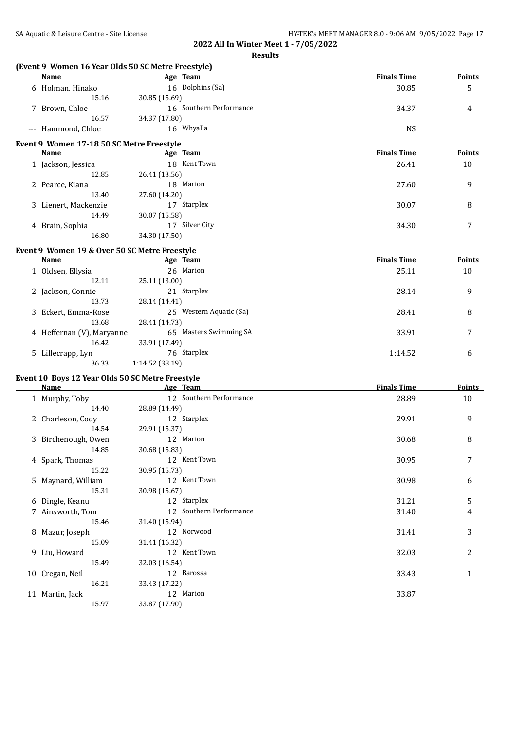**Results**

|                                                  | (Event 9 Women 16 Year Olds 50 SC Metre Freestyle) |                    |               |
|--------------------------------------------------|----------------------------------------------------|--------------------|---------------|
| Name                                             | Age Team                                           | <b>Finals Time</b> | <b>Points</b> |
| 6 Holman, Hinako                                 | 16 Dolphins (Sa)                                   | 30.85              | 5             |
| 15.16                                            | 30.85 (15.69)                                      |                    |               |
| 7 Brown, Chloe                                   | 16 Southern Performance                            | 34.37              | 4             |
| 16.57                                            | 34.37 (17.80)                                      |                    |               |
| --- Hammond, Chloe                               | 16 Whyalla                                         | <b>NS</b>          |               |
| Event 9 Women 17-18 50 SC Metre Freestyle        |                                                    |                    |               |
| Name                                             | Age Team                                           | <b>Finals Time</b> | Points        |
| 1 Jackson, Jessica                               | 18 Kent Town                                       | 26.41              | 10            |
| 12.85                                            | 26.41 (13.56)                                      |                    |               |
| 2 Pearce, Kiana                                  | 18 Marion                                          | 27.60              | 9             |
| 13.40                                            | 27.60 (14.20)                                      |                    |               |
|                                                  |                                                    |                    |               |
| 3 Lienert, Mackenzie                             | 17 Starplex                                        | 30.07              | 8             |
| 14.49                                            | 30.07 (15.58)                                      |                    |               |
| 4 Brain, Sophia                                  | 17 Silver City                                     | 34.30              | 7             |
| 16.80                                            | 34.30 (17.50)                                      |                    |               |
| Event 9 Women 19 & Over 50 SC Metre Freestyle    |                                                    |                    |               |
| <b>Name</b>                                      | <b>Example 2018</b> Age Team                       | <b>Finals Time</b> | <b>Points</b> |
| 1 Oldsen, Ellysia                                | 26 Marion                                          | 25.11              | 10            |
| 12.11                                            | 25.11 (13.00)                                      |                    |               |
| 2 Jackson, Connie                                | 21 Starplex                                        | 28.14              | 9             |
| 13.73                                            | 28.14 (14.41)                                      |                    |               |
|                                                  |                                                    |                    |               |
| 3 Eckert, Emma-Rose                              | 25 Western Aquatic (Sa)                            | 28.41              | 8             |
| 13.68                                            | 28.41 (14.73)                                      |                    |               |
| 4 Heffernan (V), Maryanne                        | 65 Masters Swimming SA                             | 33.91              | 7             |
| 16.42                                            | 33.91 (17.49)                                      |                    |               |
| 5 Lillecrapp, Lyn                                | 76 Starplex                                        | 1:14.52            | 6             |
| 36.33                                            | 1:14.52 (38.19)                                    |                    |               |
| Event 10 Boys 12 Year Olds 50 SC Metre Freestyle |                                                    |                    |               |
| Name                                             | Age Team                                           | <b>Finals Time</b> | Points        |
| 1 Murphy, Toby                                   | 12 Southern Performance                            | 28.89              | 10            |
| 14.40                                            | 28.89 (14.49)                                      |                    |               |
| 2 Charleson, Cody                                | 12 Starplex                                        | 29.91              | 9             |
| 14.54                                            | 29.91 (15.37)                                      |                    |               |
|                                                  |                                                    |                    |               |
| 3 Birchenough, Owen                              | 12 Marion                                          | 30.68              | 8             |
| 14.85                                            | 30.68 (15.83)                                      |                    |               |
| 4 Spark, Thomas                                  | 12 Kent Town                                       | 30.95              | 7             |
| 15.22                                            | 30.95 (15.73)                                      |                    |               |
| 5 Maynard, William                               | 12 Kent Town                                       | 30.98              | 6             |
| 15.31                                            | 30.98 (15.67)                                      |                    |               |
| 6 Dingle, Keanu                                  | 12 Starplex                                        | 31.21              | 5             |
| 7 Ainsworth, Tom                                 | 12 Southern Performance                            | 31.40              | 4             |
| 15.46                                            | 31.40 (15.94)                                      |                    |               |
| 8 Mazur, Joseph                                  | 12 Norwood                                         | 31.41              | 3             |
| 15.09                                            |                                                    |                    |               |
|                                                  | 31.41 (16.32)                                      |                    |               |
| 9 Liu, Howard                                    | 12 Kent Town                                       | 32.03              | 2             |
| 15.49                                            | 32.03 (16.54)                                      |                    |               |
| 10 Cregan, Neil                                  | 12 Barossa                                         | 33.43              | $\mathbf{1}$  |
| 16.21                                            | 33.43 (17.22)                                      |                    |               |
| 11 Martin, Jack                                  | 12 Marion                                          | 33.87              |               |
| 15.97                                            | 33.87 (17.90)                                      |                    |               |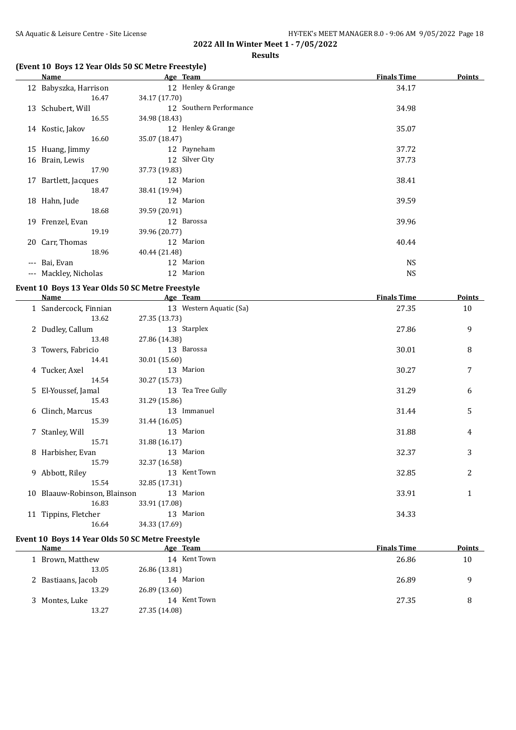#### **Results**

## **(Event 10 Boys 12 Year Olds 50 SC Metre Freestyle)**

|       | Name                  | Age Team                | <b>Finals Time</b> | <b>Points</b> |
|-------|-----------------------|-------------------------|--------------------|---------------|
|       | 12 Babyszka, Harrison | 12 Henley & Grange      | 34.17              |               |
|       | 16.47                 | 34.17 (17.70)           |                    |               |
|       | 13 Schubert, Will     | 12 Southern Performance | 34.98              |               |
|       | 16.55                 | 34.98 (18.43)           |                    |               |
|       | 14 Kostic, Jakov      | 12 Henley & Grange      | 35.07              |               |
|       | 16.60                 | 35.07 (18.47)           |                    |               |
|       | 15 Huang, Jimmy       | 12 Payneham             | 37.72              |               |
|       | 16 Brain, Lewis       | 12 Silver City          | 37.73              |               |
|       | 17.90                 | 37.73 (19.83)           |                    |               |
| 17    | Bartlett, Jacques     | 12 Marion               | 38.41              |               |
|       | 18.47                 | 38.41 (19.94)           |                    |               |
|       | 18 Hahn, Jude         | 12 Marion               | 39.59              |               |
|       | 18.68                 | 39.59 (20.91)           |                    |               |
|       | 19 Frenzel, Evan      | 12 Barossa              | 39.96              |               |
|       | 19.19                 | 39.96 (20.77)           |                    |               |
|       | 20 Carr, Thomas       | 12 Marion               | 40.44              |               |
|       | 18.96                 | 40.44 (21.48)           |                    |               |
| $---$ | Bai, Evan             | 12 Marion               | <b>NS</b>          |               |
| $---$ | Mackley, Nicholas     | 12 Marion               | <b>NS</b>          |               |
|       |                       |                         |                    |               |

## **Event 10 Boys 13 Year Olds 50 SC Metre Freestyle**

| Name                         |               | Age Team                | <b>Finals Time</b> | <b>Points</b> |
|------------------------------|---------------|-------------------------|--------------------|---------------|
| 1 Sandercock, Finnian        |               | 13 Western Aquatic (Sa) | 27.35              | 10            |
| 13.62                        | 27.35 (13.73) |                         |                    |               |
| 2 Dudley, Callum             |               | 13 Starplex             | 27.86              | 9             |
| 13.48                        | 27.86 (14.38) |                         |                    |               |
| 3 Towers, Fabricio           |               | 13 Barossa              | 30.01              | 8             |
| 14.41                        | 30.01 (15.60) |                         |                    |               |
| 4 Tucker, Axel               |               | 13 Marion               | 30.27              | 7             |
| 14.54                        | 30.27 (15.73) |                         |                    |               |
| 5 El-Youssef, Jamal          |               | 13 Tea Tree Gully       | 31.29              | 6             |
| 15.43                        | 31.29 (15.86) |                         |                    |               |
| 6 Clinch, Marcus             |               | 13 Immanuel             | 31.44              | 5             |
| 15.39                        | 31.44 (16.05) |                         |                    |               |
| 7 Stanley, Will              |               | 13 Marion               | 31.88              | 4             |
| 15.71                        | 31.88 (16.17) |                         |                    |               |
| 8 Harbisher, Evan            |               | 13 Marion               | 32.37              | 3             |
| 15.79                        | 32.37 (16.58) |                         |                    |               |
| 9 Abbott, Riley              |               | 13 Kent Town            | 32.85              | 2             |
| 15.54                        | 32.85 (17.31) |                         |                    |               |
| 10 Blaauw-Robinson, Blainson |               | 13 Marion               | 33.91              | $\mathbf{1}$  |
| 16.83                        | 33.91 (17.08) |                         |                    |               |
| 11 Tippins, Fletcher         |               | 13 Marion               | 34.33              |               |
| 16.64                        | 34.33 (17.69) |                         |                    |               |

## **Event 10 Boys 14 Year Olds 50 SC Metre Freestyle**

| Name               | Age Team        | <b>Finals Time</b> | <b>Points</b> |
|--------------------|-----------------|--------------------|---------------|
| Brown, Matthew     | 14 Kent Town    | 26.86              | 10            |
| 13.05              | 26.86 (13.81)   |                    |               |
| 2 Bastiaans, Jacob | Marion<br>14    | 26.89              | 9             |
| 13.29              | 26.89 (13.60)   |                    |               |
| 3 Montes, Luke     | Kent Town<br>14 | 27.35              | 8             |
| 13.27              | 27.35 (14.08)   |                    |               |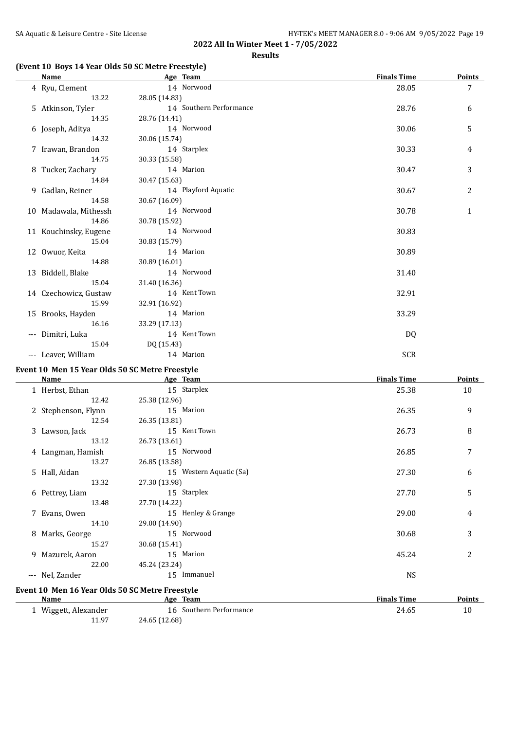#### **Results**

## **(Event 10 Boys 14 Year Olds 50 SC Metre Freestyle)**

| Name                  | Age Team                | <b>Finals Time</b> | Points         |
|-----------------------|-------------------------|--------------------|----------------|
| 4 Ryu, Clement        | 14 Norwood              | 28.05              | $\overline{7}$ |
| 13.22                 | 28.05 (14.83)           |                    |                |
| 5 Atkinson, Tyler     | 14 Southern Performance | 28.76              | 6              |
| 14.35                 | 28.76 (14.41)           |                    |                |
| 6 Joseph, Aditya      | 14 Norwood              | 30.06              | 5              |
| 14.32                 | 30.06 (15.74)           |                    |                |
| 7 Irawan, Brandon     | 14 Starplex             | 30.33              | 4              |
| 14.75                 | 30.33 (15.58)           |                    |                |
| 8 Tucker, Zachary     | 14 Marion               | 30.47              | 3              |
| 14.84                 | 30.47 (15.63)           |                    |                |
| 9 Gadlan, Reiner      | 14 Playford Aquatic     | 30.67              | $\overline{c}$ |
| 14.58                 | 30.67 (16.09)           |                    |                |
| 10 Madawala, Mithessh | 14 Norwood              | 30.78              | 1              |
| 14.86                 | 30.78 (15.92)           |                    |                |
| 11 Kouchinsky, Eugene | 14 Norwood              | 30.83              |                |
| 15.04                 | 30.83 (15.79)           |                    |                |
| 12 Owuor, Keita       | 14 Marion               | 30.89              |                |
| 14.88                 | 30.89 (16.01)           |                    |                |
| 13 Biddell, Blake     | 14 Norwood              | 31.40              |                |
| 15.04                 | 31.40 (16.36)           |                    |                |
| 14 Czechowicz, Gustaw | 14 Kent Town            | 32.91              |                |
| 15.99                 | 32.91 (16.92)           |                    |                |
| 15 Brooks, Hayden     | 14 Marion               | 33.29              |                |
| 16.16                 | 33.29 (17.13)           |                    |                |
| --- Dimitri, Luka     | 14 Kent Town            | DQ                 |                |
| 15.04                 | DQ (15.43)              |                    |                |
| --- Leaver, William   | 14 Marion               | <b>SCR</b>         |                |
|                       |                         |                    |                |

## **Event 10 Men 15 Year Olds 50 SC Metre Freestyle**

| Name                | Age Team                | <b>Finals Time</b> | <b>Points</b> |
|---------------------|-------------------------|--------------------|---------------|
| 1 Herbst, Ethan     | 15 Starplex             | 25.38              | 10            |
| 12.42               | 25.38 (12.96)           |                    |               |
| 2 Stephenson, Flynn | 15 Marion               | 26.35              | 9             |
| 12.54               | 26.35 (13.81)           |                    |               |
| 3 Lawson, Jack      | 15 Kent Town            | 26.73              | 8             |
| 13.12               | 26.73 (13.61)           |                    |               |
| 4 Langman, Hamish   | 15 Norwood              | 26.85              | 7             |
| 13.27               | 26.85 (13.58)           |                    |               |
| 5 Hall, Aidan       | 15 Western Aquatic (Sa) | 27.30              | 6             |
| 13.32               | 27.30 (13.98)           |                    |               |
| 6 Pettrey, Liam     | 15 Starplex             | 27.70              | 5             |
| 13.48               | 27.70 (14.22)           |                    |               |
| 7 Evans, Owen       | 15 Henley & Grange      | 29.00              | 4             |
| 14.10               | 29.00 (14.90)           |                    |               |
| 8 Marks, George     | 15 Norwood              | 30.68              | 3             |
| 15.27               | 30.68 (15.41)           |                    |               |
| 9 Mazurek, Aaron    | 15 Marion               | 45.24              | 2             |
| 22.00               | 45.24 (23.24)           |                    |               |
| --- Nel, Zander     | 15 Immanuel             | <b>NS</b>          |               |
|                     |                         |                    |               |

## **Event 10 Men 16 Year Olds 50 SC Metre Freestyle**

| Name                 | Team<br>Age             | <b>Finals Time</b> | <b>Points</b> |
|----------------------|-------------------------|--------------------|---------------|
| Wiggett, Alexander   | 16 Southern Performance | 24.65              | 10            |
| 11 97<br>11. <i></i> | 24.65 (12.68)           |                    |               |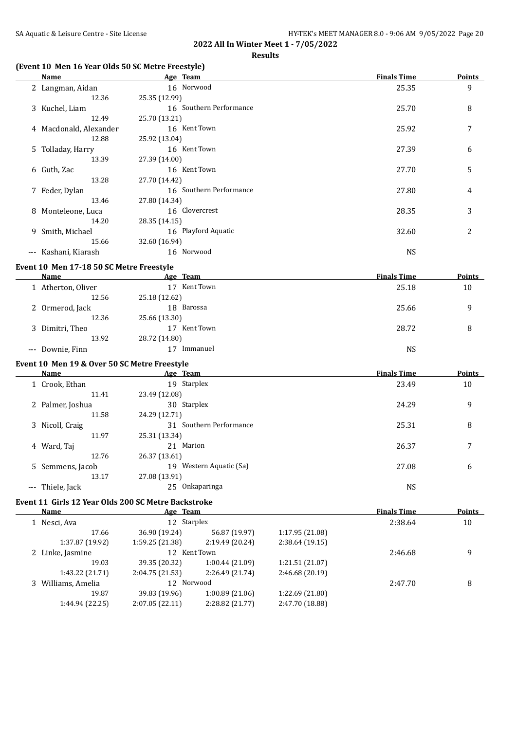#### **Results**

# **(Event 10 Men 16 Year Olds 50 SC Metre Freestyle)**

|       | Name                   | Age Team                | <b>Finals Time</b> | <b>Points</b> |
|-------|------------------------|-------------------------|--------------------|---------------|
|       | 2 Langman, Aidan       | 16 Norwood              | 25.35              | 9             |
|       | 12.36                  | 25.35 (12.99)           |                    |               |
|       | 3 Kuchel, Liam         | 16 Southern Performance | 25.70              | 8             |
|       | 12.49                  | 25.70 (13.21)           |                    |               |
|       | 4 Macdonald, Alexander | 16 Kent Town            | 25.92              | 7             |
|       | 12.88                  | 25.92 (13.04)           |                    |               |
|       | 5 Tolladay, Harry      | 16 Kent Town            | 27.39              | 6             |
|       | 13.39                  | 27.39 (14.00)           |                    |               |
|       | 6 Guth, Zac            | 16 Kent Town            | 27.70              | 5             |
|       | 13.28                  | 27.70 (14.42)           |                    |               |
|       | 7 Feder, Dylan         | 16 Southern Performance | 27.80              | 4             |
|       | 13.46                  | 27.80 (14.34)           |                    |               |
|       | 8 Monteleone, Luca     | 16 Clovercrest          | 28.35              | 3             |
|       | 14.20                  | 28.35 (14.15)           |                    |               |
|       | 9 Smith, Michael       | 16 Playford Aquatic     | 32.60              | 2             |
|       | 15.66                  | 32.60 (16.94)           |                    |               |
| $---$ | Kashani, Kiarash       | 16 Norwood              | <b>NS</b>          |               |
|       |                        |                         |                    |               |

## **Event 10 Men 17-18 50 SC Metre Freestyle**

| Name               | Age Team        | <b>Finals Time</b> | <b>Points</b> |
|--------------------|-----------------|--------------------|---------------|
| 1 Atherton, Oliver | Kent Town       | 25.18              | 10            |
| 12.56              | 25.18 (12.62)   |                    |               |
| 2 Ormerod, Jack    | 18 Barossa      | 25.66              | q             |
| 12.36              | 25.66 (13.30)   |                    |               |
| 3 Dimitri, Theo    | Kent Town<br>17 | 28.72              | 8             |
| 13.92              | 28.72 (14.80)   |                    |               |
| --- Downie, Finn   | Immanuel        | NS                 |               |

## **Event 10 Men 19 & Over 50 SC Metre Freestyle**

 $\overline{\phantom{a}}$ 

 $\overline{\phantom{a}}$ 

| <b>Name</b>           |       | Age Team                   | <b>Finals Time</b> | <b>Points</b> |
|-----------------------|-------|----------------------------|--------------------|---------------|
| 1 Crook, Ethan        |       | 19 Starplex                | 23.49              | 10            |
|                       | 11.41 | 23.49 (12.08)              |                    |               |
| 2 Palmer, Joshua      |       | 30 Starplex                | 24.29              | 9             |
|                       | 11.58 | 24.29 (12.71)              |                    |               |
| 3 Nicoll, Craig       |       | 31 Southern Performance    | 25.31              | 8             |
|                       | 11.97 | 25.31 (13.34)              |                    |               |
| 4 Ward, Taj           |       | 21 Marion                  | 26.37              | 7             |
|                       | 12.76 | 26.37 (13.61)              |                    |               |
| 5 Semmens, Jacob      |       | Western Aquatic (Sa)<br>19 | 27.08              | 6             |
|                       | 13.17 | 27.08 (13.91)              |                    |               |
| Thiele, Jack<br>$---$ |       | 25 Onkaparinga             | NS                 |               |
|                       |       |                            |                    |               |

## **Event 11 Girls 12 Year Olds 200 SC Metre Backstroke**

| Name               | Age Team       |                 |                 | <b>Finals Time</b> | <b>Points</b> |
|--------------------|----------------|-----------------|-----------------|--------------------|---------------|
| 1 Nesci, Ava       | 12 Starplex    |                 |                 | 2:38.64            | 10            |
| 17.66              | 36.90 (19.24)  | 56.87 (19.97)   | 1:17.95(21.08)  |                    |               |
| 1:37.87 (19.92)    | 1:59.25(21.38) | 2:19.49 (20.24) | 2:38.64(19.15)  |                    |               |
| 2 Linke, Jasmine   | 12 Kent Town   |                 |                 | 2:46.68            | 9             |
| 19.03              | 39.35 (20.32)  | 1:00.44(21.09)  | 1:21.51(21.07)  |                    |               |
| 1:43.22 (21.71)    | 2:04.75(21.53) | 2:26.49 (21.74) | 2:46.68(20.19)  |                    |               |
| 3 Williams, Amelia | 12 Norwood     |                 |                 | 2:47.70            | 8             |
| 19.87              | 39.83 (19.96)  | 1:00.89(21.06)  | 1:22.69 (21.80) |                    |               |
| 1:44.94 (22.25)    | 2:07.05(22.11) | 2:28.82 (21.77) | 2:47.70 (18.88) |                    |               |
|                    |                |                 |                 |                    |               |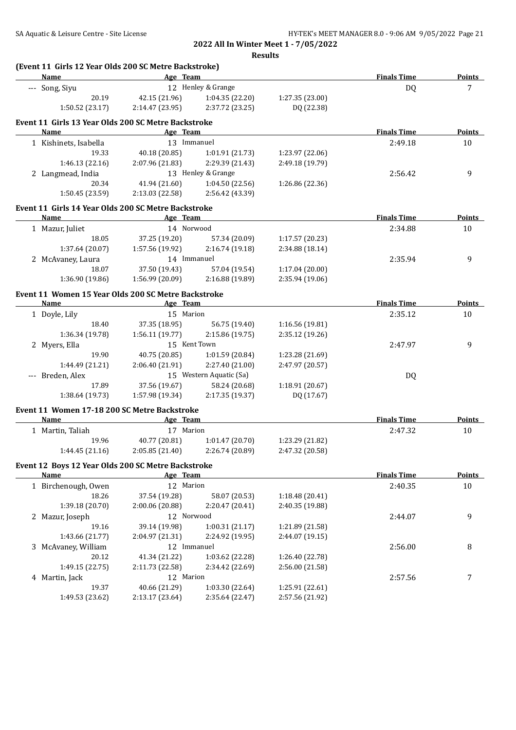|   |                       |                                                                   | <b>Results</b>                    |                 |                    |               |
|---|-----------------------|-------------------------------------------------------------------|-----------------------------------|-----------------|--------------------|---------------|
|   | Name                  | (Event 11 Girls 12 Year Olds 200 SC Metre Backstroke)<br>Age Team |                                   |                 | <b>Finals Time</b> | <b>Points</b> |
|   | --- Song, Siyu        |                                                                   | 12 Henley & Grange                |                 | DQ                 | 7             |
|   | 20.19                 | 42.15 (21.96)                                                     | 1:04.35(22.20)                    | 1:27.35 (23.00) |                    |               |
|   | 1:50.52(23.17)        | 2:14.47(23.95)                                                    | 2:37.72 (23.25)                   | DQ (22.38)      |                    |               |
|   |                       |                                                                   |                                   |                 |                    |               |
|   | Name                  | Event 11 Girls 13 Year Olds 200 SC Metre Backstroke<br>Age Team   |                                   |                 | <b>Finals Time</b> | <b>Points</b> |
|   | 1 Kishinets, Isabella | 13 Immanuel                                                       |                                   |                 | 2:49.18            | 10            |
|   | 19.33                 | 40.18 (20.85)                                                     | 1:01.91(21.73)                    | 1:23.97 (22.06) |                    |               |
|   | 1:46.13(22.16)        | 2:07.96 (21.83)                                                   | 2:29.39 (21.43)                   | 2:49.18 (19.79) |                    |               |
|   | 2 Langmead, India     |                                                                   | 13 Henley & Grange                |                 | 2:56.42            | 9             |
|   | 20.34                 | 41.94 (21.60)                                                     | 1:04.50 (22.56)                   | 1:26.86 (22.36) |                    |               |
|   | 1:50.45(23.59)        | 2:13.03(22.58)                                                    | 2:56.42 (43.39)                   |                 |                    |               |
|   |                       |                                                                   |                                   |                 |                    |               |
|   | <b>Name</b>           | Event 11 Girls 14 Year Olds 200 SC Metre Backstroke<br>Age Team   |                                   |                 | <b>Finals Time</b> | Points        |
|   | 1 Mazur, Juliet       | 14 Norwood                                                        |                                   |                 | 2:34.88            | 10            |
|   | 18.05                 | 37.25 (19.20)                                                     | 57.34 (20.09)                     | 1:17.57 (20.23) |                    |               |
|   | 1:37.64 (20.07)       |                                                                   | $1:57.56(19.92)$ $2:16.74(19.18)$ | 2:34.88 (18.14) |                    |               |
|   |                       | 14 Immanuel                                                       |                                   |                 |                    | 9             |
|   | 2 McAvaney, Laura     |                                                                   |                                   |                 | 2:35.94            |               |
|   | 18.07                 | 37.50 (19.43)                                                     | 57.04 (19.54)                     | 1:17.04 (20.00) |                    |               |
|   | 1:36.90 (19.86)       | 1:56.99(20.09)                                                    | 2:16.88(19.89)                    | 2:35.94 (19.06) |                    |               |
|   |                       | Event 11 Women 15 Year Olds 200 SC Metre Backstroke               |                                   |                 |                    |               |
|   | <b>Name</b>           | Age Team                                                          |                                   |                 | <b>Finals Time</b> | <b>Points</b> |
|   | 1 Doyle, Lily         | 15 Marion                                                         |                                   |                 | 2:35.12            | 10            |
|   | 18.40                 | 37.35 (18.95)                                                     | 56.75 (19.40)                     | 1:16.56 (19.81) |                    |               |
|   | 1:36.34 (19.78)       | 1:56.11(19.77)                                                    | 2:15.86 (19.75)                   | 2:35.12 (19.26) |                    |               |
|   | 2 Myers, Ella         | 15 Kent Town                                                      |                                   |                 | 2:47.97            | 9             |
|   | 19.90                 | 40.75 (20.85)                                                     | 1:01.59 (20.84)                   | 1:23.28 (21.69) |                    |               |
|   | 1:44.49 (21.21)       | 2:06.40 (21.91)                                                   | 2:27.40 (21.00)                   | 2:47.97 (20.57) |                    |               |
|   | --- Breden, Alex      |                                                                   | 15 Western Aquatic (Sa)           |                 | DQ                 |               |
|   | 17.89                 | 37.56 (19.67)                                                     | 58.24 (20.68)                     | 1:18.91 (20.67) |                    |               |
|   | 1:38.64 (19.73)       | 1:57.98 (19.34)                                                   | 2:17.35 (19.37)                   | DQ (17.67)      |                    |               |
|   |                       | Event 11 Women 17-18 200 SC Metre Backstroke                      |                                   |                 |                    |               |
|   | Name                  | Age Team                                                          |                                   |                 | <b>Finals Time</b> | Points        |
|   | 1 Martin, Taliah      | 17 Marion                                                         |                                   |                 | 2:47.32            | 10            |
|   | 19.96                 | 40.77 (20.81)                                                     | 1:01.47 (20.70)                   | 1:23.29 (21.82) |                    |               |
|   | 1:44.45 (21.16)       | 2:05.85(21.40)                                                    | 2:26.74 (20.89)                   | 2:47.32 (20.58) |                    |               |
|   |                       | Event 12 Boys 12 Year Olds 200 SC Metre Backstroke                |                                   |                 |                    |               |
|   | Name                  | Age Team<br>12 Marion                                             |                                   |                 | <b>Finals Time</b> | <b>Points</b> |
|   | 1 Birchenough, Owen   |                                                                   |                                   |                 | 2:40.35            | 10            |
|   | 18.26                 | 37.54 (19.28)                                                     | 58.07 (20.53)                     | 1:18.48 (20.41) |                    |               |
|   | 1:39.18 (20.70)       | 2:00.06 (20.88)                                                   | 2:20.47 (20.41)                   | 2:40.35 (19.88) |                    |               |
|   | 2 Mazur, Joseph       | 12 Norwood                                                        |                                   |                 | 2:44.07            | 9             |
|   | 19.16                 | 39.14 (19.98)                                                     | 1:00.31(21.17)                    | 1:21.89 (21.58) |                    |               |
|   | 1:43.66 (21.77)       | 2:04.97 (21.31)                                                   | 2:24.92 (19.95)                   | 2:44.07 (19.15) |                    |               |
|   | McAvaney, William     | 12 Immanuel                                                       |                                   |                 | 2:56.00            | 8             |
| 3 | 20.12                 | 41.34 (21.22)                                                     | 1:03.62 (22.28)                   | 1:26.40 (22.78) |                    |               |
|   |                       | 2:11.73 (22.58)                                                   | 2:34.42 (22.69)                   | 2:56.00 (21.58) |                    |               |
|   | 1:49.15 (22.75)       |                                                                   |                                   |                 |                    |               |
|   | 4 Martin, Jack        | 12 Marion                                                         |                                   |                 | 2:57.56            |               |
|   | 19.37                 | 40.66 (21.29)                                                     | 1:03.30 (22.64)                   | 1:25.91 (22.61) |                    | 7             |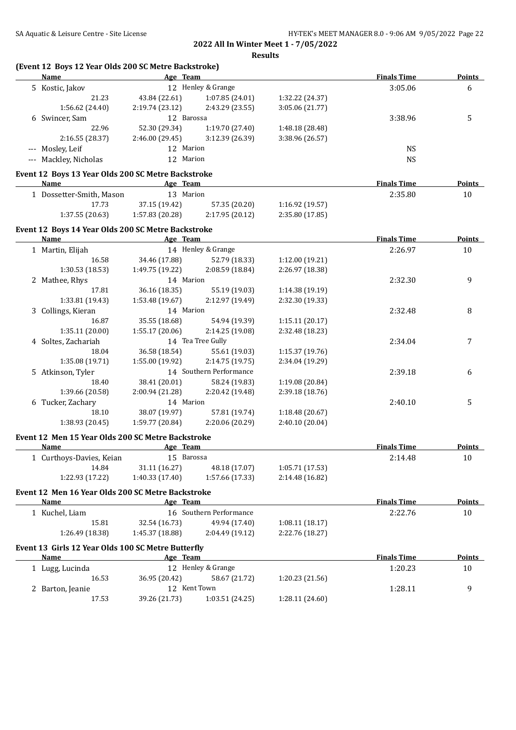| Name                                                       | Age Team                  |                         |                 | <b>Finals Time</b> | <b>Points</b> |
|------------------------------------------------------------|---------------------------|-------------------------|-----------------|--------------------|---------------|
| 5 Kostic, Jakov                                            |                           | 12 Henley & Grange      |                 | 3:05.06            | 6             |
| 21.23                                                      | 43.84 (22.61)             | 1:07.85 (24.01)         | 1:32.22 (24.37) |                    |               |
| 1:56.62 (24.40)                                            | 2:19.74 (23.12)           | 2:43.29 (23.55)         | 3:05.06 (21.77) |                    |               |
| 6 Swincer, Sam                                             | 12 Barossa                |                         |                 | 3:38.96            | 5             |
| 22.96                                                      | 52.30 (29.34)             | 1:19.70 (27.40)         | 1:48.18 (28.48) |                    |               |
| 2:16.55 (28.37)                                            | 2:46.00 (29.45)           | 3:12.39 (26.39)         | 3:38.96 (26.57) |                    |               |
| --- Mosley, Leif                                           | 12 Marion                 |                         |                 | <b>NS</b>          |               |
| --- Mackley, Nicholas                                      | 12 Marion                 |                         |                 | <b>NS</b>          |               |
|                                                            |                           |                         |                 |                    |               |
| Event 12 Boys 13 Year Olds 200 SC Metre Backstroke<br>Name |                           |                         |                 | <b>Finals Time</b> | <b>Points</b> |
|                                                            | Age Team<br>13 Marion     |                         |                 |                    |               |
| 1 Dossetter-Smith, Mason                                   |                           |                         |                 | 2:35.80            | 10            |
| 17.73                                                      | 37.15 (19.42)             | 57.35 (20.20)           | 1:16.92 (19.57) |                    |               |
| 1:37.55 (20.63)                                            | 1:57.83 (20.28)           | 2:17.95 (20.12)         | 2:35.80 (17.85) |                    |               |
| Event 12 Boys 14 Year Olds 200 SC Metre Backstroke         |                           |                         |                 |                    |               |
| Name                                                       | <b>Example 2</b> Age Team |                         |                 | <b>Finals Time</b> | <b>Points</b> |
| 1 Martin, Elijah                                           |                           | 14 Henley & Grange      |                 | 2:26.97            | 10            |
| 16.58                                                      | 34.46 (17.88)             | 52.79 (18.33)           | 1:12.00 (19.21) |                    |               |
| 1:30.53(18.53)                                             | 1:49.75 (19.22)           | 2:08.59 (18.84)         | 2:26.97 (18.38) |                    |               |
| 2 Mathee, Rhys                                             | 14 Marion                 |                         |                 | 2:32.30            | 9             |
| 17.81                                                      | 36.16 (18.35)             | 55.19 (19.03)           | 1:14.38 (19.19) |                    |               |
| 1:33.81 (19.43)                                            | 1:53.48 (19.67)           | 2:12.97 (19.49)         | 2:32.30 (19.33) |                    |               |
| 3 Collings, Kieran                                         | 14 Marion                 |                         |                 | 2:32.48            | 8             |
| 16.87                                                      | 35.55 (18.68)             | 54.94 (19.39)           | 1:15.11(20.17)  |                    |               |
| 1:35.11 (20.00)                                            | 1:55.17(20.06)            | 2:14.25 (19.08)         | 2:32.48 (18.23) |                    |               |
| 4 Soltes, Zachariah                                        |                           | 14 Tea Tree Gully       |                 | 2:34.04            | 7             |
| 18.04                                                      | 36.58 (18.54)             | 55.61 (19.03)           | 1:15.37 (19.76) |                    |               |
| 1:35.08 (19.71)                                            | 1:55.00 (19.92)           | 2:14.75 (19.75)         | 2:34.04 (19.29) |                    |               |
| 5 Atkinson, Tyler                                          |                           | 14 Southern Performance |                 | 2:39.18            | 6             |
| 18.40                                                      | 38.41 (20.01)             | 58.24 (19.83)           | 1:19.08 (20.84) |                    |               |
| 1:39.66 (20.58)                                            | 2:00.94 (21.28)           | 2:20.42 (19.48)         | 2:39.18 (18.76) |                    |               |
| 6 Tucker, Zachary                                          | 14 Marion                 |                         |                 | 2:40.10            | 5             |
| 18.10                                                      | 38.07 (19.97)             | 57.81 (19.74)           | 1:18.48 (20.67) |                    |               |
| 1:38.93 (20.45)                                            | 1:59.77 (20.84)           | 2:20.06 (20.29)         | 2:40.10 (20.04) |                    |               |
|                                                            |                           |                         |                 |                    |               |
| Event 12 Men 15 Year Olds 200 SC Metre Backstroke          |                           |                         |                 |                    |               |
| <u>Name</u>                                                | Age Team                  |                         |                 | <b>Finals Time</b> | Points        |
| 1 Curthoys-Davies, Keian                                   | 15 Barossa                |                         |                 | 2:14.48            | 10            |
| 14.84                                                      | 31.11 (16.27)             | 48.18 (17.07)           | 1:05.71(17.53)  |                    |               |
| 1:22.93 (17.22)                                            | 1:40.33 (17.40)           | 1:57.66 (17.33)         | 2:14.48 (16.82) |                    |               |
| Event 12 Men 16 Year Olds 200 SC Metre Backstroke          |                           |                         |                 |                    |               |
| Name                                                       | Age Team                  |                         |                 | <b>Finals Time</b> | <b>Points</b> |
| 1 Kuchel, Liam                                             |                           | 16 Southern Performance |                 | 2:22.76            | 10            |
| 15.81                                                      | 32.54 (16.73)             | 49.94 (17.40)           | 1:08.11(18.17)  |                    |               |
| 1:26.49 (18.38)                                            | 1:45.37 (18.88)           | 2:04.49 (19.12)         | 2:22.76 (18.27) |                    |               |
| Event 13 Girls 12 Year Olds 100 SC Metre Butterfly         |                           |                         |                 |                    |               |
| <u>Name</u>                                                | Age Team                  |                         |                 | <b>Finals Time</b> | <b>Points</b> |
| 1 Lugg, Lucinda                                            |                           | 12 Henley & Grange      |                 | 1:20.23            | 10            |
| 16.53                                                      | 36.95 (20.42)             | 58.67 (21.72)           | 1:20.23 (21.56) |                    |               |
| 2 Barton, Jeanie                                           | 12 Kent Town              |                         |                 | 1:28.11            | 9             |
| 17.53                                                      | 39.26 (21.73)             | 1:03.51 (24.25)         | 1:28.11 (24.60) |                    |               |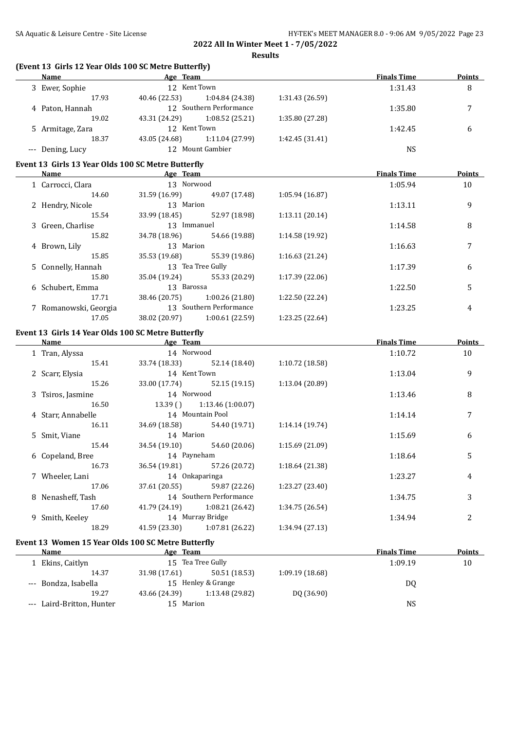| (Event 13 Girls 12 Year Olds 100 SC Metre Butterfly)<br><b>Name</b> | <b>Example 2</b> Age Team                                                                                      |                 | <b>Finals Time</b> | <b>Points</b> |
|---------------------------------------------------------------------|----------------------------------------------------------------------------------------------------------------|-----------------|--------------------|---------------|
| 3 Ewer, Sophie                                                      | 12 Kent Town                                                                                                   |                 | 1:31.43            | 8             |
| 17.93                                                               | 40.46 (22.53)<br>1:04.84 (24.38)                                                                               | 1:31.43 (26.59) |                    |               |
| 4 Paton, Hannah                                                     | 12 Southern Performance                                                                                        |                 | 1:35.80            | 7             |
| 19.02                                                               | 43.31 (24.29)<br>1:08.52 (25.21)                                                                               | 1:35.80 (27.28) |                    |               |
| 5 Armitage, Zara                                                    | 12 Kent Town                                                                                                   |                 | 1:42.45            | 6             |
| 18.37                                                               | 43.05 (24.68)<br>1:11.04 (27.99)                                                                               | 1:42.45 (31.41) |                    |               |
| --- Dening, Lucy                                                    | 12 Mount Gambier                                                                                               |                 | <b>NS</b>          |               |
|                                                                     |                                                                                                                |                 |                    |               |
| Event 13 Girls 13 Year Olds 100 SC Metre Butterfly<br>Name          | and the same state of the same state of the same state of the same state of the same state of the same state o |                 | <b>Finals Time</b> | Points        |
|                                                                     | 13 Norwood                                                                                                     |                 |                    |               |
| 1 Carrocci, Clara                                                   |                                                                                                                |                 | 1:05.94            | 10            |
| 14.60                                                               | 31.59 (16.99) 49.07 (17.48)                                                                                    | 1:05.94 (16.87) |                    |               |
| 2 Hendry, Nicole                                                    | 13 Marion                                                                                                      |                 | 1:13.11            | 9             |
| 15.54                                                               | 52.97 (18.98)<br>33.99 (18.45)                                                                                 | 1:13.11 (20.14) |                    |               |
| 3 Green, Charlise                                                   | 13 Immanuel                                                                                                    |                 | 1:14.58            | 8             |
| 15.82                                                               | 34.78 (18.96)<br>54.66 (19.88)                                                                                 | 1:14.58 (19.92) |                    |               |
| 4 Brown, Lily                                                       | 13 Marion                                                                                                      |                 | 1:16.63            | 7             |
| 15.85                                                               | 35.53 (19.68)<br>55.39 (19.86)                                                                                 | 1:16.63 (21.24) |                    |               |
| 5 Connelly, Hannah                                                  | 13 Tea Tree Gully                                                                                              |                 | 1:17.39            | 6             |
| 15.80                                                               | 35.04 (19.24)<br>55.33 (20.29)                                                                                 | 1:17.39 (22.06) |                    |               |
| 6 Schubert, Emma                                                    | 13 Barossa                                                                                                     |                 | 1:22.50            | 5             |
| 17.71                                                               | 38.46 (20.75) 1:00.26 (21.80)                                                                                  | 1:22.50 (22.24) |                    |               |
| 7 Romanowski, Georgia                                               | 13 Southern Performance                                                                                        |                 | 1:23.25            | 4             |
| 17.05                                                               | 38.02 (20.97) 1:00.61 (22.59)                                                                                  | 1:23.25 (22.64) |                    |               |
|                                                                     |                                                                                                                |                 |                    |               |
| Event 13 Girls 14 Year Olds 100 SC Metre Butterfly<br>Name          | <b>Example 2</b> Age Team                                                                                      |                 | <b>Finals Time</b> | <b>Points</b> |
| 1 Tran, Alyssa                                                      | 14 Norwood                                                                                                     |                 | 1:10.72            | 10            |
| 15.41                                                               | 33.74 (18.33) 52.14 (18.40)                                                                                    | 1:10.72 (18.58) |                    |               |
|                                                                     |                                                                                                                |                 |                    |               |
| 2 Scarr, Elysia                                                     | 14 Kent Town                                                                                                   |                 | 1:13.04            | 9             |
| 15.26                                                               | 33.00 (17.74) 52.15 (19.15)                                                                                    | 1:13.04 (20.89) |                    |               |
| 3 Tsiros, Jasmine                                                   | 14 Norwood                                                                                                     |                 | 1:13.46            | 8             |
| 16.50                                                               | 13.39()<br>1:13.46 (1:00.07)                                                                                   |                 |                    |               |
| 4 Starr, Annabelle                                                  | 14 Mountain Pool                                                                                               |                 | 1:14.14            | 7             |
| 16.11                                                               | 54.40 (19.71)<br>34.69 (18.58)                                                                                 | 1:14.14 (19.74) |                    |               |
| 5 Smit, Viane                                                       | 14 Marion                                                                                                      |                 | 1:15.69            | 6             |
| 15.44                                                               | 34.54 (19.10)<br>54.60 (20.06)                                                                                 | 1:15.69 (21.09) |                    |               |
| 6 Copeland, Bree                                                    | 14 Payneham                                                                                                    |                 | 1:18.64            | 5             |
| 16.73                                                               | 36.54 (19.81)<br>57.26 (20.72)                                                                                 | 1:18.64 (21.38) |                    |               |
| 7 Wheeler, Lani                                                     | 14 Onkaparinga                                                                                                 |                 | 1:23.27            | 4             |
| 17.06                                                               | 37.61 (20.55)<br>59.87 (22.26)                                                                                 | 1:23.27 (23.40) |                    |               |
| 8 Nenasheff, Tash                                                   | 14 Southern Performance                                                                                        |                 | 1:34.75            | 3             |
|                                                                     |                                                                                                                |                 |                    |               |
| 17.60                                                               | 1:08.21 (26.42)<br>41.79 (24.19)                                                                               | 1:34.75 (26.54) |                    |               |
| 9 Smith, Keeley                                                     | 14 Murray Bridge                                                                                               |                 | 1:34.94            | 2             |
| 18.29                                                               | 41.59 (23.30)<br>1:07.81 (26.22)                                                                               | 1:34.94 (27.13) |                    |               |
|                                                                     | Event 13 Women 15 Year Olds 100 SC Metre Butterfly                                                             |                 |                    |               |
| <b>Name</b>                                                         | Age Team                                                                                                       |                 | <b>Finals Time</b> | <b>Points</b> |
|                                                                     | 15 Tea Tree Gully                                                                                              |                 | 1:09.19            | 10            |
| 1 Ekins, Caitlyn                                                    |                                                                                                                |                 |                    |               |
| 14.37                                                               | 31.98 (17.61)<br>50.51 (18.53)                                                                                 | 1:09.19 (18.68) |                    |               |
|                                                                     | 15 Henley & Grange                                                                                             |                 |                    |               |
| --- Bondza, Isabella                                                |                                                                                                                |                 | DQ                 |               |
| 19.27<br>--- Laird-Britton, Hunter                                  | 1:13.48 (29.82)<br>43.66 (24.39)<br>15 Marion                                                                  | DQ (36.90)      | <b>NS</b>          |               |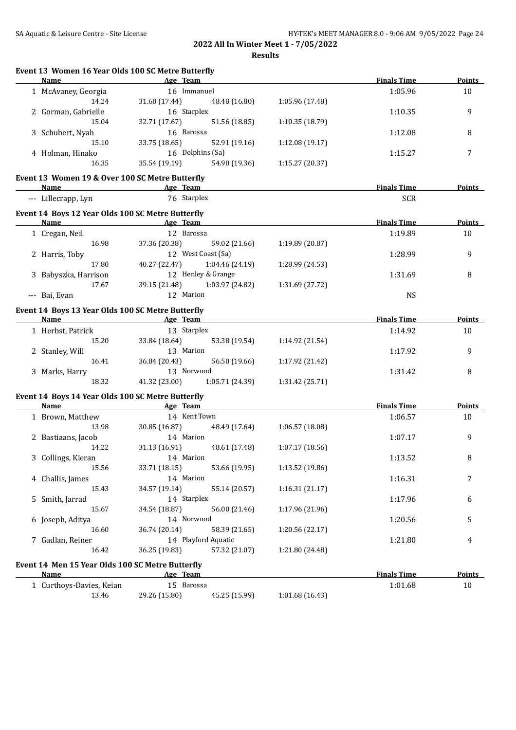SA Aquatic & Leisure Centre - Site License **HY-TEK's MEET MANAGER 8.0 - 9:06 AM 9/05/2022** Page 24

| Event 13 Women 16 Year Olds 100 SC Metre Butterfly<br><b>Name</b> | <b>Example 2016</b> Age Team                                                                                   |                 | <b>Finals Time</b> | <b>Points</b> |
|-------------------------------------------------------------------|----------------------------------------------------------------------------------------------------------------|-----------------|--------------------|---------------|
| 1 McAvaney, Georgia                                               | 16 Immanuel                                                                                                    |                 | 1:05.96            | 10            |
| 14.24                                                             | 31.68 (17.44)<br>48.48 (16.80)                                                                                 | 1:05.96 (17.48) |                    |               |
| 2 Gorman, Gabrielle                                               | 16 Starplex                                                                                                    |                 | 1:10.35            | 9             |
| 15.04                                                             | 32.71 (17.67)<br>51.56 (18.85)                                                                                 | 1:10.35 (18.79) |                    |               |
| 3 Schubert, Nyah                                                  | 16 Barossa                                                                                                     |                 | 1:12.08            | 8             |
| 15.10                                                             | 33.75 (18.65)<br>52.91 (19.16)                                                                                 | 1:12.08 (19.17) |                    |               |
| 4 Holman, Hinako                                                  | 16 Dolphins (Sa)                                                                                               |                 | 1:15.27            | 7             |
| 16.35                                                             | 35.54 (19.19)<br>54.90 (19.36)                                                                                 | 1:15.27 (20.37) |                    |               |
| Event 13 Women 19 & Over 100 SC Metre Butterfly                   |                                                                                                                |                 |                    |               |
| Name                                                              | Age Team                                                                                                       |                 | <b>Finals Time</b> | Points        |
| --- Lillecrapp, Lyn                                               | 76 Starplex                                                                                                    |                 | <b>SCR</b>         |               |
| Event 14 Boys 12 Year Olds 100 SC Metre Butterfly                 |                                                                                                                |                 |                    |               |
| Name                                                              | <b>Example 2</b> Age Team                                                                                      |                 | <b>Finals Time</b> | Points        |
| 1 Cregan, Neil                                                    | 12 Barossa                                                                                                     |                 | 1:19.89            | 10            |
| 16.98                                                             | 37.36 (20.38) 59.02 (21.66)                                                                                    | 1:19.89 (20.87) |                    |               |
| 2 Harris, Toby                                                    | 12 West Coast (Sa)                                                                                             |                 | 1:28.99            | 9             |
| 17.80                                                             | 40.27 (22.47) 1:04.46 (24.19)                                                                                  | 1:28.99 (24.53) |                    |               |
| 3 Babyszka, Harrison                                              | 12 Henley & Grange                                                                                             |                 | 1:31.69            | 8             |
| 17.67                                                             | 39.15 (21.48) 1:03.97 (24.82)                                                                                  | 1:31.69 (27.72) |                    |               |
| --- Bai, Evan                                                     | 12 Marion                                                                                                      |                 | <b>NS</b>          |               |
|                                                                   |                                                                                                                |                 |                    |               |
| Event 14 Boys 13 Year Olds 100 SC Metre Butterfly<br>Name         | and the same state of the same state of the same state of the same state of the same state of the same state o |                 | <b>Finals Time</b> | <b>Points</b> |
|                                                                   | 13 Starplex                                                                                                    |                 |                    |               |
| 1 Herbst, Patrick                                                 |                                                                                                                |                 | 1:14.92            | 10            |
| 15.20                                                             | 33.84 (18.64)<br>53.38 (19.54)                                                                                 | 1:14.92 (21.54) |                    |               |
| 2 Stanley, Will                                                   | 13 Marion                                                                                                      |                 | 1:17.92            | 9             |
| 16.41                                                             | 36.84 (20.43)<br>56.50 (19.66)                                                                                 | 1:17.92 (21.42) |                    |               |
| 3 Marks, Harry                                                    | 13 Norwood                                                                                                     |                 | 1:31.42            | 8             |
| 18.32                                                             | 41.32 (23.00)<br>1:05.71 (24.39)                                                                               | 1:31.42 (25.71) |                    |               |
| Event 14 Boys 14 Year Olds 100 SC Metre Butterfly                 |                                                                                                                |                 |                    |               |
| Name                                                              | <b>Example 2</b> Age Team                                                                                      |                 | <b>Finals Time</b> | <b>Points</b> |
| 1 Brown, Matthew                                                  | 14 Kent Town                                                                                                   |                 | 1:06.57            | 10            |
| 13.98                                                             | 30.85 (16.87)<br>48.49 (17.64)                                                                                 | 1:06.57 (18.08) |                    |               |
| 2 Bastiaans, Jacob                                                | 14 Marion                                                                                                      |                 | 1:07.17            | 9             |
| 14.22                                                             | 31.13 (16.91) 48.61 (17.48)                                                                                    | 1:07.17 (18.56) |                    |               |
| 3 Collings, Kieran                                                | 14 Marion                                                                                                      |                 | 1:13.52            | 8             |
| 15.56                                                             | 33.71 (18.15)<br>53.66 (19.95)                                                                                 | 1:13.52 (19.86) |                    |               |
| 4 Challis, James                                                  | 14 Marion                                                                                                      |                 | 1:16.31            | 7             |
| 15.43                                                             | 34.57 (19.14)<br>55.14 (20.57)                                                                                 | 1:16.31(21.17)  |                    |               |
| 5 Smith, Jarrad                                                   | 14 Starplex                                                                                                    |                 | 1:17.96            | 6             |
| 15.67                                                             | 56.00 (21.46)<br>34.54 (18.87)                                                                                 | 1:17.96 (21.96) |                    |               |
| 6 Joseph, Aditya                                                  | 14 Norwood                                                                                                     |                 | 1:20.56            | 5             |
| 16.60                                                             | 36.74 (20.14)<br>58.39 (21.65)                                                                                 | 1:20.56 (22.17) |                    |               |
| 7 Gadlan, Reiner                                                  | 14 Playford Aquatic                                                                                            |                 | 1:21.80            | 4             |
| 16.42                                                             | 36.25 (19.83)<br>57.32 (21.07)                                                                                 | 1:21.80 (24.48) |                    |               |
| Event 14 Men 15 Year Olds 100 SC Metre Butterfly                  |                                                                                                                |                 |                    |               |
| <b>Name</b>                                                       | Age Team                                                                                                       |                 | <b>Finals Time</b> | <b>Points</b> |
| 1 Curthoys-Davies, Keian                                          | 15 Barossa                                                                                                     |                 | 1:01.68            | 10            |
| 13.46                                                             | 29.26 (15.80)<br>45.25 (15.99)                                                                                 | 1:01.68 (16.43) |                    |               |
|                                                                   |                                                                                                                |                 |                    |               |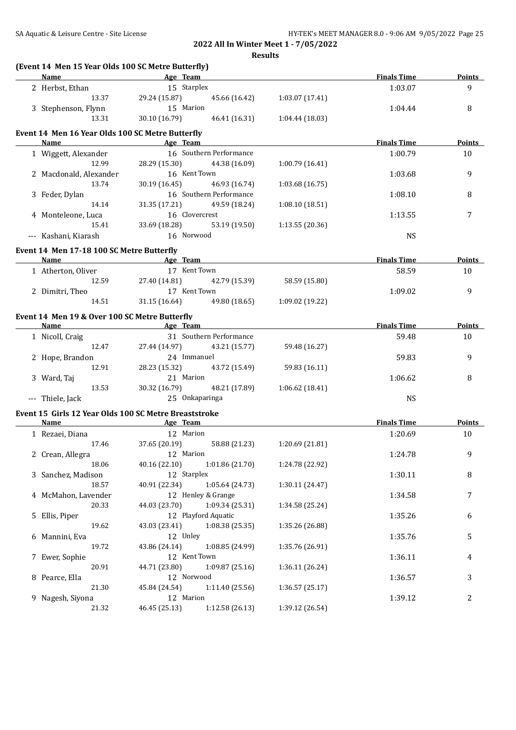**Results**

| (Event 14 Men 15 Year Olds 100 SC Metre Butterfly)<br>Name | Age Team                           |                         |                 | <b>Finals Time</b> | Points         |
|------------------------------------------------------------|------------------------------------|-------------------------|-----------------|--------------------|----------------|
| 2 Herbst, Ethan                                            | 15 Starplex                        |                         |                 | 1:03.07            | 9              |
| 13.37                                                      | 29.24 (15.87)                      | 45.66 (16.42)           | 1:03.07 (17.41) |                    |                |
| 3 Stephenson, Flynn                                        | 15 Marion                          |                         |                 | 1:04.44            | 8              |
| 13.31                                                      | 30.10 (16.79)                      | 46.41 (16.31)           | 1:04.44(18.03)  |                    |                |
| Event 14 Men 16 Year Olds 100 SC Metre Butterfly           |                                    |                         |                 |                    |                |
| <b>Name</b>                                                | <b>Example 2016</b> Age Team       |                         |                 | <b>Finals Time</b> | <b>Points</b>  |
| 1 Wiggett, Alexander                                       | 16 Southern Performance            |                         |                 | 1:00.79            | 10             |
| 12.99                                                      | 28.29 (15.30)                      | 44.38 (16.09)           | 1:00.79(16.41)  |                    |                |
| 2 Macdonald, Alexander                                     | 16 Kent Town                       |                         |                 | 1:03.68            | 9              |
| 13.74                                                      | 30.19 (16.45)                      | 46.93 (16.74)           | 1:03.68(16.75)  |                    |                |
| 3 Feder, Dylan                                             |                                    | 16 Southern Performance |                 | 1:08.10            | 8              |
| 14.14                                                      | 31.35 (17.21) 49.59 (18.24)        |                         | 1:08.10 (18.51) |                    |                |
| 4 Monteleone, Luca                                         | 16 Clovercrest                     |                         |                 | 1:13.55            | 7              |
| 15.41                                                      | 33.69 (18.28)                      | 53.19 (19.50)           | 1:13.55 (20.36) |                    |                |
| --- Kashani, Kiarash                                       | 16 Norwood                         |                         |                 | <b>NS</b>          |                |
|                                                            |                                    |                         |                 |                    |                |
| Event 14 Men 17-18 100 SC Metre Butterfly<br><b>Name</b>   | and the same state of the Age Team |                         |                 | <b>Finals Time</b> | Points         |
| 1 Atherton, Oliver                                         | 17 Kent Town                       |                         |                 | 58.59              | 10             |
| 12.59                                                      | 27.40 (14.81) 42.79 (15.39)        |                         | 58.59 (15.80)   |                    |                |
| 2 Dimitri, Theo                                            | 17 Kent Town                       |                         |                 | 1:09.02            | 9              |
| 14.51                                                      | 31.15 (16.64) 49.80 (18.65)        |                         | 1:09.02 (19.22) |                    |                |
|                                                            |                                    |                         |                 |                    |                |
| Event 14 Men 19 & Over 100 SC Metre Butterfly              |                                    |                         |                 |                    |                |
| Name                                                       | <b>Example 2018</b> Age Team       |                         |                 | <b>Finals Time</b> | Points         |
| 1 Nicoll, Craig                                            |                                    | 31 Southern Performance |                 | 59.48              | 10             |
| 12.47                                                      | 27.44 (14.97)                      | 43.21 (15.77)           | 59.48 (16.27)   |                    |                |
| 2 Hope, Brandon                                            | 24 Immanuel                        |                         |                 | 59.83              | 9              |
| 12.91                                                      | 28.23 (15.32)                      | 43.72 (15.49)           | 59.83 (16.11)   |                    |                |
| 3 Ward, Taj                                                | 21 Marion                          |                         |                 | 1:06.62            | 8              |
| 13.53                                                      | 30.32 (16.79)                      | 48.21 (17.89)           | 1:06.62 (18.41) |                    |                |
| --- Thiele, Jack                                           | 25 Onkaparinga                     |                         |                 | <b>NS</b>          |                |
| Event 15 Girls 12 Year Olds 100 SC Metre Breaststroke      |                                    |                         |                 |                    |                |
| <b>Name</b>                                                | <b>Example 2016</b> Age Team       |                         |                 | <b>Finals Time</b> | Points         |
| 1 Rezaei, Diana                                            | 12 Marion                          |                         |                 | 1:20.69            | 10             |
| 17.46                                                      | 37.65 (20.19) 58.88 (21.23)        |                         | 1:20.69 (21.81) |                    |                |
| 2 Crean, Allegra                                           | 12 Marion                          |                         |                 | 1:24.78            | 9              |
| 18.06                                                      | 40.16 (22.10)                      | 1:01.86 (21.70)         | 1:24.78 (22.92) |                    |                |
| 3 Sanchez, Madison                                         | 12 Starplex                        |                         |                 | 1:30.11            | 8              |
| 18.57                                                      | 40.91 (22.34)                      | 1:05.64 (24.73)         | 1:30.11 (24.47) |                    |                |
| 4 McMahon, Lavender                                        | 12 Henley & Grange                 |                         |                 | 1:34.58            | 7              |
| 20.33                                                      | 44.03 (23.70)                      | 1:09.34 (25.31)         | 1:34.58 (25.24) |                    |                |
| 5 Ellis, Piper                                             | 12 Playford Aquatic                |                         |                 | 1:35.26            | 6              |
| 19.62                                                      | 43.03 (23.41)                      | 1:08.38 (25.35)         | 1:35.26 (26.88) |                    |                |
| 6 Mannini, Eva                                             | 12 Unley                           |                         |                 | 1:35.76            | 5              |
| 19.72                                                      | 43.86 (24.14)                      | 1:08.85 (24.99)         | 1:35.76 (26.91) |                    |                |
| 7 Ewer, Sophie                                             | 12 Kent Town                       |                         |                 | 1:36.11            | 4              |
| 20.91                                                      | 44.71 (23.80)                      | 1:09.87 (25.16)         | 1:36.11 (26.24) |                    |                |
| 8 Pearce, Ella                                             | 12 Norwood                         |                         |                 | 1:36.57            | 3              |
| 21.30                                                      | 45.84 (24.54)                      | 1:11.40 (25.56)         | 1:36.57(25.17)  |                    |                |
| 9 Nagesh, Siyona                                           | 12 Marion                          |                         |                 | 1:39.12            | $\overline{c}$ |
| 21.32                                                      | 46.45 (25.13)                      | 1:12.58 (26.13)         | 1:39.12 (26.54) |                    |                |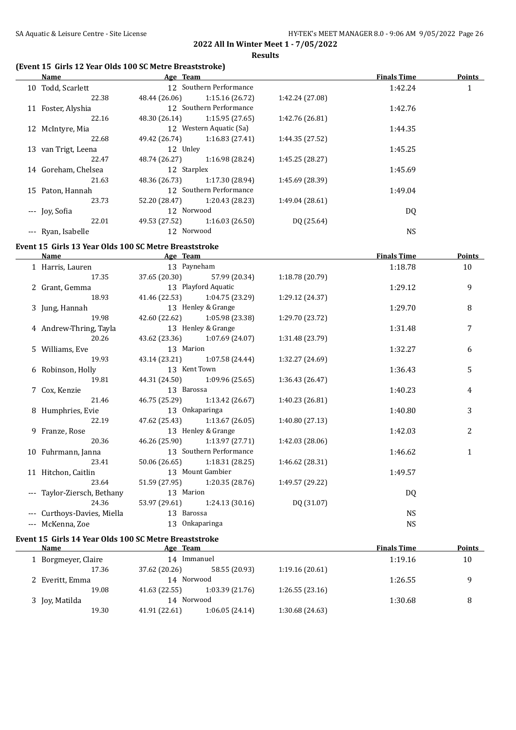## **(Event 15 Girls 12 Year Olds 100 SC Metre Breaststroke)**

|    | Name                | Age Team      |                         |                 | <b>Finals Time</b> | <b>Points</b> |
|----|---------------------|---------------|-------------------------|-----------------|--------------------|---------------|
|    | 10 Todd, Scarlett   |               | 12 Southern Performance |                 | 1:42.24            | 1             |
|    | 22.38               | 48.44 (26.06) | 1:15.16(26.72)          | 1:42.24 (27.08) |                    |               |
|    | 11 Foster, Alyshia  |               | 12 Southern Performance |                 | 1:42.76            |               |
|    | 22.16               | 48.30 (26.14) | 1:15.95(27.65)          | 1:42.76 (26.81) |                    |               |
|    | 12 McIntyre, Mia    |               | 12 Western Aquatic (Sa) |                 | 1:44.35            |               |
|    | 22.68               | 49.42 (26.74) | 1:16.83(27.41)          | 1:44.35 (27.52) |                    |               |
|    | 13 van Trigt, Leena | 12 Unley      |                         |                 | 1:45.25            |               |
|    | 22.47               | 48.74 (26.27) | 1:16.98 (28.24)         | 1:45.25 (28.27) |                    |               |
|    | 14 Goreham, Chelsea | 12 Starplex   |                         |                 | 1:45.69            |               |
|    | 21.63               | 48.36 (26.73) | 1:17.30 (28.94)         | 1:45.69 (28.39) |                    |               |
| 15 | Paton, Hannah       |               | 12 Southern Performance |                 | 1:49.04            |               |
|    | 23.73               | 52.20 (28.47) | 1:20.43 (28.23)         | 1:49.04 (28.61) |                    |               |
|    | --- Joy, Sofia      | 12 Norwood    |                         |                 | DQ                 |               |
|    | 22.01               | 49.53 (27.52) | 1:16.03(26.50)          | DQ (25.64)      |                    |               |
|    | --- Ryan, Isabelle  | 12 Norwood    |                         |                 | NS                 |               |

## **Event 15 Girls 13 Year Olds 100 SC Metre Breaststroke**

| Name                        | Age Team           |                               |                 | <b>Finals Time</b> | <b>Points</b> |
|-----------------------------|--------------------|-------------------------------|-----------------|--------------------|---------------|
| 1 Harris, Lauren            | 13 Payneham        |                               |                 | 1:18.78            | 10            |
| 17.35                       |                    | 37.65 (20.30) 57.99 (20.34)   | 1:18.78(20.79)  |                    |               |
| 2 Grant, Gemma              |                    | 13 Playford Aquatic           |                 | 1:29.12            | 9             |
| 18.93                       |                    | 41.46 (22.53) 1:04.75 (23.29) | 1:29.12 (24.37) |                    |               |
| 3 Jung, Hannah              | 13 Henley & Grange |                               |                 | 1:29.70            | 8             |
| 19.98                       |                    | 42.60 (22.62) 1:05.98 (23.38) | 1:29.70 (23.72) |                    |               |
| 4 Andrew-Thring, Tayla      |                    | 13 Henley & Grange            |                 | 1:31.48            | 7             |
| 20.26                       |                    | 43.62 (23.36) 1:07.69 (24.07) | 1:31.48 (23.79) |                    |               |
| 5 Williams, Eve             | 13 Marion          |                               |                 | 1:32.27            | 6             |
| 19.93                       |                    | 43.14 (23.21) 1:07.58 (24.44) | 1:32.27 (24.69) |                    |               |
| 6 Robinson, Holly           | 13 Kent Town       |                               |                 | 1:36.43            | 5             |
| 19.81                       |                    | 44.31 (24.50) 1:09.96 (25.65) | 1:36.43(26.47)  |                    |               |
| 7 Cox, Kenzie               | 13 Barossa         |                               |                 | 1:40.23            | 4             |
| 21.46                       |                    | 46.75 (25.29) 1:13.42 (26.67) | 1:40.23 (26.81) |                    |               |
| 8 Humphries, Evie           |                    | 13 Onkaparinga                |                 | 1:40.80            | 3             |
| 22.19                       |                    | 47.62 (25.43) 1:13.67 (26.05) | 1:40.80(27.13)  |                    |               |
| 9 Franze, Rose              |                    | 13 Henley & Grange            |                 | 1:42.03            | 2             |
| 20.36                       |                    | 46.26 (25.90) 1:13.97 (27.71) | 1:42.03 (28.06) |                    |               |
| 10 Fuhrmann, Janna          |                    | 13 Southern Performance       |                 | 1:46.62            | $\mathbf{1}$  |
| 23.41                       |                    | 50.06 (26.65) 1:18.31 (28.25) | 1:46.62 (28.31) |                    |               |
| 11 Hitchon, Caitlin         |                    | 13 Mount Gambier              |                 | 1:49.57            |               |
| 23.64                       |                    | 51.59 (27.95) 1:20.35 (28.76) | 1:49.57 (29.22) |                    |               |
| --- Taylor-Ziersch, Bethany | 13 Marion          |                               |                 | DQ                 |               |
| 24.36                       |                    | 53.97 (29.61) 1:24.13 (30.16) | DQ (31.07)      |                    |               |
| --- Curthoys-Davies, Miella | 13 Barossa         |                               |                 | <b>NS</b>          |               |
| --- McKenna, Zoe            |                    | 13 Onkaparinga                |                 | <b>NS</b>          |               |

## **Event 15 Girls 14 Year Olds 100 SC Metre Breaststroke**

| Name              | Age Team      |                |                | <b>Finals Time</b> | <b>Points</b> |
|-------------------|---------------|----------------|----------------|--------------------|---------------|
| Borgmeyer, Claire | 14            | Immanuel       |                | 1:19.16            | 10            |
| 17.36             | 37.62 (20.26) | 58.55 (20.93)  | 1:19.16(20.61) |                    |               |
| 2 Everitt, Emma   | 14 Norwood    |                |                | 1:26.55            | q             |
| 19.08             | 41.63 (22.55) | 1:03.39(21.76) | 1:26.55(23.16) |                    |               |
| 3 Joy, Matilda    | 14 Norwood    |                |                | 1:30.68            | 8             |
| 19.30             | 41.91 (22.61) | 1:06.05(24.14) | 1:30.68(24.63) |                    |               |
|                   |               |                |                |                    |               |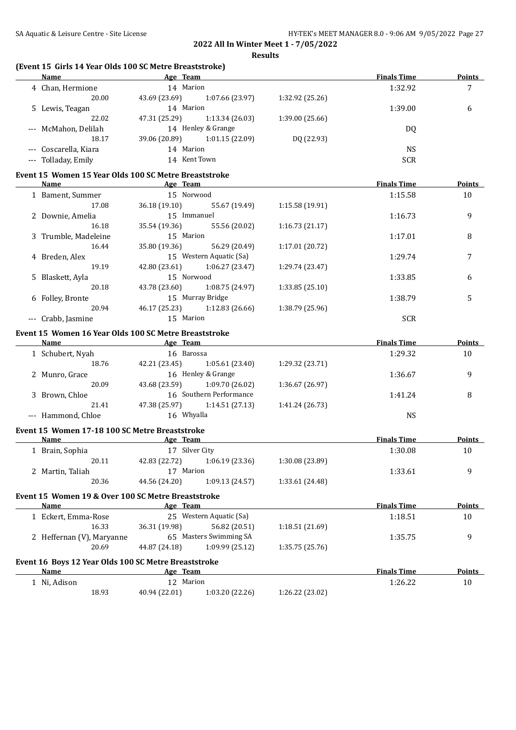#### **(Event 15 Girls 14 Year Olds 100 SC Metre Breaststroke)**

| <b>Name</b>           |               |                 |                                                                                       | <b>Finals Time</b> | <b>Points</b> |
|-----------------------|---------------|-----------------|---------------------------------------------------------------------------------------|--------------------|---------------|
| 4 Chan, Hermione      |               |                 |                                                                                       | 1:32.92            |               |
| 20.00                 | 43.69 (23.69) | 1:07.66 (23.97) | 1:32.92 (25.26)                                                                       |                    |               |
| 5 Lewis, Teagan       |               |                 |                                                                                       | 1:39.00            | 6             |
| 22.02                 | 47.31 (25.29) | 1:13.34(26.03)  | 1:39.00 (25.66)                                                                       |                    |               |
| --- McMahon, Delilah  |               |                 |                                                                                       | DQ                 |               |
| 18.17                 | 39.06 (20.89) | 1:01.15(22.09)  | DQ (22.93)                                                                            |                    |               |
| --- Coscarella, Kiara |               |                 |                                                                                       | NS.                |               |
| --- Tolladay, Emily   |               |                 |                                                                                       | <b>SCR</b>         |               |
|                       |               |                 | Age Team<br>14 Marion<br>14 Marion<br>14 Henley & Grange<br>14 Marion<br>14 Kent Town |                    |               |

#### **Event 15 Women 15 Year Olds 100 SC Metre Breaststroke**

| Name                 | Age Team      |                         |                 | <b>Finals Time</b> | <b>Points</b> |
|----------------------|---------------|-------------------------|-----------------|--------------------|---------------|
| 1 Bament, Summer     | 15 Norwood    |                         |                 | 1:15.58            | 10            |
| 17.08                | 36.18(19.10)  | 55.67 (19.49)           | 1:15.58(19.91)  |                    |               |
| 2 Downie, Amelia     | 15 Immanuel   |                         |                 | 1:16.73            | 9             |
| 16.18                | 35.54 (19.36) | 55.56 (20.02)           | 1:16.73(21.17)  |                    |               |
| 3 Trumble, Madeleine | 15 Marion     |                         |                 | 1:17.01            | 8             |
| 16.44                | 35.80 (19.36) | 56.29 (20.49)           | 1:17.01 (20.72) |                    |               |
| 4 Breden, Alex       |               | 15 Western Aquatic (Sa) |                 | 1:29.74            |               |
| 19.19                | 42.80 (23.61) | 1:06.27(23.47)          | 1:29.74 (23.47) |                    |               |
| 5 Blaskett, Ayla     | 15 Norwood    |                         |                 | 1:33.85            | 6             |
| 20.18                | 43.78 (23.60) | 1:08.75 (24.97)         | 1:33.85(25.10)  |                    |               |
| 6 Folley, Bronte     |               | 15 Murray Bridge        |                 | 1:38.79            | 5             |
| 20.94                | 46.17 (25.23) | 1:12.83(26.66)          | 1:38.79 (25.96) |                    |               |
| Crabb, Jasmine       | 15 Marion     |                         |                 | <b>SCR</b>         |               |

#### **Event 15 Women 16 Year Olds 100 SC Metre Breaststroke**

| Name               | Age Team      |                         |                 | <b>Finals Time</b> | <b>Points</b> |
|--------------------|---------------|-------------------------|-----------------|--------------------|---------------|
| 1 Schubert, Nyah   | 16 Barossa    |                         |                 | 1:29.32            | 10            |
| 18.76              | 42.21 (23.45) | 1:05.61(23.40)          | 1:29.32 (23.71) |                    |               |
| 2 Munro, Grace     |               | 16 Henley & Grange      |                 | 1:36.67            | q             |
| 20.09              | 43.68 (23.59) | 1:09.70 (26.02)         | 1:36.67 (26.97) |                    |               |
| Brown, Chloe       |               | 16 Southern Performance |                 | 1:41.24            | 8             |
| 21.41              | 47.38 (25.97) | 1:14.51(27.13)          | 1:41.24 (26.73) |                    |               |
| --- Hammond, Chloe | 16 Whyalla    |                         |                 | NS                 |               |

#### **Event 15 Women 17-18 100 SC Metre Breaststroke**

| Name                                               | Age Team      |                      |                 | <b>Finals Time</b> | <b>Points</b> |
|----------------------------------------------------|---------------|----------------------|-----------------|--------------------|---------------|
| Brain, Sophia                                      | 17            | Silver City          |                 | 1:30.08            | 10            |
| 20.11                                              | 42.83 (22.72) | 1:06.19(23.36)       | 1:30.08 (23.89) |                    |               |
| 2 Martin, Taliah                                   | Marion<br>17  |                      |                 | 1:33.61            | 9             |
| 20.36                                              | 44.56 (24.20) | 1:09.13(24.57)       | 1:33.61 (24.48) |                    |               |
| Event 15 Women 19 & Over 100 SC Metre Breaststroke |               |                      |                 |                    |               |
| <b>Name</b>                                        | Age Team      |                      |                 | <b>Finals Time</b> | <b>Points</b> |
| Eckert, Emma-Rose                                  | 25.           | Western Aquatic (Sa) |                 | 1:18.51            | 10            |
| 16.33                                              | 36.31 (19.98) | 56.82 (20.51)        | 1:18.51(21.69)  |                    |               |

## 2 Heffernan (V), Maryanne 65 Masters Swimming SA 1:35.75 9 20.69 44.87 (24.18) 1:09.99 (25.12) 1:35.75 (25.76) **Event 16 Boys 12 Year Olds 100 SC Metre Breaststroke Name Age Team** *Age* **<b>Team Finals Time Points** 1 Ni, Adison 12 Marion 12 Marion 12 Marion 1:26.22 10 18.93 40.94 (22.01) 1:03.20 (22.26) 1:26.22 (23.02)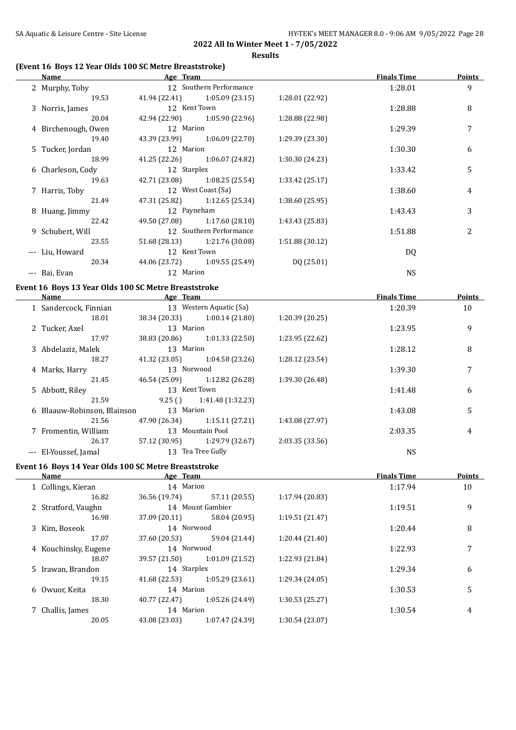## **(Event 16 Boys 12 Year Olds 100 SC Metre Breaststroke)**

| Name                                                 | Age Team      |                               |                 | <b>Finals Time</b> | <b>Points</b> |
|------------------------------------------------------|---------------|-------------------------------|-----------------|--------------------|---------------|
| 2 Murphy, Toby                                       |               | 12 Southern Performance       |                 | 1:28.01            | 9             |
| 19.53                                                |               | 41.94 (22.41) 1:05.09 (23.15) | 1:28.01 (22.92) |                    |               |
| 3 Norris, James                                      |               | 12 Kent Town                  |                 | 1:28.88            | 8             |
| 20.04                                                |               | 42.94 (22.90) 1:05.90 (22.96) | 1:28.88 (22.98) |                    |               |
| 4 Birchenough, Owen                                  | 12 Marion     |                               |                 | 1:29.39            | 7             |
| 19.40                                                |               | 43.39 (23.99) 1:06.09 (22.70) | 1:29.39 (23.30) |                    |               |
| 5 Tucker, Jordan                                     | 12 Marion     |                               |                 | 1:30.30            | 6             |
| 18.99                                                |               | 41.25 (22.26) 1:06.07 (24.82) | 1:30.30 (24.23) |                    |               |
| 6 Charleson, Cody                                    | 12 Starplex   |                               |                 | 1:33.42            | 5             |
| 19.63                                                |               | 42.71 (23.08) 1:08.25 (25.54) | 1:33.42 (25.17) |                    |               |
| 7 Harris, Toby                                       |               | 12 West Coast (Sa)            |                 | 1:38.60            | 4             |
| 21.49                                                |               | 47.31 (25.82) 1:12.65 (25.34) | 1:38.60 (25.95) |                    |               |
| 8 Huang, Jimmy                                       |               | 12 Payneham                   |                 | 1:43.43            | 3             |
| 22.42                                                |               | 49.50 (27.08) 1:17.60 (28.10) | 1:43.43 (25.83) |                    |               |
| 9 Schubert, Will                                     |               | 12 Southern Performance       |                 | 1:51.88            | 2             |
| 23.55                                                |               | 51.68 (28.13) 1:21.76 (30.08) | 1:51.88 (30.12) |                    |               |
| --- Liu, Howard                                      |               | 12 Kent Town                  |                 | DQ                 |               |
| 20.34                                                |               | 44.06 (23.72) 1:09.55 (25.49) | DQ (25.01)      |                    |               |
| --- Bai, Evan                                        | 12 Marion     |                               |                 | <b>NS</b>          |               |
| Event 16 Boys 13 Year Olds 100 SC Metre Breaststroke |               |                               |                 |                    |               |
| <b>Name</b><br><b>Example 2</b> Age Team             |               |                               |                 | <b>Finals Time</b> | <b>Points</b> |
| 1 Sandercock, Finnian                                |               | 13 Western Aquatic (Sa)       |                 | 1:20.39            | 10            |
| 18.01                                                |               | 38.34 (20.33) 1:00.14 (21.80) | 1:20.39(20.25)  |                    |               |
| 2 Tucker, Axel                                       | 13 Marion     |                               |                 | 1:23.95            | 9             |
| 17.97                                                | 38.83 (20.86) | 1:01.33(22.50)                | 1:23.95 (22.62) |                    |               |
| 3 Abdelaziz, Malek                                   | 13 Marion     |                               |                 | 1:28.12            | 8             |
| 18.27                                                | 41.32 (23.05) | 1:04.58 (23.26)               | 1:28.12 (23.54) |                    |               |
| 4 Marks, Harry                                       | 13 Norwood    |                               |                 | 1:39.30            | 7             |
| 21.45                                                | 46.54 (25.09) | 1:12.82 (26.28)               | 1:39.30 (26.48) |                    |               |
| 5 Abbott, Riley                                      |               | 13 Kent Town                  |                 | 1:41.48            | 6             |
| 21.59                                                | 9.25()        | 1:41.48 (1:32.23)             |                 |                    |               |
| 6 Blaauw-Robinson, Blainson                          | 13 Marion     |                               |                 | 1:43.08            | 5             |
| 21.56                                                | 47.90 (26.34) | 1:15.11(27.21)                | 1:43.08 (27.97) |                    |               |
| 7 Fromentin, William                                 |               | 13 Mountain Pool              |                 | 2:03.35            | 4             |
| 26.17                                                | 57.12 (30.95) | 1:29.79 (32.67)               | 2:03.35 (33.56) |                    |               |
| --- El-Youssef, Jamal                                |               | 13 Tea Tree Gully             |                 | <b>NS</b>          |               |
|                                                      |               |                               |                 |                    |               |
| Event 16 Boys 14 Year Olds 100 SC Metre Breaststroke |               |                               |                 |                    |               |
| <b>Name</b>                                          | Age Team      |                               |                 | <b>Finals Time</b> | <b>Points</b> |
| 1 Collings, Kieran                                   | 14 Marion     |                               |                 | 1:17.94            | 10            |
| 16.82                                                | 36.56 (19.74) | 57.11 (20.55)                 | 1:17.94 (20.83) |                    |               |
| 2 Stratford, Vaughn                                  |               | 14 Mount Gambier              |                 | 1:19.51            | 9             |
| 16.98                                                | 37.09 (20.11) | 58.04 (20.95)                 | 1:19.51 (21.47) |                    |               |
| 3 Kim, Boseok                                        | 14 Norwood    |                               |                 | 1:20.44            | 8             |
| 17.07                                                | 37.60 (20.53) | 59.04 (21.44)                 | 1:20.44 (21.40) |                    |               |
| 4 Kouchinsky, Eugene                                 | 14 Norwood    |                               |                 | 1:22.93            | 7             |
| 18.07                                                | 39.57 (21.50) | 1:01.09 (21.52)               | 1:22.93 (21.84) |                    |               |
| 5 Irawan, Brandon                                    | 14 Starplex   |                               |                 | 1:29.34            | 6             |

19.15 41.68 (22.53) 1:05.29 (23.61) 1:29.34 (24.05)

18.30 40.77 (22.47) 1:05.26 (24.49) 1:30.53 (25.27)

20.05 43.08 (23.03) 1:07.47 (24.39) 1:30.54 (23.07)

6 Owuor, Keita 14 Marion 1:30.53 5

7 Challis, James 14 Marion 14 Marion 1:30.54 4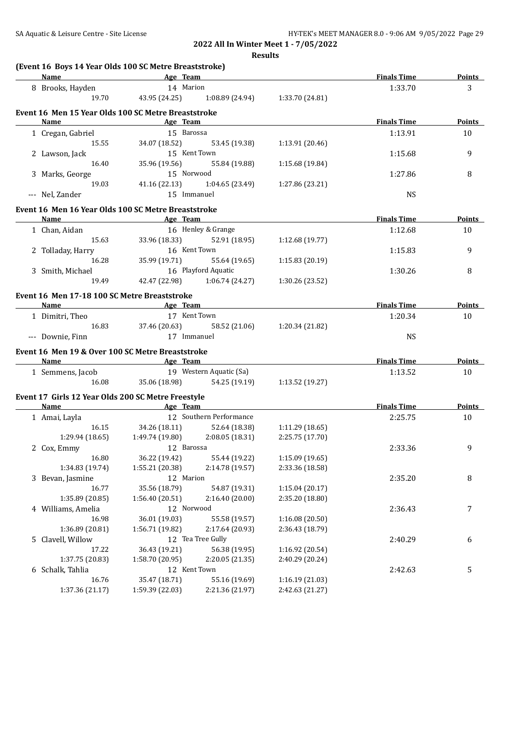| (Event 16 Boys 14 Year Olds 100 SC Metre Breaststroke)<br>Name | <b>Example 2016</b> Age Team      |                               |                 | <b>Finals Time</b> | <b>Points</b> |
|----------------------------------------------------------------|-----------------------------------|-------------------------------|-----------------|--------------------|---------------|
| 8 Brooks, Hayden                                               | 14 Marion                         |                               |                 | 1:33.70            | 3             |
| 19.70                                                          | 43.95 (24.25)                     | 1:08.89 (24.94)               | 1:33.70 (24.81) |                    |               |
|                                                                |                                   |                               |                 |                    |               |
| Event 16 Men 15 Year Olds 100 SC Metre Breaststroke<br>Name    | <u>Age Team</u>                   |                               |                 | <b>Finals Time</b> | <b>Points</b> |
| 1 Cregan, Gabriel                                              | 15 Barossa                        |                               |                 | 1:13.91            | 10            |
| 15.55                                                          | 34.07 (18.52)                     | 53.45 (19.38)                 |                 |                    |               |
|                                                                |                                   | 15 Kent Town                  | 1:13.91 (20.46) |                    | 9             |
| 2 Lawson, Jack<br>16.40                                        |                                   |                               |                 | 1:15.68            |               |
|                                                                | 35.96 (19.56)<br>15 Norwood       | 55.84 (19.88)                 | 1:15.68 (19.84) |                    |               |
| 3 Marks, George<br>19.03                                       | 41.16(22.13)                      | 1:04.65(23.49)                |                 | 1:27.86            | 8             |
|                                                                |                                   |                               | 1:27.86 (23.21) |                    |               |
| --- Nel, Zander                                                | 15 Immanuel                       |                               |                 | <b>NS</b>          |               |
| Event 16 Men 16 Year Olds 100 SC Metre Breaststroke            |                                   |                               |                 |                    |               |
| <b>Name</b>                                                    | <b>Example 2016</b> Team Age Team |                               |                 | <b>Finals Time</b> | <b>Points</b> |
| 1 Chan, Aidan                                                  |                                   | 16 Henley & Grange            |                 | 1:12.68            | 10            |
| 15.63                                                          |                                   | 33.96 (18.33) 52.91 (18.95)   | 1:12.68 (19.77) |                    |               |
| 2 Tolladay, Harry                                              | 16 Kent Town                      |                               |                 | 1:15.83            | 9             |
| 16.28                                                          |                                   | 35.99 (19.71) 55.64 (19.65)   | 1:15.83(20.19)  |                    |               |
| 3 Smith, Michael                                               | 16 Playford Aquatic               |                               |                 | 1:30.26            | 8             |
| 19.49                                                          |                                   | 42.47 (22.98) 1:06.74 (24.27) | 1:30.26 (23.52) |                    |               |
|                                                                |                                   |                               |                 |                    |               |
| Event 16 Men 17-18 100 SC Metre Breaststroke                   |                                   |                               |                 |                    |               |
| Name                                                           | <b>Example 2018</b> Age Team      |                               |                 | <b>Finals Time</b> | <b>Points</b> |
| 1 Dimitri, Theo                                                | 17 Kent Town                      |                               |                 | 1:20.34            | 10            |
| 16.83                                                          | 37.46 (20.63)                     | 58.52 (21.06)                 | 1:20.34 (21.82) |                    |               |
| --- Downie, Finn                                               | 17 Immanuel                       |                               |                 | <b>NS</b>          |               |
| Event 16 Men 19 & Over 100 SC Metre Breaststroke               |                                   |                               |                 |                    |               |
| Name Age Team                                                  |                                   |                               |                 | <b>Finals Time</b> | <b>Points</b> |
| 1 Semmens, Jacob                                               | 19 Western Aquatic (Sa)           |                               |                 | 1:13.52            | 10            |
| 16.08                                                          |                                   | 35.06 (18.98) 54.25 (19.19)   | 1:13.52 (19.27) |                    |               |
|                                                                |                                   |                               |                 |                    |               |
| Event 17 Girls 12 Year Olds 200 SC Metre Freestyle             |                                   |                               |                 |                    |               |
| Name                                                           | <b>Example 2</b> Age Team         |                               |                 | <b>Finals Time</b> | Points        |
| 1 Amai, Layla                                                  |                                   | 12 Southern Performance       |                 | 2:25.75            | 10            |
| 16.15                                                          |                                   | 34.26 (18.11) 52.64 (18.38)   | 1:11.29(18.65)  |                    |               |
| 1:29.94 (18.65)                                                | $1:49.74(19.80)$ $2:08.05(18.31)$ |                               | 2:25.75 (17.70) |                    |               |
| 2 Cox, Emmy                                                    | 12 Barossa                        |                               |                 | 2:33.36            | 9             |
| 16.80                                                          | 36.22 (19.42)                     | 55.44 (19.22)                 | 1:15.09 (19.65) |                    |               |
| 1:34.83 (19.74)                                                | 1:55.21 (20.38)                   | 2:14.78 (19.57)               | 2:33.36 (18.58) |                    |               |
| 3 Bevan, Jasmine                                               | 12 Marion                         |                               |                 | 2:35.20            | 8             |
| 16.77                                                          | 35.56 (18.79)                     | 54.87 (19.31)                 | 1:15.04(20.17)  |                    |               |
| 1:35.89 (20.85)                                                | 1:56.40(20.51)                    | 2:16.40 (20.00)               | 2:35.20 (18.80) |                    |               |
| 4 Williams, Amelia                                             | 12 Norwood                        |                               |                 | 2:36.43            | 7             |
| 16.98                                                          | 36.01 (19.03)                     | 55.58 (19.57)                 | 1:16.08 (20.50) |                    |               |
| 1:36.89 (20.81)                                                | 1:56.71 (19.82)                   | 2:17.64 (20.93)               | 2:36.43 (18.79) |                    |               |
| 5 Clavell, Willow                                              |                                   | 12 Tea Tree Gully             |                 | 2:40.29            | 6             |
| 17.22                                                          | 36.43 (19.21)                     | 56.38 (19.95)                 | 1:16.92 (20.54) |                    |               |
| 1:37.75 (20.83)                                                | 1:58.70 (20.95)                   | 2:20.05 (21.35)               | 2:40.29 (20.24) |                    |               |
| 6 Schalk, Tahlia                                               | 12 Kent Town                      |                               |                 | 2:42.63            | 5             |
| 16.76                                                          | 35.47 (18.71)                     | 55.16 (19.69)                 | 1:16.19 (21.03) |                    |               |
| 1:37.36 (21.17)                                                | 1:59.39 (22.03)                   | 2:21.36 (21.97)               | 2:42.63 (21.27) |                    |               |
|                                                                |                                   |                               |                 |                    |               |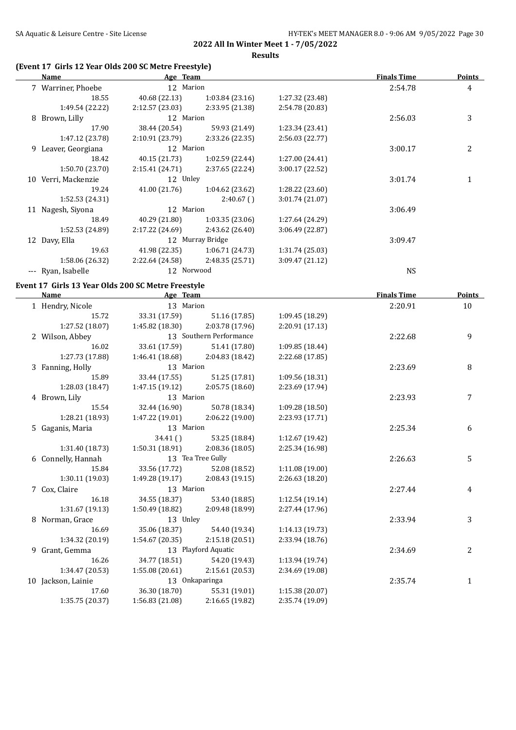**Results**

## **(Event 17 Girls 12 Year Olds 200 SC Metre Freestyle)**

|     | Name               | Age Team        |                  |                 | <b>Finals Time</b> | Points |
|-----|--------------------|-----------------|------------------|-----------------|--------------------|--------|
|     | 7 Warriner, Phoebe | 12 Marion       |                  |                 | 2:54.78            | 4      |
|     | 18.55              | 40.68 (22.13)   | 1:03.84(23.16)   | 1:27.32 (23.48) |                    |        |
|     | 1:49.54 (22.22)    | 2:12.57(23.03)  | 2:33.95 (21.38)  | 2:54.78 (20.83) |                    |        |
|     | 8 Brown, Lilly     | 12 Marion       |                  |                 | 2:56.03            | 3      |
|     | 17.90              | 38.44 (20.54)   | 59.93 (21.49)    | 1:23.34 (23.41) |                    |        |
|     | 1:47.12 (23.78)    | 2:10.91(23.79)  | 2:33.26 (22.35)  | 2:56.03(22.77)  |                    |        |
| 9.  | Leaver, Georgiana  | 12 Marion       |                  |                 | 3:00.17            | 2      |
|     | 18.42              | 40.15 (21.73)   | 1:02.59(22.44)   | 1:27.00 (24.41) |                    |        |
|     | 1:50.70 (23.70)    | 2:15.41(24.71)  | 2:37.65 (22.24)  | 3:00.17 (22.52) |                    |        |
| 10  | Verri, Mackenzie   | 12 Unley        |                  |                 | 3:01.74            |        |
|     | 19.24              | 41.00 (21.76)   | 1:04.62(23.62)   | 1:28.22 (23.60) |                    |        |
|     | 1:52.53(24.31)     |                 | 2:40.67(         | 3:01.74 (21.07) |                    |        |
|     | 11 Nagesh, Siyona  | 12 Marion       |                  |                 | 3:06.49            |        |
|     | 18.49              | 40.29 (21.80)   | 1:03.35(23.06)   | 1:27.64 (24.29) |                    |        |
|     | 1:52.53 (24.89)    | 2:17.22 (24.69) | 2:43.62 (26.40)  | 3:06.49 (22.87) |                    |        |
|     | 12 Davy, Ella      |                 | 12 Murray Bridge |                 | 3:09.47            |        |
|     | 19.63              | 41.98 (22.35)   | 1:06.71(24.73)   | 1:31.74(25.03)  |                    |        |
|     | 1:58.06 (26.32)    | 2:22.64 (24.58) | 2:48.35 (25.71)  | 3:09.47 (21.12) |                    |        |
| --- | Ryan, Isabelle     | 12 Norwood      |                  |                 | <b>NS</b>          |        |

## **Event 17 Girls 13 Year Olds 200 SC Metre Freestyle**

| Name               | Age Team        |                                   |                 | <b>Finals Time</b> | <b>Points</b> |
|--------------------|-----------------|-----------------------------------|-----------------|--------------------|---------------|
| 1 Hendry, Nicole   | 13 Marion       |                                   |                 | 2:20.91            | 10            |
| 15.72              | 33.31 (17.59)   | 51.16 (17.85)                     | 1:09.45 (18.29) |                    |               |
| 1:27.52 (18.07)    |                 | $1:45.82(18.30)$ $2:03.78(17.96)$ | 2:20.91 (17.13) |                    |               |
| 2 Wilson, Abbey    |                 | 13 Southern Performance           |                 | 2:22.68            | 9             |
| 16.02              | 33.61 (17.59)   | 51.41 (17.80)                     | 1:09.85 (18.44) |                    |               |
| 1:27.73 (17.88)    | 1:46.41 (18.68) | 2:04.83 (18.42)                   | 2:22.68 (17.85) |                    |               |
| 3 Fanning, Holly   | 13 Marion       |                                   |                 | 2:23.69            | 8             |
| 15.89              | 33.44 (17.55)   | 51.25 (17.81)                     | 1:09.56 (18.31) |                    |               |
| 1:28.03(18.47)     | 1:47.15 (19.12) | 2:05.75(18.60)                    | 2:23.69 (17.94) |                    |               |
| 4 Brown, Lily      | 13 Marion       |                                   |                 | 2:23.93            | 7             |
| 15.54              | 32.44 (16.90)   | 50.78 (18.34)                     | 1:09.28 (18.50) |                    |               |
| 1:28.21 (18.93)    |                 | $1:47.22(19.01)$ $2:06.22(19.00)$ | 2:23.93 (17.71) |                    |               |
| 5 Gaganis, Maria   | 13 Marion       |                                   |                 | 2:25.34            | 6             |
|                    | 34.41()         | 53.25 (18.84)                     | 1:12.67 (19.42) |                    |               |
| 1:31.40(18.73)     | 1:50.31(18.91)  | 2:08.36 (18.05)                   | 2:25.34 (16.98) |                    |               |
| 6 Connelly, Hannah |                 | 13 Tea Tree Gully                 |                 | 2:26.63            | 5             |
| 15.84              |                 | 33.56 (17.72) 52.08 (18.52)       | 1:11.08(19.00)  |                    |               |
| 1:30.11(19.03)     | 1:49.28 (19.17) | 2:08.43(19.15)                    | 2:26.63 (18.20) |                    |               |
| 7 Cox, Claire      | 13 Marion       |                                   |                 | 2:27.44            | 4             |
| 16.18              | 34.55 (18.37)   | 53.40 (18.85)                     | 1:12.54(19.14)  |                    |               |
| 1:31.67(19.13)     | 1:50.49 (18.82) | 2:09.48 (18.99)                   | 2:27.44 (17.96) |                    |               |
| 8 Norman, Grace    | 13 Unley        |                                   |                 | 2:33.94            | 3             |
| 16.69              | 35.06 (18.37)   | 54.40 (19.34)                     | 1:14.13 (19.73) |                    |               |
| 1:34.32 (20.19)    | 1:54.67(20.35)  | 2:15.18(20.51)                    | 2:33.94 (18.76) |                    |               |
| 9 Grant, Gemma     |                 | 13 Playford Aquatic               |                 | 2:34.69            | 2             |
| 16.26              |                 | 34.77 (18.51) 54.20 (19.43)       | 1:13.94 (19.74) |                    |               |
| 1:34.47(20.53)     |                 | $1:55.08(20.61)$ $2:15.61(20.53)$ | 2:34.69 (19.08) |                    |               |
| 10 Jackson, Lainie |                 | 13 Onkaparinga                    |                 | 2:35.74            | 1             |
| 17.60              | 36.30 (18.70)   | 55.31 (19.01)                     | 1:15.38(20.07)  |                    |               |
| 1:35.75 (20.37)    | 1:56.83 (21.08) | 2:16.65(19.82)                    | 2:35.74 (19.09) |                    |               |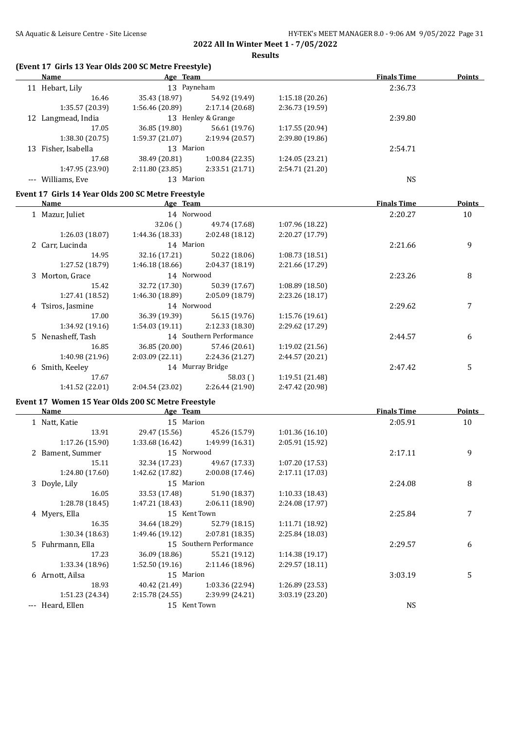# **2022 All In Winter Meet 1 - 7/05/2022**

**Results**

## **(Event 17 Girls 13 Year Olds 200 SC Metre Freestyle)**

| Name                                               | Age Team                        |                                   |                                    | <b>Finals Time</b> | <b>Points</b>    |
|----------------------------------------------------|---------------------------------|-----------------------------------|------------------------------------|--------------------|------------------|
| 11 Hebart, Lily                                    | 13 Payneham                     |                                   |                                    | 2:36.73            |                  |
| 16.46                                              |                                 | 35.43 (18.97) 54.92 (19.49)       | 1:15.18(20.26)                     |                    |                  |
| 1:35.57 (20.39)                                    |                                 | $1:56.46(20.89)$ $2:17.14(20.68)$ | 2:36.73 (19.59)                    |                    |                  |
| 12 Langmead, India                                 |                                 | 13 Henley & Grange                |                                    | 2:39.80            |                  |
| 17.05                                              |                                 | 36.85 (19.80) 56.61 (19.76)       | 1:17.55 (20.94)                    |                    |                  |
| 1:38.30(20.75)                                     |                                 | $1:59.37(21.07)$ $2:19.94(20.57)$ | 2:39.80 (19.86)                    |                    |                  |
| 13 Fisher, Isabella                                | 13 Marion                       |                                   |                                    | 2:54.71            |                  |
| 17.68                                              |                                 | 38.49 (20.81) 1:00.84 (22.35)     | 1:24.05 (23.21)                    |                    |                  |
| 1:47.95 (23.90)                                    | 2:11.80 (23.85) 2:33.51 (21.71) |                                   | 2:54.71 (21.20)                    |                    |                  |
| --- Williams, Eve                                  | 13 Marion                       |                                   |                                    | <b>NS</b>          |                  |
| Event 17 Girls 14 Year Olds 200 SC Metre Freestyle |                                 |                                   |                                    |                    |                  |
| Name                                               | <b>Example 2</b> Age Team       |                                   |                                    | <b>Finals Time</b> | <b>Points</b>    |
| 1 Mazur, Juliet                                    | 14 Norwood                      |                                   |                                    | 2:20.27            | 10               |
|                                                    | 32.06()                         | 49.74 (17.68)                     | 1:07.96 (18.22)                    |                    |                  |
| 1:26.03 (18.07)                                    | 1:44.36 (18.33)                 | 2:02.48 (18.12)                   | 2:20.27 (17.79)                    |                    |                  |
| 2 Carr, Lucinda                                    | 14 Marion                       |                                   |                                    | 2:21.66            | 9                |
| 14.95                                              |                                 | 32.16 (17.21) 50.22 (18.06)       | 1:08.73 (18.51)                    |                    |                  |
| 1:27.52 (18.79)                                    |                                 | $1:46.18(18.66)$ $2:04.37(18.19)$ | 2:21.66 (17.29)                    |                    |                  |
| 3 Morton, Grace                                    | 14 Norwood                      |                                   |                                    | 2:23.26            | 8                |
| 15.42                                              |                                 | 32.72 (17.30) 50.39 (17.67)       |                                    |                    |                  |
| 1:27.41 (18.52)                                    |                                 | $1:46.30(18.89)$ $2:05.09(18.79)$ | 1:08.89 (18.50)<br>2:23.26 (18.17) |                    |                  |
|                                                    | 14 Norwood                      |                                   |                                    | 2:29.62            |                  |
| 4 Tsiros, Jasmine                                  |                                 |                                   |                                    |                    | 7                |
| 17.00                                              |                                 | 36.39 (19.39) 56.15 (19.76)       | 1:15.76 (19.61)                    |                    |                  |
| 1:34.92 (19.16)                                    |                                 | $1:54.03(19.11)$ $2:12.33(18.30)$ | 2:29.62 (17.29)                    |                    |                  |
| 5 Nenasheff, Tash                                  |                                 | 14 Southern Performance           |                                    | 2:44.57            | 6                |
| 16.85                                              |                                 | 36.85 (20.00) 57.46 (20.61)       | 1:19.02 (21.56)                    |                    |                  |
| 1:40.98 (21.96)                                    |                                 | 2:03.09 (22.11) 2:24.36 (21.27)   | 2:44.57 (20.21)                    |                    |                  |
| 6 Smith, Keeley                                    | 14 Murray Bridge                |                                   |                                    | 2:47.42            | 5                |
| 17.67                                              |                                 | 58.03()                           | 1:19.51 (21.48)                    |                    |                  |
| 1:41.52 (22.01)                                    |                                 | 2:04.54 (23.02) 2:26.44 (21.90)   | 2:47.42 (20.98)                    |                    |                  |
| Event 17 Women 15 Year Olds 200 SC Metre Freestyle |                                 |                                   |                                    |                    |                  |
| <b>Name</b>                                        | <b>Example 2</b> Age Team       |                                   |                                    | <b>Finals Time</b> | <b>Points</b>    |
| 1 Natt, Katie                                      | 15 Marion                       |                                   |                                    | 2:05.91            | 10               |
| 13.91                                              | 29.47 (15.56) 45.26 (15.79)     |                                   | 1:01.36(16.10)                     |                    |                  |
| 1:17.26(15.90)                                     |                                 | $1:33.68(16.42)$ $1:49.99(16.31)$ | 2:05.91 (15.92)                    |                    |                  |
| 2 Bament, Summer                                   | 15 Norwood                      |                                   |                                    | 2:17.11            | $\boldsymbol{9}$ |
| 15.11                                              |                                 | 32.34 (17.23) 49.67 (17.33)       | 1:07.20 (17.53)                    |                    |                  |
| 1:24.80 (17.60)                                    | 1:42.62 (17.82)                 | 2:00.08 (17.46)                   | 2:17.11 (17.03)                    |                    |                  |
| 3 Doyle, Lily                                      | 15 Marion                       |                                   |                                    | 2:24.08            | $\, 8$           |
| 16.05                                              | 33.53 (17.48)                   | 51.90 (18.37)                     | 1:10.33 (18.43)                    |                    |                  |
| 1:28.78 (18.45)                                    | 1:47.21 (18.43)                 | 2:06.11 (18.90)                   | 2:24.08 (17.97)                    |                    |                  |
| 4 Myers, Ella                                      | 15 Kent Town                    |                                   |                                    | 2:25.84            | 7                |
| 16.35                                              | 34.64 (18.29)                   | 52.79 (18.15)                     | 1:11.71 (18.92)                    |                    |                  |
| 1:30.34 (18.63)                                    | 1:49.46 (19.12)                 | 2:07.81 (18.35)                   | 2:25.84 (18.03)                    |                    |                  |
| 5 Fuhrmann, Ella                                   |                                 | 15 Southern Performance           |                                    | 2:29.57            | 6                |
| 17.23                                              | 36.09 (18.86)                   | 55.21 (19.12)                     | 1:14.38 (19.17)                    |                    |                  |
| 1:33.34 (18.96)                                    | 1:52.50 (19.16)                 | 2:11.46 (18.96)                   | 2:29.57 (18.11)                    |                    |                  |
| 6 Arnott, Ailsa                                    | 15 Marion                       |                                   |                                    | 3:03.19            |                  |
|                                                    |                                 |                                   |                                    |                    | 5                |
| 18.93                                              | 40.42 (21.49)                   | 1:03.36 (22.94)                   | 1:26.89 (23.53)                    |                    |                  |
| 1:51.23 (24.34)                                    | 2:15.78 (24.55)                 | 2:39.99 (24.21)                   | 3:03.19 (23.20)                    |                    |                  |

--- Heard, Ellen NS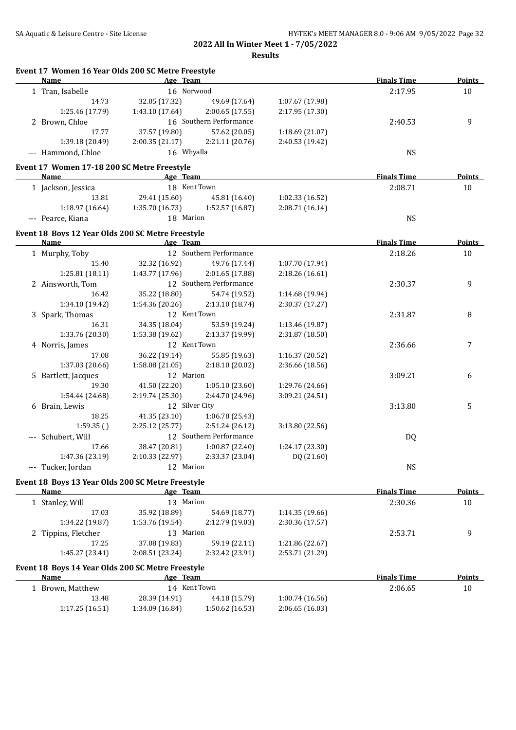| Event 17 Women 16 Year Olds 200 SC Metre Freestyle<br><b>Name</b> | Age Team        |                         |                 | <b>Finals Time</b> | <b>Points</b> |
|-------------------------------------------------------------------|-----------------|-------------------------|-----------------|--------------------|---------------|
| 1 Tran, Isabelle                                                  | 16 Norwood      |                         |                 | 2:17.95            | 10            |
| 14.73                                                             | 32.05 (17.32)   | 49.69 (17.64)           | 1:07.67 (17.98) |                    |               |
| 1:25.46 (17.79)                                                   | 1:43.10 (17.64) | 2:00.65 (17.55)         | 2:17.95 (17.30) |                    |               |
| 2 Brown, Chloe                                                    |                 | 16 Southern Performance |                 | 2:40.53            | 9             |
| 17.77                                                             | 37.57 (19.80)   | 57.62 (20.05)           | 1:18.69 (21.07) |                    |               |
| 1:39.18 (20.49)                                                   | 2:00.35(21.17)  | 2:21.11 (20.76)         | 2:40.53 (19.42) |                    |               |
| --- Hammond, Chloe                                                | 16 Whyalla      |                         |                 | NS                 |               |
| Event 17 Women 17-18 200 SC Metre Freestyle                       |                 |                         |                 |                    |               |
| Name                                                              | Age Team        |                         |                 | <b>Finals Time</b> | <b>Points</b> |
| 1 Jackson, Jessica                                                | 18 Kent Town    |                         |                 | 2:08.71            | 10            |
| 13.81                                                             | 29.41 (15.60)   | 45.81 (16.40)           | 1:02.33 (16.52) |                    |               |
| 1:18.97 (16.64)                                                   | 1:35.70(16.73)  | 1:52.57 (16.87)         | 2:08.71 (16.14) |                    |               |
| --- Pearce, Kiana                                                 | 18 Marion       |                         |                 | <b>NS</b>          |               |
| Event 18 Boys 12 Year Olds 200 SC Metre Freestyle                 |                 |                         |                 |                    |               |
| Name                                                              | Age Team        |                         |                 | <b>Finals Time</b> | <b>Points</b> |
| 1 Murphy, Toby                                                    |                 | 12 Southern Performance |                 | 2:18.26            | 10            |
| 15.40                                                             | 32.32 (16.92)   | 49.76 (17.44)           | 1:07.70 (17.94) |                    |               |
| 1:25.81(18.11)                                                    | 1:43.77 (17.96) | 2:01.65(17.88)          | 2:18.26(16.61)  |                    |               |
| 2 Ainsworth, Tom                                                  |                 | 12 Southern Performance |                 | 2:30.37            | 9             |
| 16.42                                                             | 35.22 (18.80)   | 54.74 (19.52)           | 1:14.68 (19.94) |                    |               |
| 1:34.10 (19.42)                                                   | 1:54.36 (20.26) | 2:13.10 (18.74)         | 2:30.37 (17.27) |                    |               |
| 3 Spark, Thomas                                                   | 12 Kent Town    |                         |                 | 2:31.87            | 8             |
| 16.31                                                             | 34.35 (18.04)   | 53.59 (19.24)           | 1:13.46 (19.87) |                    |               |
| 1:33.76 (20.30)                                                   | 1:53.38 (19.62) | 2:13.37 (19.99)         | 2:31.87 (18.50) |                    |               |
| 4 Norris, James                                                   | 12 Kent Town    |                         |                 | 2:36.66            | 7             |
| 17.08                                                             | 36.22 (19.14)   | 55.85 (19.63)           | 1:16.37 (20.52) |                    |               |
| 1:37.03 (20.66)                                                   | 1:58.08(21.05)  | 2:18.10 (20.02)         | 2:36.66 (18.56) |                    |               |
| 5 Bartlett, Jacques                                               | 12 Marion       |                         |                 | 3:09.21            | 6             |
| 19.30                                                             | 41.50 (22.20)   | 1:05.10(23.60)          | 1:29.76 (24.66) |                    |               |
| 1:54.44 (24.68)                                                   | 2:19.74(25.30)  | 2:44.70 (24.96)         | 3:09.21 (24.51) |                    |               |
| 6 Brain, Lewis                                                    | 12 Silver City  |                         |                 | 3:13.80            | 5             |
| 18.25                                                             | 41.35 (23.10)   | 1:06.78 (25.43)         |                 |                    |               |
| 1:59.35()                                                         | 2:25.12(25.77)  | 2:51.24(26.12)          | 3:13.80 (22.56) |                    |               |
| Schubert, Will                                                    |                 | 12 Southern Performance |                 | DQ                 |               |
| 17.66                                                             | 38.47 (20.81)   | 1:00.87 (22.40)         | 1:24.17 (23.30) |                    |               |
| 1:47.36 (23.19)                                                   | 2:10.33 (22.97) | 2:33.37 (23.04)         | DQ (21.60)      |                    |               |
| --- Tucker, Jordan                                                | 12 Marion       |                         |                 | <b>NS</b>          |               |
|                                                                   |                 |                         |                 |                    |               |
| Event 18 Boys 13 Year Olds 200 SC Metre Freestyle<br>Name         | Age Team        |                         |                 | <b>Finals Time</b> | <b>Points</b> |
| 1 Stanley, Will                                                   | 13 Marion       |                         |                 | 2:30.36            | 10            |
| 17.03                                                             | 35.92 (18.89)   | 54.69 (18.77)           | 1:14.35 (19.66) |                    |               |
| 1:34.22 (19.87)                                                   | 1:53.76 (19.54) | 2:12.79 (19.03)         | 2:30.36 (17.57) |                    |               |
| 2 Tippins, Fletcher                                               | 13 Marion       |                         |                 | 2:53.71            | 9             |
| 17.25                                                             | 37.08 (19.83)   | 59.19 (22.11)           | 1:21.86 (22.67) |                    |               |
| 1:45.27 (23.41)                                                   | 2:08.51 (23.24) | 2:32.42 (23.91)         | 2:53.71 (21.29) |                    |               |
|                                                                   |                 |                         |                 |                    |               |
| Event 18 Boys 14 Year Olds 200 SC Metre Freestyle<br>Name         | Age Team        |                         |                 | <b>Finals Time</b> | <b>Points</b> |
| 1 Brown, Matthew                                                  | 14 Kent Town    |                         |                 | 2:06.65            | 10            |
| 13.48                                                             | 28.39 (14.91)   | 44.18 (15.79)           | 1:00.74 (16.56) |                    |               |
| 1:17.25 (16.51)                                                   | 1:34.09 (16.84) | 1:50.62 (16.53)         | 2:06.65 (16.03) |                    |               |
|                                                                   |                 |                         |                 |                    |               |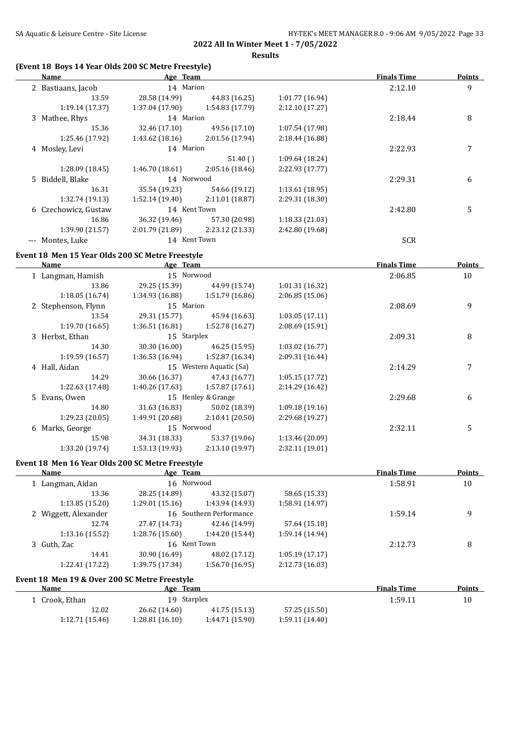**Results**

## **(Event 18 Boys 14 Year Olds 200 SC Metre Freestyle)**

| Name                 | Age Team        |                 |                 | <b>Finals Time</b> | <b>Points</b> |
|----------------------|-----------------|-----------------|-----------------|--------------------|---------------|
| 2 Bastiaans, Jacob   |                 | 14 Marion       |                 | 2:12.10            | 9             |
| 13.59                | 28.58 (14.99)   | 44.83 (16.25)   | 1:01.77 (16.94) |                    |               |
| 1:19.14(17.37)       | 1:37.04 (17.90) | 1:54.83 (17.79) | 2:12.10(17.27)  |                    |               |
| 3 Mathee, Rhys       | 14 Marion       |                 |                 | 2:18.44            | 8             |
| 15.36                | 32.46 (17.10)   | 49.56 (17.10)   | 1:07.54 (17.98) |                    |               |
| 1:25.46 (17.92)      | 1:43.62(18.16)  | 2:01.56 (17.94) | 2:18.44(16.88)  |                    |               |
| 4 Mosley, Levi       | 14 Marion       |                 |                 | 2:22.93            | 7             |
|                      |                 | 51.40()         | 1:09.64(18.24)  |                    |               |
| 1:28.09 (18.45)      | 1:46.70 (18.61) | 2:05.16(18.46)  | 2:22.93(17.77)  |                    |               |
| 5 Biddell, Blake     | 14 Norwood      |                 |                 | 2:29.31            | 6             |
| 16.31                | 35.54 (19.23)   | 54.66 (19.12)   | 1:13.61(18.95)  |                    |               |
| 1:32.74 (19.13)      | 1:52.14(19.40)  | 2:11.01 (18.87) | 2:29.31 (18.30) |                    |               |
| 6 Czechowicz, Gustaw | 14 Kent Town    |                 |                 | 2:42.80            | 5             |
| 16.86                | 36.32 (19.46)   | 57.30 (20.98)   | 1:18.33(21.03)  |                    |               |
| 1:39.90 (21.57)      | 2:01.79 (21.89) | 2:23.12 (21.33) | 2:42.80 (19.68) |                    |               |
| Montes, Luke         | 14 Kent Town    |                 |                 | <b>SCR</b>         |               |

## **Event 18 Men 15 Year Olds 200 SC Metre Freestyle**

 $\overline{a}$ 

| Name            |                                                                                                      |                 |                                                                                                                   | <b>Finals Time</b> | Points |
|-----------------|------------------------------------------------------------------------------------------------------|-----------------|-------------------------------------------------------------------------------------------------------------------|--------------------|--------|
|                 |                                                                                                      |                 |                                                                                                                   | 2:06.85            | 10     |
| 13.86           | 29.25 (15.39)                                                                                        | 44.99 (15.74)   | 1:01.31 (16.32)                                                                                                   |                    |        |
| 1:18.05(16.74)  | 1:34.93 (16.88)                                                                                      | 1:51.79 (16.86) | 2:06.85(15.06)                                                                                                    |                    |        |
|                 |                                                                                                      |                 |                                                                                                                   | 2:08.69            | 9      |
| 13.54           | 29.31 (15.77)                                                                                        | 45.94 (16.63)   | 1:03.05(17.11)                                                                                                    |                    |        |
| 1:19.70 (16.65) | 1:36.51(16.81)                                                                                       | 1:52.78(16.27)  | 2:08.69 (15.91)                                                                                                   |                    |        |
|                 |                                                                                                      |                 |                                                                                                                   | 2:09.31            | 8      |
| 14.30           | 30.30 (16.00)                                                                                        | 46.25 (15.95)   | 1:03.02(16.77)                                                                                                    |                    |        |
| 1:19.59(16.57)  | 1:36.53(16.94)                                                                                       | 1:52.87 (16.34) | 2:09.31 (16.44)                                                                                                   |                    |        |
| Hall, Aidan     |                                                                                                      |                 |                                                                                                                   | 2:14.29            | 7      |
| 14.29           | 30.66 (16.37)                                                                                        | 47.43 (16.77)   | 1:05.15(17.72)                                                                                                    |                    |        |
| 1:22.63 (17.48) | 1:40.26 (17.63)                                                                                      | 1:57.87(17.61)  | 2:14.29(16.42)                                                                                                    |                    |        |
|                 |                                                                                                      |                 |                                                                                                                   | 2:29.68            | 6      |
| 14.80           | 31.63 (16.83)                                                                                        | 50.02 (18.39)   | 1:09.18(19.16)                                                                                                    |                    |        |
| 1:29.23 (20.05) | 1:49.91 (20.68)                                                                                      | 2:10.41 (20.50) | 2:29.68 (19.27)                                                                                                   |                    |        |
|                 |                                                                                                      |                 |                                                                                                                   | 2:32.11            | 5      |
| 15.98           | 34.31 (18.33)                                                                                        | 53.37 (19.06)   | 1:13.46(20.09)                                                                                                    |                    |        |
| 1:33.20 (19.74) | 1:53.13 (19.93)                                                                                      | 2:13.10 (19.97) | 2:32.11 (19.01)                                                                                                   |                    |        |
|                 | 1 Langman, Hamish<br>2 Stephenson, Flynn<br>3 Herbst, Ethan<br>4<br>5 Evans, Owen<br>6 Marks, George |                 | Age Team<br>15 Norwood<br>15 Marion<br>15 Starplex<br>15 Western Aquatic (Sa)<br>15 Henley & Grange<br>15 Norwood |                    |        |

## **Event 18 Men 16 Year Olds 200 SC Metre Freestyle**

| Name                 | Age Team        |                         |                 | <b>Finals Time</b> | <b>Points</b> |
|----------------------|-----------------|-------------------------|-----------------|--------------------|---------------|
| 1 Langman, Aidan     | 16 Norwood      |                         |                 | 1:58.91            | 10            |
| 13.36                | 28.25 (14.89)   | 43.32 (15.07)           | 58.65 (15.33)   |                    |               |
| 1:13.85(15.20)       | 1:29.01(15.16)  | 1:43.94 (14.93)         | 1:58.91 (14.97) |                    |               |
| 2 Wiggett, Alexander |                 | 16 Southern Performance |                 | 1:59.14            | 9             |
| 12.74                | 27.47 (14.73)   | 42.46 (14.99)           | 57.64 (15.18)   |                    |               |
| 1:13.16(15.52)       | 1:28.76 (15.60) | 1:44.20 (15.44)         | 1:59.14 (14.94) |                    |               |
| 3 Guth, Zac          | 16 Kent Town    |                         |                 | 2:12.73            | 8             |
| 14.41                | 30.90 (16.49)   | 48.02 (17.12)           | 1:05.19(17.17)  |                    |               |
| 1:22.41 (17.22)      | 1:39.75 (17.34) | 1:56.70(16.95)          | 2:12.73(16.03)  |                    |               |
|                      |                 |                         |                 |                    |               |

# **Event 18 Men 19 & Over 200 SC Metre Freestyle**

| Name           | Team<br>Age    |                 |                | <b>Finals Time</b> | Points |
|----------------|----------------|-----------------|----------------|--------------------|--------|
| Crook. Ethan   | 19 Starplex    |                 |                | 1:59.11            |        |
| 12.02          | 26.62 (14.60)  | 41.75 (15.13)   | 57.25 (15.50)  |                    |        |
| 1:12.71(15.46) | 1:28.81(16.10) | 1:44.71 (15.90) | 1:59.11(14.40) |                    |        |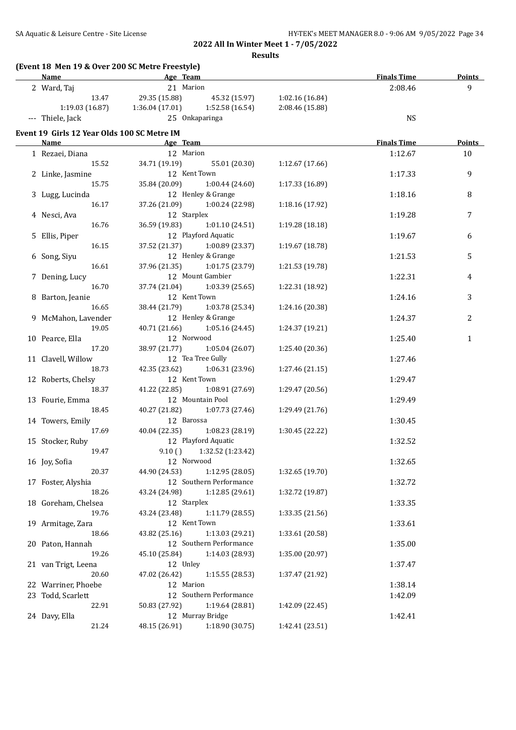**Results**

| (Event 18 Men 19 & Over 200 SC Metre Freestyle)<br>Name | <b>Example 2</b> Age Team                       |                         |                 | <b>Finals Time</b> | Points        |
|---------------------------------------------------------|-------------------------------------------------|-------------------------|-----------------|--------------------|---------------|
| 2 Ward, Taj                                             | 21 Marion                                       |                         |                 | 2:08.46            | 9             |
| 13.47                                                   | 29.35 (15.88)                                   | 45.32 (15.97)           | 1:02.16 (16.84) |                    |               |
|                                                         | 1:19.03 (16.87) 1:36.04 (17.01) 1:52.58 (16.54) |                         | 2:08.46 (15.88) |                    |               |
| --- Thiele, Jack                                        | 25 Onkaparinga                                  |                         |                 | <b>NS</b>          |               |
| Event 19 Girls 12 Year Olds 100 SC Metre IM             |                                                 |                         |                 |                    |               |
| <u>Name</u>                                             | <b>Example 2</b> Age Team                       |                         |                 | <b>Finals Time</b> | <b>Points</b> |
| 1 Rezaei, Diana                                         | 12 Marion                                       |                         |                 | 1:12.67            | 10            |
| 15.52                                                   | 34.71 (19.19) 55.01 (20.30)                     |                         | 1:12.67 (17.66) |                    |               |
| 2 Linke, Jasmine                                        | 12 Kent Town                                    |                         |                 | 1:17.33            | 9             |
| 15.75                                                   | 35.84 (20.09) 1:00.44 (24.60)                   |                         | 1:17.33 (16.89) |                    |               |
| 3 Lugg, Lucinda                                         | 12 Henley & Grange                              |                         |                 | 1:18.16            | 8             |
| 16.17                                                   | 37.26 (21.09) 1:00.24 (22.98)                   |                         | 1:18.16 (17.92) |                    |               |
| 4 Nesci, Ava                                            | 12 Starplex                                     |                         |                 | 1:19.28            | 7             |
| 16.76                                                   | 36.59 (19.83) 1:01.10 (24.51)                   |                         | 1:19.28 (18.18) |                    |               |
| 5 Ellis, Piper                                          | 12 Playford Aquatic                             |                         |                 | 1:19.67            | 6             |
| 16.15                                                   | 37.52 (21.37) 1:00.89 (23.37)                   |                         | 1:19.67 (18.78) |                    |               |
| 6 Song, Siyu                                            | 12 Henley & Grange                              |                         |                 | 1:21.53            | 5             |
| 16.61                                                   | 37.96 (21.35) 1:01.75 (23.79)                   |                         | 1:21.53 (19.78) |                    |               |
| 7 Dening, Lucy                                          | 12 Mount Gambier                                |                         |                 | 1:22.31            | 4             |
| 16.70                                                   | 37.74 (21.04) 1:03.39 (25.65)                   |                         | 1:22.31 (18.92) |                    |               |
| 8 Barton, Jeanie                                        | 12 Kent Town                                    |                         |                 | 1:24.16            | 3             |
| 16.65                                                   | 38.44 (21.79) 1:03.78 (25.34)                   |                         | 1:24.16 (20.38) |                    |               |
| 9 McMahon, Lavender                                     | 12 Henley & Grange                              |                         |                 | 1:24.37            | 2             |
| 19.05                                                   | 40.71 (21.66) 1:05.16 (24.45)                   |                         | 1:24.37 (19.21) |                    |               |
| 10 Pearce, Ella                                         | 12 Norwood                                      |                         |                 | 1:25.40            | $\mathbf{1}$  |
| 17.20                                                   | 38.97 (21.77)                                   | 1:05.04 (26.07)         | 1:25.40 (20.36) |                    |               |
| 11 Clavell, Willow                                      | 12 Tea Tree Gully                               |                         |                 | 1:27.46            |               |
| 18.73                                                   | 42.35 (23.62)                                   | 1:06.31 (23.96)         | 1:27.46 (21.15) |                    |               |
|                                                         | 12 Kent Town                                    |                         |                 |                    |               |
| 12 Roberts, Chelsy<br>18.37                             |                                                 |                         |                 | 1:29.47            |               |
|                                                         | 41.22 (22.85)<br>12 Mountain Pool               | 1:08.91 (27.69)         | 1:29.47 (20.56) |                    |               |
| 13 Fourie, Emma                                         |                                                 |                         |                 | 1:29.49            |               |
| 18.45                                                   | 40.27 (21.82)                                   | 1:07.73(27.46)          | 1:29.49 (21.76) |                    |               |
| 14 Towers, Emily                                        | 12 Barossa                                      |                         |                 | 1:30.45            |               |
| 17.69                                                   | 40.04 (22.35)                                   | 1:08.23 (28.19)         | 1:30.45 (22.22) |                    |               |
| 15 Stocker, Ruby                                        | 12 Playford Aquatic                             |                         |                 | 1:32.52            |               |
| 19.47                                                   | $9.10($ )                                       | 1:32.52 (1:23.42)       |                 |                    |               |
| 16 Joy, Sofia                                           | 12 Norwood                                      |                         |                 | 1:32.65            |               |
| 20.37                                                   | 44.90 (24.53)                                   | 1:12.95 (28.05)         | 1:32.65 (19.70) |                    |               |
| 17 Foster, Alyshia                                      |                                                 | 12 Southern Performance |                 | 1:32.72            |               |
| 18.26                                                   | 43.24 (24.98)                                   | 1:12.85 (29.61)         | 1:32.72 (19.87) |                    |               |
| 18 Goreham, Chelsea                                     | 12 Starplex                                     |                         |                 | 1:33.35            |               |
| 19.76                                                   | 43.24 (23.48)                                   | 1:11.79 (28.55)         | 1:33.35 (21.56) |                    |               |
| 19 Armitage, Zara                                       | 12 Kent Town                                    |                         |                 | 1:33.61            |               |
| 18.66                                                   | 43.82 (25.16)                                   | 1:13.03 (29.21)         | 1:33.61 (20.58) |                    |               |
| 20 Paton, Hannah                                        |                                                 | 12 Southern Performance |                 | 1:35.00            |               |
| 19.26                                                   | 45.10 (25.84)                                   | 1:14.03 (28.93)         | 1:35.00 (20.97) |                    |               |
| 21 van Trigt, Leena                                     | 12 Unley                                        |                         |                 | 1:37.47            |               |
| 20.60                                                   | 47.02 (26.42)                                   | 1:15.55 (28.53)         | 1:37.47 (21.92) |                    |               |
| 22 Warriner, Phoebe                                     | 12 Marion                                       |                         |                 | 1:38.14            |               |
| 23 Todd, Scarlett                                       | 12 Southern Performance                         |                         |                 | 1:42.09            |               |
| 22.91                                                   | 50.83 (27.92)                                   | 1:19.64 (28.81)         | 1:42.09 (22.45) |                    |               |
| 24 Davy, Ella                                           | 12 Murray Bridge                                |                         |                 | 1:42.41            |               |
| 21.24                                                   | 48.15 (26.91)                                   | 1:18.90 (30.75)         | 1:42.41 (23.51) |                    |               |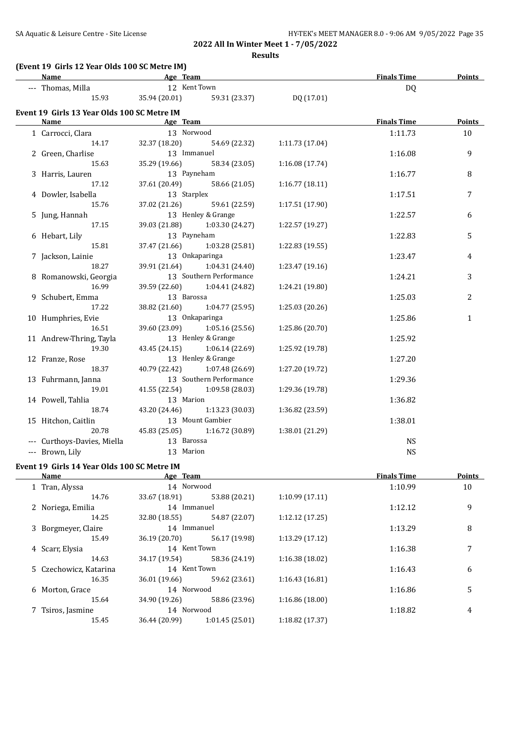**Results**

## **(Event 19 Girls 12 Year Olds 100 SC Metre IM)**

| Name                                        | <b>Example 2</b> Age Team |                         |                 | <b>Finals Time</b> | <b>Points</b> |
|---------------------------------------------|---------------------------|-------------------------|-----------------|--------------------|---------------|
| --- Thomas, Milla                           | 12 Kent Town              |                         |                 | <b>DQ</b>          |               |
| 15.93                                       | 35.94 (20.01)             | 59.31 (23.37)           | DQ (17.01)      |                    |               |
| Event 19 Girls 13 Year Olds 100 SC Metre IM |                           |                         |                 |                    |               |
| Name                                        | Age Team                  |                         |                 | <b>Finals Time</b> | Points        |
| 1 Carrocci, Clara                           | 13 Norwood                |                         |                 | 1:11.73            | 10            |
| 14.17                                       | 32.37 (18.20)             | 54.69 (22.32)           | 1:11.73(17.04)  |                    |               |
| 2 Green, Charlise                           | 13 Immanuel               |                         |                 | 1:16.08            | 9             |
| 15.63                                       | 35.29 (19.66)             | 58.34 (23.05)           | 1:16.08 (17.74) |                    |               |
| 3 Harris, Lauren                            | 13 Payneham               |                         |                 | 1:16.77            | 8             |
| 17.12                                       | 37.61 (20.49)             | 58.66 (21.05)           | 1:16.77(18.11)  |                    |               |
| 4 Dowler, Isabella                          | 13 Starplex               |                         |                 | 1:17.51            | 7             |
| 15.76                                       | 37.02 (21.26)             | 59.61 (22.59)           | 1:17.51 (17.90) |                    |               |
| 5 Jung, Hannah                              |                           | 13 Henley & Grange      |                 | 1:22.57            | 6             |
| 17.15                                       | 39.03 (21.88)             | 1:03.30 (24.27)         | 1:22.57 (19.27) |                    |               |
| 6 Hebart, Lily                              | 13 Payneham               |                         |                 | 1:22.83            | 5             |
| 15.81                                       | 37.47 (21.66)             | 1:03.28 (25.81)         | 1:22.83 (19.55) |                    |               |
| 7 Jackson, Lainie                           |                           | 13 Onkaparinga          |                 | 1:23.47            | 4             |
| 18.27                                       | 39.91 (21.64)             | 1:04.31 (24.40)         | 1:23.47 (19.16) |                    |               |
| 8 Romanowski, Georgia                       |                           | 13 Southern Performance |                 | 1:24.21            | 3             |
| 16.99                                       | 39.59 (22.60)             | 1:04.41 (24.82)         | 1:24.21 (19.80) |                    |               |
| 9 Schubert, Emma                            | 13 Barossa                |                         |                 | 1:25.03            | 2             |
| 17.22                                       | 38.82 (21.60)             | 1:04.77 (25.95)         | 1:25.03 (20.26) |                    |               |
| 10 Humphries, Evie                          |                           | 13 Onkaparinga          |                 | 1:25.86            | $\mathbf{1}$  |
| 16.51                                       | 39.60 (23.09)             | 1:05.16 (25.56)         | 1:25.86 (20.70) |                    |               |
| 11 Andrew-Thring, Tayla                     |                           | 13 Henley & Grange      |                 | 1:25.92            |               |
| 19.30                                       | 43.45 (24.15)             | 1:06.14(22.69)          | 1:25.92 (19.78) |                    |               |
| 12 Franze, Rose                             |                           | 13 Henley & Grange      |                 | 1:27.20            |               |
| 18.37                                       | 40.79 (22.42)             | 1:07.48 (26.69)         | 1:27.20 (19.72) |                    |               |
| 13 Fuhrmann, Janna                          |                           | 13 Southern Performance |                 | 1:29.36            |               |
| 19.01                                       | 41.55 (22.54)             | 1:09.58 (28.03)         | 1:29.36 (19.78) |                    |               |
| 14 Powell, Tahlia                           | 13 Marion                 |                         |                 | 1:36.82            |               |
| 18.74                                       | 43.20 (24.46)             | 1:13.23 (30.03)         | 1:36.82 (23.59) |                    |               |
| 15 Hitchon, Caitlin                         |                           | 13 Mount Gambier        |                 | 1:38.01            |               |
| 20.78                                       | 45.83 (25.05)             | 1:16.72 (30.89)         | 1:38.01 (21.29) |                    |               |
| --- Curthoys-Davies, Miella                 | 13 Barossa                |                         |                 | <b>NS</b>          |               |
| --- Brown, Lily                             | 13 Marion                 |                         |                 | <b>NS</b>          |               |
|                                             |                           |                         |                 |                    |               |

# **Event 19 Girls 14 Year Olds 100 SC Metre IM**

| Name                   | Age Team      |                |                 | <b>Finals Time</b> | <b>Points</b> |
|------------------------|---------------|----------------|-----------------|--------------------|---------------|
| 1 Tran, Alyssa         | 14 Norwood    |                |                 | 1:10.99            | 10            |
| 14.76                  | 33.67 (18.91) | 53.88 (20.21)  | 1:10.99(17.11)  |                    |               |
| 2 Noriega, Emilia      |               | 14 Immanuel    |                 | 1:12.12            | 9             |
| 14.25                  | 32.80 (18.55) | 54.87 (22.07)  | 1:12.12(17.25)  |                    |               |
| 3 Borgmeyer, Claire    | 14 Immanuel   |                |                 | 1:13.29            | 8             |
| 15.49                  | 36.19 (20.70) | 56.17 (19.98)  | 1:13.29(17.12)  |                    |               |
| 4 Scarr, Elysia        | 14 Kent Town  |                |                 | 1:16.38            | 7             |
| 14.63                  | 34.17 (19.54) | 58.36 (24.19)  | 1:16.38(18.02)  |                    |               |
| 5 Czechowicz, Katarina | 14 Kent Town  |                |                 | 1:16.43            | 6             |
| 16.35                  | 36.01 (19.66) | 59.62 (23.61)  | 1:16.43(16.81)  |                    |               |
| 6 Morton, Grace        | 14 Norwood    |                |                 | 1:16.86            | 5             |
| 15.64                  | 34.90 (19.26) | 58.86 (23.96)  | 1:16.86(18.00)  |                    |               |
| 7 Tsiros, Jasmine      | 14 Norwood    |                |                 | 1:18.82            | 4             |
| 15.45                  | 36.44 (20.99) | 1:01.45(25.01) | 1:18.82 (17.37) |                    |               |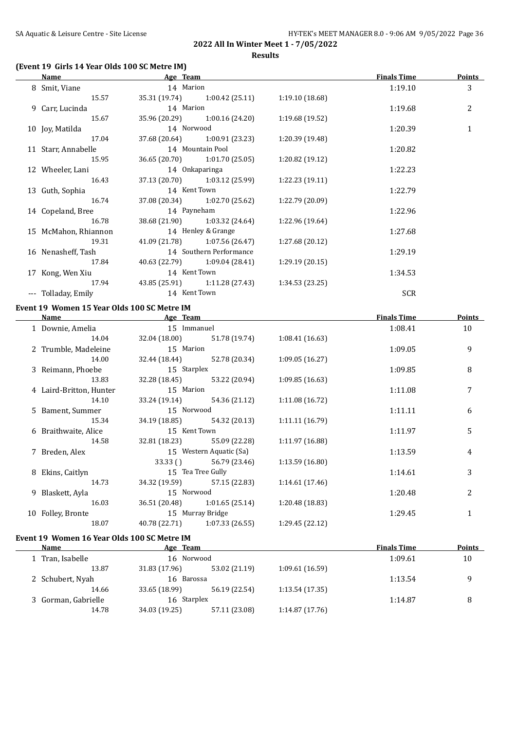## **(Event 19 Girls 14 Year Olds 100 SC Metre IM)**

| Name                 | Age Team           |                                |                 | <b>Finals Time</b> | <b>Points</b> |
|----------------------|--------------------|--------------------------------|-----------------|--------------------|---------------|
| 8 Smit, Viane        | 14 Marion          |                                |                 | 1:19.10            | 3             |
| 15.57                |                    | 35.31 (19.74) 1:00.42 (25.11)  | 1:19.10 (18.68) |                    |               |
| 9 Carr, Lucinda      | 14 Marion          |                                |                 | 1:19.68            | 2             |
| 15.67                |                    | 35.96 (20.29) 1:00.16 (24.20)  | 1:19.68 (19.52) |                    |               |
| 10 Joy, Matilda      | 14 Norwood         |                                |                 | 1:20.39            | 1             |
| 17.04                |                    | 37.68 (20.64) 1:00.91 (23.23)  | 1:20.39 (19.48) |                    |               |
| 11 Starr, Annabelle  |                    | 14 Mountain Pool               |                 | 1:20.82            |               |
| 15.95                |                    | $36.65(20.70)$ 1:01.70 (25.05) | 1:20.82 (19.12) |                    |               |
| 12 Wheeler, Lani     |                    | 14 Onkaparinga                 |                 | 1:22.23            |               |
| 16.43                |                    | 37.13 (20.70) 1:03.12 (25.99)  | 1:22.23(19.11)  |                    |               |
| 13 Guth, Sophia      | 14 Kent Town       |                                |                 | 1:22.79            |               |
| 16.74                |                    | 37.08 (20.34) 1:02.70 (25.62)  | 1:22.79 (20.09) |                    |               |
| 14 Copeland, Bree    | 14 Payneham        |                                |                 | 1:22.96            |               |
| 16.78                |                    | 38.68 (21.90) 1:03.32 (24.64)  | 1:22.96 (19.64) |                    |               |
| 15 McMahon, Rhiannon | 14 Henley & Grange |                                |                 | 1:27.68            |               |
| 19.31                |                    | 41.09 (21.78) 1:07.56 (26.47)  | 1:27.68(20.12)  |                    |               |
| 16 Nenasheff, Tash   |                    | 14 Southern Performance        |                 | 1:29.19            |               |
| 17.84                |                    | 40.63 (22.79) 1:09.04 (28.41)  | 1:29.19 (20.15) |                    |               |
| 17 Kong, Wen Xiu     | 14 Kent Town       |                                |                 | 1:34.53            |               |
| 17.94                |                    | 43.85 (25.91) 1:11.28 (27.43)  | 1:34.53(23.25)  |                    |               |
| --- Tolladay, Emily  | 14 Kent Town       |                                |                 | <b>SCR</b>         |               |

## **Event 19 Women 15 Year Olds 100 SC Metre IM**

| Name                    | Age Team         |                                 |                 | <b>Finals Time</b> | <b>Points</b>  |
|-------------------------|------------------|---------------------------------|-----------------|--------------------|----------------|
| 1 Downie, Amelia        | 15 Immanuel      |                                 |                 | 1:08.41            | 10             |
| 14.04                   |                  | 32.04 (18.00) 51.78 (19.74)     | 1:08.41(16.63)  |                    |                |
| 2 Trumble, Madeleine    | 15 Marion        |                                 |                 | 1:09.05            | 9              |
| 14.00                   |                  | 32.44 (18.44) 52.78 (20.34)     | 1:09.05(16.27)  |                    |                |
| 3 Reimann, Phoebe       | 15 Starplex      |                                 |                 | 1:09.85            | 8              |
| 13.83                   |                  | 32.28 (18.45) 53.22 (20.94)     | 1:09.85(16.63)  |                    |                |
| 4 Laird-Britton, Hunter | 15 Marion        |                                 |                 | 1:11.08            | 7              |
| 14.10                   |                  | 33.24 (19.14) 54.36 (21.12)     | 1:11.08(16.72)  |                    |                |
| 5 Bament, Summer        | 15 Norwood       |                                 |                 | 1:11.11            | 6              |
| 15.34                   |                  | 34.19 (18.85) 54.32 (20.13)     | 1:11.11(16.79)  |                    |                |
| 6 Braithwaite, Alice    | 15 Kent Town     |                                 |                 | 1:11.97            | 5              |
| 14.58                   |                  | 32.81 (18.23) 55.09 (22.28)     | 1:11.97(16.88)  |                    |                |
| 7 Breden, Alex          |                  | 15 Western Aquatic (Sa)         |                 | 1:13.59            | $\overline{4}$ |
|                         |                  | 33.33 () 56.79 (23.46)          | 1:13.59(16.80)  |                    |                |
| 8 Ekins, Caitlyn        |                  | 15 Tea Tree Gully               |                 | 1:14.61            | 3              |
| 14.73                   |                  | 34.32 (19.59) 57.15 (22.83)     | 1:14.61(17.46)  |                    |                |
| 9 Blaskett, Ayla        | 15 Norwood       |                                 |                 | 1:20.48            | 2              |
| 16.03                   |                  | 36.51 (20.48) 1:01.65 (25.14)   | 1:20.48(18.83)  |                    |                |
| 10 Folley, Bronte       | 15 Murray Bridge |                                 |                 | 1:29.45            | $\mathbf{1}$   |
| 18.07                   |                  | $40.78(22.71)$ $1:07.33(26.55)$ | 1:29.45 (22.12) |                    |                |

## **Event 19 Women 16 Year Olds 100 SC Metre IM**

| Name                | Age Team      |               |                | <b>Finals Time</b> | <b>Points</b> |
|---------------------|---------------|---------------|----------------|--------------------|---------------|
| 1 Tran, Isabelle    | 16 Norwood    |               |                | 1:09.61            | 10            |
| 13.87               | 31.83 (17.96) | 53.02 (21.19) | 1:09.61(16.59) |                    |               |
| 2 Schubert, Nyah    | 16 Barossa    |               |                | 1:13.54            | q             |
| 14.66               | 33.65 (18.99) | 56.19 (22.54) | 1:13.54(17.35) |                    |               |
| 3 Gorman, Gabrielle | 16 Starplex   |               |                | 1:14.87            | 8             |
| 14.78               | 34.03 (19.25) | 57.11 (23.08) | 1:14.87(17.76) |                    |               |
|                     |               |               |                |                    |               |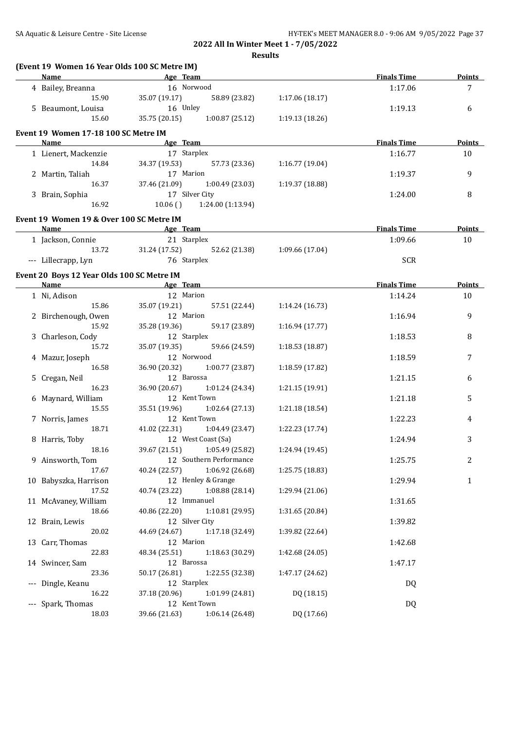**Results**

| Name                                             | and the same state of the Age Team                                                                                                                                                                                                   |                 | <b>Finals Time</b> | Points        |
|--------------------------------------------------|--------------------------------------------------------------------------------------------------------------------------------------------------------------------------------------------------------------------------------------|-----------------|--------------------|---------------|
| 4 Bailey, Breanna                                | 16 Norwood                                                                                                                                                                                                                           |                 | 1:17.06            | 7             |
| 15.90                                            | 35.07 (19.17)<br>58.89 (23.82)                                                                                                                                                                                                       | 1:17.06 (18.17) |                    |               |
| 5 Beaumont, Louisa                               | 16 Unley                                                                                                                                                                                                                             |                 | 1:19.13            | 6             |
| 15.60                                            | 35.75 (20.15)<br>1:00.87(25.12)                                                                                                                                                                                                      | 1:19.13(18.26)  |                    |               |
| Event 19 Women 17-18 100 SC Metre IM             |                                                                                                                                                                                                                                      |                 |                    |               |
| <b>Name</b>                                      | <u>Age Team and the set of the set of the set of the set of the set of the set of the set of the set of the set of the set of the set of the set of the set of the set of the set of the set of the set of the set of the set of</u> |                 | <b>Finals Time</b> | <b>Points</b> |
| 1 Lienert, Mackenzie                             | 17 Starplex                                                                                                                                                                                                                          |                 | 1:16.77            | 10            |
| 14.84                                            | 34.37 (19.53)<br>57.73 (23.36)                                                                                                                                                                                                       | 1:16.77 (19.04) |                    |               |
| 2 Martin, Taliah                                 | 17 Marion                                                                                                                                                                                                                            |                 | 1:19.37            | 9             |
| 16.37                                            | 37.46 (21.09)<br>1:00.49(23.03)                                                                                                                                                                                                      | 1:19.37 (18.88) |                    |               |
| 3 Brain, Sophia                                  | 17 Silver City                                                                                                                                                                                                                       |                 | 1:24.00            | 8             |
| 16.92                                            | 10.06()<br>1:24.00 (1:13.94)                                                                                                                                                                                                         |                 |                    |               |
|                                                  |                                                                                                                                                                                                                                      |                 |                    |               |
| Event 19 Women 19 & Over 100 SC Metre IM<br>Name | <b>Age Team</b>                                                                                                                                                                                                                      |                 | <b>Finals Time</b> | Points        |
|                                                  | 21 Starplex                                                                                                                                                                                                                          |                 |                    |               |
| 1 Jackson, Connie                                |                                                                                                                                                                                                                                      |                 | 1:09.66            | 10            |
| 13.72                                            | 31.24 (17.52)<br>52.62 (21.38)                                                                                                                                                                                                       | 1:09.66 (17.04) |                    |               |
| --- Lillecrapp, Lyn                              | 76 Starplex                                                                                                                                                                                                                          |                 | <b>SCR</b>         |               |
| Event 20 Boys 12 Year Olds 100 SC Metre IM       |                                                                                                                                                                                                                                      |                 |                    |               |
| Name                                             | <b>Example 2</b> Age Team                                                                                                                                                                                                            |                 | <b>Finals Time</b> | <b>Points</b> |
| 1 Ni, Adison                                     | 12 Marion                                                                                                                                                                                                                            |                 | 1:14.24            | 10            |
| 15.86                                            | 35.07 (19.21)<br>57.51 (22.44)                                                                                                                                                                                                       | 1:14.24(16.73)  |                    |               |
| 2 Birchenough, Owen                              | 12 Marion                                                                                                                                                                                                                            |                 | 1:16.94            | 9             |
| 15.92                                            | 35.28 (19.36)<br>59.17 (23.89)                                                                                                                                                                                                       | 1:16.94(17.77)  |                    |               |
| 3 Charleson, Cody                                | 12 Starplex                                                                                                                                                                                                                          |                 | 1:18.53            | 8             |
| 15.72                                            | 35.07 (19.35)<br>59.66 (24.59)                                                                                                                                                                                                       | 1:18.53(18.87)  |                    |               |
| 4 Mazur, Joseph                                  | 12 Norwood                                                                                                                                                                                                                           |                 | 1:18.59            | 7             |
| 16.58                                            | 1:00.77(23.87)<br>36.90 (20.32)                                                                                                                                                                                                      | 1:18.59 (17.82) |                    |               |
| 5 Cregan, Neil                                   | 12 Barossa                                                                                                                                                                                                                           |                 | 1:21.15            | 6             |
| 16.23                                            | 36.90 (20.67)<br>1:01.24 (24.34)                                                                                                                                                                                                     | 1:21.15 (19.91) |                    |               |
| 6 Maynard, William                               | 12 Kent Town                                                                                                                                                                                                                         |                 | 1:21.18            | 5             |
| 15.55                                            | 35.51 (19.96) 1:02.64 (27.13)                                                                                                                                                                                                        | 1:21.18 (18.54) |                    |               |
| 7 Norris, James                                  | 12 Kent Town                                                                                                                                                                                                                         |                 | 1:22.23            | 4             |
| 18.71                                            | 41.02 (22.31) 1:04.49 (23.47)                                                                                                                                                                                                        | 1:22.23 (17.74) |                    |               |
| 8 Harris, Toby                                   | 12 West Coast (Sa)                                                                                                                                                                                                                   |                 | 1:24.94            | 3             |
| 18.16                                            | 39.67 (21.51) 1:05.49 (25.82)                                                                                                                                                                                                        | 1:24.94 (19.45) |                    |               |
| 9 Ainsworth, Tom                                 | 12 Southern Performance                                                                                                                                                                                                              |                 | 1:25.75            | 2             |
| 17.67                                            | 40.24 (22.57)<br>1:06.92 (26.68)                                                                                                                                                                                                     | 1:25.75 (18.83) |                    |               |
| 10 Babyszka, Harrison                            | 12 Henley & Grange                                                                                                                                                                                                                   |                 | 1:29.94            | $\mathbf{1}$  |
| 17.52                                            | 40.74 (23.22)<br>1:08.88 (28.14)                                                                                                                                                                                                     | 1:29.94 (21.06) |                    |               |
| 11 McAvaney, William                             | 12 Immanuel                                                                                                                                                                                                                          |                 | 1:31.65            |               |
| 18.66                                            | 40.86 (22.20)<br>1:10.81 (29.95)                                                                                                                                                                                                     | 1:31.65 (20.84) |                    |               |
| 12 Brain, Lewis                                  | 12 Silver City                                                                                                                                                                                                                       |                 | 1:39.82            |               |
| 20.02                                            | 44.69 (24.67)<br>1:17.18 (32.49)                                                                                                                                                                                                     | 1:39.82 (22.64) |                    |               |
| 13 Carr, Thomas                                  | 12 Marion                                                                                                                                                                                                                            |                 | 1:42.68            |               |
| 22.83                                            | 48.34 (25.51)<br>1:18.63 (30.29)                                                                                                                                                                                                     | 1:42.68 (24.05) |                    |               |
| 14 Swincer, Sam                                  | 12 Barossa                                                                                                                                                                                                                           |                 | 1:47.17            |               |
| 23.36                                            | 50.17 (26.81)<br>1:22.55 (32.38)                                                                                                                                                                                                     | 1:47.17 (24.62) |                    |               |
| --- Dingle, Keanu                                | 12 Starplex                                                                                                                                                                                                                          |                 | DQ                 |               |
| 16.22                                            |                                                                                                                                                                                                                                      | DQ (18.15)      |                    |               |
|                                                  | 37.18 (20.96)<br>1:01.99 (24.81)<br>12 Kent Town                                                                                                                                                                                     |                 |                    |               |
| --- Spark, Thomas<br>18.03                       | 39.66 (21.63)<br>1:06.14 (26.48)                                                                                                                                                                                                     | DQ (17.66)      | DQ                 |               |
|                                                  |                                                                                                                                                                                                                                      |                 |                    |               |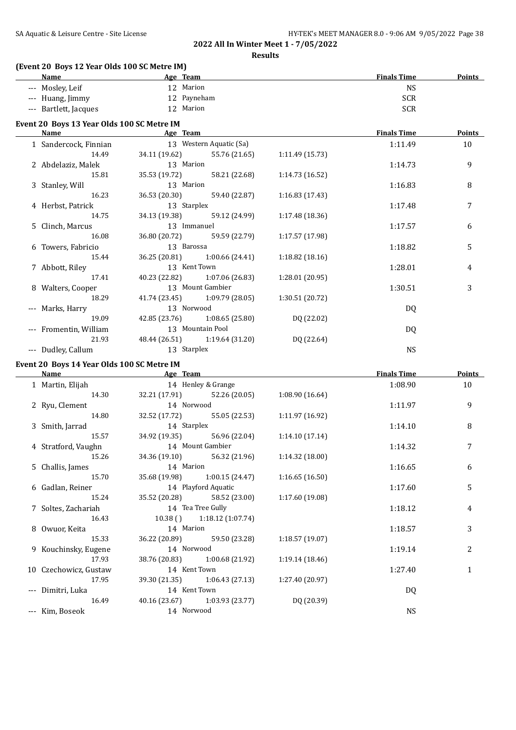**Results**

## **(Event 20 Boys 12 Year Olds 100 SC Metre IM)**

| <b>Name</b>                                | Age Team                         |                 | <b>Finals Time</b> | <b>Points</b>  |
|--------------------------------------------|----------------------------------|-----------------|--------------------|----------------|
| --- Mosley, Leif                           | 12 Marion                        |                 | <b>NS</b>          |                |
| --- Huang, Jimmy                           | 12 Payneham                      |                 | <b>SCR</b>         |                |
| --- Bartlett, Jacques                      | 12 Marion                        |                 | <b>SCR</b>         |                |
|                                            |                                  |                 |                    |                |
| Event 20 Boys 13 Year Olds 100 SC Metre IM |                                  |                 | <b>Finals Time</b> | <b>Points</b>  |
| 1 Sandercock, Finnian                      | 13 Western Aquatic (Sa)          |                 | 1:11.49            | 10             |
| 14.49                                      | 34.11 (19.62) 55.76 (21.65)      | 1:11.49 (15.73) |                    |                |
| 2 Abdelaziz, Malek                         | 13 Marion                        |                 | 1:14.73            | 9              |
| 15.81                                      | 35.53 (19.72) 58.21 (22.68)      | 1:14.73 (16.52) |                    |                |
| 3 Stanley, Will                            | 13 Marion                        |                 | 1:16.83            | 8              |
| 16.23                                      | 36.53 (20.30)<br>59.40 (22.87)   | 1:16.83 (17.43) |                    |                |
| 4 Herbst, Patrick                          | 13 Starplex                      |                 | 1:17.48            | 7              |
| 14.75                                      | 34.13 (19.38)<br>59.12 (24.99)   | 1:17.48 (18.36) |                    |                |
| 5 Clinch, Marcus                           | 13 Immanuel                      |                 | 1:17.57            | 6              |
| 16.08                                      | 36.80 (20.72) 59.59 (22.79)      | 1:17.57 (17.98) |                    |                |
|                                            | 13 Barossa                       |                 | 1:18.82            | 5              |
| 6 Towers, Fabricio<br>15.44                |                                  | 1:18.82 (18.16) |                    |                |
|                                            | 36.25 (20.81) 1:00.66 (24.41)    |                 |                    |                |
| 7 Abbott, Riley                            | 13 Kent Town                     |                 | 1:28.01            | 4              |
| 17.41                                      | 40.23 (22.82) 1:07.06 (26.83)    | 1:28.01 (20.95) |                    |                |
| 8 Walters, Cooper                          | 13 Mount Gambier                 |                 | 1:30.51            | 3              |
| 18.29                                      | 41.74 (23.45) 1:09.79 (28.05)    | 1:30.51 (20.72) |                    |                |
| --- Marks, Harry                           | 13 Norwood                       |                 | DQ                 |                |
| 19.09                                      | 42.85 (23.76) 1:08.65 (25.80)    | DQ (22.02)      |                    |                |
| --- Fromentin, William                     | 13 Mountain Pool                 |                 | DQ                 |                |
| 21.93                                      | 48.44 (26.51) 1:19.64 (31.20)    | DQ (22.64)      |                    |                |
| --- Dudley, Callum                         | 13 Starplex                      |                 | <b>NS</b>          |                |
| Event 20 Boys 14 Year Olds 100 SC Metre IM |                                  |                 |                    |                |
| Name Age Team                              |                                  |                 | <b>Finals Time</b> | Points         |
| 1 Martin, Elijah                           | 14 Henley & Grange               |                 | 1:08.90            | 10             |
| 14.30                                      | 32.21 (17.91) 52.26 (20.05)      | 1:08.90 (16.64) |                    |                |
| 2 Ryu, Clement                             | 14 Norwood                       |                 | 1:11.97            | 9              |
| 14.80                                      | 32.52 (17.72) 55.05 (22.53)      | 1:11.97 (16.92) |                    |                |
| 3 Smith, Jarrad                            | 14 Starplex                      |                 | 1:14.10            | 8              |
| 15.57                                      | 34.92 (19.35) 56.96 (22.04)      | 1:14.10 (17.14) |                    |                |
| 4 Stratford, Vaughn                        | 14 Mount Gambier                 |                 | 1:14.32            | 7              |
| 15.26                                      | 34.36 (19.10) 56.32 (21.96)      | 1:14.32(18.00)  |                    |                |
| 5 Challis, James                           | 14 Marion                        |                 | 1:16.65            | 6              |
| 15.70                                      | 35.68 (19.98)<br>1:00.15(24.47)  | 1:16.65(16.50)  |                    |                |
| 6 Gadlan, Reiner                           | 14 Playford Aquatic              |                 | 1:17.60            | 5              |
| 15.24                                      | 35.52 (20.28)<br>58.52 (23.00)   | 1:17.60 (19.08) |                    |                |
| 7 Soltes, Zachariah                        | 14 Tea Tree Gully                |                 | 1:18.12            | 4              |
| 16.43                                      | 1:18.12 (1:07.74)<br>10.38()     |                 |                    |                |
| 8 Owuor, Keita                             | 14 Marion                        |                 | 1:18.57            | 3              |
| 15.33                                      | 36.22 (20.89)<br>59.50 (23.28)   | 1:18.57 (19.07) |                    |                |
| 9 Kouchinsky, Eugene                       | 14 Norwood                       |                 | 1:19.14            | $\overline{c}$ |
| 17.93                                      | 38.76 (20.83)<br>1:00.68 (21.92) | 1:19.14 (18.46) |                    |                |
| 10 Czechowicz, Gustaw                      | 14 Kent Town                     |                 | 1:27.40            | $\mathbf{1}$   |
| 17.95                                      | 1:06.43 (27.13)<br>39.30 (21.35) | 1:27.40 (20.97) |                    |                |
| --- Dimitri, Luka                          | 14 Kent Town                     |                 | <b>DQ</b>          |                |

--- Dimitri, Luka 14 Kent Town DQ 16.49 40.16 (23.67) 1:03.93 (23.77) DQ (20.39)

--- Kim, Boseok 14 Norwood NS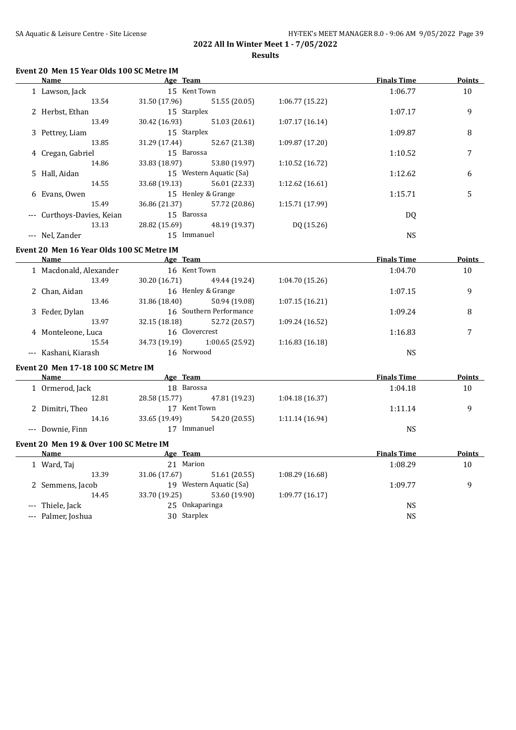## **Event 20 Men 15 Year Olds 100 SC Metre IM**

|                     | Name                   | Age Team      |                         |                 | <b>Finals Time</b> | <b>Points</b> |
|---------------------|------------------------|---------------|-------------------------|-----------------|--------------------|---------------|
|                     | 1 Lawson, Jack         | 15 Kent Town  |                         |                 | 1:06.77            | 10            |
|                     | 13.54                  | 31.50 (17.96) | 51.55 (20.05)           | 1:06.77(15.22)  |                    |               |
|                     | 2 Herbst, Ethan        | 15 Starplex   |                         |                 | 1:07.17            | 9             |
|                     | 13.49                  | 30.42 (16.93) | 51.03 (20.61)           | 1:07.17(16.14)  |                    |               |
|                     | 3 Pettrey, Liam        | 15 Starplex   |                         |                 | 1:09.87            | 8             |
|                     | 13.85                  | 31.29 (17.44) | 52.67 (21.38)           | 1:09.87 (17.20) |                    |               |
|                     | 4 Cregan, Gabriel      | 15 Barossa    |                         |                 | 1:10.52            | 7             |
|                     | 14.86                  | 33.83 (18.97) | 53.80 (19.97)           | 1:10.52(16.72)  |                    |               |
|                     | 5 Hall, Aidan          |               | 15 Western Aquatic (Sa) |                 | 1:12.62            | 6             |
|                     | 14.55                  | 33.68 (19.13) | 56.01 (22.33)           | 1:12.62(16.61)  |                    |               |
|                     | 6 Evans, Owen          |               | 15 Henley & Grange      |                 | 1:15.71            | 5             |
|                     | 15.49                  | 36.86 (21.37) | 57.72 (20.86)           | 1:15.71 (17.99) |                    |               |
| $\qquad \qquad - -$ | Curthoys-Davies, Keian | 15 Barossa    |                         |                 | DQ                 |               |
|                     | 13.13                  | 28.82 (15.69) | 48.19 (19.37)           | DQ (15.26)      |                    |               |
|                     | --- Nel, Zander        | 15 Immanuel   |                         |                 | <b>NS</b>          |               |

#### **Event 20 Men 16 Year Olds 100 SC Metre IM**

| Name                   | Age Team       |                         |                 | <b>Finals Time</b> | <b>Points</b> |
|------------------------|----------------|-------------------------|-----------------|--------------------|---------------|
| 1 Macdonald, Alexander | 16 Kent Town   |                         |                 | 1:04.70            | 10            |
| 13.49                  | 30.20 (16.71)  | 49.44 (19.24)           | 1:04.70 (15.26) |                    |               |
| 2 Chan, Aidan          |                | 16 Henley & Grange      |                 | 1:07.15            | 9             |
| 13.46                  | 31.86 (18.40)  | 50.94 (19.08)           | 1:07.15(16.21)  |                    |               |
| 3 Feder, Dylan         |                | 16 Southern Performance |                 | 1:09.24            | 8             |
| 13.97                  | 32.15 (18.18)  | 52.72 (20.57)           | 1:09.24 (16.52) |                    |               |
| 4 Monteleone, Luca     | 16 Clovercrest |                         |                 | 1:16.83            |               |
| 15.54                  | 34.73 (19.19)  | 1:00.65(25.92)          | 1:16.83(16.18)  |                    |               |
| --- Kashani, Kiarash   | 16 Norwood     |                         |                 | <b>NS</b>          |               |

#### **Event 20 Men 17-18 100 SC Metre IM**

| Name             | Age Team       |               |                | <b>Finals Time</b> | <b>Points</b> |
|------------------|----------------|---------------|----------------|--------------------|---------------|
| Ormerod, Jack    | Barossa<br>18. |               |                | 1:04.18            | 10            |
| 12.81            | 28.58 (15.77)  | 47.81 (19.23) | 1:04.18(16.37) |                    |               |
| 2 Dimitri, Theo  |                | Kent Town     |                | 1:11.14            |               |
| 14.16            | 33.65 (19.49)  | 54.20 (20.55) | 1:11.14(16.94) |                    |               |
| --- Downie, Finn |                | Immanuel      |                | NS                 |               |

## **Event 20 Men 19 & Over 100 SC Metre IM**

| <b>Name</b>        | Age Team       |                         |                 | <b>Finals Time</b> | <b>Points</b> |
|--------------------|----------------|-------------------------|-----------------|--------------------|---------------|
| 1 Ward, Taj        | Marion<br>21   |                         |                 | 1:08.29            | 10            |
| 13.39              | 31.06 (17.67)  | 51.61 (20.55)           | 1:08.29 (16.68) |                    |               |
| 2 Semmens, Jacob   |                | 19 Western Aquatic (Sa) |                 | 1:09.77            | q             |
| 14.45              | 33.70 (19.25)  | 53.60 (19.90)           | 1:09.77(16.17)  |                    |               |
| --- Thiele, Jack   | 25 Onkaparinga |                         |                 | NS                 |               |
| --- Palmer, Joshua | 30 Starplex    |                         |                 | NS                 |               |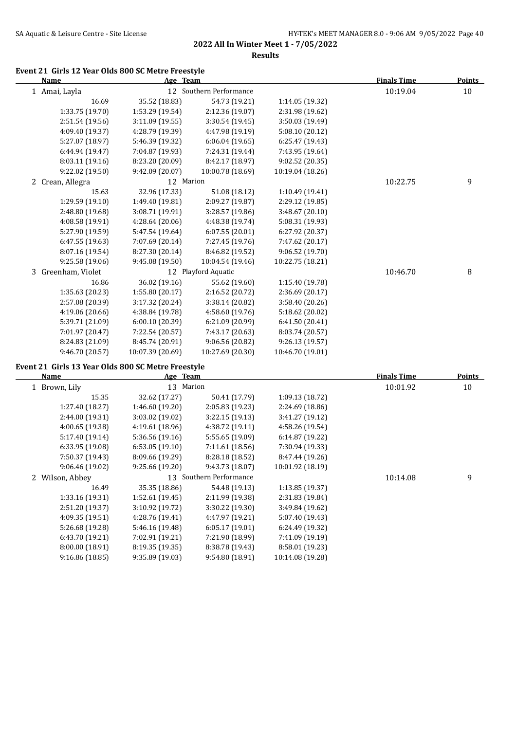**Results**

## **Event 21 Girls 12 Year Olds 800 SC Metre Freestyle**

| <b>Name</b>           | Age Team         |                         |                  | <b>Finals Time</b> | <b>Points</b> |
|-----------------------|------------------|-------------------------|------------------|--------------------|---------------|
| 1 Amai, Layla         |                  | 12 Southern Performance |                  | 10:19.04           | 10            |
| 16.69                 | 35.52 (18.83)    | 54.73 (19.21)           | 1:14.05 (19.32)  |                    |               |
| 1:33.75 (19.70)       | 1:53.29 (19.54)  | 2:12.36 (19.07)         | 2:31.98 (19.62)  |                    |               |
| 2:51.54 (19.56)       | 3:11.09(19.55)   | 3:30.54(19.45)          | 3:50.03 (19.49)  |                    |               |
| 4:09.40 (19.37)       | 4:28.79 (19.39)  | 4:47.98 (19.19)         | 5:08.10(20.12)   |                    |               |
| 5:27.07 (18.97)       | 5:46.39 (19.32)  | 6:06.04 (19.65)         | 6:25.47 (19.43)  |                    |               |
| 6:44.94 (19.47)       | 7:04.87 (19.93)  | 7:24.31 (19.44)         | 7:43.95 (19.64)  |                    |               |
| 8:03.11 (19.16)       | 8:23.20 (20.09)  | 8:42.17 (18.97)         | 9:02.52 (20.35)  |                    |               |
| 9:22.02 (19.50)       | 9:42.09 (20.07)  | 10:00.78 (18.69)        | 10:19.04 (18.26) |                    |               |
| 2 Crean, Allegra      | 12 Marion        |                         |                  | 10:22.75           | 9             |
| 15.63                 | 32.96 (17.33)    | 51.08 (18.12)           | 1:10.49(19.41)   |                    |               |
| 1:29.59 (19.10)       | 1:49.40 (19.81)  | 2:09.27 (19.87)         | 2:29.12 (19.85)  |                    |               |
| 2:48.80 (19.68)       | 3:08.71 (19.91)  | 3:28.57 (19.86)         | 3:48.67 (20.10)  |                    |               |
| 4:08.58 (19.91)       | 4:28.64(20.06)   | 4:48.38 (19.74)         | 5:08.31 (19.93)  |                    |               |
| 5:27.90 (19.59)       | 5:47.54 (19.64)  | 6:07.55(20.01)          | 6:27.92 (20.37)  |                    |               |
| 6:47.55 (19.63)       | 7:07.69 (20.14)  | 7:27.45 (19.76)         | 7:47.62 (20.17)  |                    |               |
| 8:07.16 (19.54)       | 8:27.30 (20.14)  | 8:46.82 (19.52)         | 9:06.52(19.70)   |                    |               |
| 9:25.58 (19.06)       | 9:45.08 (19.50)  | 10:04.54 (19.46)        | 10:22.75 (18.21) |                    |               |
| Greenham, Violet<br>3 |                  | 12 Playford Aquatic     |                  | 10:46.70           | 8             |
| 16.86                 | 36.02 (19.16)    | 55.62 (19.60)           | 1:15.40 (19.78)  |                    |               |
| 1:35.63 (20.23)       | 1:55.80 (20.17)  | 2:16.52 (20.72)         | 2:36.69 (20.17)  |                    |               |
| 2:57.08 (20.39)       | 3:17.32 (20.24)  | 3:38.14 (20.82)         | 3:58.40 (20.26)  |                    |               |
| 4:19.06 (20.66)       | 4:38.84 (19.78)  | 4:58.60 (19.76)         | 5:18.62 (20.02)  |                    |               |
| 5:39.71 (21.09)       | 6:00.10(20.39)   | 6:21.09 (20.99)         | 6:41.50 (20.41)  |                    |               |
| 7:01.97 (20.47)       | 7:22.54 (20.57)  | 7:43.17 (20.63)         | 8:03.74 (20.57)  |                    |               |
| 8:24.83 (21.09)       | 8:45.74 (20.91)  | 9:06.56 (20.82)         | 9:26.13(19.57)   |                    |               |
| 9:46.70 (20.57)       | 10:07.39 (20.69) | 10:27.69 (20.30)        | 10:46.70 (19.01) |                    |               |

### **Event 21 Girls 13 Year Olds 800 SC Metre Freestyle**

| Name            |                                  |                 |                                               | <b>Finals Time</b> | Points |
|-----------------|----------------------------------|-----------------|-----------------------------------------------|--------------------|--------|
|                 | 13                               |                 |                                               | 10:01.92           | 10     |
| 15.35           | 32.62 (17.27)                    | 50.41 (17.79)   | 1:09.13(18.72)                                |                    |        |
| 1:27.40 (18.27) | 1:46.60(19.20)                   | 2:05.83 (19.23) | 2:24.69 (18.86)                               |                    |        |
| 2:44.00 (19.31) | 3:03.02(19.02)                   | 3:22.15(19.13)  | 3:41.27 (19.12)                               |                    |        |
| 4:00.65 (19.38) | 4:19.61(18.96)                   | 4:38.72 (19.11) | 4:58.26 (19.54)                               |                    |        |
| 5:17.40 (19.14) | 5:36.56(19.16)                   | 5:55.65 (19.09) | 6:14.87(19.22)                                |                    |        |
| 6:33.95 (19.08) | 6:53.05(19.10)                   | 7:11.61 (18.56) | 7:30.94 (19.33)                               |                    |        |
| 7:50.37 (19.43) | 8:09.66 (19.29)                  | 8:28.18 (18.52) | 8:47.44 (19.26)                               |                    |        |
| 9:06.46 (19.02) | 9:25.66(19.20)                   | 9:43.73 (18.07) | 10:01.92 (18.19)                              |                    |        |
|                 |                                  |                 |                                               | 10:14.08           | 9      |
| 16.49           | 35.35 (18.86)                    | 54.48 (19.13)   | 1:13.85(19.37)                                |                    |        |
| 1:33.16 (19.31) | 1:52.61(19.45)                   | 2:11.99 (19.38) | 2:31.83 (19.84)                               |                    |        |
| 2:51.20 (19.37) | 3:10.92(19.72)                   | 3:30.22 (19.30) | 3:49.84 (19.62)                               |                    |        |
| 4:09.35 (19.51) | 4:28.76 (19.41)                  | 4:47.97 (19.21) | 5:07.40 (19.43)                               |                    |        |
| 5:26.68 (19.28) | 5:46.16 (19.48)                  | 6:05.17(19.01)  | 6:24.49 (19.32)                               |                    |        |
| 6:43.70 (19.21) | 7:02.91 (19.21)                  | 7:21.90 (18.99) | 7:41.09 (19.19)                               |                    |        |
| 8:00.00 (18.91) | 8:19.35(19.35)                   | 8:38.78 (19.43) | 8:58.01 (19.23)                               |                    |        |
| 9:16.86(18.85)  | 9:35.89 (19.03)                  | 9:54.80 (18.91) | 10:14.08 (19.28)                              |                    |        |
|                 | 1 Brown, Lily<br>2 Wilson, Abbey |                 | Age Team<br>Marion<br>13 Southern Performance |                    |        |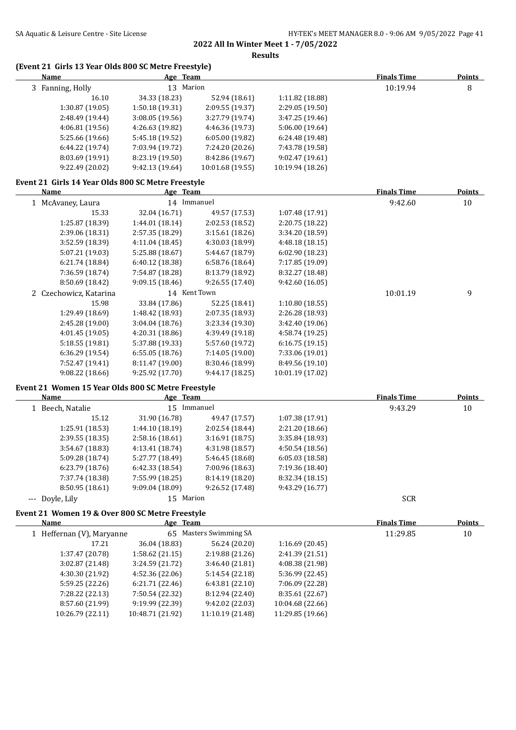**Results**

## **(Event 21 Girls 13 Year Olds 800 SC Metre Freestyle)**

| $\mu$ and $\mu$ and $\mu$ and $\mu$ and $\mu$ and $\mu$ and $\mu$ and $\mu$ and $\mu$ and $\mu$ and $\mu$ and $\mu$ and $\mu$ and $\mu$ and $\mu$ and $\mu$ and $\mu$ and $\mu$ and $\mu$ and $\mu$ and $\mu$ and $\mu$ and $\mu$ and $\mu$ and $\mu$<br><u>Name</u> | Age Team                            |                                     |                                      | <b>Finals Time</b> | <b>Points</b> |
|----------------------------------------------------------------------------------------------------------------------------------------------------------------------------------------------------------------------------------------------------------------------|-------------------------------------|-------------------------------------|--------------------------------------|--------------------|---------------|
| 3 Fanning, Holly                                                                                                                                                                                                                                                     | 13 Marion                           |                                     |                                      | 10:19.94           | 8             |
| 16.10                                                                                                                                                                                                                                                                | 34.33 (18.23)                       | 52.94 (18.61)                       | 1:11.82 (18.88)                      |                    |               |
| 1:30.87 (19.05)                                                                                                                                                                                                                                                      | 1:50.18 (19.31)                     | 2:09.55 (19.37)                     | 2:29.05 (19.50)                      |                    |               |
| 2:48.49 (19.44)                                                                                                                                                                                                                                                      | 3:08.05 (19.56)                     | 3:27.79 (19.74)                     | 3:47.25 (19.46)                      |                    |               |
| 4:06.81 (19.56)                                                                                                                                                                                                                                                      | 4:26.63 (19.82)                     | 4:46.36 (19.73)                     | 5:06.00 (19.64)                      |                    |               |
| 5:25.66 (19.66)                                                                                                                                                                                                                                                      | 5:45.18 (19.52)                     | 6:05.00 (19.82)                     | 6:24.48 (19.48)                      |                    |               |
| 6:44.22 (19.74)                                                                                                                                                                                                                                                      | 7:03.94 (19.72)                     | 7:24.20 (20.26)                     | 7:43.78 (19.58)                      |                    |               |
| 8:03.69 (19.91)                                                                                                                                                                                                                                                      | 8:23.19 (19.50)                     | 8:42.86 (19.67)                     | 9:02.47 (19.61)                      |                    |               |
| 9:22.49 (20.02)                                                                                                                                                                                                                                                      | 9:42.13 (19.64)                     | 10:01.68 (19.55)                    | 10:19.94 (18.26)                     |                    |               |
| Event 21 Girls 14 Year Olds 800 SC Metre Freestyle                                                                                                                                                                                                                   |                                     |                                     |                                      |                    |               |
| <b>Name</b>                                                                                                                                                                                                                                                          | Age Team                            |                                     |                                      | <b>Finals Time</b> | <b>Points</b> |
| 1 McAvaney, Laura                                                                                                                                                                                                                                                    |                                     | 14 Immanuel                         |                                      | 9:42.60            | 10            |
| 15.33                                                                                                                                                                                                                                                                | 32.04 (16.71)                       | 49.57 (17.53)                       | 1:07.48 (17.91)                      |                    |               |
| 1:25.87 (18.39)                                                                                                                                                                                                                                                      | 1:44.01 (18.14)                     | 2:02.53 (18.52)                     | 2:20.75 (18.22)                      |                    |               |
| 2:39.06 (18.31)                                                                                                                                                                                                                                                      | 2:57.35 (18.29)                     | 3:15.61 (18.26)                     | 3:34.20 (18.59)                      |                    |               |
| 3:52.59 (18.39)                                                                                                                                                                                                                                                      | 4:11.04 (18.45)                     | 4:30.03 (18.99)                     | 4:48.18(18.15)                       |                    |               |
| 5:07.21 (19.03)                                                                                                                                                                                                                                                      | 5:25.88 (18.67)                     | 5:44.67 (18.79)                     | 6:02.90 (18.23)                      |                    |               |
| 6:21.74 (18.84)                                                                                                                                                                                                                                                      | 6:40.12 (18.38)                     | 6:58.76 (18.64)                     | 7:17.85 (19.09)                      |                    |               |
| 7:36.59 (18.74)                                                                                                                                                                                                                                                      | 7:54.87 (18.28)                     | 8:13.79 (18.92)                     | 8:32.27 (18.48)                      |                    |               |
| 8:50.69 (18.42)                                                                                                                                                                                                                                                      | 9:09.15 (18.46)                     | 9:26.55 (17.40)                     | 9:42.60 (16.05)                      |                    |               |
| 2 Czechowicz, Katarina                                                                                                                                                                                                                                               |                                     | 14 Kent Town                        |                                      | 10:01.19           | 9             |
| 15.98                                                                                                                                                                                                                                                                | 33.84 (17.86)                       | 52.25 (18.41)                       | 1:10.80(18.55)                       |                    |               |
| 1:29.49 (18.69)                                                                                                                                                                                                                                                      | 1:48.42 (18.93)                     | 2:07.35 (18.93)                     | 2:26.28 (18.93)                      |                    |               |
| 2:45.28 (19.00)                                                                                                                                                                                                                                                      | 3:04.04 (18.76)                     | 3:23.34 (19.30)                     | 3:42.40 (19.06)                      |                    |               |
| 4:01.45 (19.05)                                                                                                                                                                                                                                                      | 4:20.31 (18.86)                     | 4:39.49 (19.18)                     | 4:58.74 (19.25)                      |                    |               |
| 5:18.55 (19.81)                                                                                                                                                                                                                                                      | 5:37.88 (19.33)                     | 5:57.60 (19.72)                     | 6:16.75 (19.15)                      |                    |               |
| 6:36.29 (19.54)                                                                                                                                                                                                                                                      | 6:55.05(18.76)                      | 7:14.05 (19.00)                     | 7:33.06 (19.01)                      |                    |               |
| 7:52.47 (19.41)                                                                                                                                                                                                                                                      | 8:11.47 (19.00)                     | 8:30.46 (18.99)                     | 8:49.56 (19.10)                      |                    |               |
| 9:08.22 (18.66)                                                                                                                                                                                                                                                      | 9:25.92 (17.70)                     | 9:44.17 (18.25)                     | 10:01.19 (17.02)                     |                    |               |
| Event 21 Women 15 Year Olds 800 SC Metre Freestyle                                                                                                                                                                                                                   |                                     |                                     |                                      |                    |               |
| Name                                                                                                                                                                                                                                                                 | Age Team                            |                                     |                                      | <b>Finals Time</b> | <b>Points</b> |
| 1 Beech, Natalie                                                                                                                                                                                                                                                     |                                     | 15 Immanuel                         |                                      | 9:43.29            | 10            |
| 15.12                                                                                                                                                                                                                                                                | 31.90 (16.78)                       | 49.47 (17.57)                       | 1:07.38 (17.91)                      |                    |               |
| 1:25.91 (18.53)                                                                                                                                                                                                                                                      | 1:44.10 (18.19)                     | 2:02.54 (18.44)                     | 2:21.20 (18.66)                      |                    |               |
| 2:39.55 (18.35)                                                                                                                                                                                                                                                      | 2:58.16 (18.61)                     | 3:16.91 (18.75)                     | 3:35.84 (18.93)                      |                    |               |
| 3:54.67 (18.83)                                                                                                                                                                                                                                                      | 4:13.41 (18.74)                     | 4:31.98 (18.57)                     | 4:50.54(18.56)                       |                    |               |
| 5:09.28 (18.74)                                                                                                                                                                                                                                                      | 5:27.77 (18.49)                     | 5:46.45 (18.68)                     | 6:05.03 (18.58)                      |                    |               |
| 6:23.79 (18.76)                                                                                                                                                                                                                                                      | 6:42.33 (18.54)                     | 7:00.96 (18.63)                     | 7:19.36 (18.40)                      |                    |               |
| 7:37.74 (18.38)                                                                                                                                                                                                                                                      | 7:55.99 (18.25)                     | 8:14.19 (18.20)                     | 8:32.34 (18.15)                      |                    |               |
| 8:50.95 (18.61)                                                                                                                                                                                                                                                      | 9:09.04 (18.09)                     | 9:26.52 (17.48)                     | 9:43.29 (16.77)                      |                    |               |
| --- Doyle, Lily                                                                                                                                                                                                                                                      | 15 Marion                           |                                     |                                      | SCR                |               |
| Event 21 Women 19 & Over 800 SC Metre Freestyle<br>Name                                                                                                                                                                                                              |                                     |                                     |                                      | <b>Finals Time</b> | Points        |
|                                                                                                                                                                                                                                                                      | Age Team                            | 65 Masters Swimming SA              |                                      | 11:29.85           | 10            |
| 1 Heffernan (V), Maryanne                                                                                                                                                                                                                                            |                                     |                                     |                                      |                    |               |
| 17.21                                                                                                                                                                                                                                                                | 36.04 (18.83)                       | 56.24 (20.20)<br>2:19.88 (21.26)    | 1:16.69 (20.45)                      |                    |               |
| 1:37.47 (20.78)                                                                                                                                                                                                                                                      | 1:58.62 (21.15)                     |                                     | 2:41.39 (21.51)                      |                    |               |
| 3:02.87 (21.48)                                                                                                                                                                                                                                                      | 3:24.59 (21.72)                     | 3:46.40 (21.81)                     | 4:08.38 (21.98)                      |                    |               |
| 4:30.30 (21.92)                                                                                                                                                                                                                                                      | 4:52.36 (22.06)                     | 5:14.54 (22.18)                     | 5:36.99 (22.45)                      |                    |               |
| 5:59.25 (22.26)                                                                                                                                                                                                                                                      | 6:21.71 (22.46)                     | 6:43.81 (22.10)                     | 7:06.09 (22.28)                      |                    |               |
| 7:28.22 (22.13)                                                                                                                                                                                                                                                      | 7:50.54 (22.32)                     | 8:12.94 (22.40)                     | 8:35.61 (22.67)                      |                    |               |
| 8:57.60 (21.99)<br>10:26.79 (22.11)                                                                                                                                                                                                                                  | 9:19.99 (22.39)<br>10:48.71 (21.92) | 9:42.02 (22.03)<br>11:10.19 (21.48) | 10:04.68 (22.66)<br>11:29.85 (19.66) |                    |               |
|                                                                                                                                                                                                                                                                      |                                     |                                     |                                      |                    |               |
|                                                                                                                                                                                                                                                                      |                                     |                                     |                                      |                    |               |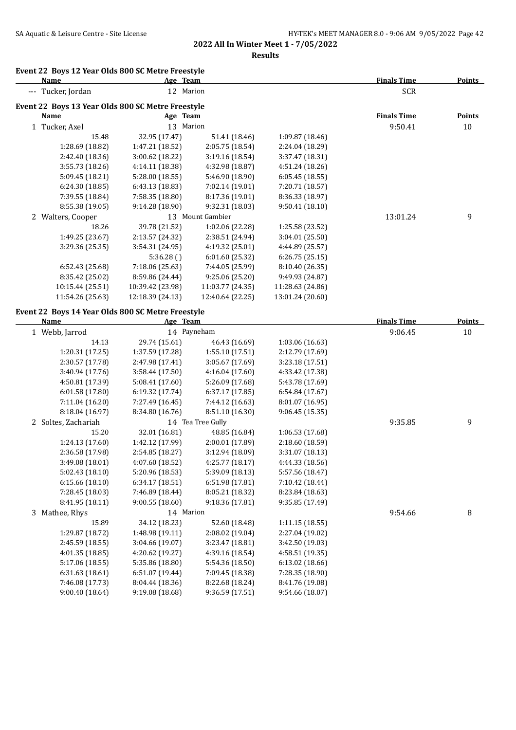**Results**

## **Event 22 Boys 12 Year Olds 800 SC Metre Freestyle**

| <b>Name</b>                                       | Age Team         |                  |                  | <b>Finals Time</b> | <u>Points</u> |
|---------------------------------------------------|------------------|------------------|------------------|--------------------|---------------|
| --- Tucker, Jordan                                | 12               | Marion           |                  | SCR                |               |
| Event 22 Boys 13 Year Olds 800 SC Metre Freestyle |                  |                  |                  |                    |               |
| Name                                              | Age Team         |                  |                  | <b>Finals Time</b> | Points        |
| Tucker, Axel<br>$\mathbf{1}$                      | 13               | Marion           |                  | 9:50.41            | 10            |
| 15.48                                             | 32.95 (17.47)    | 51.41 (18.46)    | 1:09.87(18.46)   |                    |               |
| 1:28.69 (18.82)                                   | 1:47.21 (18.52)  | 2:05.75(18.54)   | 2:24.04 (18.29)  |                    |               |
| 2:42.40 (18.36)                                   | 3:00.62 (18.22)  | 3:19.16(18.54)   | 3:37.47 (18.31)  |                    |               |
| 3:55.73 (18.26)                                   | 4:14.11 (18.38)  | 4:32.98 (18.87)  | 4:51.24 (18.26)  |                    |               |
| 5:09.45 (18.21)                                   | 5:28.00 (18.55)  | 5:46.90 (18.90)  | 6:05.45(18.55)   |                    |               |
| 6:24.30(18.85)                                    | 6:43.13(18.83)   | 7:02.14 (19.01)  | 7:20.71 (18.57)  |                    |               |
| 7:39.55 (18.84)                                   | 7:58.35 (18.80)  | 8:17.36 (19.01)  | 8:36.33 (18.97)  |                    |               |
| 8:55.38 (19.05)                                   | 9:14.28 (18.90)  | 9:32.31 (18.03)  | 9:50.41(18.10)   |                    |               |
| Walters, Cooper<br>2                              | 13               | Mount Gambier    |                  | 13:01.24           | 9             |
| 18.26                                             | 39.78 (21.52)    | 1:02.06 (22.28)  | 1:25.58 (23.52)  |                    |               |
| 1:49.25 (23.67)                                   | 2:13.57 (24.32)  | 2:38.51 (24.94)  | 3:04.01 (25.50)  |                    |               |
| 3:29.36 (25.35)                                   | 3:54.31 (24.95)  | 4:19.32 (25.01)  | 4:44.89 (25.57)  |                    |               |
|                                                   | 5:36.28()        | 6:01.60(25.32)   | 6:26.75(25.15)   |                    |               |
| 6:52.43(25.68)                                    | 7:18.06 (25.63)  | 7:44.05 (25.99)  | 8:10.40 (26.35)  |                    |               |
| 8:35.42 (25.02)                                   | 8:59.86 (24.44)  | 9:25.06(25.20)   | 9:49.93 (24.87)  |                    |               |
| 10:15.44 (25.51)                                  | 10:39.42 (23.98) | 11:03.77 (24.35) | 11:28.63 (24.86) |                    |               |
| 11:54.26 (25.63)                                  | 12:18.39 (24.13) | 12:40.64 (22.25) | 13:01.24 (20.60) |                    |               |
|                                                   |                  |                  |                  |                    |               |

## **Event 22 Boys 14 Year Olds 800 SC Metre Freestyle**

| Name                | Age Team        |                   |                 | <b>Finals Time</b> | Points |
|---------------------|-----------------|-------------------|-----------------|--------------------|--------|
| 1 Webb, Jarrod      | 14 Payneham     |                   |                 | 9:06.45            | 10     |
| 14.13               | 29.74 (15.61)   | 46.43 (16.69)     | 1:03.06 (16.63) |                    |        |
| 1:20.31(17.25)      | 1:37.59 (17.28) | 1:55.10 (17.51)   | 2:12.79 (17.69) |                    |        |
| 2:30.57 (17.78)     | 2:47.98 (17.41) | 3:05.67 (17.69)   | 3:23.18(17.51)  |                    |        |
| 3:40.94 (17.76)     | 3:58.44 (17.50) | 4:16.04 (17.60)   | 4:33.42 (17.38) |                    |        |
| 4:50.81 (17.39)     | 5:08.41 (17.60) | 5:26.09 (17.68)   | 5:43.78 (17.69) |                    |        |
| 6:01.58(17.80)      | 6:19.32(17.74)  | 6:37.17(17.85)    | 6:54.84(17.67)  |                    |        |
| 7:11.04 (16.20)     | 7:27.49 (16.45) | 7:44.12 (16.63)   | 8:01.07 (16.95) |                    |        |
| 8:18.04 (16.97)     | 8:34.80 (16.76) | 8:51.10 (16.30)   | 9:06.45(15.35)  |                    |        |
| 2 Soltes, Zachariah |                 | 14 Tea Tree Gully |                 | 9:35.85            | 9      |
| 15.20               | 32.01 (16.81)   | 48.85 (16.84)     | 1:06.53 (17.68) |                    |        |
| 1:24.13 (17.60)     | 1:42.12 (17.99) | 2:00.01 (17.89)   | 2:18.60 (18.59) |                    |        |
| 2:36.58 (17.98)     | 2:54.85 (18.27) | 3:12.94 (18.09)   | 3:31.07 (18.13) |                    |        |
| 3:49.08 (18.01)     | 4:07.60 (18.52) | 4:25.77(18.17)    | 4:44.33 (18.56) |                    |        |
| 5:02.43 (18.10)     | 5:20.96 (18.53) | 5:39.09 (18.13)   | 5:57.56 (18.47) |                    |        |
| 6:15.66(18.10)      | 6:34.17 (18.51) | 6:51.98 (17.81)   | 7:10.42 (18.44) |                    |        |
| 7:28.45 (18.03)     | 7:46.89 (18.44) | 8:05.21 (18.32)   | 8:23.84 (18.63) |                    |        |
| 8:41.95 (18.11)     | 9:00.55(18.60)  | 9:18.36 (17.81)   | 9:35.85 (17.49) |                    |        |
| 3 Mathee, Rhys      | 14 Marion       |                   |                 | 9:54.66            | 8      |
| 15.89               | 34.12 (18.23)   | 52.60 (18.48)     | 1:11.15(18.55)  |                    |        |
| 1:29.87 (18.72)     | 1:48.98(19.11)  | 2:08.02 (19.04)   | 2:27.04 (19.02) |                    |        |
| 2:45.59 (18.55)     | 3:04.66 (19.07) | 3:23.47 (18.81)   | 3:42.50 (19.03) |                    |        |
| 4:01.35 (18.85)     | 4:20.62 (19.27) | 4:39.16 (18.54)   | 4:58.51 (19.35) |                    |        |
| 5:17.06 (18.55)     | 5:35.86 (18.80) | 5:54.36 (18.50)   | 6:13.02 (18.66) |                    |        |
| 6:31.63(18.61)      | 6:51.07(19.44)  | 7:09.45 (18.38)   | 7:28.35 (18.90) |                    |        |
| 7:46.08 (17.73)     | 8:04.44 (18.36) | 8:22.68 (18.24)   | 8:41.76 (19.08) |                    |        |
| 9:00.40(18.64)      | 9:19.08 (18.68) | 9:36.59 (17.51)   | 9:54.66 (18.07) |                    |        |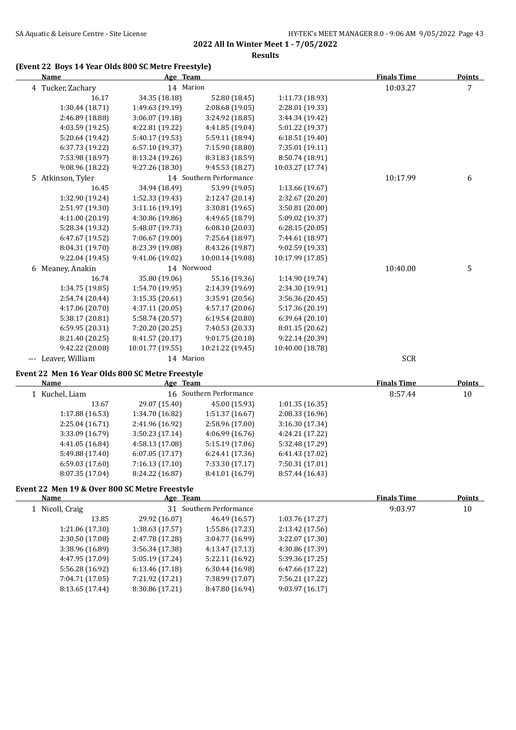**Results**

## **(Event 22 Boys 14 Year Olds 800 SC Metre Freestyle)**

| Name              | Age Team         |                         |                  | <b>Finals Time</b> | Points |
|-------------------|------------------|-------------------------|------------------|--------------------|--------|
| 4 Tucker, Zachary | 14 Marion        |                         |                  | 10:03.27           | 7      |
| 16.17             | 34.35 (18.18)    | 52.80 (18.45)           | 1:11.73 (18.93)  |                    |        |
| 1:30.44 (18.71)   | 1:49.63 (19.19)  | 2:08.68(19.05)          | 2:28.01 (19.33)  |                    |        |
| 2:46.89 (18.88)   | 3:06.07(19.18)   | 3:24.92 (18.85)         | 3:44.34 (19.42)  |                    |        |
| 4:03.59 (19.25)   | 4:22.81 (19.22)  | 4:41.85 (19.04)         | 5:01.22 (19.37)  |                    |        |
| 5:20.64 (19.42)   | 5:40.17 (19.53)  | 5:59.11 (18.94)         | 6:18.51 (19.40)  |                    |        |
| 6:37.73 (19.22)   | 6:57.10(19.37)   | 7:15.90 (18.80)         | 7:35.01 (19.11)  |                    |        |
| 7:53.98 (18.97)   | 8:13.24 (19.26)  | 8:31.83 (18.59)         | 8:50.74 (18.91)  |                    |        |
| 9:08.96 (18.22)   | 9:27.26 (18.30)  | 9:45.53 (18.27)         | 10:03.27 (17.74) |                    |        |
| 5 Atkinson, Tyler |                  | 14 Southern Performance |                  | 10:17.99           | 6      |
| 16.45             | 34.94 (18.49)    | 53.99 (19.05)           | 1:13.66 (19.67)  |                    |        |
| 1:32.90 (19.24)   | 1:52.33 (19.43)  | 2:12.47 (20.14)         | 2:32.67 (20.20)  |                    |        |
| 2:51.97 (19.30)   | 3:11.16(19.19)   | 3:30.81(19.65)          | 3:50.81 (20.00)  |                    |        |
| 4:11.00 (20.19)   | 4:30.86 (19.86)  | 4:49.65 (18.79)         | 5:09.02 (19.37)  |                    |        |
| 5:28.34 (19.32)   | 5:48.07 (19.73)  | 6:08.10 (20.03)         | 6:28.15(20.05)   |                    |        |
| 6:47.67 (19.52)   | 7:06.67 (19.00)  | 7:25.64 (18.97)         | 7:44.61 (18.97)  |                    |        |
| 8:04.31 (19.70)   | 8:23.39 (19.08)  | 8:43.26 (19.87)         | 9:02.59 (19.33)  |                    |        |
| 9:22.04 (19.45)   | 9:41.06 (19.02)  | 10:00.14 (19.08)        | 10:17.99 (17.85) |                    |        |
| 6 Meaney, Anakin  | 14 Norwood       |                         |                  | 10:40.00           | 5      |
| 16.74             | 35.80 (19.06)    | 55.16 (19.36)           | 1:14.90 (19.74)  |                    |        |
| 1:34.75 (19.85)   | 1:54.70 (19.95)  | 2:14.39 (19.69)         | 2:34.30 (19.91)  |                    |        |
| 2:54.74 (20.44)   | 3:15.35 (20.61)  | 3:35.91 (20.56)         | 3:56.36 (20.45)  |                    |        |
| 4:17.06 (20.70)   | 4:37.11 (20.05)  | 4:57.17 (20.06)         | 5:17.36 (20.19)  |                    |        |
| 5:38.17 (20.81)   | 5:58.74 (20.57)  | 6:19.54 (20.80)         | 6:39.64 (20.10)  |                    |        |
| 6:59.95 (20.31)   | 7:20.20 (20.25)  | 7:40.53 (20.33)         | 8:01.15 (20.62)  |                    |        |
| 8:21.40 (20.25)   | 8:41.57 (20.17)  | 9:01.75(20.18)          | 9:22.14 (20.39)  |                    |        |
| 9:42.22 (20.08)   | 10:01.77 (19.55) | 10:21.22 (19.45)        | 10:40.00 (18.78) |                    |        |
| Leaver, William   | 14 Marion        |                         |                  | <b>SCR</b>         |        |

## **Event 22 Men 16 Year Olds 800 SC Metre Freestyle**

| Name            | Age Team                |                 |                 | <b>Finals Time</b> | Points |
|-----------------|-------------------------|-----------------|-----------------|--------------------|--------|
| 1 Kuchel, Liam  | 16 Southern Performance |                 |                 | 8:57.44            | 10     |
| 13.67           | 29.07 (15.40)           | 45.00 (15.93)   | 1:01.35(16.35)  |                    |        |
| 1:17.88 (16.53) | 1:34.70 (16.82)         | 1:51.37(16.67)  | 2:08.33(16.96)  |                    |        |
| 2:25.04(16.71)  | 2:41.96 (16.92)         | 2:58.96(17.00)  | 3:16.30(17.34)  |                    |        |
| 3:33.09 (16.79) | 3:50.23(17.14)          | 4:06.99(16.76)  | 4:24.21 (17.22) |                    |        |
| 4:41.05 (16.84) | 4:58.13(17.08)          | 5:15.19(17.06)  | 5:32.48 (17.29) |                    |        |
| 5:49.88 (17.40) | 6:07.05(17.17)          | 6:24.41(17.36)  | 6:41.43(17.02)  |                    |        |
| 6:59.03(17.60)  | 7:16.13(17.10)          | 7:33.30(17.17)  | 7:50.31 (17.01) |                    |        |
| 8:07.35 (17.04) | 8:24.22 (16.87)         | 8:41.01 (16.79) | 8:57.44 (16.43) |                    |        |
|                 |                         |                 |                 |                    |        |

# **Event 22 Men 19 & Over 800 SC Metre Freestyle**

| Name            | Age Team        |                         |                 | <b>Finals Time</b> | Points |
|-----------------|-----------------|-------------------------|-----------------|--------------------|--------|
| 1 Nicoll, Craig |                 | 31 Southern Performance |                 |                    | 10     |
| 13.85           | 29.92 (16.07)   | 46.49 (16.57)           | 1:03.76 (17.27) |                    |        |
| 1:21.06 (17.30) | 1:38.63(17.57)  | 1:55.86 (17.23)         | 2:13.42 (17.56) |                    |        |
| 2:30.50(17.08)  | 2:47.78 (17.28) | 3:04.77(16.99)          | 3:22.07 (17.30) |                    |        |
| 3:38.96 (16.89) | 3:56.34(17.38)  | 4:13.47(17.13)          | 4:30.86 (17.39) |                    |        |
| 4:47.95 (17.09) | 5:05.19(17.24)  | 5:22.11 (16.92)         | 5:39.36 (17.25) |                    |        |
| 5:56.28 (16.92) | 6:13.46(17.18)  | 6:30.44(16.98)          | 6:47.66 (17.22) |                    |        |
| 7:04.71 (17.05) | 7:21.92 (17.21) | 7:38.99 (17.07)         | 7:56.21 (17.22) |                    |        |
| 8:13.65 (17.44) | 8:30.86 (17.21) | 8:47.80 (16.94)         | 9:03.97(16.17)  |                    |        |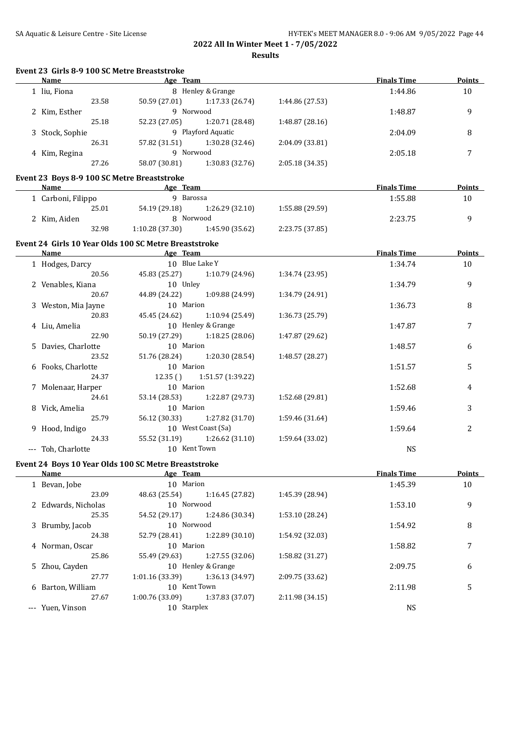| Event 23 Girls 8-9 100 SC Metre Breaststroke |                                                                                |                 |                    |               |
|----------------------------------------------|--------------------------------------------------------------------------------|-----------------|--------------------|---------------|
| <b>Name</b>                                  | <b>Example 2018</b> Age Team <b>Age 2018</b> Age Team <b>Age 2018 Age 2018</b> |                 | <b>Finals Time</b> | <b>Points</b> |
| 1 liu, Fiona                                 | 8 Henley & Grange                                                              |                 | 1:44.86            | 10            |
| 23.58                                        | 50.59 (27.01) 1:17.33 (26.74)                                                  | 1:44.86 (27.53) |                    |               |
| 2 Kim, Esther                                | 9 Norwood                                                                      |                 | 1:48.87            | 9             |
| 25.18                                        | 52.23 (27.05) 1:20.71 (28.48)                                                  | 1:48.87 (28.16) |                    |               |
| 3 Stock, Sophie                              | 9 Playford Aquatic                                                             |                 | 2:04.09            | 8             |
| 26.31                                        | 57.82 (31.51) 1:30.28 (32.46)                                                  | 2:04.09 (33.81) |                    |               |
| 4 Kim, Regina                                | 9 Norwood                                                                      |                 | 2:05.18            | 7             |
| 27.26                                        | 58.07 (30.81) 1:30.83 (32.76)                                                  | 2:05.18 (34.35) |                    |               |
| Event 23 Boys 8-9 100 SC Metre Breaststroke  |                                                                                |                 |                    |               |
| Name                                         | Age Team                                                                       |                 | <b>Finals Time</b> | Points        |
| 1 Carboni, Filippo                           | 9 Barossa                                                                      |                 | 1:55.88            | 10            |
| 25.01                                        | 54.19 (29.18)<br>1:26.29 (32.10)                                               | 1:55.88 (29.59) |                    |               |
| 2 Kim, Aiden                                 | 8 Norwood                                                                      |                 | 2:23.75            | 9             |
| 32.98                                        | 1:10.28(37.30)<br>1:45.90 (35.62)                                              | 2:23.75 (37.85) |                    |               |
|                                              | Event 24 Girls 10 Year Olds 100 SC Metre Breaststroke                          |                 |                    |               |
| Name                                         | <b>Example 2016</b> Age Team                                                   |                 | <b>Finals Time</b> | <b>Points</b> |
| 1 Hodges, Darcy                              | 10 Blue Lake Y                                                                 |                 | 1:34.74            | 10            |
| 20.56                                        | 45.83 (25.27) 1:10.79 (24.96)                                                  | 1:34.74 (23.95) |                    |               |
| 2 Venables, Kiana                            | 10 Unley                                                                       |                 | 1:34.79            | 9             |
| 20.67                                        | 44.89 (24.22) 1:09.88 (24.99)                                                  | 1:34.79 (24.91) |                    |               |
| 3 Weston, Mia Jayne                          | 10 Marion                                                                      |                 | 1:36.73            | 8             |
| 20.83                                        | 45.45 (24.62) 1:10.94 (25.49)                                                  | 1:36.73 (25.79) |                    |               |
| 4 Liu, Amelia                                | 10 Henley & Grange                                                             |                 | 1:47.87            | 7             |
| 22.90                                        | 50.19 (27.29) 1:18.25 (28.06)                                                  | 1:47.87 (29.62) |                    |               |
| 5 Davies, Charlotte                          | 10 Marion                                                                      |                 | 1:48.57            | 6             |
| 23.52                                        | 51.76 (28.24) 1:20.30 (28.54)                                                  | 1:48.57 (28.27) |                    |               |
| 6 Fooks, Charlotte                           | 10 Marion                                                                      |                 | 1:51.57            | 5             |
| 24.37                                        | 12.35 () 1:51.57 (1:39.22)                                                     |                 |                    |               |
| 7 Molenaar, Harper                           | 10 Marion                                                                      |                 | 1:52.68            | 4             |
| 24.61                                        | 53.14 (28.53)<br>1:22.87 (29.73)                                               | 1:52.68 (29.81) |                    |               |
| 8 Vick, Amelia                               | 10 Marion                                                                      |                 | 1:59.46            | 3             |
| 25.79                                        | 56.12 (30.33) 1:27.82 (31.70)                                                  | 1:59.46 (31.64) |                    |               |
| 9 Hood, Indigo                               | 10 West Coast (Sa)                                                             |                 | 1:59.64            | 2             |
| 24.33                                        | 1:26.62(31.10)<br>55.52 (31.19)                                                | 1:59.64 (33.02) |                    |               |
| --- Toh, Charlotte                           | 10 Kent Town                                                                   |                 | <b>NS</b>          |               |
|                                              |                                                                                |                 |                    |               |
|                                              | Event 24 Boys 10 Year Olds 100 SC Metre Breaststroke                           |                 |                    |               |
| Name                                         | Age Team                                                                       |                 | <b>Finals Time</b> | Points        |
| 1 Bevan, Jobe                                | 10 Marion                                                                      |                 | 1:45.39            | 10            |
| 23.09                                        | 48.63 (25.54)<br>1:16.45 (27.82)                                               | 1:45.39 (28.94) |                    |               |
| 2 Edwards, Nicholas                          | 10 Norwood                                                                     |                 | 1:53.10            | 9             |
| 25.35                                        | 54.52 (29.17)<br>1:24.86 (30.34)                                               | 1:53.10 (28.24) |                    |               |
| 3 Brumby, Jacob                              | 10 Norwood                                                                     |                 | 1:54.92            | 8             |
| 24.38                                        | 52.79 (28.41)<br>1:22.89 (30.10)                                               | 1:54.92 (32.03) |                    |               |
| 4 Norman, Oscar                              | 10 Marion                                                                      |                 | 1:58.82            | 7             |
| 25.86                                        | 55.49 (29.63)<br>1:27.55 (32.06)                                               | 1:58.82 (31.27) |                    |               |
| 5 Zhou, Cayden                               | 10 Henley & Grange                                                             |                 | 2:09.75            | 6             |
| 27.77                                        | 1:01.16 (33.39)<br>1:36.13 (34.97)                                             | 2:09.75 (33.62) |                    |               |
| 6 Barton, William                            | 10 Kent Town                                                                   |                 | 2:11.98            | 5             |
| 27.67                                        | 1:00.76 (33.09)<br>1:37.83 (37.07)                                             | 2:11.98 (34.15) |                    |               |
| --- Yuen, Vinson                             | 10 Starplex                                                                    |                 | <b>NS</b>          |               |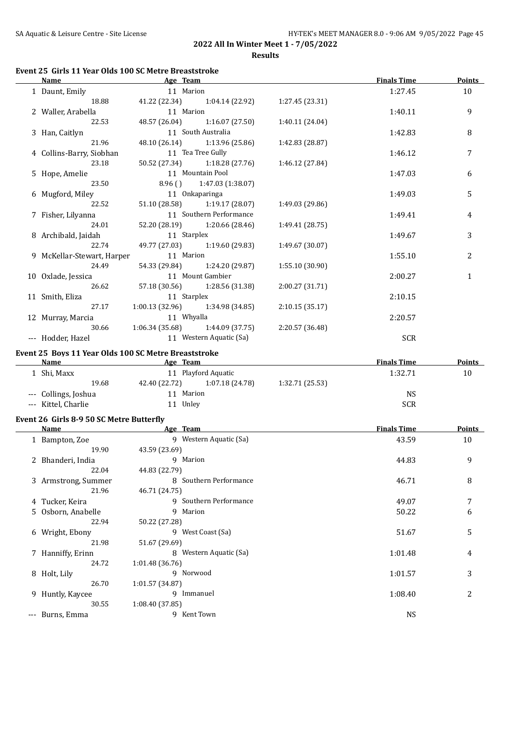# **Event 25 Girls 11 Year Olds 100 SC Metre Breaststroke**

| <b>Name</b>                              | Age Team                                             |                 | <b>Finals Time</b> | <b>Points</b> |
|------------------------------------------|------------------------------------------------------|-----------------|--------------------|---------------|
| 1 Daunt, Emily                           | 11 Marion                                            |                 | 1:27.45            | 10            |
| 18.88                                    | 41.22 (22.34) 1:04.14 (22.92)                        | 1:27.45 (23.31) |                    |               |
| 2 Waller, Arabella                       | 11 Marion                                            |                 | 1:40.11            | 9             |
| 22.53                                    | 48.57 (26.04) 1:16.07 (27.50)                        | 1:40.11 (24.04) |                    |               |
| 3 Han, Caitlyn                           | 11 South Australia                                   |                 | 1:42.83            | 8             |
| 21.96                                    | 48.10 (26.14) 1:13.96 (25.86)                        | 1:42.83 (28.87) |                    |               |
| 4 Collins-Barry, Siobhan                 | 11 Tea Tree Gully                                    |                 | 1:46.12            | 7             |
| 23.18                                    | 50.52 (27.34) 1:18.28 (27.76)                        | 1:46.12 (27.84) |                    |               |
| 5 Hope, Amelie                           | 11 Mountain Pool                                     |                 | 1:47.03            | 6             |
| 23.50                                    | 8.96 () 1:47.03 (1:38.07)                            |                 |                    |               |
| 6 Mugford, Miley                         | 11 Onkaparinga                                       |                 | 1:49.03            | 5             |
| 22.52                                    | 51.10 (28.58) 1:19.17 (28.07)                        | 1:49.03 (29.86) |                    |               |
| 7 Fisher, Lilyanna                       | 11 Southern Performance                              |                 | 1:49.41            | 4             |
| 24.01                                    | 52.20 (28.19) 1:20.66 (28.46)                        | 1:49.41 (28.75) |                    |               |
| 8 Archibald, Jaidah                      | 11 Starplex                                          |                 | 1:49.67            | 3             |
| 22.74                                    | 49.77 (27.03) 1:19.60 (29.83)                        | 1:49.67 (30.07) |                    |               |
|                                          | 11 Marion                                            |                 |                    |               |
| 9 McKellar-Stewart, Harper               |                                                      |                 | 1:55.10            | 2             |
| 24.49                                    | 54.33 (29.84) 1:24.20 (29.87)                        | 1:55.10 (30.90) |                    |               |
| 10 Oxlade, Jessica                       | 11 Mount Gambier                                     |                 | 2:00.27            | $\mathbf{1}$  |
| 26.62                                    | 57.18 (30.56) 1:28.56 (31.38)                        | 2:00.27 (31.71) |                    |               |
| 11 Smith, Eliza                          | 11 Starplex                                          |                 | 2:10.15            |               |
| 27.17                                    | $1:00.13(32.96)$ $1:34.98(34.85)$                    | 2:10.15(35.17)  |                    |               |
| 12 Murray, Marcia                        | 11 Whyalla                                           |                 | 2:20.57            |               |
| 30.66                                    | $1:06.34(35.68)$ $1:44.09(37.75)$                    | 2:20.57 (36.48) |                    |               |
| --- Hodder, Hazel                        | 11 Western Aquatic (Sa)                              |                 | <b>SCR</b>         |               |
|                                          | Event 25 Boys 11 Year Olds 100 SC Metre Breaststroke |                 |                    |               |
| <b>Name</b>                              | <b>Example 2016</b> Age Team                         |                 | <b>Finals Time</b> | <b>Points</b> |
| 1 Shi, Maxx                              | 11 Playford Aquatic                                  |                 | 1:32.71            | 10            |
| 19.68                                    | 42.40 (22.72) 1:07.18 (24.78) 1:32.71 (25.53)        |                 |                    |               |
| --- Collings, Joshua                     | 11 Marion                                            |                 | <b>NS</b>          |               |
| --- Kittel, Charlie                      | 11 Unley                                             |                 | <b>SCR</b>         |               |
|                                          |                                                      |                 |                    |               |
| Event 26 Girls 8-9 50 SC Metre Butterfly |                                                      |                 |                    |               |
| Name                                     | <b>Example 2</b> Age Team                            |                 | <b>Finals Time</b> | <b>Points</b> |
| 1 Bampton, Zoe                           | 9 Western Aquatic (Sa)                               |                 | 43.59              | 10            |
| 19.90                                    | 43.59 (23.69)                                        |                 |                    |               |
| 2 Bhanderi, India                        | 9 Marion                                             |                 | 44.83              | 9             |
| 22.04                                    | 44.83 (22.79)                                        |                 |                    |               |
| 3 Armstrong, Summer                      | 8 Southern Performance                               |                 | 46.71              | 8             |
| 21.96                                    | 46.71 (24.75)                                        |                 |                    |               |
| 4 Tucker, Keira                          | 9 Southern Performance                               |                 | 49.07              | 7             |
| 5 Osborn, Anabelle                       | 9 Marion                                             |                 | 50.22              | 6             |
| 22.94                                    | 50.22 (27.28)                                        |                 |                    |               |
| 6 Wright, Ebony                          | 9 West Coast (Sa)                                    |                 | 51.67              | 5             |
| 21.98                                    | 51.67 (29.69)                                        |                 |                    |               |
| 7 Hanniffy, Erinn                        | 8 Western Aquatic (Sa)                               |                 | 1:01.48            | 4             |
| 24.72                                    |                                                      |                 |                    |               |
|                                          | 1:01.48 (36.76)<br>9 Norwood                         |                 |                    |               |
| 8 Holt, Lily                             |                                                      |                 | 1:01.57            | 3             |
| 26.70                                    | 1:01.57 (34.87)                                      |                 |                    |               |
| 9 Huntly, Kaycee                         | 9 Immanuel                                           |                 | 1:08.40            | 2             |
| 30.55                                    | 1:08.40 (37.85)                                      |                 |                    |               |
| --- Burns, Emma                          | 9 Kent Town                                          |                 | <b>NS</b>          |               |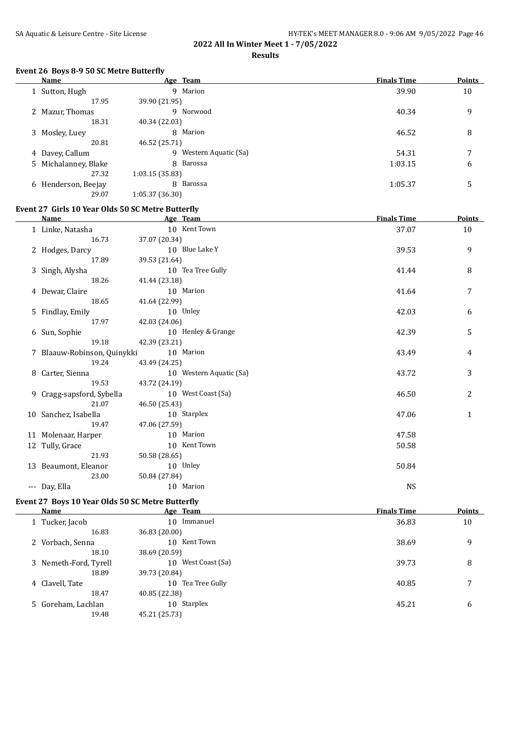# SA Aquatic & Leisure Centre - Site License **HY-TEK's MEET MANAGER 8.0 - 9:06 AM 9/05/2022** Page 46

# **2022 All In Winter Meet 1 - 7/05/2022**

## **Results**

## **Event 26 Boys 8-9 50 SC Metre Butterfly**

| <b>Name</b>          | Age Team                  | <b>Finals Time</b> | <b>Points</b> |
|----------------------|---------------------------|--------------------|---------------|
| 1 Sutton, Hugh       | 9 Marion                  | 39.90              | 10            |
| 17.95                | 39.90 (21.95)             |                    |               |
| 2 Mazur, Thomas      | 9<br>Norwood              | 40.34              | 9             |
| 18.31                | 40.34 (22.03)             |                    |               |
| 3 Mosley, Luey       | 8 Marion                  | 46.52              | 8             |
| 20.81                | 46.52 (25.71)             |                    |               |
| 4 Davey, Callum      | Western Aquatic (Sa)<br>9 | 54.31              | 7             |
| 5 Michalanney, Blake | 8 Barossa                 | 1:03.15            | 6             |
| 27.32                | 1:03.15(35.83)            |                    |               |
| 6 Henderson, Beejay  | 8 Barossa                 | 1:05.37            | 5             |
| 29.07                | 1:05.37 (36.30)           |                    |               |

#### **Event 27 Girls 10 Year Olds 50 SC Metre Butterfly**

 $\overline{a}$ 

 $\overline{\phantom{a}}$ 

| <b>Name</b>                 | Age Team                | <b>Finals Time</b> | <b>Points</b>  |
|-----------------------------|-------------------------|--------------------|----------------|
| 1 Linke, Natasha            | 10 Kent Town            | 37.07              | 10             |
| 16.73                       | 37.07 (20.34)           |                    |                |
| 2 Hodges, Darcy             | 10 Blue Lake Y          | 39.53              | 9              |
| 17.89                       | 39.53 (21.64)           |                    |                |
| 3 Singh, Alysha             | 10 Tea Tree Gully       | 41.44              | 8              |
| 18.26                       | 41.44 (23.18)           |                    |                |
| 4 Dewar, Claire             | 10 Marion               | 41.64              | 7              |
| 18.65                       | 41.64 (22.99)           |                    |                |
| 5 Findlay, Emily            | 10 Unley                | 42.03              | 6              |
| 17.97                       | 42.03 (24.06)           |                    |                |
| 6 Sun, Sophie               | 10 Henley & Grange      | 42.39              | 5              |
| 19.18                       | 42.39 (23.21)           |                    |                |
| 7 Blaauw-Robinson, Quinykki | 10 Marion               | 43.49              | $\overline{4}$ |
| 19.24                       | 43.49 (24.25)           |                    |                |
| 8 Carter, Sienna            | 10 Western Aquatic (Sa) | 43.72              | 3              |
| 19.53                       | 43.72 (24.19)           |                    |                |
| 9 Cragg-sapsford, Sybella   | 10 West Coast (Sa)      | 46.50              | 2              |
| 21.07                       | 46.50 (25.43)           |                    |                |
| 10 Sanchez, Isabella        | 10 Starplex             | 47.06              | $\mathbf{1}$   |
| 19.47                       | 47.06 (27.59)           |                    |                |
| 11 Molenaar, Harper         | 10 Marion               | 47.58              |                |
| 12 Tully, Grace             | 10 Kent Town            | 50.58              |                |
| 21.93                       | 50.58 (28.65)           |                    |                |
| 13 Beaumont, Eleanor        | 10 Unley                | 50.84              |                |
| 23.00                       | 50.84 (27.84)           |                    |                |
| --- Day, Ella               | 10 Marion               | <b>NS</b>          |                |
|                             |                         |                    |                |

#### **Event 27 Boys 10 Year Olds 50 SC Metre Butterfly**

| Name                  | Age Team           | <b>Finals Time</b> | <b>Points</b> |
|-----------------------|--------------------|--------------------|---------------|
| 1 Tucker, Jacob       | 10 Immanuel        | 36.83              | 10            |
| 16.83                 | 36.83 (20.00)      |                    |               |
| 2 Vorbach, Senna      | 10 Kent Town       | 38.69              | 9             |
| 18.10                 | 38.69 (20.59)      |                    |               |
| 3 Nemeth-Ford, Tyrell | 10 West Coast (Sa) | 39.73              | 8             |
| 18.89                 | 39.73 (20.84)      |                    |               |
| 4 Clavell, Tate       | 10 Tea Tree Gully  | 40.85              | 7             |
| 18.47                 | 40.85 (22.38)      |                    |               |
| 5 Goreham, Lachlan    | 10 Starplex        | 45.21              | 6             |
| 19.48                 | 45.21 (25.73)      |                    |               |
|                       |                    |                    |               |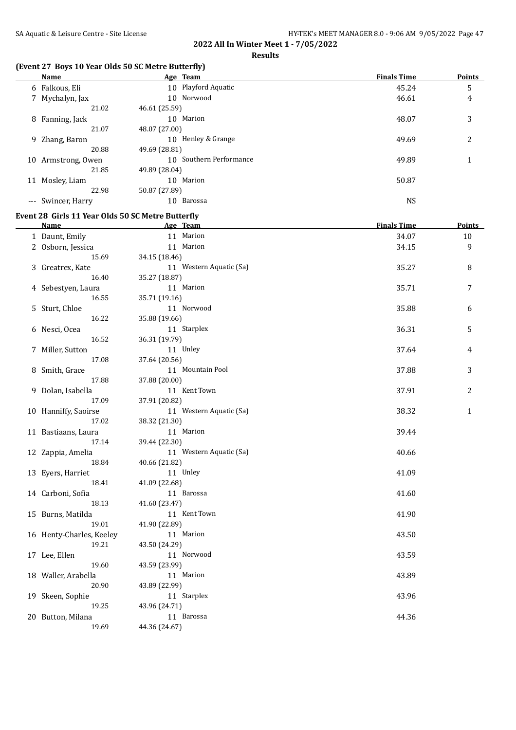**Results**

## **(Event 27 Boys 10 Year Olds 50 SC Metre Butterfly)**

|          | Name            |               | Age Team                | <b>Finals Time</b> | <b>Points</b> |
|----------|-----------------|---------------|-------------------------|--------------------|---------------|
|          | 6 Falkous, Eli  |               | 10 Playford Aquatic     | 45.24              | 5             |
|          | 7 Mychalyn, Jax |               | 10 Norwood              | 46.61              | 4             |
|          | 21.02           | 46.61 (25.59) |                         |                    |               |
|          | 8 Fanning, Jack |               | 10 Marion               | 48.07              | 3             |
|          | 21.07           | 48.07 (27.00) |                         |                    |               |
|          | 9 Zhang, Baron  |               | 10 Henley & Grange      | 49.69              | 2             |
|          | 20.88           | 49.69 (28.81) |                         |                    |               |
| 10       | Armstrong, Owen |               | 10 Southern Performance | 49.89              |               |
|          | 21.85           | 49.89 (28.04) |                         |                    |               |
| 11       | Mosley, Liam    |               | 10 Marion               | 50.87              |               |
|          | 22.98           | 50.87 (27.89) |                         |                    |               |
| $\cdots$ | Swincer, Harry  | 10            | Barossa                 | <b>NS</b>          |               |

## **Event 28 Girls 11 Year Olds 50 SC Metre Butterfly**

| Name                     | Age Team                | <b>Finals Time</b> | <b>Points</b> |
|--------------------------|-------------------------|--------------------|---------------|
| 1 Daunt, Emily           | 11 Marion               | 34.07              | $10\,$        |
| 2 Osborn, Jessica        | 11 Marion               | 34.15              | 9             |
| 15.69                    | 34.15 (18.46)           |                    |               |
| 3 Greatrex, Kate         | 11 Western Aquatic (Sa) | 35.27              | 8             |
| 16.40                    | 35.27 (18.87)           |                    |               |
| 4 Sebestyen, Laura       | 11 Marion               | 35.71              | 7             |
| 16.55                    | 35.71 (19.16)           |                    |               |
| 5 Sturt, Chloe           | 11 Norwood              | 35.88              | 6             |
| 16.22                    | 35.88 (19.66)           |                    |               |
| 6 Nesci, Ocea            | 11 Starplex             | 36.31              | 5             |
| 16.52                    | 36.31 (19.79)           |                    |               |
| 7 Miller, Sutton         | 11 Unley                | 37.64              | 4             |
| 17.08                    | 37.64 (20.56)           |                    |               |
| 8 Smith, Grace           | 11 Mountain Pool        | 37.88              | 3             |
| 17.88                    | 37.88 (20.00)           |                    |               |
| 9 Dolan, Isabella        | 11 Kent Town            | 37.91              | 2             |
| 17.09                    | 37.91 (20.82)           |                    |               |
| 10 Hanniffy, Saoirse     | 11 Western Aquatic (Sa) | 38.32              | $\mathbf{1}$  |
| 17.02                    | 38.32 (21.30)           |                    |               |
| 11 Bastiaans, Laura      | 11 Marion               | 39.44              |               |
| 17.14                    | 39.44 (22.30)           |                    |               |
| 12 Zappia, Amelia        | 11 Western Aquatic (Sa) | 40.66              |               |
| 18.84                    | 40.66 (21.82)           |                    |               |
| 13 Eyers, Harriet        | 11 Unley                | 41.09              |               |
| 18.41                    | 41.09 (22.68)           |                    |               |
| 14 Carboni, Sofia        | 11 Barossa              | 41.60              |               |
| 18.13                    | 41.60 (23.47)           |                    |               |
| 15 Burns, Matilda        | 11 Kent Town            | 41.90              |               |
| 19.01                    | 41.90 (22.89)           |                    |               |
| 16 Henty-Charles, Keeley | 11 Marion               | 43.50              |               |
| 19.21                    | 43.50 (24.29)           |                    |               |
| 17 Lee, Ellen            | 11 Norwood              | 43.59              |               |
| 19.60                    | 43.59 (23.99)           |                    |               |
| 18 Waller, Arabella      | 11 Marion               | 43.89              |               |
| 20.90                    | 43.89 (22.99)           |                    |               |
| 19 Skeen, Sophie         | 11 Starplex             | 43.96              |               |
| 19.25                    | 43.96 (24.71)           |                    |               |
| 20 Button, Milana        | 11 Barossa              | 44.36              |               |
| 19.69                    | 44.36 (24.67)           |                    |               |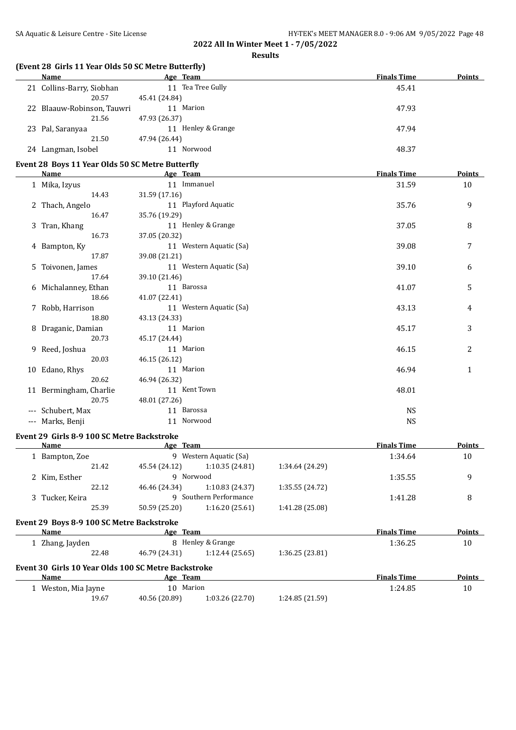**Results**

| (Event 28 Girls 11 Year Olds 50 SC Metre Butterfly) |                            |                         |                 |                    |               |
|-----------------------------------------------------|----------------------------|-------------------------|-----------------|--------------------|---------------|
| Name                                                | Age Team                   |                         |                 | <b>Finals Time</b> | Points        |
| 21 Collins-Barry, Siobhan<br>20.57                  | 45.41 (24.84)              | 11 Tea Tree Gully       |                 | 45.41              |               |
| 22 Blaauw-Robinson, Tauwri<br>21.56                 | 11 Marion<br>47.93 (26.37) |                         |                 | 47.93              |               |
| 23 Pal, Saranyaa<br>21.50                           | 47.94 (26.44)              | 11 Henley & Grange      |                 | 47.94              |               |
| 24 Langman, Isobel                                  |                            | 11 Norwood              |                 | 48.37              |               |
| Event 28 Boys 11 Year Olds 50 SC Metre Butterfly    |                            |                         |                 |                    |               |
| Name                                                | Age Team                   |                         |                 | <b>Finals Time</b> | Points        |
| 1 Mika, Izyus                                       |                            | 11 Immanuel             |                 | 31.59              | 10            |
| 14.43                                               | 31.59 (17.16)              |                         |                 |                    |               |
| 2 Thach, Angelo                                     |                            | 11 Playford Aquatic     |                 | 35.76              | 9             |
| 16.47                                               | 35.76 (19.29)              |                         |                 |                    |               |
| 3 Tran, Khang                                       |                            | 11 Henley & Grange      |                 | 37.05              | 8             |
| 16.73                                               | 37.05 (20.32)              |                         |                 |                    |               |
| 4 Bampton, Ky                                       |                            | 11 Western Aquatic (Sa) |                 | 39.08              | 7             |
| 17.87                                               | 39.08 (21.21)              |                         |                 |                    |               |
| 5 Toivonen, James                                   |                            | 11 Western Aquatic (Sa) |                 | 39.10              | 6             |
| 17.64                                               | 39.10 (21.46)              |                         |                 |                    |               |
| 6 Michalanney, Ethan                                | 11 Barossa                 |                         |                 | 41.07              | 5             |
| 18.66                                               | 41.07 (22.41)              |                         |                 |                    |               |
| 7 Robb, Harrison                                    |                            | 11 Western Aquatic (Sa) |                 | 43.13              | 4             |
| 18.80                                               | 43.13 (24.33)              |                         |                 |                    |               |
| 8 Draganic, Damian                                  | 11 Marion                  |                         |                 | 45.17              | 3             |
| 20.73                                               |                            |                         |                 |                    |               |
|                                                     | 45.17 (24.44)              |                         |                 |                    |               |
| 9 Reed, Joshua                                      | 11 Marion                  |                         |                 | 46.15              | 2             |
| 20.03                                               | 46.15 (26.12)              |                         |                 |                    |               |
| 10 Edano, Rhys                                      | 11 Marion                  |                         |                 | 46.94              | 1             |
| 20.62                                               | 46.94 (26.32)              |                         |                 |                    |               |
| 11 Bermingham, Charlie                              |                            | 11 Kent Town            |                 | 48.01              |               |
| 20.75                                               | 48.01 (27.26)              |                         |                 |                    |               |
| --- Schubert, Max                                   | 11 Barossa                 |                         |                 | <b>NS</b>          |               |
| --- Marks, Benji                                    |                            | 11 Norwood              |                 | <b>NS</b>          |               |
| Event 29 Girls 8-9 100 SC Metre Backstroke          |                            |                         |                 |                    |               |
| Name                                                | Age Team                   |                         |                 | <b>Finals Time</b> | <b>Points</b> |
|                                                     |                            | 9 Western Aquatic (Sa)  |                 | 1:34.64            | 10            |
| 1 Bampton, Zoe                                      |                            |                         |                 |                    |               |
| 21.42                                               | 45.54 (24.12)              | 1:10.35 (24.81)         | 1:34.64 (24.29) |                    |               |
| 2 Kim, Esther                                       |                            | 9 Norwood               |                 | 1:35.55            | 9             |
| 22.12                                               | 46.46 (24.34)              | 1:10.83 (24.37)         | 1:35.55 (24.72) |                    |               |
| 3 Tucker, Keira                                     |                            | 9 Southern Performance  |                 | 1:41.28            | 8             |
| 25.39                                               | 50.59 (25.20)              | 1:16.20 (25.61)         | 1:41.28 (25.08) |                    |               |
| Event 29 Boys 8-9 100 SC Metre Backstroke           |                            |                         |                 |                    |               |
| Name                                                | Age Team                   |                         |                 | <b>Finals Time</b> | <b>Points</b> |
| 1 Zhang, Jayden                                     |                            | 8 Henley & Grange       |                 | 1:36.25            | 10            |
| 22.48                                               | 46.79 (24.31)              | 1:12.44 (25.65)         | 1:36.25 (23.81) |                    |               |
| Event 30 Girls 10 Year Olds 100 SC Metre Backstroke |                            |                         |                 |                    |               |
| Name                                                | Age Team                   |                         |                 | <b>Finals Time</b> | <b>Points</b> |
| 1 Weston, Mia Jayne                                 | 10 Marion                  |                         |                 | 1:24.85            | 10            |
| 19.67                                               | 40.56 (20.89)              | 1:03.26 (22.70)         | 1:24.85 (21.59) |                    |               |
|                                                     |                            |                         |                 |                    |               |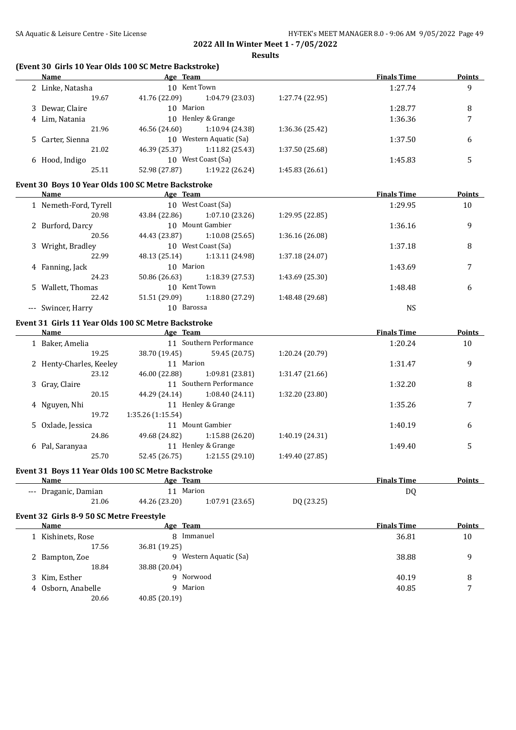# **(Event 30 Girls 10 Year Olds 100 SC Metre Backstroke)**

| Name                                     | Age Team                                            |                 | <b>Finals Time</b> | <b>Points</b> |
|------------------------------------------|-----------------------------------------------------|-----------------|--------------------|---------------|
| 2 Linke, Natasha                         | 10 Kent Town                                        |                 | 1:27.74            | 9             |
| 19.67                                    | 41.76 (22.09)<br>1:04.79 (23.03)                    | 1:27.74 (22.95) |                    |               |
| 3 Dewar, Claire                          | 10 Marion                                           |                 | 1:28.77            | 8             |
| 4 Lim, Natania                           | 10 Henley & Grange                                  |                 | 1:36.36            | 7             |
| 21.96                                    | 46.56 (24.60) 1:10.94 (24.38)                       | 1:36.36 (25.42) |                    |               |
| 5 Carter, Sienna                         | 10 Western Aquatic (Sa)                             |                 | 1:37.50            | 6             |
| 21.02                                    | 46.39 (25.37)<br>1:11.82 (25.43)                    | 1:37.50 (25.68) |                    |               |
| 6 Hood, Indigo                           | 10 West Coast (Sa)                                  |                 | 1:45.83            | 5             |
| 25.11                                    | 52.98 (27.87)<br>1:19.22 (26.24)                    | 1:45.83 (26.61) |                    |               |
|                                          |                                                     |                 |                    |               |
|                                          | Event 30 Boys 10 Year Olds 100 SC Metre Backstroke  |                 |                    |               |
| Name                                     | Age Team                                            |                 | <b>Finals Time</b> | <b>Points</b> |
| 1 Nemeth-Ford, Tyrell                    | 10 West Coast (Sa)                                  |                 | 1:29.95            | 10            |
| 20.98                                    | 43.84 (22.86)<br>1:07.10 (23.26)                    | 1:29.95 (22.85) |                    |               |
| 2 Burford, Darcy                         | 10 Mount Gambier                                    |                 | 1:36.16            | 9             |
| 20.56                                    | 44.43 (23.87)<br>1:10.08(25.65)                     | 1:36.16 (26.08) |                    |               |
| 3 Wright, Bradley                        | 10 West Coast (Sa)                                  |                 | 1:37.18            | 8             |
| 22.99                                    | 48.13 (25.14)<br>1:13.11 (24.98)                    | 1:37.18 (24.07) |                    |               |
| 4 Fanning, Jack                          | 10 Marion                                           |                 | 1:43.69            | 7             |
| 24.23                                    | 50.86 (26.63)<br>1:18.39 (27.53)                    | 1:43.69 (25.30) |                    |               |
| 5 Wallett, Thomas                        | 10 Kent Town                                        |                 | 1:48.48            | 6             |
| 22.42                                    | 51.51 (29.09)<br>1:18.80 (27.29)                    | 1:48.48 (29.68) |                    |               |
| --- Swincer, Harry                       | 10 Barossa                                          |                 | <b>NS</b>          |               |
|                                          |                                                     |                 |                    |               |
|                                          | Event 31 Girls 11 Year Olds 100 SC Metre Backstroke |                 |                    |               |
| Name                                     | <b>Example 2</b> Age Team                           |                 | <b>Finals Time</b> | <b>Points</b> |
| 1 Baker, Amelia                          | 11 Southern Performance                             |                 | 1:20.24            | 10            |
| 19.25                                    | 38.70 (19.45)<br>59.45 (20.75)                      | 1:20.24 (20.79) |                    |               |
| 2 Henty-Charles, Keeley                  | 11 Marion                                           |                 | 1:31.47            | 9             |
| 23.12                                    | 46.00 (22.88)<br>1:09.81 (23.81)                    | 1:31.47 (21.66) |                    |               |
| 3 Gray, Claire                           | 11 Southern Performance                             |                 | 1:32.20            | 8             |
| 20.15                                    | 44.29 (24.14)<br>1:08.40 (24.11)                    | 1:32.20 (23.80) |                    |               |
| 4 Nguyen, Nhi                            | 11 Henley & Grange                                  |                 | 1:35.26            | 7             |
| 19.72                                    | 1:35.26 (1:15.54)                                   |                 |                    |               |
| 5 Oxlade, Jessica                        | 11 Mount Gambier                                    |                 | 1:40.19            | 6             |
| 24.86                                    | 49.68 (24.82)<br>1:15.88 (26.20)                    | 1:40.19 (24.31) |                    |               |
| 6 Pal, Saranyaa                          | 11 Henley & Grange                                  |                 | 1:49.40            | 5             |
| 25.70                                    | 52.45 (26.75) 1:21.55 (29.10)                       | 1:49.40 (27.85) |                    |               |
|                                          |                                                     |                 |                    |               |
|                                          | Event 31 Boys 11 Year Olds 100 SC Metre Backstroke  |                 |                    |               |
| <b>Name</b>                              | Age Team                                            |                 | <b>Finals Time</b> | <b>Points</b> |
| --- Draganic, Damian                     | 11 Marion                                           |                 | DQ                 |               |
| 21.06                                    | 44.26 (23.20)<br>1:07.91 (23.65)                    | DQ (23.25)      |                    |               |
| Event 32 Girls 8-9 50 SC Metre Freestyle |                                                     |                 |                    |               |
| Name                                     | Age Team                                            |                 | <b>Finals Time</b> | <b>Points</b> |
| 1 Kishinets, Rose                        | 8 Immanuel                                          |                 | 36.81              | 10            |
| 17.56                                    | 36.81 (19.25)                                       |                 |                    |               |
| 2 Bampton, Zoe                           | 9 Western Aquatic (Sa)                              |                 | 38.88              | 9             |
| 18.84                                    |                                                     |                 |                    |               |
|                                          | 38.88 (20.04)<br>9 Norwood                          |                 |                    |               |
| 3 Kim, Esther                            |                                                     |                 | 40.19              | 8             |
| 4 Osborn, Anabelle                       | 9 Marion                                            |                 | 40.85              | 7             |
| 20.66                                    | 40.85 (20.19)                                       |                 |                    |               |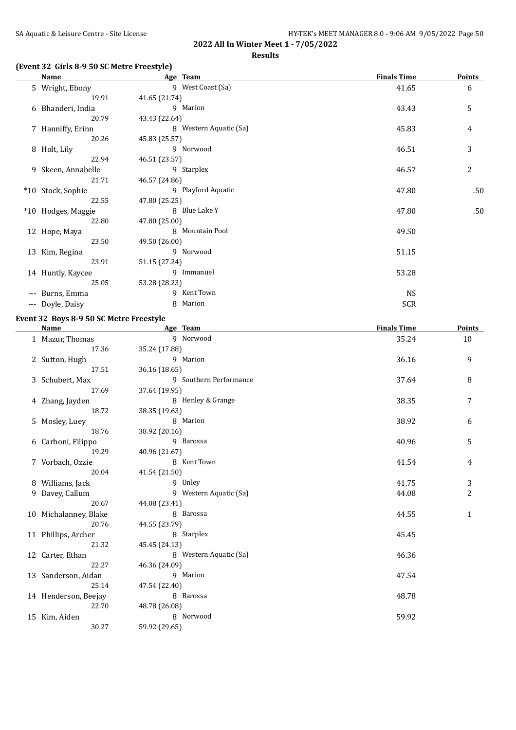## **(Event 32 Girls 8-9 50 SC Metre Freestyle)**

|       | Name               | Age Team               | <b>Finals Time</b> | Points |
|-------|--------------------|------------------------|--------------------|--------|
|       | 5 Wright, Ebony    | 9 West Coast (Sa)      | 41.65              | 6      |
|       | 19.91              | 41.65 (21.74)          |                    |        |
|       | 6 Bhanderi, India  | 9 Marion               | 43.43              | 5      |
|       | 20.79              | 43.43 (22.64)          |                    |        |
|       | 7 Hanniffy, Erinn  | 8 Western Aquatic (Sa) | 45.83              | 4      |
|       | 20.26              | 45.83 (25.57)          |                    |        |
|       | 8 Holt, Lily       | 9 Norwood              | 46.51              | 3      |
|       | 22.94              | 46.51 (23.57)          |                    |        |
|       | 9 Skeen, Annabelle | 9 Starplex             | 46.57              | 2      |
|       | 21.71              | 46.57 (24.86)          |                    |        |
|       | *10 Stock, Sophie  | 9 Playford Aquatic     | 47.80              | .50    |
|       | 22.55              | 47.80 (25.25)          |                    |        |
|       | *10 Hodges, Maggie | 8 Blue Lake Y          | 47.80              | .50    |
|       | 22.80              | 47.80 (25.00)          |                    |        |
|       | 12 Hope, Maya      | 8 Mountain Pool        | 49.50              |        |
|       | 23.50              | 49.50 (26.00)          |                    |        |
|       | 13 Kim, Regina     | 9 Norwood              | 51.15              |        |
|       | 23.91              | 51.15 (27.24)          |                    |        |
|       | 14 Huntly, Kaycee  | 9 Immanuel             | 53.28              |        |
|       | 25.05              | 53.28 (28.23)          |                    |        |
| $---$ | Burns, Emma        | 9 Kent Town            | <b>NS</b>          |        |
| ---   | Doyle, Daisy       | 8 Marion               | <b>SCR</b>         |        |

## **Event 32 Boys 8-9 50 SC Metre Freestyle**

| <b>Name</b>           | Age Team               | <b>Finals Time</b> | Points         |
|-----------------------|------------------------|--------------------|----------------|
| 1 Mazur, Thomas       | 9 Norwood              | 35.24              | 10             |
| 17.36                 | 35.24 (17.88)          |                    |                |
| 2 Sutton, Hugh        | 9 Marion               | 36.16              | 9              |
| 17.51                 | 36.16 (18.65)          |                    |                |
| 3 Schubert, Max       | 9 Southern Performance | 37.64              | 8              |
| 17.69                 | 37.64 (19.95)          |                    |                |
| 4 Zhang, Jayden       | 8 Henley & Grange      | 38.35              | 7              |
| 18.72                 | 38.35 (19.63)          |                    |                |
| 5 Mosley, Luey        | 8 Marion               | 38.92              | 6              |
| 18.76                 | 38.92 (20.16)          |                    |                |
| 6 Carboni, Filippo    | 9 Barossa              | 40.96              | 5              |
| 19.29                 | 40.96 (21.67)          |                    |                |
| 7 Vorbach, Ozzie      | 8 Kent Town            | 41.54              | 4              |
| 20.04                 | 41.54 (21.50)          |                    |                |
| 8 Williams, Jack      | 9 Unley                | 41.75              | 3              |
| 9 Davey, Callum       | 9 Western Aquatic (Sa) | 44.08              | $\overline{c}$ |
| 20.67                 | 44.08 (23.41)          |                    |                |
| 10 Michalanney, Blake | 8 Barossa              | 44.55              | $\mathbf{1}$   |
| 20.76                 | 44.55 (23.79)          |                    |                |
| 11 Phillips, Archer   | 8 Starplex             | 45.45              |                |
| 21.32                 | 45.45 (24.13)          |                    |                |
| 12 Carter, Ethan      | 8 Western Aquatic (Sa) | 46.36              |                |
| 22.27                 | 46.36 (24.09)          |                    |                |
| 13 Sanderson, Aidan   | 9 Marion               | 47.54              |                |
| 25.14                 | 47.54 (22.40)          |                    |                |
| 14 Henderson, Beejay  | 8 Barossa              | 48.78              |                |
| 22.70                 | 48.78 (26.08)          |                    |                |
| 15 Kim, Aiden         | 8 Norwood              | 59.92              |                |
| 30.27                 | 59.92 (29.65)          |                    |                |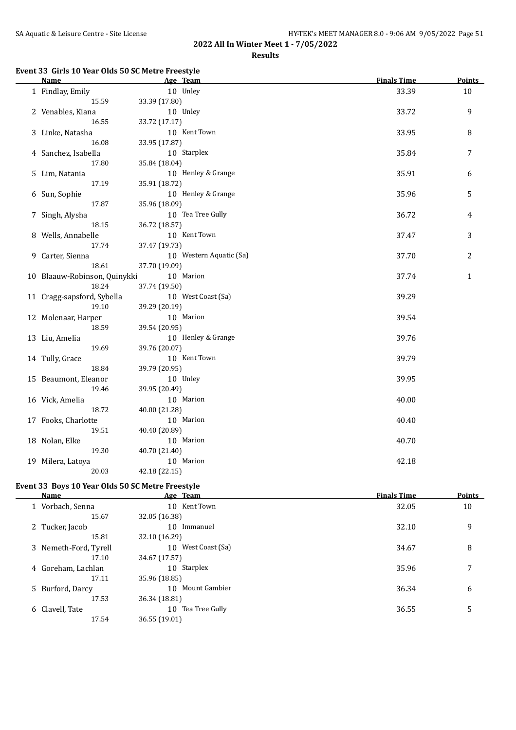#### **Results**

#### **Event 33 Girls 10 Year Olds 50 SC Metre Freestyle**

| <b>Name</b>                  | Age Team                | <b>Finals Time</b> | <b>Points</b> |
|------------------------------|-------------------------|--------------------|---------------|
| 1 Findlay, Emily             | 10 Unley                | 33.39              | 10            |
| 15.59                        | 33.39 (17.80)           |                    |               |
| 2 Venables, Kiana            | 10 Unley                | 33.72              | 9             |
| 16.55                        | 33.72 (17.17)           |                    |               |
| 3 Linke, Natasha             | 10 Kent Town            | 33.95              | 8             |
| 16.08                        | 33.95 (17.87)           |                    |               |
| 4 Sanchez, Isabella          | 10 Starplex             | 35.84              | 7             |
| 17.80                        | 35.84 (18.04)           |                    |               |
| 5 Lim, Natania               | 10 Henley & Grange      | 35.91              | 6             |
| 17.19                        | 35.91 (18.72)           |                    |               |
| 6 Sun, Sophie                | 10 Henley & Grange      | 35.96              | 5             |
| 17.87                        | 35.96 (18.09)           |                    |               |
| 7 Singh, Alysha              | 10 Tea Tree Gully       | 36.72              | 4             |
| 18.15                        | 36.72 (18.57)           |                    |               |
| 8 Wells, Annabelle           | 10 Kent Town            | 37.47              | 3             |
| 17.74                        | 37.47 (19.73)           |                    |               |
| 9 Carter, Sienna             | 10 Western Aquatic (Sa) | 37.70              | 2             |
| 18.61                        | 37.70 (19.09)           |                    |               |
| 10 Blaauw-Robinson, Quinykki | 10 Marion               | 37.74              | $\mathbf{1}$  |
| 18.24                        | 37.74 (19.50)           |                    |               |
| 11 Cragg-sapsford, Sybella   | 10 West Coast (Sa)      | 39.29              |               |
| 19.10                        | 39.29 (20.19)           |                    |               |
| 12 Molenaar, Harper          | 10 Marion               | 39.54              |               |
| 18.59                        | 39.54 (20.95)           |                    |               |
| 13 Liu, Amelia               | 10 Henley & Grange      | 39.76              |               |
| 19.69                        | 39.76 (20.07)           |                    |               |
| 14 Tully, Grace              | 10 Kent Town            | 39.79              |               |
| 18.84                        | 39.79 (20.95)           |                    |               |
| 15 Beaumont, Eleanor         | 10 Unley                | 39.95              |               |
| 19.46                        | 39.95 (20.49)           |                    |               |
| 16 Vick, Amelia              | 10 Marion               | 40.00              |               |
| 18.72                        | 40.00 (21.28)           |                    |               |
| 17 Fooks, Charlotte          | 10 Marion               | 40.40              |               |
| 19.51                        | 40.40 (20.89)           |                    |               |
| 18 Nolan, Elke               | 10 Marion               | 40.70              |               |
| 19.30                        | 40.70 (21.40)           |                    |               |
| 19 Milera, Latoya            | 10 Marion               | 42.18              |               |
| 20.03                        | 42.18 (22.15)           |                    |               |

## **Event 33 Boys 10 Year Olds 50 SC Metre Freestyle**

| <b>Finals Time</b> | <b>Points</b> |
|--------------------|---------------|
| 32.05              | 10            |
|                    |               |
| 32.10              | 9             |
|                    |               |
| 34.67              | 8             |
|                    |               |
| 35.96              |               |
|                    |               |
| 36.34              | 6             |
|                    |               |
| 36.55              | 5             |
|                    |               |
|                    |               |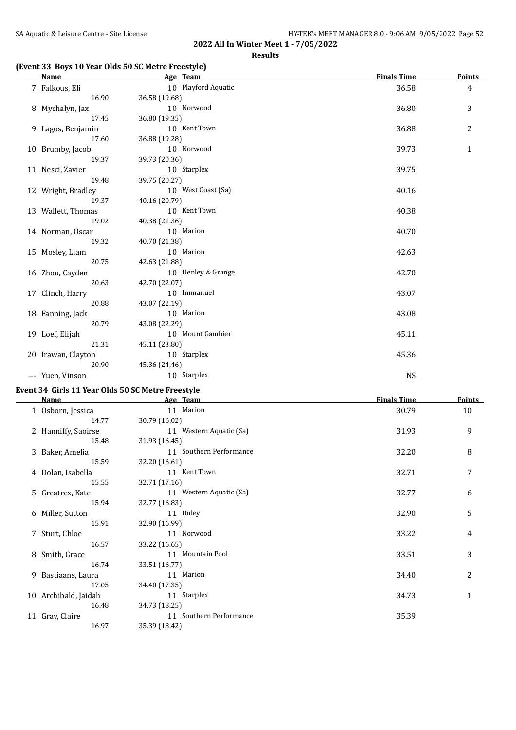## **(Event 33 Boys 10 Year Olds 50 SC Metre Freestyle)**

| Name               | Age Team            | <b>Finals Time</b> | <b>Points</b>  |
|--------------------|---------------------|--------------------|----------------|
| 7 Falkous, Eli     | 10 Playford Aquatic | 36.58              | $\overline{4}$ |
| 16.90              | 36.58 (19.68)       |                    |                |
| 8 Mychalyn, Jax    | 10 Norwood          | 36.80              | 3              |
| 17.45              | 36.80 (19.35)       |                    |                |
| 9 Lagos, Benjamin  | 10 Kent Town        | 36.88              | 2              |
| 17.60              | 36.88 (19.28)       |                    |                |
| 10 Brumby, Jacob   | 10 Norwood          | 39.73              | $\mathbf{1}$   |
| 19.37              | 39.73 (20.36)       |                    |                |
| 11 Nesci, Zavier   | 10 Starplex         | 39.75              |                |
| 19.48              | 39.75 (20.27)       |                    |                |
| 12 Wright, Bradley | 10 West Coast (Sa)  | 40.16              |                |
| 19.37              | 40.16 (20.79)       |                    |                |
| 13 Wallett, Thomas | 10 Kent Town        | 40.38              |                |
| 19.02              | 40.38 (21.36)       |                    |                |
| 14 Norman, Oscar   | 10 Marion           | 40.70              |                |
| 19.32              | 40.70 (21.38)       |                    |                |
| 15 Mosley, Liam    | 10 Marion           | 42.63              |                |
| 20.75              | 42.63 (21.88)       |                    |                |
| 16 Zhou, Cayden    | 10 Henley & Grange  | 42.70              |                |
| 20.63              | 42.70 (22.07)       |                    |                |
| 17 Clinch, Harry   | 10 Immanuel         | 43.07              |                |
| 20.88              | 43.07 (22.19)       |                    |                |
| 18 Fanning, Jack   | 10 Marion           | 43.08              |                |
| 20.79              | 43.08 (22.29)       |                    |                |
| 19 Loef, Elijah    | 10 Mount Gambier    | 45.11              |                |
| 21.31              | 45.11 (23.80)       |                    |                |
| 20 Irawan, Clayton | 10 Starplex         | 45.36              |                |
| 20.90              | 45.36 (24.46)       |                    |                |
| --- Yuen, Vinson   | 10 Starplex         | <b>NS</b>          |                |

## **Event 34 Girls 11 Year Olds 50 SC Metre Freestyle**

| Name                 | Age Team                | <b>Finals Time</b> | <b>Points</b> |
|----------------------|-------------------------|--------------------|---------------|
| 1 Osborn, Jessica    | 11 Marion               | 30.79              | 10            |
| 14.77                | 30.79 (16.02)           |                    |               |
| 2 Hanniffy, Saoirse  | 11 Western Aquatic (Sa) | 31.93              | 9             |
| 15.48                | 31.93 (16.45)           |                    |               |
| 3 Baker, Amelia      | 11 Southern Performance | 32.20              | 8             |
| 15.59                | 32.20 (16.61)           |                    |               |
| 4 Dolan, Isabella    | 11 Kent Town            | 32.71              | 7             |
| 15.55                | 32.71 (17.16)           |                    |               |
| 5 Greatrex, Kate     | 11 Western Aquatic (Sa) | 32.77              | 6             |
| 15.94                | 32.77 (16.83)           |                    |               |
| 6 Miller, Sutton     | 11 Unley                | 32.90              | 5             |
| 15.91                | 32.90 (16.99)           |                    |               |
| 7 Sturt, Chloe       | 11 Norwood              | 33.22              | 4             |
| 16.57                | 33.22 (16.65)           |                    |               |
| 8 Smith, Grace       | 11 Mountain Pool        | 33.51              | 3             |
| 16.74                | 33.51 (16.77)           |                    |               |
| 9 Bastiaans, Laura   | 11 Marion               | 34.40              | 2             |
| 17.05                | 34.40 (17.35)           |                    |               |
| 10 Archibald, Jaidah | 11 Starplex             | 34.73              | $\mathbf{1}$  |
| 16.48                | 34.73 (18.25)           |                    |               |
| 11 Gray, Claire      | 11 Southern Performance | 35.39              |               |
| 16.97                | 35.39 (18.42)           |                    |               |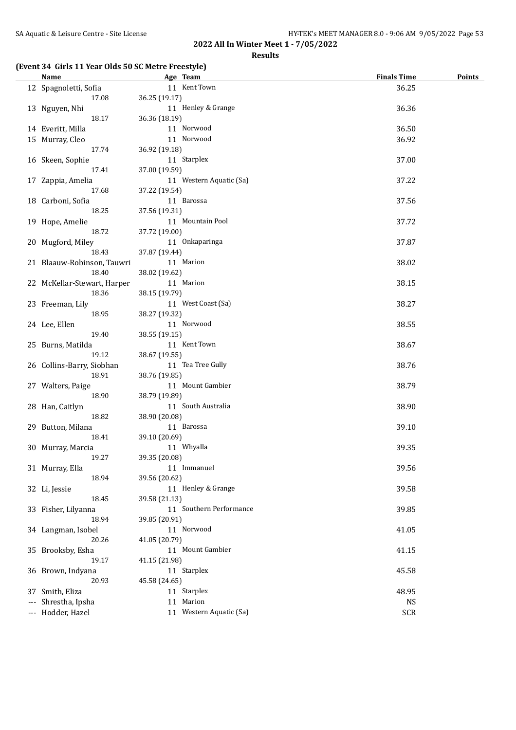**Results**

## **(Event 34 Girls 11 Year Olds 50 SC Metre Freestyle)**

| <b>Name</b>                 | Age Team                           | <b>Finals Time</b> | <b>Points</b> |
|-----------------------------|------------------------------------|--------------------|---------------|
| 12 Spagnoletti, Sofia       | 11 Kent Town                       | 36.25              |               |
| 17.08                       | 36.25 (19.17)                      |                    |               |
| 13 Nguyen, Nhi              | 11 Henley & Grange                 | 36.36              |               |
| 18.17                       | 36.36 (18.19)                      |                    |               |
| 14 Everitt, Milla           | 11 Norwood                         | 36.50              |               |
| 15 Murray, Cleo             | 11 Norwood                         | 36.92              |               |
| 17.74                       | 36.92 (19.18)                      |                    |               |
| 16 Skeen, Sophie            | 11 Starplex                        | 37.00              |               |
| 17.41                       | 37.00 (19.59)                      |                    |               |
| 17 Zappia, Amelia           | 11 Western Aquatic (Sa)            | 37.22              |               |
| 17.68                       | 37.22 (19.54)                      |                    |               |
| 18 Carboni, Sofia           | 11 Barossa                         | 37.56              |               |
| 18.25                       | 37.56 (19.31)                      |                    |               |
| 19 Hope, Amelie             | 11 Mountain Pool                   | 37.72              |               |
| 18.72                       | 37.72 (19.00)                      |                    |               |
| 20 Mugford, Miley           | 11 Onkaparinga                     | 37.87              |               |
| 18.43                       | 37.87 (19.44)                      |                    |               |
| 21 Blaauw-Robinson, Tauwri  | 11 Marion                          | 38.02              |               |
| 18.40                       | 38.02 (19.62)                      |                    |               |
| 22 McKellar-Stewart, Harper | 11 Marion                          | 38.15              |               |
| 18.36                       | 38.15 (19.79)                      |                    |               |
| 23 Freeman, Lily            | 11 West Coast (Sa)                 | 38.27              |               |
| 18.95                       | 38.27 (19.32)                      |                    |               |
| 24 Lee, Ellen               | 11 Norwood                         | 38.55              |               |
| 19.40                       | 38.55 (19.15)                      |                    |               |
| 25 Burns, Matilda           | 11 Kent Town                       | 38.67              |               |
| 19.12                       | 38.67 (19.55)<br>11 Tea Tree Gully |                    |               |
| 26 Collins-Barry, Siobhan   |                                    | 38.76              |               |
| 18.91                       | 38.76 (19.85)<br>11 Mount Gambier  | 38.79              |               |
| 27 Walters, Paige<br>18.90  | 38.79 (19.89)                      |                    |               |
| 28 Han, Caitlyn             | 11 South Australia                 | 38.90              |               |
| 18.82                       | 38.90 (20.08)                      |                    |               |
| 29 Button, Milana           | 11 Barossa                         | 39.10              |               |
| 18.41                       | 39.10 (20.69)                      |                    |               |
| 30 Murray, Marcia           | 11 Whyalla                         | 39.35              |               |
| 19.27                       | 39.35 (20.08)                      |                    |               |
| 31 Murray, Ella             | 11 Immanuel                        | 39.56              |               |
| 18.94                       | 39.56 (20.62)                      |                    |               |
| 32 Li, Jessie               | 11 Henley & Grange                 | 39.58              |               |
| 18.45                       | 39.58 (21.13)                      |                    |               |
| 33 Fisher, Lilyanna         | 11 Southern Performance            | 39.85              |               |
| 18.94                       | 39.85 (20.91)                      |                    |               |
| 34 Langman, Isobel          | 11 Norwood                         | 41.05              |               |
| 20.26                       | 41.05 (20.79)                      |                    |               |
| 35 Brooksby, Esha           | 11 Mount Gambier                   | 41.15              |               |
| 19.17                       | 41.15 (21.98)                      |                    |               |
| 36 Brown, Indyana           | 11 Starplex                        | 45.58              |               |
| 20.93                       | 45.58 (24.65)                      |                    |               |
| 37 Smith, Eliza             | 11 Starplex                        | 48.95              |               |
| --- Shrestha, Ipsha         | 11 Marion                          | <b>NS</b>          |               |
| --- Hodder, Hazel           | 11 Western Aquatic (Sa)            | <b>SCR</b>         |               |
|                             |                                    |                    |               |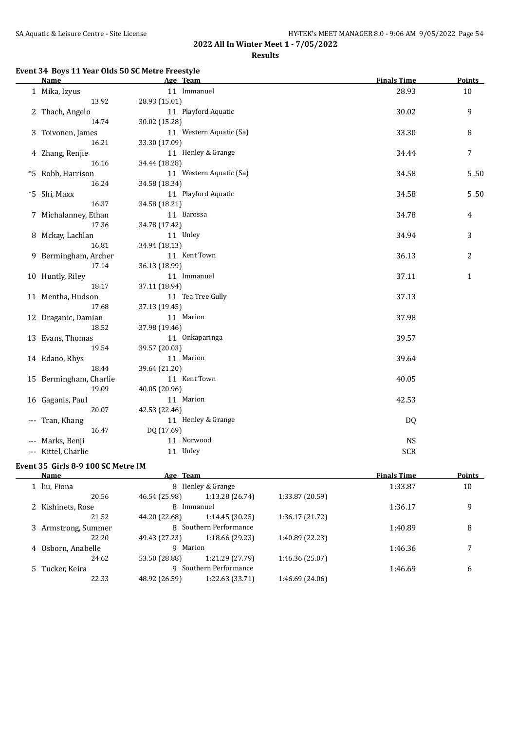**Results**

## **Event 34 Boys 11 Year Olds 50 SC Metre Freestyle**

| <b>Name</b>            | Age Team                | <b>Finals Time</b> | <b>Points</b> |
|------------------------|-------------------------|--------------------|---------------|
| 1 Mika, Izyus          | 11 Immanuel             | 28.93              | 10            |
| 13.92                  | 28.93 (15.01)           |                    |               |
| 2 Thach, Angelo        | 11 Playford Aquatic     | 30.02              | 9             |
| 14.74                  | 30.02 (15.28)           |                    |               |
| 3 Toivonen, James      | 11 Western Aquatic (Sa) | 33.30              | 8             |
| 16.21                  | 33.30 (17.09)           |                    |               |
| 4 Zhang, Renjie        | 11 Henley & Grange      | 34.44              | 7             |
| 16.16                  | 34.44 (18.28)           |                    |               |
| *5 Robb, Harrison      | 11 Western Aquatic (Sa) | 34.58              | 5.50          |
| 16.24                  | 34.58 (18.34)           |                    |               |
| *5 Shi, Maxx           | 11 Playford Aquatic     | 34.58              | 5.50          |
| 16.37                  | 34.58 (18.21)           |                    |               |
| 7 Michalanney, Ethan   | 11 Barossa              | 34.78              | 4             |
| 17.36                  | 34.78 (17.42)           |                    |               |
| 8 Mckay, Lachlan       | 11 Unley                | 34.94              | 3             |
| 16.81                  | 34.94 (18.13)           |                    |               |
| 9 Bermingham, Archer   | 11 Kent Town            | 36.13              | 2             |
| 17.14                  | 36.13 (18.99)           |                    |               |
| 10 Huntly, Riley       | 11 Immanuel             | 37.11              | $\mathbf{1}$  |
| 18.17                  | 37.11 (18.94)           |                    |               |
| 11 Mentha, Hudson      | 11 Tea Tree Gully       | 37.13              |               |
| 17.68                  | 37.13 (19.45)           |                    |               |
| 12 Draganic, Damian    | 11 Marion               | 37.98              |               |
| 18.52                  | 37.98 (19.46)           |                    |               |
| 13 Evans, Thomas       | 11 Onkaparinga          | 39.57              |               |
| 19.54                  | 39.57 (20.03)           |                    |               |
| 14 Edano, Rhys         | 11 Marion               | 39.64              |               |
| 18.44                  | 39.64 (21.20)           |                    |               |
| 15 Bermingham, Charlie | 11 Kent Town            | 40.05              |               |
| 19.09                  | 40.05 (20.96)           |                    |               |
| 16 Gaganis, Paul       | 11 Marion               | 42.53              |               |
| 20.07                  | 42.53 (22.46)           |                    |               |
| --- Tran, Khang        | 11 Henley & Grange      | DQ                 |               |
| 16.47                  | DQ (17.69)              |                    |               |
| --- Marks, Benji       | 11 Norwood              | <b>NS</b>          |               |
| --- Kittel, Charlie    | 11 Unley                | <b>SCR</b>         |               |

## **Event 35 Girls 8-9 100 SC Metre IM**

| Name                |               |                 |                                                                                                         | <b>Finals Time</b> | <b>Points</b> |
|---------------------|---------------|-----------------|---------------------------------------------------------------------------------------------------------|--------------------|---------------|
| 1 liu, Fiona        |               |                 |                                                                                                         | 1:33.87            | 10            |
| 20.56               | 46.54 (25.98) | 1:13.28 (26.74) | 1:33.87 (20.59)                                                                                         |                    |               |
| 2 Kishinets, Rose   | 8             |                 |                                                                                                         | 1:36.17            | 9             |
| 21.52               | 44.20 (22.68) | 1:14.45(30.25)  | 1:36.17(21.72)                                                                                          |                    |               |
| 3 Armstrong, Summer |               |                 |                                                                                                         | 1:40.89            | 8             |
| 22.20               | 49.43 (27.23) | 1:18.66 (29.23) | 1:40.89 (22.23)                                                                                         |                    |               |
| 4 Osborn, Anabelle  |               |                 |                                                                                                         | 1:46.36            | 7             |
| 24.62               | 53.50 (28.88) | 1:21.29 (27.79) | 1:46.36 (25.07)                                                                                         |                    |               |
| 5 Tucker, Keira     | q             |                 |                                                                                                         | 1:46.69            | 6             |
| 22.33               | 48.92 (26.59) | 1:22.63 (33.71) | 1:46.69(24.06)                                                                                          |                    |               |
|                     |               |                 | Age Team<br>8 Henley & Grange<br>Immanuel<br>8 Southern Performance<br>9 Marion<br>Southern Performance |                    |               |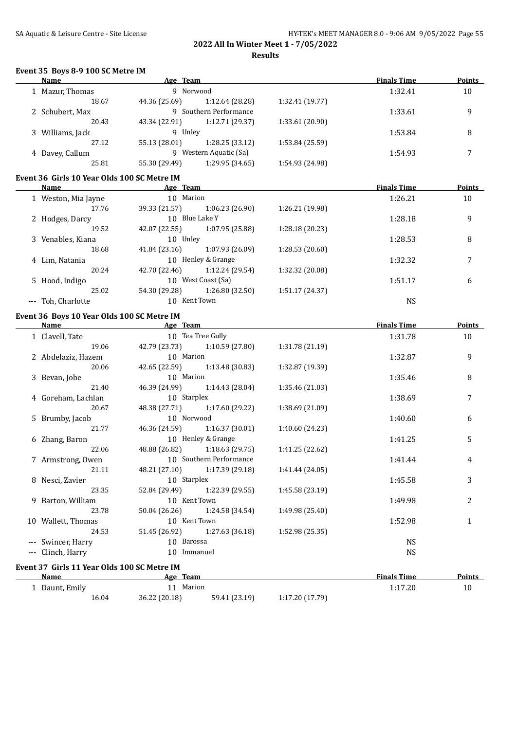## SA Aquatic & Leisure Centre - Site License **HY-TEK's MEET MANAGER 8.0 - 9:06 AM 9/05/2022** Page 55 **2022 All In Winter Meet 1 - 7/05/2022**

**Results**

#### **Event 35 Boys 8-9 100 SC Metre IM**

| <b>Name</b>                                                | Age Team                                                                                                                           |                        |                 | <b>Finals Time</b> | <b>Points</b>    |
|------------------------------------------------------------|------------------------------------------------------------------------------------------------------------------------------------|------------------------|-----------------|--------------------|------------------|
| 1 Mazur, Thomas                                            | 9 Norwood                                                                                                                          |                        |                 | 1:32.41            | 10               |
| 18.67                                                      | 44.36 (25.69)                                                                                                                      | 1:12.64 (28.28)        | 1:32.41 (19.77) |                    |                  |
| 2 Schubert, Max                                            |                                                                                                                                    | 9 Southern Performance |                 | 1:33.61            | 9                |
| 20.43                                                      | 43.34 (22.91)                                                                                                                      | 1:12.71 (29.37)        | 1:33.61 (20.90) |                    |                  |
| 3 Williams, Jack                                           | 9 Unley                                                                                                                            |                        |                 | 1:53.84            | 8                |
| 27.12                                                      | 55.13 (28.01)                                                                                                                      | 1:28.25 (33.12)        | 1:53.84 (25.59) |                    |                  |
| 4 Davey, Callum                                            | 9 Western Aquatic (Sa)                                                                                                             |                        |                 | 1:54.93            | $\boldsymbol{7}$ |
| 25.81                                                      | 55.30 (29.49) 1:29.95 (34.65)                                                                                                      |                        | 1:54.93 (24.98) |                    |                  |
| Event 36 Girls 10 Year Olds 100 SC Metre IM                |                                                                                                                                    |                        |                 |                    |                  |
| Name                                                       | <b>Example 2</b> Age Team                                                                                                          |                        |                 | <b>Finals Time</b> | Points           |
| 1 Weston, Mia Jayne                                        | 10 Marion                                                                                                                          |                        |                 | 1:26.21            | 10               |
| 17.76                                                      | 39.33 (21.57)                                                                                                                      | 1:06.23(26.90)         | 1:26.21 (19.98) |                    |                  |
| 2 Hodges, Darcy                                            | 10 Blue Lake Y                                                                                                                     |                        |                 | 1:28.18            | 9                |
| 19.52                                                      | 42.07 (22.55)                                                                                                                      | 1:07.95 (25.88)        | 1:28.18 (20.23) |                    |                  |
| 3 Venables, Kiana                                          | 10 Unley                                                                                                                           |                        |                 | 1:28.53            | 8                |
| 18.68                                                      | 41.84 (23.16) 1:07.93 (26.09)                                                                                                      |                        | 1:28.53 (20.60) |                    |                  |
| 4 Lim, Natania                                             | 10 Henley & Grange                                                                                                                 |                        |                 | 1:32.32            | 7                |
| 20.24                                                      | 42.70 (22.46) 1:12.24 (29.54)                                                                                                      |                        | 1:32.32 (20.08) |                    |                  |
| 5 Hood, Indigo                                             | 10 West Coast (Sa)                                                                                                                 |                        |                 | 1:51.17            | 6                |
| 25.02                                                      | 54.30 (29.28)                                                                                                                      | 1:26.80 (32.50)        | 1:51.17 (24.37) |                    |                  |
| --- Toh, Charlotte                                         | 10 Kent Town                                                                                                                       |                        |                 | <b>NS</b>          |                  |
|                                                            |                                                                                                                                    |                        |                 |                    |                  |
| Event 36 Boys 10 Year Olds 100 SC Metre IM                 |                                                                                                                                    |                        |                 |                    | Points           |
| Name                                                       | all a series and a series and a series are a series and a series of the series of the series of the series of<br>10 Tea Tree Gully |                        |                 | <b>Finals Time</b> |                  |
| 1 Clavell, Tate                                            |                                                                                                                                    |                        |                 | 1:31.78            | 10               |
| 19.06                                                      | 42.79 (23.73) 1:10.59 (27.80)                                                                                                      |                        | 1:31.78 (21.19) |                    |                  |
| 2 Abdelaziz, Hazem                                         | 10 Marion                                                                                                                          |                        |                 | 1:32.87            | 9                |
| 20.06                                                      | 42.65 (22.59) 1:13.48 (30.83)                                                                                                      |                        | 1:32.87 (19.39) |                    |                  |
| 3 Bevan, Jobe                                              | 10 Marion                                                                                                                          |                        |                 | 1:35.46            | 8                |
| 21.40                                                      | 46.39 (24.99) 1:14.43 (28.04)                                                                                                      |                        | 1:35.46 (21.03) |                    |                  |
| 4 Goreham, Lachlan                                         | 10 Starplex                                                                                                                        |                        |                 | 1:38.69            | 7                |
| 20.67                                                      | 48.38 (27.71) 1:17.60 (29.22)                                                                                                      |                        | 1:38.69 (21.09) |                    |                  |
| 5 Brumby, Jacob                                            | 10 Norwood                                                                                                                         |                        |                 | 1:40.60            | 6                |
| 21.77                                                      | 46.36 (24.59) 1:16.37 (30.01)                                                                                                      |                        | 1:40.60 (24.23) |                    |                  |
| 6 Zhang, Baron                                             | 10 Henley & Grange                                                                                                                 |                        |                 | 1:41.25            | 5                |
| 22.06                                                      | 48.88 (26.82) 1:18.63 (29.75)                                                                                                      |                        | 1:41.25 (22.62) |                    |                  |
| 7 Armstrong, Owen                                          | 10 Southern Performance                                                                                                            |                        |                 | 1:41.44            | 4                |
| 21.11                                                      | 48.21 (27.10)                                                                                                                      | 1:17.39 (29.18)        | 1:41.44 (24.05) |                    |                  |
| 8 Nesci, Zavier                                            | 10 Starplex                                                                                                                        |                        |                 | 1:45.58            | 3                |
| 23.35                                                      | 52.84 (29.49)                                                                                                                      | 1:22.39 (29.55)        | 1:45.58 (23.19) |                    |                  |
| 9 Barton, William                                          | 10 Kent Town                                                                                                                       |                        |                 | 1:49.98            | 2                |
| 23.78                                                      | 50.04 (26.26)                                                                                                                      | 1:24.58 (34.54)        | 1:49.98 (25.40) |                    |                  |
| 10 Wallett, Thomas                                         | 10 Kent Town                                                                                                                       |                        |                 | 1:52.98            | 1                |
| 24.53                                                      | 51.45 (26.92)                                                                                                                      | 1:27.63 (36.18)        | 1:52.98 (25.35) |                    |                  |
| --- Swincer, Harry                                         | 10 Barossa                                                                                                                         |                        |                 | <b>NS</b>          |                  |
| --- Clinch, Harry                                          | 10 Immanuel                                                                                                                        |                        |                 | <b>NS</b>          |                  |
|                                                            |                                                                                                                                    |                        |                 |                    |                  |
| Event 37 Girls 11 Year Olds 100 SC Metre IM<br><b>Name</b> | Age Team                                                                                                                           |                        |                 | <b>Finals Time</b> | <b>Points</b>    |
| 1 Daunt, Emily                                             | 11 Marion                                                                                                                          |                        |                 | 1:17.20            | 10               |
| 16.04                                                      | 36.22 (20.18)                                                                                                                      | 59.41 (23.19)          | 1:17.20 (17.79) |                    |                  |
|                                                            |                                                                                                                                    |                        |                 |                    |                  |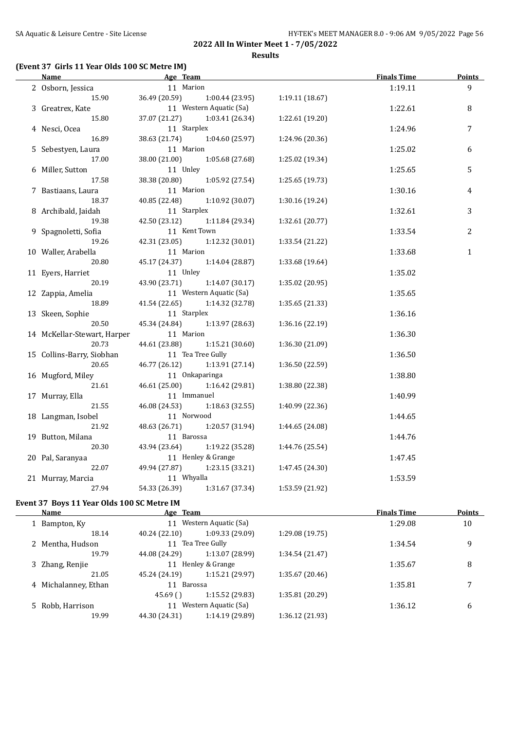## **(Event 37 Girls 11 Year Olds 100 SC Metre IM)**

| <u>Name</u>          |                                                                                                                                                                                                                                                                                                                |                                                                                                                                                                                                                                                                         |                                                                                                                                                                                                                                                                                                                                                                                                                                                                                                                                                                     | <u>Finals Time</u>                                                                                                                                                      | <u>Points</u>                                                                                              |
|----------------------|----------------------------------------------------------------------------------------------------------------------------------------------------------------------------------------------------------------------------------------------------------------------------------------------------------------|-------------------------------------------------------------------------------------------------------------------------------------------------------------------------------------------------------------------------------------------------------------------------|---------------------------------------------------------------------------------------------------------------------------------------------------------------------------------------------------------------------------------------------------------------------------------------------------------------------------------------------------------------------------------------------------------------------------------------------------------------------------------------------------------------------------------------------------------------------|-------------------------------------------------------------------------------------------------------------------------------------------------------------------------|------------------------------------------------------------------------------------------------------------|
| 2 Osborn, Jessica    |                                                                                                                                                                                                                                                                                                                |                                                                                                                                                                                                                                                                         |                                                                                                                                                                                                                                                                                                                                                                                                                                                                                                                                                                     | 1:19.11                                                                                                                                                                 | 9                                                                                                          |
| 15.90                | 36.49 (20.59)                                                                                                                                                                                                                                                                                                  | 1:00.44(23.95)                                                                                                                                                                                                                                                          | 1:19.11(18.67)                                                                                                                                                                                                                                                                                                                                                                                                                                                                                                                                                      |                                                                                                                                                                         |                                                                                                            |
| 3 Greatrex, Kate     |                                                                                                                                                                                                                                                                                                                |                                                                                                                                                                                                                                                                         |                                                                                                                                                                                                                                                                                                                                                                                                                                                                                                                                                                     | 1:22.61                                                                                                                                                                 | 8                                                                                                          |
| 15.80                | 37.07 (21.27)                                                                                                                                                                                                                                                                                                  | 1:03.41 (26.34)                                                                                                                                                                                                                                                         | 1:22.61 (19.20)                                                                                                                                                                                                                                                                                                                                                                                                                                                                                                                                                     |                                                                                                                                                                         |                                                                                                            |
| 4 Nesci, Ocea        |                                                                                                                                                                                                                                                                                                                |                                                                                                                                                                                                                                                                         |                                                                                                                                                                                                                                                                                                                                                                                                                                                                                                                                                                     | 1:24.96                                                                                                                                                                 | 7                                                                                                          |
| 16.89                | 38.63 (21.74)                                                                                                                                                                                                                                                                                                  | 1:04.60 (25.97)                                                                                                                                                                                                                                                         | 1:24.96 (20.36)                                                                                                                                                                                                                                                                                                                                                                                                                                                                                                                                                     |                                                                                                                                                                         |                                                                                                            |
| 5 Sebestyen, Laura   |                                                                                                                                                                                                                                                                                                                |                                                                                                                                                                                                                                                                         |                                                                                                                                                                                                                                                                                                                                                                                                                                                                                                                                                                     | 1:25.02                                                                                                                                                                 | 6                                                                                                          |
| 17.00                | 38.00 (21.00)                                                                                                                                                                                                                                                                                                  | 1:05.68 (27.68)                                                                                                                                                                                                                                                         | 1:25.02 (19.34)                                                                                                                                                                                                                                                                                                                                                                                                                                                                                                                                                     |                                                                                                                                                                         |                                                                                                            |
| 6 Miller, Sutton     |                                                                                                                                                                                                                                                                                                                |                                                                                                                                                                                                                                                                         |                                                                                                                                                                                                                                                                                                                                                                                                                                                                                                                                                                     | 1:25.65                                                                                                                                                                 | 5                                                                                                          |
| 17.58                | 38.38 (20.80)                                                                                                                                                                                                                                                                                                  | 1:05.92 (27.54)                                                                                                                                                                                                                                                         | 1:25.65(19.73)                                                                                                                                                                                                                                                                                                                                                                                                                                                                                                                                                      |                                                                                                                                                                         |                                                                                                            |
| 7 Bastiaans, Laura   |                                                                                                                                                                                                                                                                                                                |                                                                                                                                                                                                                                                                         |                                                                                                                                                                                                                                                                                                                                                                                                                                                                                                                                                                     | 1:30.16                                                                                                                                                                 | 4                                                                                                          |
| 18.37                | 40.85 (22.48)                                                                                                                                                                                                                                                                                                  | 1:10.92 (30.07)                                                                                                                                                                                                                                                         | 1:30.16(19.24)                                                                                                                                                                                                                                                                                                                                                                                                                                                                                                                                                      |                                                                                                                                                                         |                                                                                                            |
| 8 Archibald, Jaidah  |                                                                                                                                                                                                                                                                                                                |                                                                                                                                                                                                                                                                         |                                                                                                                                                                                                                                                                                                                                                                                                                                                                                                                                                                     | 1:32.61                                                                                                                                                                 | 3                                                                                                          |
| 19.38                |                                                                                                                                                                                                                                                                                                                | 1:11.84 (29.34)                                                                                                                                                                                                                                                         | 1:32.61 (20.77)                                                                                                                                                                                                                                                                                                                                                                                                                                                                                                                                                     |                                                                                                                                                                         |                                                                                                            |
| 9 Spagnoletti, Sofia |                                                                                                                                                                                                                                                                                                                |                                                                                                                                                                                                                                                                         |                                                                                                                                                                                                                                                                                                                                                                                                                                                                                                                                                                     | 1:33.54                                                                                                                                                                 | $\overline{c}$                                                                                             |
| 19.26                |                                                                                                                                                                                                                                                                                                                |                                                                                                                                                                                                                                                                         | 1:33.54 (21.22)                                                                                                                                                                                                                                                                                                                                                                                                                                                                                                                                                     |                                                                                                                                                                         |                                                                                                            |
| 10 Waller, Arabella  |                                                                                                                                                                                                                                                                                                                |                                                                                                                                                                                                                                                                         |                                                                                                                                                                                                                                                                                                                                                                                                                                                                                                                                                                     | 1:33.68                                                                                                                                                                 | $\mathbf{1}$                                                                                               |
| 20.80                |                                                                                                                                                                                                                                                                                                                | 1:14.04 (28.87)                                                                                                                                                                                                                                                         | 1:33.68 (19.64)                                                                                                                                                                                                                                                                                                                                                                                                                                                                                                                                                     |                                                                                                                                                                         |                                                                                                            |
| 11 Eyers, Harriet    |                                                                                                                                                                                                                                                                                                                |                                                                                                                                                                                                                                                                         |                                                                                                                                                                                                                                                                                                                                                                                                                                                                                                                                                                     | 1:35.02                                                                                                                                                                 |                                                                                                            |
| 20.19                |                                                                                                                                                                                                                                                                                                                | 1:14.07(30.17)                                                                                                                                                                                                                                                          | 1:35.02 (20.95)                                                                                                                                                                                                                                                                                                                                                                                                                                                                                                                                                     |                                                                                                                                                                         |                                                                                                            |
|                      |                                                                                                                                                                                                                                                                                                                |                                                                                                                                                                                                                                                                         |                                                                                                                                                                                                                                                                                                                                                                                                                                                                                                                                                                     |                                                                                                                                                                         |                                                                                                            |
| 18.89                | 41.54 (22.65)                                                                                                                                                                                                                                                                                                  | 1:14.32 (32.78)                                                                                                                                                                                                                                                         | 1:35.65(21.33)                                                                                                                                                                                                                                                                                                                                                                                                                                                                                                                                                      |                                                                                                                                                                         |                                                                                                            |
|                      |                                                                                                                                                                                                                                                                                                                |                                                                                                                                                                                                                                                                         |                                                                                                                                                                                                                                                                                                                                                                                                                                                                                                                                                                     |                                                                                                                                                                         |                                                                                                            |
|                      |                                                                                                                                                                                                                                                                                                                |                                                                                                                                                                                                                                                                         |                                                                                                                                                                                                                                                                                                                                                                                                                                                                                                                                                                     |                                                                                                                                                                         |                                                                                                            |
|                      |                                                                                                                                                                                                                                                                                                                |                                                                                                                                                                                                                                                                         |                                                                                                                                                                                                                                                                                                                                                                                                                                                                                                                                                                     |                                                                                                                                                                         |                                                                                                            |
|                      |                                                                                                                                                                                                                                                                                                                |                                                                                                                                                                                                                                                                         |                                                                                                                                                                                                                                                                                                                                                                                                                                                                                                                                                                     |                                                                                                                                                                         |                                                                                                            |
|                      |                                                                                                                                                                                                                                                                                                                |                                                                                                                                                                                                                                                                         |                                                                                                                                                                                                                                                                                                                                                                                                                                                                                                                                                                     |                                                                                                                                                                         |                                                                                                            |
|                      |                                                                                                                                                                                                                                                                                                                |                                                                                                                                                                                                                                                                         |                                                                                                                                                                                                                                                                                                                                                                                                                                                                                                                                                                     |                                                                                                                                                                         |                                                                                                            |
|                      |                                                                                                                                                                                                                                                                                                                |                                                                                                                                                                                                                                                                         |                                                                                                                                                                                                                                                                                                                                                                                                                                                                                                                                                                     |                                                                                                                                                                         |                                                                                                            |
|                      |                                                                                                                                                                                                                                                                                                                |                                                                                                                                                                                                                                                                         |                                                                                                                                                                                                                                                                                                                                                                                                                                                                                                                                                                     |                                                                                                                                                                         |                                                                                                            |
|                      |                                                                                                                                                                                                                                                                                                                |                                                                                                                                                                                                                                                                         |                                                                                                                                                                                                                                                                                                                                                                                                                                                                                                                                                                     |                                                                                                                                                                         |                                                                                                            |
|                      |                                                                                                                                                                                                                                                                                                                |                                                                                                                                                                                                                                                                         |                                                                                                                                                                                                                                                                                                                                                                                                                                                                                                                                                                     |                                                                                                                                                                         |                                                                                                            |
|                      |                                                                                                                                                                                                                                                                                                                |                                                                                                                                                                                                                                                                         |                                                                                                                                                                                                                                                                                                                                                                                                                                                                                                                                                                     |                                                                                                                                                                         |                                                                                                            |
|                      |                                                                                                                                                                                                                                                                                                                |                                                                                                                                                                                                                                                                         |                                                                                                                                                                                                                                                                                                                                                                                                                                                                                                                                                                     |                                                                                                                                                                         |                                                                                                            |
|                      |                                                                                                                                                                                                                                                                                                                |                                                                                                                                                                                                                                                                         |                                                                                                                                                                                                                                                                                                                                                                                                                                                                                                                                                                     |                                                                                                                                                                         |                                                                                                            |
|                      |                                                                                                                                                                                                                                                                                                                |                                                                                                                                                                                                                                                                         |                                                                                                                                                                                                                                                                                                                                                                                                                                                                                                                                                                     |                                                                                                                                                                         |                                                                                                            |
|                      |                                                                                                                                                                                                                                                                                                                |                                                                                                                                                                                                                                                                         |                                                                                                                                                                                                                                                                                                                                                                                                                                                                                                                                                                     |                                                                                                                                                                         |                                                                                                            |
|                      |                                                                                                                                                                                                                                                                                                                |                                                                                                                                                                                                                                                                         |                                                                                                                                                                                                                                                                                                                                                                                                                                                                                                                                                                     |                                                                                                                                                                         |                                                                                                            |
|                      |                                                                                                                                                                                                                                                                                                                |                                                                                                                                                                                                                                                                         |                                                                                                                                                                                                                                                                                                                                                                                                                                                                                                                                                                     |                                                                                                                                                                         |                                                                                                            |
|                      |                                                                                                                                                                                                                                                                                                                |                                                                                                                                                                                                                                                                         |                                                                                                                                                                                                                                                                                                                                                                                                                                                                                                                                                                     |                                                                                                                                                                         |                                                                                                            |
|                      |                                                                                                                                                                                                                                                                                                                |                                                                                                                                                                                                                                                                         |                                                                                                                                                                                                                                                                                                                                                                                                                                                                                                                                                                     |                                                                                                                                                                         |                                                                                                            |
| <b>Name</b>          |                                                                                                                                                                                                                                                                                                                |                                                                                                                                                                                                                                                                         |                                                                                                                                                                                                                                                                                                                                                                                                                                                                                                                                                                     | <b>Finals Time</b>                                                                                                                                                      | Points                                                                                                     |
|                      | 12 Zappia, Amelia<br>13 Skeen, Sophie<br>20.50<br>14 McKellar-Stewart, Harper<br>20.73<br>15 Collins-Barry, Siobhan<br>20.65<br>16 Mugford, Miley<br>21.61<br>17 Murray, Ella<br>21.55<br>18 Langman, Isobel<br>21.92<br>19 Button, Milana<br>20.30<br>20 Pal, Saranyaa<br>22.07<br>21 Murray, Marcia<br>27.94 | 42.50 (23.12)<br>42.31 (23.05)<br>45.17 (24.37)<br>43.90 (23.71)<br>45.34 (24.84)<br>44.61 (23.88)<br>46.77 (26.12)<br>46.61 (25.00)<br>46.08 (24.53)<br>48.63 (26.71)<br>43.94 (23.64)<br>49.94 (27.87)<br>54.33 (26.39)<br>Event 37 Boys 11 Year Olds 100 SC Metre IM | Age Team<br>11 Marion<br>11 Western Aquatic (Sa)<br>11 Starplex<br>11 Marion<br>11 Unley<br>11 Marion<br>11 Starplex<br>11 Kent Town<br>1:12.32(30.01)<br>11 Marion<br>11 Unley<br>11 Western Aquatic (Sa)<br>11 Starplex<br>1:13.97 (28.63)<br>11 Marion<br>1:15.21(30.60)<br>11 Tea Tree Gully<br>1:13.91 (27.14)<br>11 Onkaparinga<br>1:16.42 (29.81)<br>11 Immanuel<br>1:18.63 (32.55)<br>11 Norwood<br>1:20.57 (31.94)<br>11 Barossa<br>1:19.22 (35.28)<br>11 Henley & Grange<br>1:23.15 (33.21)<br>11 Whyalla<br>1:31.67 (37.34)<br><b>Example 2</b> Age Team | 1:36.16 (22.19)<br>1:36.30 (21.09)<br>1:36.50 (22.59)<br>1:38.80 (22.38)<br>1:40.99 (22.36)<br>1:44.65 (24.08)<br>1:44.76 (25.54)<br>1:47.45 (24.30)<br>1:53.59 (21.92) | 1:35.65<br>1:36.16<br>1:36.30<br>1:36.50<br>1:38.80<br>1:40.99<br>1:44.65<br>1:44.76<br>1:47.45<br>1:53.59 |

| 1 Bampton, Ky        | 11            | Western Aquatic (Sa) |                 | 1:29.08 | 10                       |
|----------------------|---------------|----------------------|-----------------|---------|--------------------------|
| 18.14                | 40.24 (22.10) | 1:09.33 (29.09)      | 1:29.08 (19.75) |         |                          |
| 2 Mentha, Hudson     | 11            | Tea Tree Gully       |                 | 1:34.54 | 9                        |
| 19.79                | 44.08 (24.29) | 1:13.07 (28.99)      | 1:34.54 (21.47) |         |                          |
| 3 Zhang, Renjie      | 11            | Henley & Grange      |                 | 1:35.67 | 8                        |
| 21.05                | 45.24 (24.19) | 1:15.21 (29.97)      | 1:35.67 (20.46) |         |                          |
| 4 Michalanney, Ethan | 11 Barossa    |                      |                 | 1:35.81 | $\overline{\phantom{a}}$ |
|                      | 45.69()       | 1:15.52 (29.83)      | 1:35.81 (20.29) |         |                          |
| 5 Robb, Harrison     | 11            | Western Aquatic (Sa) |                 | 1:36.12 | 6                        |
| 19.99                | 44.30 (24.31) | 1:14.19 (29.89)      | 1:36.12 (21.93) |         |                          |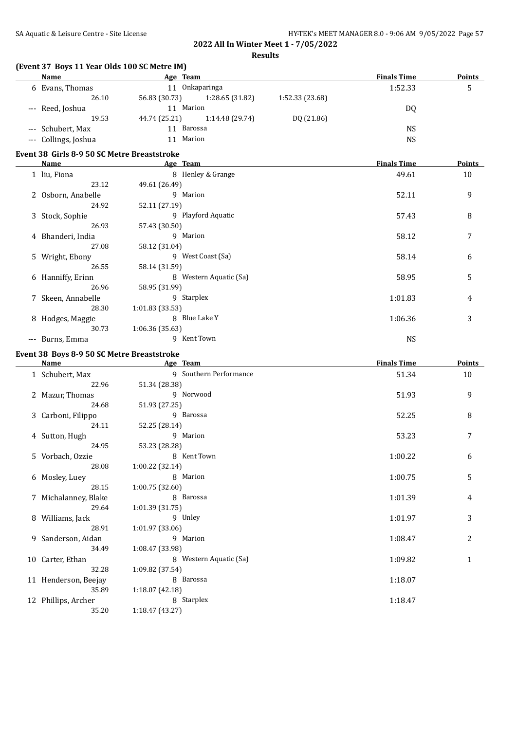**Results**

| (Event 37 Boys 11 Year Olds 100 SC Metre IM) |                             |                        |                                                                            |                    |               |
|----------------------------------------------|-----------------------------|------------------------|----------------------------------------------------------------------------|--------------------|---------------|
| Name                                         | Age Team                    |                        |                                                                            | <b>Finals Time</b> | Points        |
| 6 Evans, Thomas                              | 11 Onkaparinga              |                        |                                                                            | 1:52.33            | 5             |
| 26.10                                        | 56.83 (30.73)               | 1:28.65 (31.82)        | 1:52.33 (23.68)                                                            |                    |               |
| --- Reed, Joshua                             | 11 Marion                   |                        |                                                                            | <b>DQ</b>          |               |
| 19.53                                        | 44.74 (25.21)               | 1:14.48 (29.74)        | DQ (21.86)                                                                 |                    |               |
| Schubert, Max                                | 11 Barossa                  |                        |                                                                            | <b>NS</b>          |               |
| --- Collings, Joshua                         | 11 Marion                   |                        |                                                                            | <b>NS</b>          |               |
| Event 38 Girls 8-9 50 SC Metre Breaststroke  |                             |                        |                                                                            |                    |               |
| <b>Name</b>                                  | <b>Example 2</b> Age Team   |                        | the control of the control of the control of the control of the control of | <b>Finals Time</b> | <b>Points</b> |
| 1 liu, Fiona                                 | 8 Henley & Grange           |                        |                                                                            | 49.61              | 10            |
| 23.12                                        | 49.61 (26.49)               |                        |                                                                            |                    |               |
| 2 Osborn, Anabelle                           | 9 Marion                    |                        |                                                                            | 52.11              | 9             |
| 24.92                                        | 52.11 (27.19)               |                        |                                                                            |                    |               |
| 3 Stock, Sophie                              | 9 Playford Aquatic          |                        |                                                                            | 57.43              | 8             |
| 26.93                                        | 57.43 (30.50)               |                        |                                                                            |                    |               |
| 4 Bhanderi, India                            | 9 Marion                    |                        |                                                                            | 58.12              | 7             |
| 27.08                                        | 58.12 (31.04)               |                        |                                                                            |                    |               |
| 5 Wright, Ebony                              | 9 West Coast (Sa)           |                        |                                                                            | 58.14              | 6             |
| 26.55                                        | 58.14 (31.59)               |                        |                                                                            |                    |               |
| 6 Hanniffy, Erinn                            | 8 Western Aquatic (Sa)      |                        |                                                                            | 58.95              | 5             |
| 26.96                                        | 58.95 (31.99)               |                        |                                                                            |                    |               |
| 7 Skeen, Annabelle                           | 9 Starplex                  |                        |                                                                            | 1:01.83            | 4             |
| 28.30                                        | 1:01.83 (33.53)             |                        |                                                                            |                    |               |
| 8 Hodges, Maggie                             | 8 Blue Lake Y               |                        |                                                                            | 1:06.36            | 3             |
| 30.73                                        | 1:06.36 (35.63)             |                        |                                                                            |                    |               |
| --- Burns, Emma                              | 9 Kent Town                 |                        |                                                                            | <b>NS</b>          |               |
| Event 38 Boys 8-9 50 SC Metre Breaststroke   |                             |                        |                                                                            |                    |               |
| Name                                         | <b>Example 2.1 Age Team</b> |                        |                                                                            | <b>Finals Time</b> | <b>Points</b> |
| 1 Schubert, Max                              |                             | 9 Southern Performance |                                                                            | 51.34              | 10            |
| 22.96                                        | 51.34 (28.38)               |                        |                                                                            |                    |               |
| 2 Mazur, Thomas                              | 9 Norwood                   |                        |                                                                            | 51.93              | 9             |
| 24.68                                        | 51.93 (27.25)               |                        |                                                                            |                    |               |
| 3 Carboni, Filippo                           | 9 Barossa                   |                        |                                                                            | 52.25              | 8             |
| 24.11                                        | 52.25 (28.14)               |                        |                                                                            |                    |               |
| 4 Sutton, Hugh                               | 9 Marion                    |                        |                                                                            | 53.23              | 7             |
| 24.95                                        | 53.23 (28.28)               |                        |                                                                            |                    |               |
| 5 Vorbach, Ozzie                             | 8 Kent Town                 |                        |                                                                            | 1:00.22            | 6             |
| 28.08                                        | 1:00.22 (32.14)             |                        |                                                                            |                    |               |
| 6 Mosley, Luey                               | 8 Marion                    |                        |                                                                            | 1:00.75            | 5             |
| 28.15                                        | 1:00.75 (32.60)             |                        |                                                                            |                    |               |
| 7 Michalanney, Blake                         | 8 Barossa                   |                        |                                                                            | 1:01.39            | 4             |
| 29.64                                        | 1:01.39 (31.75)             |                        |                                                                            |                    |               |
| 8 Williams, Jack                             | 9 Unley                     |                        |                                                                            | 1:01.97            | 3             |
| 28.91                                        | 1:01.97 (33.06)             |                        |                                                                            |                    |               |
| 9 Sanderson, Aidan                           | 9 Marion                    |                        |                                                                            | 1:08.47            | 2             |
| 34.49                                        | 1:08.47 (33.98)             |                        |                                                                            |                    |               |
| 10 Carter, Ethan                             | 8 Western Aquatic (Sa)      |                        |                                                                            | 1:09.82            | 1             |
| 32.28                                        | 1:09.82 (37.54)             |                        |                                                                            |                    |               |
| 11 Henderson, Beejay                         | 8 Barossa                   |                        |                                                                            | 1:18.07            |               |
| 35.89                                        | 1:18.07 (42.18)             |                        |                                                                            |                    |               |
| 12 Phillips, Archer                          | 8 Starplex                  |                        |                                                                            | 1:18.47            |               |
| 35.20                                        | 1:18.47 (43.27)             |                        |                                                                            |                    |               |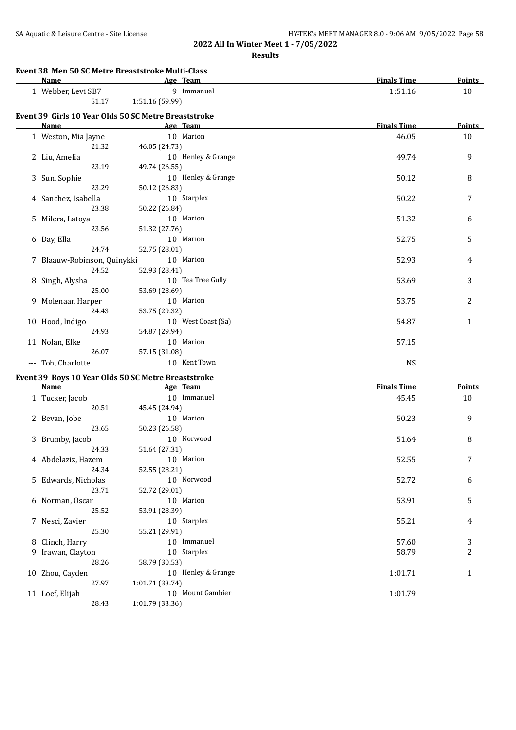**Results**

#### **Event 38 Men 50 SC Metre Breaststroke Multi-Class**

| Name             | Team<br>Age    | <b>Finals Time</b> | <b>Points</b> |
|------------------|----------------|--------------------|---------------|
| Webber, Levi SB7 | Immanuel       | 1:51.16            | 10            |
| 51.17            | 1:51.16(59.99) |                    |               |

## **Event 39 Girls 10 Year Olds 50 SC Metre Breaststroke**

| Name                        |               | Age Team           | <b>Finals Time</b> | <b>Points</b> |
|-----------------------------|---------------|--------------------|--------------------|---------------|
| 1 Weston, Mia Jayne         |               | 10 Marion          | 46.05              | 10            |
| 21.32                       | 46.05 (24.73) |                    |                    |               |
| 2 Liu, Amelia               |               | 10 Henley & Grange | 49.74              | 9             |
| 23.19                       | 49.74 (26.55) |                    |                    |               |
| 3 Sun, Sophie               |               | 10 Henley & Grange | 50.12              | 8             |
| 23.29                       | 50.12 (26.83) |                    |                    |               |
| 4 Sanchez, Isabella         |               | 10 Starplex        | 50.22              | 7             |
| 23.38                       | 50.22 (26.84) |                    |                    |               |
| 5 Milera, Latoya            |               | 10 Marion          | 51.32              | 6             |
| 23.56                       | 51.32 (27.76) |                    |                    |               |
| 6 Day, Ella                 |               | 10 Marion          | 52.75              | 5             |
| 24.74                       | 52.75 (28.01) |                    |                    |               |
| 7 Blaauw-Robinson, Quinykki |               | 10 Marion          | 52.93              | 4             |
| 24.52                       | 52.93 (28.41) |                    |                    |               |
| 8 Singh, Alysha             |               | 10 Tea Tree Gully  | 53.69              | 3             |
| 25.00                       | 53.69 (28.69) |                    |                    |               |
| 9 Molenaar, Harper          |               | 10 Marion          | 53.75              | 2             |
| 24.43                       | 53.75 (29.32) |                    |                    |               |
| 10 Hood, Indigo             |               | 10 West Coast (Sa) | 54.87              | $\mathbf{1}$  |
| 24.93                       | 54.87 (29.94) |                    |                    |               |
| 11 Nolan, Elke              |               | 10 Marion          | 57.15              |               |
| 26.07                       | 57.15 (31.08) |                    |                    |               |
| --- Toh, Charlotte          |               | 10 Kent Town       | <b>NS</b>          |               |

## **Event 39 Boys 10 Year Olds 50 SC Metre Breaststroke**

|    | <b>Name</b>         | Age Team           | <b>Finals Time</b> | <b>Points</b>  |
|----|---------------------|--------------------|--------------------|----------------|
|    | 1 Tucker, Jacob     | 10 Immanuel        | 45.45              | 10             |
|    | 20.51               | 45.45 (24.94)      |                    |                |
|    | 2 Bevan, Jobe       | 10 Marion          | 50.23              | 9              |
|    | 23.65               | 50.23 (26.58)      |                    |                |
|    | 3 Brumby, Jacob     | 10 Norwood         | 51.64              | 8              |
|    | 24.33               | 51.64 (27.31)      |                    |                |
|    | 4 Abdelaziz, Hazem  | 10 Marion          | 52.55              | 7              |
|    | 24.34               | 52.55 (28.21)      |                    |                |
|    | 5 Edwards, Nicholas | 10 Norwood         | 52.72              | 6              |
|    | 23.71               | 52.72 (29.01)      |                    |                |
|    | 6 Norman, Oscar     | 10 Marion          | 53.91              | 5              |
|    | 25.52               | 53.91 (28.39)      |                    |                |
|    | 7 Nesci, Zavier     | 10 Starplex        | 55.21              | 4              |
|    | 25.30               | 55.21 (29.91)      |                    |                |
|    | 8 Clinch, Harry     | 10 Immanuel        | 57.60              | 3              |
|    | 9 Irawan, Clayton   | 10 Starplex        | 58.79              | $\overline{2}$ |
|    | 28.26               | 58.79 (30.53)      |                    |                |
|    | 10 Zhou, Cayden     | 10 Henley & Grange | 1:01.71            | 1              |
|    | 27.97               | 1:01.71(33.74)     |                    |                |
| 11 | Loef, Elijah        | 10 Mount Gambier   | 1:01.79            |                |
|    | 28.43               | 1:01.79 (33.36)    |                    |                |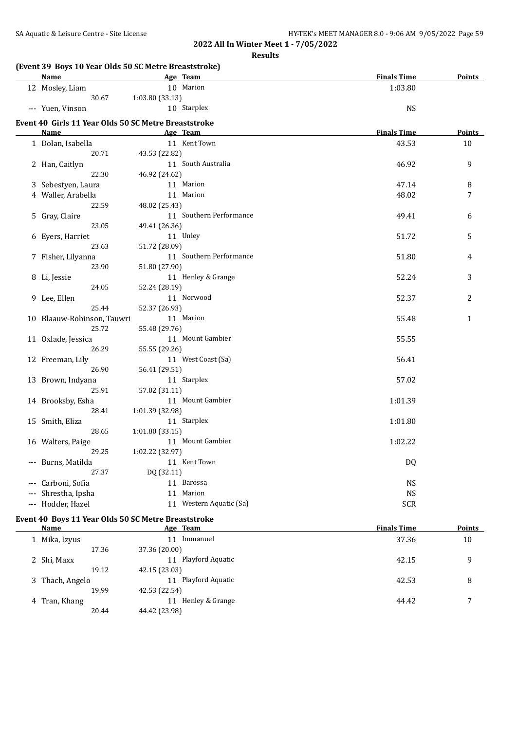|                            | (Event 39 Boys 10 Year Olds 50 SC Metre Breaststroke) |                    |               |
|----------------------------|-------------------------------------------------------|--------------------|---------------|
| Name                       | Age Team                                              | <b>Finals Time</b> | <b>Points</b> |
| 12 Mosley, Liam            | 10 Marion                                             | 1:03.80            |               |
| 30.67                      | 1:03.80 (33.13)                                       |                    |               |
| --- Yuen, Vinson           | 10 Starplex                                           | <b>NS</b>          |               |
|                            | Event 40 Girls 11 Year Olds 50 SC Metre Breaststroke  |                    |               |
| <u>Name</u>                | Age Team                                              | <b>Finals Time</b> | <b>Points</b> |
| 1 Dolan, Isabella          | 11 Kent Town                                          | 43.53              | 10            |
| 20.71                      | 43.53 (22.82)                                         |                    |               |
| 2 Han, Caitlyn             | 11 South Australia                                    | 46.92              | 9             |
| 22.30                      | 46.92 (24.62)                                         |                    |               |
| 3 Sebestyen, Laura         | 11 Marion                                             | 47.14              | 8             |
| 4 Waller, Arabella         | 11 Marion                                             | 48.02              | 7             |
| 22.59                      | 48.02 (25.43)                                         |                    |               |
| 5 Gray, Claire             | 11 Southern Performance                               | 49.41              | 6             |
| 23.05                      | 49.41 (26.36)                                         |                    |               |
| 6 Eyers, Harriet           | 11 Unley                                              | 51.72              | 5             |
| 23.63                      | 51.72 (28.09)                                         |                    |               |
| 7 Fisher, Lilyanna         | 11 Southern Performance                               | 51.80              | 4             |
| 23.90                      | 51.80 (27.90)                                         |                    |               |
| 8 Li, Jessie               | 11 Henley & Grange                                    | 52.24              | 3             |
| 24.05                      | 52.24 (28.19)                                         |                    |               |
| 9 Lee, Ellen               | 11 Norwood                                            | 52.37              | 2             |
| 25.44                      | 52.37 (26.93)                                         |                    |               |
|                            | 11 Marion                                             |                    |               |
| 10 Blaauw-Robinson, Tauwri |                                                       | 55.48              | 1             |
| 25.72                      | 55.48 (29.76)                                         |                    |               |
| 11 Oxlade, Jessica         | 11 Mount Gambier                                      | 55.55              |               |
| 26.29                      | 55.55 (29.26)                                         |                    |               |
| 12 Freeman, Lily           | 11 West Coast (Sa)                                    | 56.41              |               |
| 26.90                      | 56.41 (29.51)                                         |                    |               |
| 13 Brown, Indyana          | 11 Starplex                                           | 57.02              |               |
| 25.91                      | 57.02 (31.11)                                         |                    |               |
| 14 Brooksby, Esha          | 11 Mount Gambier                                      | 1:01.39            |               |
| 28.41                      | 1:01.39 (32.98)                                       |                    |               |
| 15 Smith, Eliza            | 11 Starplex                                           | 1:01.80            |               |
| 28.65                      | 1:01.80(33.15)                                        |                    |               |
| 16 Walters, Paige          | 11 Mount Gambier                                      | 1:02.22            |               |
| 29.25                      | 1:02.22 (32.97)                                       |                    |               |
| --- Burns, Matilda         | 11 Kent Town                                          | DQ                 |               |
| 27.37                      | DQ (32.11)                                            |                    |               |
| Carboni, Sofia             | 11 Barossa                                            | <b>NS</b>          |               |
| Shrestha, Ipsha            | 11 Marion                                             | <b>NS</b>          |               |
| --- Hodder, Hazel          | 11 Western Aquatic (Sa)                               | <b>SCR</b>         |               |
|                            | Event 40 Boys 11 Year Olds 50 SC Metre Breaststroke   |                    |               |
| <b>Name</b>                | Age Team                                              | <b>Finals Time</b> | <b>Points</b> |
| 1 Mika, Izyus              | 11 Immanuel                                           | 37.36              |               |
| 17.36                      | 37.36 (20.00)                                         |                    | 10            |
|                            |                                                       |                    |               |
| 2 Shi, Maxx                | 11 Playford Aquatic                                   | 42.15              | 9             |
| 19.12                      | 42.15 (23.03)                                         |                    |               |
| 3 Thach, Angelo            | 11 Playford Aquatic                                   | 42.53              | 8             |
| 19.99                      | 42.53 (22.54)                                         |                    |               |
| 4 Tran, Khang              | 11 Henley & Grange                                    | 44.42              | 7             |
| 20.44                      | 44.42 (23.98)                                         |                    |               |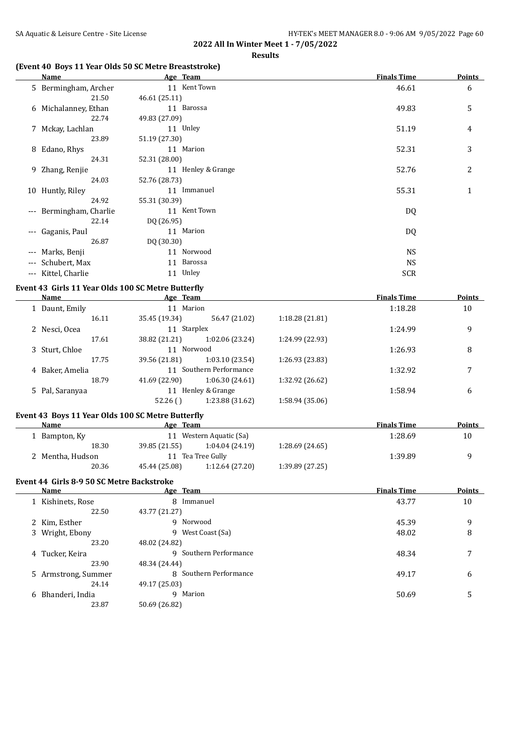## **(Event 40 Boys 11 Year Olds 50 SC Metre Breaststroke)**

|                     | Name                 | Age Team           | <b>Finals Time</b> | Points       |
|---------------------|----------------------|--------------------|--------------------|--------------|
|                     | 5 Bermingham, Archer | 11 Kent Town       | 46.61              | 6            |
|                     | 21.50                | 46.61 (25.11)      |                    |              |
|                     | 6 Michalanney, Ethan | 11 Barossa         | 49.83              | 5            |
|                     | 22.74                | 49.83 (27.09)      |                    |              |
|                     | 7 Mckay, Lachlan     | 11 Unley           | 51.19              | 4            |
|                     | 23.89                | 51.19 (27.30)      |                    |              |
|                     | 8 Edano, Rhys        | 11 Marion          | 52.31              | 3            |
|                     | 24.31                | 52.31 (28.00)      |                    |              |
|                     | 9 Zhang, Renjie      | 11 Henley & Grange | 52.76              | 2            |
|                     | 24.03                | 52.76 (28.73)      |                    |              |
|                     | 10 Huntly, Riley     | 11 Immanuel        | 55.31              | $\mathbf{1}$ |
|                     | 24.92                | 55.31 (30.39)      |                    |              |
| $\qquad \qquad - -$ | Bermingham, Charlie  | 11 Kent Town       | DQ                 |              |
|                     | 22.14                | DQ (26.95)         |                    |              |
| $---$               | Gaganis, Paul        | 11 Marion          | DQ                 |              |
|                     | 26.87                | DQ (30.30)         |                    |              |
| $---$               | Marks, Benji         | 11 Norwood         | <b>NS</b>          |              |
|                     | --- Schubert, Max    | 11 Barossa         | <b>NS</b>          |              |
| $---$               | Kittel, Charlie      | 11 Unley           | <b>SCR</b>         |              |

## **Event 43 Girls 11 Year Olds 100 SC Metre Butterfly**

| Name            | Age Team                |                 |                 | <b>Finals Time</b> | Points |
|-----------------|-------------------------|-----------------|-----------------|--------------------|--------|
| 1 Daunt, Emily  | 11 Marion               |                 |                 | 1:18.28            | 10     |
| 16.11           | 35.45 (19.34)           | 56.47 (21.02)   | 1:18.28(21.81)  |                    |        |
| 2 Nesci, Ocea   | 11 Starplex             |                 |                 | 1:24.99            | 9      |
| 17.61           | 38.82 (21.21)           | 1:02.06 (23.24) | 1:24.99 (22.93) |                    |        |
| 3 Sturt, Chloe  | 11 Norwood              |                 |                 | 1:26.93            | 8      |
| 17.75           | 39.56 (21.81)           | 1:03.10(23.54)  | 1:26.93 (23.83) |                    |        |
| 4 Baker, Amelia | 11 Southern Performance |                 |                 | 1:32.92            | 7      |
| 18.79           | 41.69 (22.90)           | 1:06.30(24.61)  | 1:32.92 (26.62) |                    |        |
| 5 Pal, Saranyaa | 11                      | Henley & Grange |                 | 1:58.94            | 6      |
|                 | 52.26()                 | 1:23.88 (31.62) | 1:58.94 (35.06) |                    |        |

## **Event 43 Boys 11 Year Olds 100 SC Metre Butterfly**

| Name             | Age Team      |                      |                | <b>Finals Time</b> | <b>Points</b> |
|------------------|---------------|----------------------|----------------|--------------------|---------------|
| Bampton, Ky      | 11            | Western Aquatic (Sa) |                | 1:28.69            | 10            |
| 18.30            | 39.85 (21.55) | 1:04.04(24.19)       | 1:28.69(24.65) |                    |               |
| 2 Mentha, Hudson | 11            | Tea Tree Gully       |                | 1:39.89            |               |
| 20.36            | 45.44 (25.08) | 1:12.64(27.20)       | 1:39.89(27.25) |                    |               |

## **Event 44 Girls 8-9 50 SC Metre Backstroke**

| Name                | Age Team               | <b>Finals Time</b> | <b>Points</b> |
|---------------------|------------------------|--------------------|---------------|
| 1 Kishinets, Rose   | 8 Immanuel             | 43.77              | 10            |
| 22.50               | 43.77 (21.27)          |                    |               |
| 2 Kim, Esther       | 9 Norwood              | 45.39              | 9             |
| 3 Wright, Ebony     | 9 West Coast (Sa)      | 48.02              | 8             |
| 23.20               | 48.02 (24.82)          |                    |               |
| 4 Tucker, Keira     | 9 Southern Performance | 48.34              | 7             |
| 23.90               | 48.34 (24.44)          |                    |               |
| 5 Armstrong, Summer | 8 Southern Performance | 49.17              | 6             |
| 24.14               | 49.17 (25.03)          |                    |               |
| 6 Bhanderi, India   | 9 Marion               | 50.69              | 5             |
| 23.87               | 50.69 (26.82)          |                    |               |
|                     |                        |                    |               |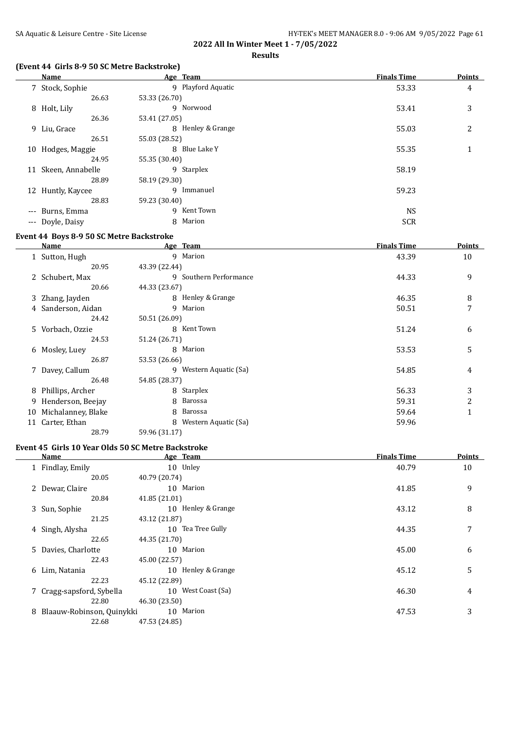## **(Event 44 Girls 8-9 50 SC Metre Backstroke)**

|       | Name                | Age Team           | <b>Finals Time</b> | <b>Points</b>  |
|-------|---------------------|--------------------|--------------------|----------------|
|       | 7 Stock, Sophie     | 9 Playford Aquatic | 53.33              | 4              |
|       | 26.63               | 53.33 (26.70)      |                    |                |
|       | 8 Holt, Lily        | 9 Norwood          | 53.41              | 3              |
|       | 26.36               | 53.41 (27.05)      |                    |                |
|       | 9 Liu, Grace        | 8 Henley & Grange  | 55.03              | $\overline{2}$ |
|       | 26.51               | 55.03 (28.52)      |                    |                |
|       | 10 Hodges, Maggie   | Blue Lake Y<br>8   | 55.35              | 1              |
|       | 24.95               | 55.35 (30.40)      |                    |                |
|       | 11 Skeen, Annabelle | 9 Starplex         | 58.19              |                |
|       | 28.89               | 58.19 (29.30)      |                    |                |
|       | 12 Huntly, Kaycee   | Immanuel<br>9      | 59.23              |                |
|       | 28.83               | 59.23 (30.40)      |                    |                |
| $---$ | Burns, Emma         | Kent Town<br>9     | <b>NS</b>          |                |
|       | --- Doyle, Daisy    | Marion<br>8        | <b>SCR</b>         |                |

## **Event 44 Boys 8-9 50 SC Metre Backstroke**

 $\equiv$ 

|    | Name               | Age Team               | <b>Finals Time</b> | Points       |
|----|--------------------|------------------------|--------------------|--------------|
|    | 1 Sutton, Hugh     | 9 Marion               | 43.39              | 10           |
|    | 20.95              | 43.39 (22.44)          |                    |              |
|    | 2 Schubert, Max    | 9 Southern Performance | 44.33              | 9            |
|    | 20.66              | 44.33 (23.67)          |                    |              |
|    | 3 Zhang, Jayden    | 8 Henley & Grange      | 46.35              | 8            |
|    | 4 Sanderson, Aidan | 9 Marion               | 50.51              | 7            |
|    | 24.42              | 50.51 (26.09)          |                    |              |
|    | 5 Vorbach, Ozzie   | 8 Kent Town            | 51.24              | 6            |
|    | 24.53              | 51.24 (26.71)          |                    |              |
|    | 6 Mosley, Luey     | 8 Marion               | 53.53              | 5            |
|    | 26.87              | 53.53 (26.66)          |                    |              |
|    | 7 Davey, Callum    | 9 Western Aquatic (Sa) | 54.85              | 4            |
|    | 26.48              | 54.85 (28.37)          |                    |              |
|    | 8 Phillips, Archer | 8 Starplex             | 56.33              | 3            |
| 9. | Henderson, Beejay  | 8 Barossa              | 59.31              | 2            |
| 10 | Michalanney, Blake | 8 Barossa              | 59.64              | $\mathbf{1}$ |
| 11 | Carter, Ethan      | 8 Western Aquatic (Sa) | 59.96              |              |
|    | 28.79              | 59.96 (31.17)          |                    |              |

#### **Event 45 Girls 10 Year Olds 50 SC Metre Backstroke**

| Name                        | Age Team           | <b>Finals Time</b> | <b>Points</b> |
|-----------------------------|--------------------|--------------------|---------------|
| 1 Findlay, Emily            | 10 Unley           | 40.79              | 10            |
| 20.05                       | 40.79 (20.74)      |                    |               |
| 2 Dewar, Claire             | 10 Marion          | 41.85              | 9             |
| 20.84                       | 41.85 (21.01)      |                    |               |
| 3 Sun, Sophie               | 10 Henley & Grange | 43.12              | 8             |
| 21.25                       | 43.12 (21.87)      |                    |               |
| 4 Singh, Alysha             | 10 Tea Tree Gully  | 44.35              | 7             |
| 22.65                       | 44.35 (21.70)      |                    |               |
| 5 Davies, Charlotte         | 10 Marion          | 45.00              | 6             |
| 22.43                       | 45.00 (22.57)      |                    |               |
| 6 Lim, Natania              | 10 Henley & Grange | 45.12              | 5             |
| 22.23                       | 45.12 (22.89)      |                    |               |
| 7 Cragg-sapsford, Sybella   | 10 West Coast (Sa) | 46.30              | 4             |
| 22.80                       | 46.30 (23.50)      |                    |               |
| 8 Blaauw-Robinson, Quinykki | 10 Marion          | 47.53              | 3             |
| 22.68                       | 47.53 (24.85)      |                    |               |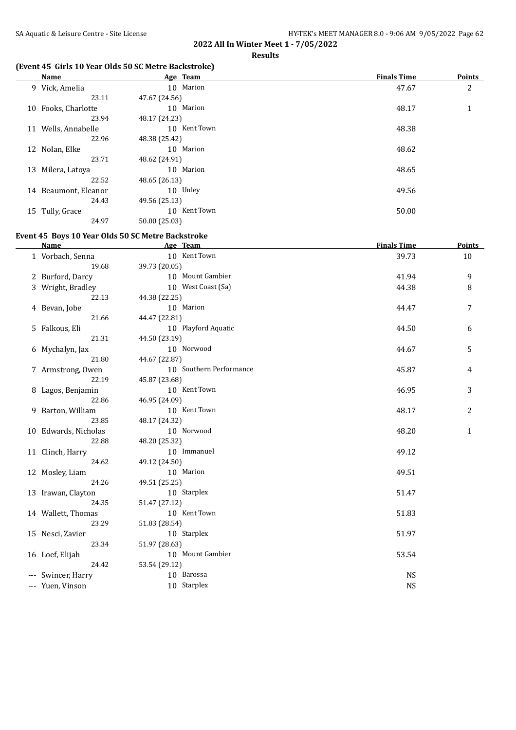## **(Event 45 Girls 10 Year Olds 50 SC Metre Backstroke)**

|    | Name              | Age Team      | <b>Finals Time</b> | <b>Points</b> |
|----|-------------------|---------------|--------------------|---------------|
|    | 9 Vick, Amelia    | 10 Marion     | 47.67              | 2             |
|    | 23.11             | 47.67 (24.56) |                    |               |
| 10 | Fooks, Charlotte  | 10 Marion     | 48.17              | $\mathbf{1}$  |
|    | 23.94             | 48.17 (24.23) |                    |               |
| 11 | Wells, Annabelle  | 10 Kent Town  | 48.38              |               |
|    | 22.96             | 48.38 (25.42) |                    |               |
|    | 12 Nolan, Elke    | 10 Marion     | 48.62              |               |
|    | 23.71             | 48.62 (24.91) |                    |               |
| 13 | Milera, Latoya    | 10 Marion     | 48.65              |               |
|    | 22.52             | 48.65 (26.13) |                    |               |
| 14 | Beaumont, Eleanor | 10 Unley      | 49.56              |               |
|    | 24.43             | 49.56 (25.13) |                    |               |
|    | 15 Tully, Grace   | 10 Kent Town  | 50.00              |               |
|    | 24.97             | 50.00 (25.03) |                    |               |

## **Event 45 Boys 10 Year Olds 50 SC Metre Backstroke**

| <b>Name</b>              | Age Team                    | <b>Finals Time</b> | <b>Points</b> |
|--------------------------|-----------------------------|--------------------|---------------|
| 1 Vorbach, Senna         | 10 Kent Town                | 39.73              | 10            |
| 19.68                    | 39.73 (20.05)               |                    |               |
| 2 Burford, Darcy         | 10 Mount Gambier            | 41.94              | 9             |
| 3 Wright, Bradley        | 10 West Coast (Sa)          | 44.38              | 8             |
| 22.13                    | 44.38 (22.25)               |                    |               |
| 4 Bevan, Jobe            | 10 Marion                   | 44.47              | 7             |
| 21.66                    | 44.47 (22.81)               |                    |               |
| 5 Falkous, Eli           | 10 Playford Aquatic         | 44.50              | 6             |
| 21.31                    | 44.50 (23.19)               |                    |               |
| 6 Mychalyn, Jax          | 10 Norwood                  | 44.67              | 5             |
| 21.80                    | 44.67 (22.87)               |                    |               |
| 7 Armstrong, Owen        | 10 Southern Performance     | 45.87              | 4             |
| 22.19                    | 45.87 (23.68)               |                    |               |
| 8 Lagos, Benjamin        | 10 Kent Town                | 46.95              | 3             |
| 22.86                    | 46.95 (24.09)               |                    |               |
| 9 Barton, William        | 10 Kent Town                | 48.17              | 2             |
| 23.85                    | 48.17 (24.32)               |                    |               |
| 10 Edwards, Nicholas     | 10 Norwood                  | 48.20              | $\mathbf{1}$  |
| 22.88                    | 48.20 (25.32)               |                    |               |
| 11 Clinch, Harry         | 10 Immanuel                 | 49.12              |               |
| 24.62                    | 49.12 (24.50)               |                    |               |
| 12 Mosley, Liam          | 10 Marion                   | 49.51              |               |
| 24.26                    | 49.51 (25.25)               |                    |               |
| 13 Irawan, Clayton       | 10 Starplex                 | 51.47              |               |
| 24.35                    | 51.47 (27.12)               |                    |               |
| 14 Wallett, Thomas       | 10 Kent Town                | 51.83              |               |
| 23.29                    | 51.83 (28.54)               |                    |               |
| 15 Nesci, Zavier         | 10 Starplex                 | 51.97              |               |
| 23.34                    | 51.97 (28.63)               |                    |               |
| 16 Loef, Elijah<br>24.42 | 10 Mount Gambier            | 53.54              |               |
|                          | 53.54 (29.12)<br>10 Barossa |                    |               |
| --- Swincer, Harry       | 10 Starplex                 | <b>NS</b>          |               |
| --- Yuen, Vinson         |                             | <b>NS</b>          |               |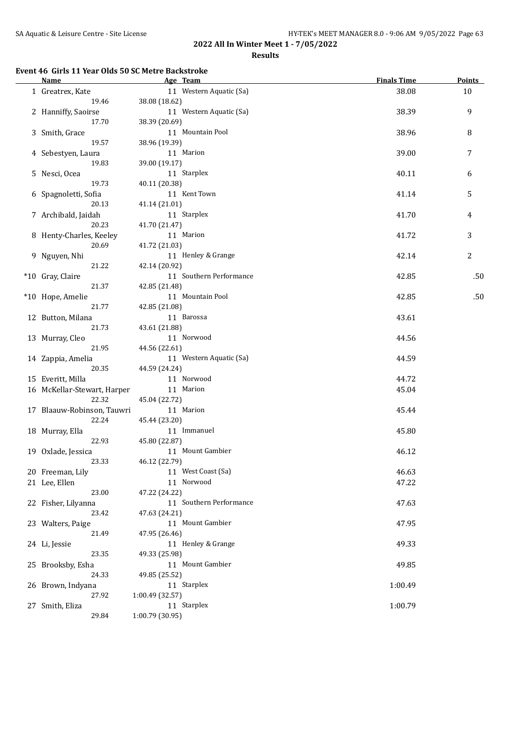#### **Event 46 Girls 11 Year Olds 50 SC Metre Backstroke**

| <b>Name</b>                 | Age Team                | <b>Finals Time</b> | <b>Points</b>    |
|-----------------------------|-------------------------|--------------------|------------------|
| 1 Greatrex, Kate            | 11 Western Aquatic (Sa) | 38.08              | 10               |
| 19.46                       | 38.08 (18.62)           |                    |                  |
| 2 Hanniffy, Saoirse         | 11 Western Aquatic (Sa) | 38.39              | $\boldsymbol{9}$ |
| 17.70                       | 38.39 (20.69)           |                    |                  |
| 3 Smith, Grace              | 11 Mountain Pool        | 38.96              | 8                |
| 19.57                       | 38.96 (19.39)           |                    |                  |
| 4 Sebestyen, Laura          | 11 Marion               | 39.00              | 7                |
| 19.83                       | 39.00 (19.17)           |                    |                  |
| 5 Nesci, Ocea               | 11 Starplex             | 40.11              | 6                |
| 19.73                       | 40.11 (20.38)           |                    |                  |
| 6 Spagnoletti, Sofia        | 11 Kent Town            | 41.14              | 5                |
| 20.13                       | 41.14 (21.01)           |                    |                  |
| 7 Archibald, Jaidah         | 11 Starplex             | 41.70              | 4                |
| 20.23                       | 41.70 (21.47)           |                    |                  |
| 8 Henty-Charles, Keeley     | 11 Marion               | 41.72              | 3                |
| 20.69                       | 41.72 (21.03)           |                    |                  |
| 9 Nguyen, Nhi               | 11 Henley & Grange      | 42.14              | 2                |
| 21.22                       | 42.14 (20.92)           |                    |                  |
| *10 Gray, Claire            | 11 Southern Performance | 42.85              | .50              |
| 21.37                       | 42.85 (21.48)           |                    |                  |
| *10 Hope, Amelie            | 11 Mountain Pool        | 42.85              | .50              |
| 21.77                       | 42.85 (21.08)           |                    |                  |
| 12 Button, Milana           | 11 Barossa              | 43.61              |                  |
| 21.73                       | 43.61 (21.88)           |                    |                  |
| 13 Murray, Cleo             | 11 Norwood              | 44.56              |                  |
| 21.95                       | 44.56 (22.61)           |                    |                  |
| 14 Zappia, Amelia           | 11 Western Aquatic (Sa) | 44.59              |                  |
| 20.35                       | 44.59 (24.24)           |                    |                  |
| 15 Everitt, Milla           | 11 Norwood              | 44.72              |                  |
| 16 McKellar-Stewart, Harper | 11 Marion               | 45.04              |                  |
| 22.32                       | 45.04 (22.72)           |                    |                  |
| 17 Blaauw-Robinson, Tauwri  | 11 Marion               | 45.44              |                  |
| 22.24                       | 45.44 (23.20)           |                    |                  |
| 18 Murray, Ella             | 11 Immanuel             | 45.80              |                  |
| 22.93                       | 45.80 (22.87)           |                    |                  |
| 19 Oxlade, Jessica          | 11 Mount Gambier        | 46.12              |                  |
| 23.33                       | 46.12 (22.79)           |                    |                  |
| 20 Freeman, Lily            | 11 West Coast (Sa)      | 46.63              |                  |
| 21 Lee, Ellen               | 11 Norwood              | 47.22              |                  |
| 23.00                       | 47.22 (24.22)           |                    |                  |
| 22 Fisher, Lilyanna         | 11 Southern Performance | 47.63              |                  |
| 23.42                       | 47.63 (24.21)           |                    |                  |
| 23 Walters, Paige           | 11 Mount Gambier        | 47.95              |                  |
| 21.49                       | 47.95 (26.46)           |                    |                  |
| 24 Li, Jessie               | 11 Henley & Grange      | 49.33              |                  |
| 23.35                       | 49.33 (25.98)           |                    |                  |
| 25 Brooksby, Esha           | 11 Mount Gambier        | 49.85              |                  |
| 24.33                       | 49.85 (25.52)           |                    |                  |
| 26 Brown, Indyana           | 11 Starplex             | 1:00.49            |                  |
| 27.92                       | 1:00.49 (32.57)         |                    |                  |
| 27 Smith, Eliza             | 11 Starplex             | 1:00.79            |                  |
| 29.84                       | 1:00.79 (30.95)         |                    |                  |
|                             |                         |                    |                  |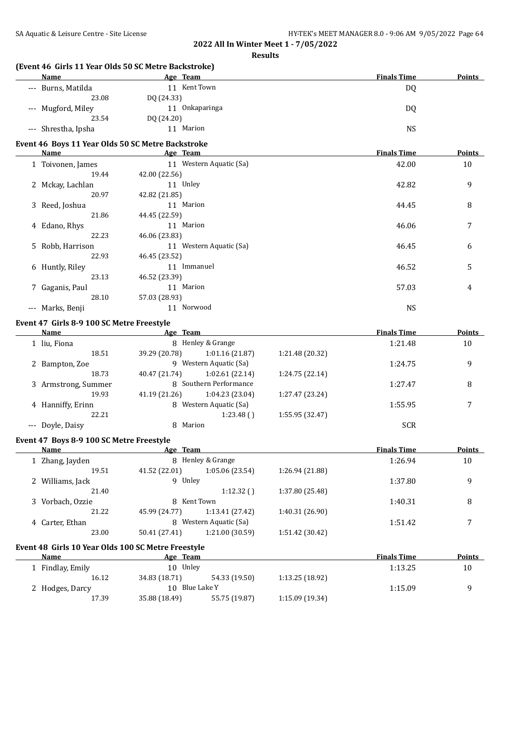| SA Aquatic & Leisure Centre - Site License |                                                      | HY-TEK's MEET MANAGER 8.0 - 9:06 AM 9/05/2022 Page 64 |        |
|--------------------------------------------|------------------------------------------------------|-------------------------------------------------------|--------|
|                                            | 2022 All In Winter Meet 1 - 7/05/2022                |                                                       |        |
|                                            | <b>Results</b>                                       |                                                       |        |
|                                            | (Event 46 Girls 11 Year Olds 50 SC Metre Backstroke) |                                                       |        |
| <b>Name</b>                                | <b>Example 2018</b> Age Team                         | <b>Finals Time</b>                                    | Points |
| --- Burns, Matilda                         | 11 Kent Town                                         | DQ                                                    |        |
| 23.08                                      | DQ (24.33)                                           |                                                       |        |
| --- Mugford, Miley                         | 11 Onkaparinga                                       | DQ                                                    |        |
| 23.54                                      | DQ (24.20)                                           |                                                       |        |
| --- Shrestha, Ipsha                        | 11 Marion                                            | <b>NS</b>                                             |        |
|                                            | Event 46 Boys 11 Year Olds 50 SC Metre Backstroke    |                                                       |        |
| <b>Name</b>                                | <b>Example 2018</b> Age Team                         | <b>Finals Time</b>                                    | Points |
| 1 Toivonen, James                          | 11 Western Aquatic (Sa)                              | 42.00                                                 | 10     |
| 19.44                                      | 42.00 (22.56)                                        |                                                       |        |
| 2 Mckay, Lachlan                           | 11 Unley                                             | 42.82                                                 | 9      |
| 20.97                                      | 42.82 (21.85)                                        |                                                       |        |
| 3 Reed, Joshua                             | 11 Marion                                            | 44.45                                                 | 8      |
| 21.86                                      | 44.45 (22.59)                                        |                                                       |        |
| 4 Edano, Rhys                              | 11 Marion                                            | 46.06                                                 | 7      |
| 22.23                                      | 46.06 (23.83)                                        |                                                       |        |
| 5 Robb, Harrison                           | 11 Western Aquatic (Sa)                              | 46.45                                                 | 6      |
| 22.93                                      | 46.45 (23.52)                                        |                                                       |        |
| 6 Huntly, Riley                            | 11 Immanuel                                          | 46.52                                                 | 5      |
| 23.13                                      | 46.52 (23.39)                                        |                                                       |        |
| 7 Gaganis, Paul                            | 11 Marion                                            | 57.03                                                 | 4      |
| 28.10                                      | 57.03 (28.93)                                        |                                                       |        |
| --- Marks, Benji                           | 11 Norwood                                           | <b>NS</b>                                             |        |
| Event 47 Girls 8-9 100 SC Metre Freestyle  |                                                      |                                                       |        |
| Name                                       | <b>Example 2</b> Age Team                            | <b>Finals Time</b>                                    | Points |
| 1 liu, Fiona                               | 8 Henley & Grange                                    | 1:21.48                                               | 10     |
| 18.51                                      | 39.29 (20.78) 1:01.16 (21.87)                        | 1:21.48 (20.32)                                       |        |
| $\sim$ $\sim$                              | $\sim$ $\sim$ $\sim$ $\sim$ $\sim$ $\sim$ $\sim$     | $\sim$ $\sim$ $\sim$ $\sim$                           |        |

| 10.JL               | <b>JJ.</b> 47 [40. / 0] | 1.01.10141.071         | 1.41.70140.041  |            |   |
|---------------------|-------------------------|------------------------|-----------------|------------|---|
| 2 Bampton, Zoe      | 9                       | Western Aquatic (Sa)   |                 | 1:24.75    | q |
| 18.73               | 40.47 (21.74)           | 1:02.61(22.14)         | 1:24.75 (22.14) |            |   |
| 3 Armstrong, Summer |                         | 8 Southern Performance |                 | 1:27.47    | 8 |
| 19.93               | 41.19 (21.26)           | 1:04.23(23.04)         | 1:27.47 (23.24) |            |   |
| 4 Hanniffy, Erinn   |                         | 8 Western Aquatic (Sa) |                 | 1:55.95    |   |
| 22.21               |                         | 1:23.48()              | 1:55.95 (32.47) |            |   |
| --- Doyle, Daisy    | 8 Marion                |                        |                 | <b>SCR</b> |   |

| Name  |                                                                                                                   |                                          |                                                                                                                                                                                   | <b>Finals Time</b> | Points |
|-------|-------------------------------------------------------------------------------------------------------------------|------------------------------------------|-----------------------------------------------------------------------------------------------------------------------------------------------------------------------------------|--------------------|--------|
|       |                                                                                                                   |                                          |                                                                                                                                                                                   | 1:26.94            | 10     |
| 19.51 | 41.52 (22.01)                                                                                                     | 1:05.06(23.54)                           | 1:26.94 (21.88)                                                                                                                                                                   |                    |        |
|       |                                                                                                                   |                                          |                                                                                                                                                                                   | 1:37.80            | 9      |
| 21.40 |                                                                                                                   | 1:12.32()                                | 1:37.80 (25.48)                                                                                                                                                                   |                    |        |
|       |                                                                                                                   |                                          |                                                                                                                                                                                   | 1:40.31            | 8      |
| 21.22 | 45.99 (24.77)                                                                                                     | 1:13.41 (27.42)                          | 1:40.31 (26.90)                                                                                                                                                                   |                    |        |
|       |                                                                                                                   |                                          |                                                                                                                                                                                   | 1:51.42            | 7      |
| 23.00 | 50.41 (27.41)                                                                                                     | 1:21.00 (30.59)                          | 1:51.42 (30.42)                                                                                                                                                                   |                    |        |
|       |                                                                                                                   |                                          |                                                                                                                                                                                   |                    |        |
| Name  |                                                                                                                   |                                          |                                                                                                                                                                                   | <b>Finals Time</b> | Points |
|       |                                                                                                                   |                                          |                                                                                                                                                                                   | 1:13.25            | 10     |
| 16.12 | 34.83 (18.71)                                                                                                     | 54.33 (19.50)                            | 1:13.25(18.92)                                                                                                                                                                    |                    |        |
|       |                                                                                                                   |                                          |                                                                                                                                                                                   | 1:15.09            | 9      |
| 17.39 | 35.88 (18.49)                                                                                                     | 55.75 (19.87)                            | 1:15.09 (19.34)                                                                                                                                                                   |                    |        |
|       | 1 Zhang, Jayden<br>2 Williams, Jack<br>3 Vorbach, Ozzie<br>4 Carter, Ethan<br>1 Findlay, Emily<br>2 Hodges, Darcy | Event 47 Boys 8-9 100 SC Metre Freestyle | Age Team<br>8 Henley & Grange<br>9 Unley<br>8 Kent Town<br>8 Western Aquatic (Sa)<br>Event 48 Girls 10 Year Olds 100 SC Metre Freestyle<br>Age Team<br>10 Unley<br>10 Blue Lake Y |                    |        |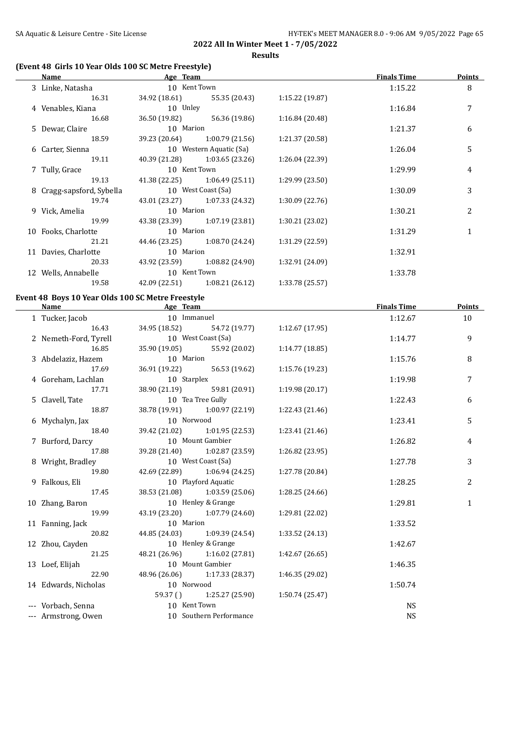#### **Results**

## **(Event 48 Girls 10 Year Olds 100 SC Metre Freestyle)**

| Name                      | Age Team      |                                 |                 | <b>Finals Time</b> | <b>Points</b>  |
|---------------------------|---------------|---------------------------------|-----------------|--------------------|----------------|
| 3 Linke, Natasha          | 10 Kent Town  |                                 |                 | 1:15.22            | 8              |
| 16.31                     |               | 34.92 (18.61) 55.35 (20.43)     | 1:15.22(19.87)  |                    |                |
| 4 Venables, Kiana         | 10 Unley      |                                 |                 | 1:16.84            | 7              |
| 16.68                     | 36.50 (19.82) | 56.36 (19.86)                   | 1:16.84 (20.48) |                    |                |
| 5 Dewar, Claire           | 10 Marion     |                                 |                 | 1:21.37            | 6              |
| 18.59                     |               | 39.23 (20.64) 1:00.79 (21.56)   | 1:21.37 (20.58) |                    |                |
| 6 Carter, Sienna          |               | 10 Western Aquatic (Sa)         |                 | 1:26.04            | 5              |
| 19.11                     |               | $40.39(21.28)$ $1:03.65(23.26)$ | 1:26.04 (22.39) |                    |                |
| 7 Tully, Grace            | 10 Kent Town  |                                 |                 | 1:29.99            | 4              |
| 19.13                     |               | $41.38(22.25)$ $1:06.49(25.11)$ | 1:29.99 (23.50) |                    |                |
| 8 Cragg-sapsford, Sybella |               | 10 West Coast (Sa)              |                 | 1:30.09            | 3              |
| 19.74                     |               | 43.01 (23.27) 1:07.33 (24.32)   | 1:30.09(22.76)  |                    |                |
| 9 Vick, Amelia            | 10 Marion     |                                 |                 | 1:30.21            | $\overline{2}$ |
| 19.99                     |               | 43.38 (23.39) 1:07.19 (23.81)   | 1:30.21 (23.02) |                    |                |
| 10 Fooks, Charlotte       | 10 Marion     |                                 |                 | 1:31.29            | $\mathbf{1}$   |
| 21.21                     |               | 44.46 (23.25) 1:08.70 (24.24)   | 1:31.29 (22.59) |                    |                |
| 11 Davies, Charlotte      | 10 Marion     |                                 |                 | 1:32.91            |                |
| 20.33                     |               | 43.92 (23.59) 1:08.82 (24.90)   | 1:32.91 (24.09) |                    |                |
| 12 Wells, Annabelle       | 10 Kent Town  |                                 |                 | 1:33.78            |                |
| 19.58                     |               | 42.09 (22.51) 1:08.21 (26.12)   | 1:33.78 (25.57) |                    |                |

## **Event 48 Boys 10 Year Olds 100 SC Metre Freestyle**

| Name                  | Age Team            |                               |                 | <b>Finals Time</b> | <b>Points</b> |
|-----------------------|---------------------|-------------------------------|-----------------|--------------------|---------------|
| 1 Tucker, Jacob       |                     | 10 Immanuel                   |                 | 1:12.67            | 10            |
| 16.43                 |                     | 34.95 (18.52) 54.72 (19.77)   | 1:12.67(17.95)  |                    |               |
| 2 Nemeth-Ford, Tyrell | 10 West Coast (Sa)  |                               |                 | 1:14.77            | 9             |
| 16.85                 |                     | 35.90 (19.05) 55.92 (20.02)   | 1:14.77(18.85)  |                    |               |
| 3 Abdelaziz, Hazem    | 10 Marion           |                               |                 | 1:15.76            | 8             |
| 17.69                 | 36.91 (19.22)       | 56.53 (19.62)                 | 1:15.76 (19.23) |                    |               |
| 4 Goreham, Lachlan    | 10 Starplex         |                               |                 | 1:19.98            | 7             |
| 17.71                 |                     | 38.90 (21.19) 59.81 (20.91)   | 1:19.98 (20.17) |                    |               |
| 5 Clavell, Tate       | 10 Tea Tree Gully   |                               |                 | 1:22.43            | 6             |
| 18.87                 |                     | 38.78 (19.91) 1:00.97 (22.19) | 1:22.43 (21.46) |                    |               |
| 6 Mychalyn, Jax       | 10 Norwood          |                               |                 | 1:23.41            | 5             |
| 18.40                 |                     | 39.42 (21.02) 1:01.95 (22.53) | 1:23.41 (21.46) |                    |               |
| 7 Burford, Darcy      | 10 Mount Gambier    |                               |                 | 1:26.82            | 4             |
| 17.88                 |                     | 39.28 (21.40) 1:02.87 (23.59) | 1:26.82 (23.95) |                    |               |
| 8 Wright, Bradley     | 10 West Coast (Sa)  |                               |                 | 1:27.78            | 3             |
| 19.80                 |                     | 42.69 (22.89) 1:06.94 (24.25) | 1:27.78 (20.84) |                    |               |
| 9 Falkous, Eli        | 10 Playford Aquatic |                               |                 | 1:28.25            | 2             |
| 17.45                 |                     | 38.53 (21.08) 1:03.59 (25.06) | 1:28.25 (24.66) |                    |               |
| 10 Zhang, Baron       | 10 Henley & Grange  |                               |                 | 1:29.81            | $\mathbf{1}$  |
| 19.99                 |                     | 43.19 (23.20) 1:07.79 (24.60) | 1:29.81 (22.02) |                    |               |
| 11 Fanning, Jack      | 10 Marion           |                               |                 | 1:33.52            |               |
| 20.82                 |                     | 44.85 (24.03) 1:09.39 (24.54) | 1:33.52 (24.13) |                    |               |
| 12 Zhou, Cayden       | 10 Henley & Grange  |                               |                 | 1:42.67            |               |
| 21.25                 |                     | 48.21 (26.96) 1:16.02 (27.81) | 1:42.67 (26.65) |                    |               |
| 13 Loef, Elijah       |                     | 10 Mount Gambier              |                 | 1:46.35            |               |
| 22.90                 |                     | 48.96 (26.06) 1:17.33 (28.37) | 1:46.35 (29.02) |                    |               |
| 14 Edwards, Nicholas  | 10 Norwood          |                               |                 | 1:50.74            |               |
|                       |                     | 59.37 () 1:25.27 (25.90)      | 1:50.74(25.47)  |                    |               |
| --- Vorbach, Senna    | 10 Kent Town        |                               |                 | <b>NS</b>          |               |
| --- Armstrong, Owen   |                     | 10 Southern Performance       |                 | <b>NS</b>          |               |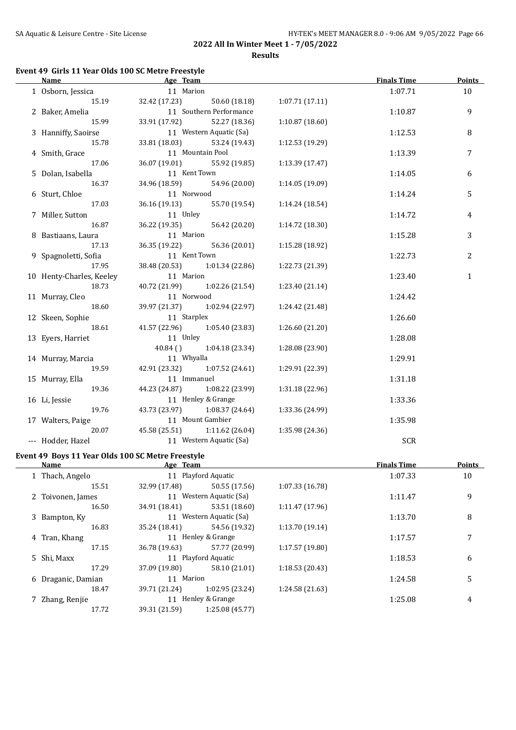#### **Event 49 Girls 11 Year Olds 100 SC Metre Freestyle**

| <b>Name</b>              | Age Team      |                               |                 | <b>Finals Time</b> | <b>Points</b>  |
|--------------------------|---------------|-------------------------------|-----------------|--------------------|----------------|
| 1 Osborn, Jessica        | 11 Marion     |                               |                 | 1:07.71            | 10             |
| 15.19                    | 32.42 (17.23) | 50.60 (18.18)                 | 1:07.71(17.11)  |                    |                |
| 2 Baker, Amelia          |               | 11 Southern Performance       |                 | 1:10.87            | 9              |
| 15.99                    | 33.91 (17.92) | 52.27 (18.36)                 | 1:10.87(18.60)  |                    |                |
| 3 Hanniffy, Saoirse      |               | 11 Western Aquatic (Sa)       |                 | 1:12.53            | 8              |
| 15.78                    | 33.81 (18.03) | 53.24 (19.43)                 | 1:12.53 (19.29) |                    |                |
| 4 Smith, Grace           |               | 11 Mountain Pool              |                 | 1:13.39            | $\overline{7}$ |
| 17.06                    | 36.07 (19.01) | 55.92 (19.85)                 | 1:13.39(17.47)  |                    |                |
| 5 Dolan, Isabella        | 11 Kent Town  |                               |                 | 1:14.05            | 6              |
| 16.37                    | 34.96 (18.59) | 54.96 (20.00)                 | 1:14.05 (19.09) |                    |                |
| 6 Sturt, Chloe           | 11 Norwood    |                               |                 | 1:14.24            | 5              |
| 17.03                    | 36.16 (19.13) | 55.70 (19.54)                 | 1:14.24(18.54)  |                    |                |
| 7 Miller, Sutton         | 11 Unley      |                               |                 | 1:14.72            | 4              |
| 16.87                    | 36.22 (19.35) | 56.42 (20.20)                 | 1:14.72 (18.30) |                    |                |
| 8 Bastiaans, Laura       | 11 Marion     |                               |                 | 1:15.28            | 3              |
| 17.13                    | 36.35 (19.22) | 56.36 (20.01)                 | 1:15.28 (18.92) |                    |                |
| 9 Spagnoletti, Sofia     | 11 Kent Town  |                               |                 | 1:22.73            | 2              |
| 17.95                    |               | 38.48 (20.53) 1:01.34 (22.86) | 1:22.73 (21.39) |                    |                |
| 10 Henty-Charles, Keeley | 11 Marion     |                               |                 | 1:23.40            | $\mathbf{1}$   |
| 18.73                    | 40.72 (21.99) | 1:02.26 (21.54)               | 1:23.40 (21.14) |                    |                |
| 11 Murray, Cleo          | 11 Norwood    |                               |                 | 1:24.42            |                |
| 18.60                    | 39.97 (21.37) | 1:02.94 (22.97)               | 1:24.42 (21.48) |                    |                |
| 12 Skeen, Sophie         | 11 Starplex   |                               |                 | 1:26.60            |                |
| 18.61                    | 41.57 (22.96) | 1:05.40(23.83)                | 1:26.60(21.20)  |                    |                |
| 13 Eyers, Harriet        | 11 Unley      |                               |                 | 1:28.08            |                |
|                          | 40.84()       | 1:04.18(23.34)                | 1:28.08 (23.90) |                    |                |
| 14 Murray, Marcia        | 11 Whyalla    |                               |                 | 1:29.91            |                |
| 19.59                    | 42.91 (23.32) | 1:07.52(24.61)                | 1:29.91 (22.39) |                    |                |
| 15 Murray, Ella          | 11 Immanuel   |                               |                 | 1:31.18            |                |
| 19.36                    | 44.23 (24.87) | 1:08.22 (23.99)               | 1:31.18 (22.96) |                    |                |
| 16 Li, Jessie            |               | 11 Henley & Grange            |                 | 1:33.36            |                |
| 19.76                    | 43.73 (23.97) | 1:08.37 (24.64)               | 1:33.36 (24.99) |                    |                |
| 17 Walters, Paige        |               | 11 Mount Gambier              |                 | 1:35.98            |                |
| 20.07                    | 45.58 (25.51) | 1:11.62 (26.04)               | 1:35.98 (24.36) |                    |                |
| --- Hodder, Hazel        |               | 11 Western Aquatic (Sa)       |                 | <b>SCR</b>         |                |

## **Event 49 Boys 11 Year Olds 100 SC Metre Freestyle**

 $\overline{\phantom{0}}$ 

| <b>Name</b>        | Age Team      |                         |                 | <b>Finals Time</b> | <b>Points</b> |
|--------------------|---------------|-------------------------|-----------------|--------------------|---------------|
| 1 Thach, Angelo    |               | 11 Playford Aquatic     |                 | 1:07.33            | 10            |
| 15.51              | 32.99 (17.48) | 50.55 (17.56)           | 1:07.33(16.78)  |                    |               |
| 2 Toivonen, James  |               | 11 Western Aquatic (Sa) |                 | 1:11.47            | 9             |
| 16.50              | 34.91 (18.41) | 53.51 (18.60)           | 1:11.47(17.96)  |                    |               |
| 3 Bampton, Ky      |               | 11 Western Aquatic (Sa) |                 | 1:13.70            | 8             |
| 16.83              | 35.24 (18.41) | 54.56 (19.32)           | 1:13.70(19.14)  |                    |               |
| 4 Tran, Khang      |               | 11 Henley & Grange      |                 | 1:17.57            | 7             |
| 17.15              | 36.78 (19.63) | 57.77 (20.99)           | 1:17.57(19.80)  |                    |               |
| 5 Shi, Maxx        |               | 11 Playford Aquatic     |                 | 1:18.53            | 6             |
| 17.29              | 37.09 (19.80) | 58.10 (21.01)           | 1:18.53(20.43)  |                    |               |
| 6 Draganic, Damian | 11 Marion     |                         |                 | 1:24.58            | 5             |
| 18.47              | 39.71 (21.24) | 1:02.95(23.24)          | 1:24.58 (21.63) |                    |               |
| 7 Zhang, Renjie    | 11            | Henley & Grange         |                 | 1:25.08            | 4             |
| 17.72              | 39.31 (21.59) | 1:25.08 (45.77)         |                 |                    |               |